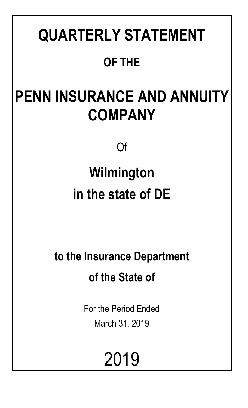# **QUARTERLY STATEMENT**

# **OF THE**

# **PENN INSURANCE AND ANNUITY COMPANY**

Of

# **Wilmington in the state of DE**

**to the Insurance Department of the State of**

> For the Period Ended March 31, 2019

> > 2019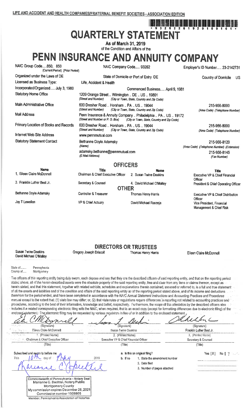## ı öne fesi ini ina fan ini ini bun bun ini ilm önu bun bun bun bun berlen in **QUARTERLY STATEMENT**

As of March 31, 2019 of the Condition and Affairs of the

## PENN INSURANCE AND ANNUITY COMPANY

NAIC Group Code.....850, 850 NAIC Company Code..... 93262 (Current Period) (Prior Period) Organized under the Laws of DE State of Domicile or Port of Entry DE Licensed as Business Type: Life, Accident & Health Incorporated/Organized..... July 3, 1980 **Statutory Home Office** (Street and Number) Main Administrative Office (Street and Number) Mail Address Penn Insurance & Annuity Company .. Philadelphia .. PA .. US .. 19172 (Street and Number or P. O. Box) (City or Town, State, Country and Zip Code)

Primary Location of Books and Records

**Name** 

Internet Web Site Address **Statutory Statement Contact** 

1. Eileen Claire McDonnell

3. Franklin Luther Best Jr.

Bethanne Doyle Adamsky

Jay T Lewellen

Employer's ID Number..... 23-2142731

Country of Domicile

**US** 

Commenced Business..... April 9, 1981 1209 Orange Street .. Wilmington .. DE .. US .. 19801 (City or Town, State, Country and Zip Code) 600 Dresher Road .. Horsham .. PA .. US .. 19044 (City or Town, State, Country and Zip Code)

(City or Town, State, Country and Zip Code)

215-956-8000

(Area Code) (Telephone Number)

215-956-8000 (Area Code) (Telephone Number)

215-956-8120 (Area Code) (Telephone Number) (Extension) 215-956-8145 (Fax Number)

### **OFFICERS**

**Title Name** Chairman & Chief Executive Officer 2. Susan Twine Deakins Secretary & Counsel 4. David Michael O'Malley **OTHER** Controller & Treasurer Thomas Henry Harris VP & Chief Actuary David Michael Raszeja

600 Dresher Road .. Horsham .. PA .. US .. 19044

(Street and Number)

(E-Mail Address)

(Name)

www.pennmutual.com

Bethanne Doyle Adamsky

adamsky.bethanne@pennmutual.com

### Executive VP & Chief Distribution Officer Vice President, Financial Management & Chief Risk

**Title** 

President & Chief Operating Officer

Executive VP & Chief Financial

Officer

**Susan Twine Deakins** 

## **DIRECTORS OR TRUSTEES**

David Michael O'Malley

Gregory Joseph Driscoll

Thomas Henry Harris

Eileen Claire McDonnell

**State of** Pennsylvania County of..... Montcomery

The officers of this reporting entity being duly sworn, each depose and say that they are the described officers of said reporting entity, and that on the reporting period stated above; all of the herein described assets were the absolute property of the said reporting entity, free and clear from any liens or claims thereon, except as herein stated, and that this statement, together with related exhibits, schedules and explanations therein contained, annexed or referred to, is a full and true statement of all the assets and liabilities and of the condition and affairs of the said reporting entity as of the reporting period stated above, and of its income and deductions. therefrom for the period ended, and have been completed in accordance with the NAIC Annual Statement Instructions and Accounting Practices and Procedures manual except to the extent that: (1) state law may differ; or, (2) that state rules or regulations require differences in reporting not related to accounting practices and procedures, according to the best of their information, knowledge and belief, respectively. Furthermore, the scope of this attestation by the described officers also includes the related corresponding electronic filing with the NAIC; when required, that is an exact copy (except for formatting differences due to electronic filing) of the enclosed statement. The electronic filing may be requested by various regulators in lieu of or in addition to the enclosed statement.

| (Signature)<br>放野 极 守教                                                                                                                                                                                                               | (Signature)                                                                                                                 | (Signature)                                                                       |
|--------------------------------------------------------------------------------------------------------------------------------------------------------------------------------------------------------------------------------------|-----------------------------------------------------------------------------------------------------------------------------|-----------------------------------------------------------------------------------|
| Eliees Claire McDonnell<br>in link lid and on                                                                                                                                                                                        | Susan Twine Deakins                                                                                                         | Franklin Luther Best Jr.                                                          |
| 计标志系统控制<br>1. (Printed Name)<br><b>Constitution Chairman &amp; Chief Executive Officer</b>                                                                                                                                           | 2. (Printed Name)<br>Executive VP & Chief Financial Officer                                                                 | 3. (Printed Name)<br>Secretary & Counsel                                          |
| (Title)                                                                                                                                                                                                                              | (Title)                                                                                                                     | (Title)                                                                           |
| Subscribed and sworn to before me<br>2019<br>This.<br>davof                                                                                                                                                                          | a. Is this an original filing?<br>b. If no<br>1. State the amendment number<br>2. Date filed<br>3. Number of pages attached | Yes $[X]$<br>No. $\left\{ \begin{array}{ccc} 1 & \cdots & 1 \end{array} \right\}$ |
| Commonwealth of Pennsylvania - Notary Seal<br>Marianne C. Bechtel, Notary Public<br><b>Montgomery County</b><br>My commission expires December 26, 2021<br>Commission number 1008805<br>Member, Pennsylvania Association of Notaries |                                                                                                                             |                                                                                   |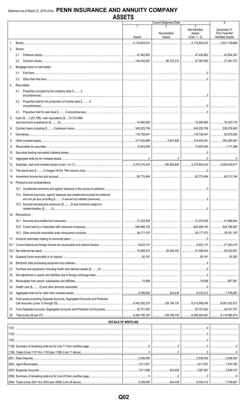|     |                                                                                    |                             | <b>Current Statement Date</b>                                          |                           | 4                                        |
|-----|------------------------------------------------------------------------------------|-----------------------------|------------------------------------------------------------------------|---------------------------|------------------------------------------|
|     |                                                                                    |                             |                                                                        | 3<br>Net Admitted         | December 31                              |
|     |                                                                                    | Assets                      | Nonadmitted<br>Assets                                                  | Assets<br>$(Cols. 1 - 2)$ | Prior Year Net<br><b>Admitted Assets</b> |
| 1.  |                                                                                    | 4,116,943,674               |                                                                        | 116,943,674               | 3,921,739,669                            |
| 2.  | Stocks:                                                                            |                             |                                                                        |                           |                                          |
|     | 2.1                                                                                |                             |                                                                        |                           | 42,954,247                               |
|     | $2.2^{\circ}$                                                                      |                             | 96,722,212   47,587,055   27,381,701                                   |                           |                                          |
| 3.  | Mortgage loans on real estate:                                                     |                             |                                                                        |                           |                                          |
|     | 3.1                                                                                |                             |                                                                        |                           |                                          |
|     | 3.2                                                                                |                             |                                                                        |                           |                                          |
| 4.  | Real estate:                                                                       |                             |                                                                        |                           |                                          |
|     | Properties occupied by the company (less \$0<br>4.1                                |                             |                                                                        |                           |                                          |
|     | Properties held for the production of income (less \$0<br>4.2                      |                             |                                                                        |                           |                                          |
|     | 4.3                                                                                |                             |                                                                        |                           |                                          |
| 5.  | Cash (\$1,257,196), cash equivalents (\$73,733,499)                                |                             |                                                                        |                           |                                          |
|     |                                                                                    |                             |                                                                        |                           |                                          |
| 6.  |                                                                                    |                             |                                                                        |                           | 536,576,883                              |
| 7.  |                                                                                    |                             |                                                                        |                           |                                          |
| 8.  |                                                                                    |                             | $\ldots$ 3,847,628   313,455,361                                       |                           | 305,285,597                              |
| 9.  |                                                                                    |                             |                                                                        |                           |                                          |
| 10. |                                                                                    |                             |                                                                        |                           |                                          |
| 11. |                                                                                    |                             |                                                                        |                           |                                          |
| 12. |                                                                                    |                             |                                                                        |                           |                                          |
| 13. |                                                                                    |                             |                                                                        |                           |                                          |
| 14. |                                                                                    |                             |                                                                        |                           |                                          |
|     | 15. Premiums and considerations:                                                   |                             |                                                                        |                           |                                          |
|     | 15.1 Uncollected premiums and agents' balances in the course of collection         |                             |                                                                        |                           |                                          |
|     | 15.2 Deferred premiums, agents' balances and installments booked but deferred      |                             |                                                                        |                           |                                          |
|     |                                                                                    |                             |                                                                        |                           |                                          |
|     | 15.3 Accrued retrospective premiums (\$0) and contracts subject to                 |                             |                                                                        |                           |                                          |
|     | 16. Reinsurance:                                                                   |                             |                                                                        |                           |                                          |
|     |                                                                                    |                             |                                                                        |                           | 41,686,644                               |
|     |                                                                                    |                             |                                                                        |                           | 324,786,497                              |
|     |                                                                                    |                             |                                                                        |                           | 39,761,103                               |
| 17. |                                                                                    |                             |                                                                        |                           |                                          |
|     |                                                                                    |                             |                                                                        |                           | 27,393,410                               |
|     |                                                                                    |                             |                                                                        |                           | 50,225,851                               |
| 19. |                                                                                    |                             |                                                                        |                           | 93,355                                   |
| 20. |                                                                                    |                             |                                                                        |                           |                                          |
| 21. |                                                                                    |                             |                                                                        |                           |                                          |
| 22. |                                                                                    |                             |                                                                        |                           |                                          |
| 23. |                                                                                    |                             |                                                                        |                           |                                          |
| 24. |                                                                                    |                             |                                                                        |                           |                                          |
| 25. |                                                                                    |                             |                                                                        |                           |                                          |
| 26. | Total assets excluding Separate Accounts, Segregated Accounts and Protected        |                             | 129,194,730 6,312,898,545 6,061,552,873                                |                           |                                          |
| 27. | From Separate Accounts, Segregated Accounts and Protected Cell Accounts 52,701,922 |                             |                                                                        |                           |                                          |
| 28. |                                                                                    |                             | $\ldots$ 129,194,730   $\ldots$ 6,365,600,467   $\ldots$ 6,110,090,574 |                           |                                          |
|     |                                                                                    | <b>DETAILS OF WRITE-INS</b> |                                                                        |                           |                                          |
|     |                                                                                    |                             |                                                                        |                           |                                          |
|     |                                                                                    |                             |                                                                        |                           |                                          |
|     |                                                                                    |                             |                                                                        |                           |                                          |
|     |                                                                                    |                             |                                                                        |                           |                                          |
|     |                                                                                    |                             |                                                                        |                           |                                          |
|     |                                                                                    |                             |                                                                        |                           | $\ldots$ 2,936,000                       |
|     |                                                                                    |                             |                                                                        |                           | 1,974,790                                |
|     |                                                                                    |                             |                                                                        |                           |                                          |
|     |                                                                                    |                             |                                                                        |                           |                                          |

 $.6,359,850$ 

 $.324,438$ 

 $.6,035,412$ 

 $.7,749,897$ 

2599. Totals (Lines 2501 thru 2503 plus 2598) (Line 25 above).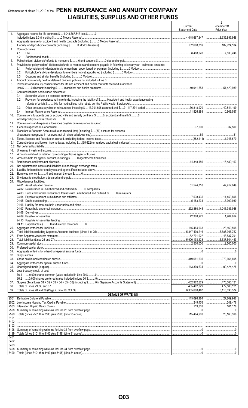## Statement as of March 31, 2019 of the PENN INSURANCE AND ANNUITY COMPANY LIABILITIES, SURPLUS AND OTHER FUNDS

|            |                                                                                                                                                                                                                                                                                                                                                                                                                                                                                                                          | Current<br><b>Statement Date</b> | December 31<br>Prior Year |
|------------|--------------------------------------------------------------------------------------------------------------------------------------------------------------------------------------------------------------------------------------------------------------------------------------------------------------------------------------------------------------------------------------------------------------------------------------------------------------------------------------------------------------------------|----------------------------------|---------------------------|
| 1.         | Aggregate reserve for life contracts \$4,048,667,847 less \$0                                                                                                                                                                                                                                                                                                                                                                                                                                                            |                                  |                           |
| 2.         |                                                                                                                                                                                                                                                                                                                                                                                                                                                                                                                          |                                  |                           |
| 3.<br>4.   | Contract claims:                                                                                                                                                                                                                                                                                                                                                                                                                                                                                                         |                                  |                           |
|            | 4.1                                                                                                                                                                                                                                                                                                                                                                                                                                                                                                                      |                                  |                           |
| 5.         | 4.2                                                                                                                                                                                                                                                                                                                                                                                                                                                                                                                      |                                  |                           |
| 6.         | Provision for policyholders' dividends/refunds to members and coupons payable in following calendar year - estimated amounts:                                                                                                                                                                                                                                                                                                                                                                                            |                                  |                           |
|            | 6.1                                                                                                                                                                                                                                                                                                                                                                                                                                                                                                                      |                                  |                           |
|            | 6.2<br>6.3                                                                                                                                                                                                                                                                                                                                                                                                                                                                                                               |                                  |                           |
| 7.         |                                                                                                                                                                                                                                                                                                                                                                                                                                                                                                                          |                                  |                           |
| 8.         | Premiums and annuity considerations for life and accident and health contracts received in advance                                                                                                                                                                                                                                                                                                                                                                                                                       |                                  |                           |
| 9.         | Contract liabilities not included elsewhere:                                                                                                                                                                                                                                                                                                                                                                                                                                                                             |                                  |                           |
|            | 9.1                                                                                                                                                                                                                                                                                                                                                                                                                                                                                                                      |                                  |                           |
|            | Provision for experience rating refunds, including the liability of \$ O accident and health experience rating<br>9.2                                                                                                                                                                                                                                                                                                                                                                                                    |                                  |                           |
|            | 9.3                                                                                                                                                                                                                                                                                                                                                                                                                                                                                                                      |                                  |                           |
|            | 9.4                                                                                                                                                                                                                                                                                                                                                                                                                                                                                                                      |                                  |                           |
| 10.        | Commissions to agents due or accrued - life and annuity contracts \$0, accident and health \$0                                                                                                                                                                                                                                                                                                                                                                                                                           |                                  |                           |
| 11.        |                                                                                                                                                                                                                                                                                                                                                                                                                                                                                                                          |                                  |                           |
| 12.        |                                                                                                                                                                                                                                                                                                                                                                                                                                                                                                                          |                                  |                           |
|            | 13. Transfers to Separate Accounts due or accrued (net) (including \$(89) accrued for expense                                                                                                                                                                                                                                                                                                                                                                                                                            |                                  |                           |
| 14.        |                                                                                                                                                                                                                                                                                                                                                                                                                                                                                                                          |                                  |                           |
| 15.1       |                                                                                                                                                                                                                                                                                                                                                                                                                                                                                                                          |                                  |                           |
| 15.2       |                                                                                                                                                                                                                                                                                                                                                                                                                                                                                                                          |                                  |                           |
| 16.<br>17. | $\textbf{Unlearned investment income}\textcolor{red}{\textbf{Uncoefficient} \textbf{non}-\textbf{non}-\textbf{non}-\textbf{non}-\textbf{non}-\textbf{non}-\textbf{non}-\textbf{non}-\textbf{non}-\textbf{non}-\textbf{non}-\textbf{non}-\textbf{non}-\textbf{non}-\textbf{non}-\textbf{non}-\textbf{non}-\textbf{non}-\textbf{non}-\textbf{non}-\textbf{non}-\textbf{non}-\textbf{non}-\textbf{non}-\textbf{non}-\textbf{non}-\textbf{non}-\textbf{non}-\textbf{non}-\textbf{non}-\textbf{non}-\textbf{non}-\textbf{non$ |                                  |                           |
| 18.        |                                                                                                                                                                                                                                                                                                                                                                                                                                                                                                                          |                                  |                           |
| 19.        |                                                                                                                                                                                                                                                                                                                                                                                                                                                                                                                          |                                  |                           |
| 20.<br>21. |                                                                                                                                                                                                                                                                                                                                                                                                                                                                                                                          |                                  |                           |
| 22.        |                                                                                                                                                                                                                                                                                                                                                                                                                                                                                                                          |                                  |                           |
| 23.<br>24. | Miscellaneous liabilities:                                                                                                                                                                                                                                                                                                                                                                                                                                                                                               |                                  |                           |
|            |                                                                                                                                                                                                                                                                                                                                                                                                                                                                                                                          |                                  |                           |
|            |                                                                                                                                                                                                                                                                                                                                                                                                                                                                                                                          |                                  |                           |
|            |                                                                                                                                                                                                                                                                                                                                                                                                                                                                                                                          |                                  |                           |
|            |                                                                                                                                                                                                                                                                                                                                                                                                                                                                                                                          |                                  |                           |
|            |                                                                                                                                                                                                                                                                                                                                                                                                                                                                                                                          |                                  |                           |
|            |                                                                                                                                                                                                                                                                                                                                                                                                                                                                                                                          |                                  |                           |
|            |                                                                                                                                                                                                                                                                                                                                                                                                                                                                                                                          |                                  |                           |
|            |                                                                                                                                                                                                                                                                                                                                                                                                                                                                                                                          |                                  |                           |
| 25.        |                                                                                                                                                                                                                                                                                                                                                                                                                                                                                                                          |                                  |                           |
| 26.        |                                                                                                                                                                                                                                                                                                                                                                                                                                                                                                                          |                                  |                           |
| 27.        |                                                                                                                                                                                                                                                                                                                                                                                                                                                                                                                          | 5.900.138.138                    |                           |
| 28.<br>29. |                                                                                                                                                                                                                                                                                                                                                                                                                                                                                                                          |                                  | 5,637,504,453             |
| 30.        |                                                                                                                                                                                                                                                                                                                                                                                                                                                                                                                          |                                  |                           |
| 31.<br>32. |                                                                                                                                                                                                                                                                                                                                                                                                                                                                                                                          |                                  |                           |
| 33.        |                                                                                                                                                                                                                                                                                                                                                                                                                                                                                                                          |                                  |                           |
| 34.        |                                                                                                                                                                                                                                                                                                                                                                                                                                                                                                                          |                                  |                           |
| 35.<br>36. | Less treasury stock, at cost:                                                                                                                                                                                                                                                                                                                                                                                                                                                                                            | ┃ 113.300.634 ┃ 90.424.426       |                           |
|            | 36.1                                                                                                                                                                                                                                                                                                                                                                                                                                                                                                                     |                                  |                           |
|            |                                                                                                                                                                                                                                                                                                                                                                                                                                                                                                                          |                                  |                           |
| 37.<br>38. |                                                                                                                                                                                                                                                                                                                                                                                                                                                                                                                          |                                  |                           |
| 39.        |                                                                                                                                                                                                                                                                                                                                                                                                                                                                                                                          |                                  |                           |
|            | <b>DETAILS OF WRITE-INS</b>                                                                                                                                                                                                                                                                                                                                                                                                                                                                                              |                                  |                           |
|            |                                                                                                                                                                                                                                                                                                                                                                                                                                                                                                                          |                                  |                           |
|            |                                                                                                                                                                                                                                                                                                                                                                                                                                                                                                                          |                                  |                           |
|            |                                                                                                                                                                                                                                                                                                                                                                                                                                                                                                                          |                                  |                           |
| 3101.      |                                                                                                                                                                                                                                                                                                                                                                                                                                                                                                                          |                                  |                           |
|            |                                                                                                                                                                                                                                                                                                                                                                                                                                                                                                                          |                                  |                           |
| 3103.      |                                                                                                                                                                                                                                                                                                                                                                                                                                                                                                                          |                                  |                           |
|            |                                                                                                                                                                                                                                                                                                                                                                                                                                                                                                                          |                                  |                           |
|            |                                                                                                                                                                                                                                                                                                                                                                                                                                                                                                                          |                                  |                           |
|            |                                                                                                                                                                                                                                                                                                                                                                                                                                                                                                                          |                                  |                           |
|            |                                                                                                                                                                                                                                                                                                                                                                                                                                                                                                                          |                                  |                           |
|            |                                                                                                                                                                                                                                                                                                                                                                                                                                                                                                                          |                                  |                           |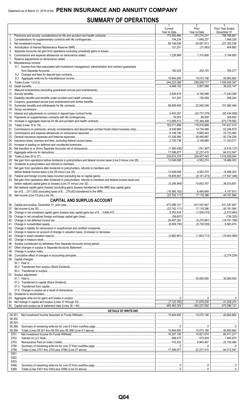## **SUMMARY OF OPERATIONS**

|    |                                                                                                                | 1<br>Current                           | $\overline{2}$<br>Prior                        | 3<br>Prior Year Ended      |
|----|----------------------------------------------------------------------------------------------------------------|----------------------------------------|------------------------------------------------|----------------------------|
|    |                                                                                                                | Year to Date<br>172,593,666            | Year to Date                                   | December 31                |
| 2. |                                                                                                                |                                        | 1,648,237                                      |                            |
| 3. |                                                                                                                | 59,148,636                             | 54,587,813 227,352,536                         |                            |
| 4. |                                                                                                                |                                        |                                                |                            |
| 5. |                                                                                                                |                                        |                                                |                            |
| 6. |                                                                                                                |                                        |                                                |                            |
| 7. |                                                                                                                |                                        |                                                |                            |
|    | 8. Miscellaneous Income:                                                                                       |                                        |                                                |                            |
|    | 8.1 Income from fees associated with investment management, administration and contract guarantees             |                                        |                                                |                            |
|    |                                                                                                                |                                        | 202,725   784,277                              |                            |
|    |                                                                                                                |                                        |                                                |                            |
| 9. |                                                                                                                |                                        | $\ldots$ 244,223,386 259,009,717 1,035,045,347 |                            |
|    |                                                                                                                | $\ldots$ 4,946,152                     | $\ldots$ 5,857,068 36,202,147                  |                            |
|    |                                                                                                                |                                        |                                                |                            |
|    |                                                                                                                | 2,926,918   6,180,948   17,240,399     |                                                |                            |
|    |                                                                                                                |                                        | 136,459   546,244                              |                            |
|    |                                                                                                                |                                        |                                                |                            |
|    |                                                                                                                | $\ldots$ 56.609.450                    | 22,046,348 101,982,494                         |                            |
|    |                                                                                                                |                                        |                                                |                            |
|    |                                                                                                                |                                        |                                                |                            |
|    |                                                                                                                |                                        |                                                |                            |
|    |                                                                                                                | │112,856,413 │170,364,408 │673,779,902 |                                                |                            |
|    |                                                                                                                | 182,011,896                            |                                                |                            |
|    |                                                                                                                |                                        | 14.734.489 52.246.879                          |                            |
|    |                                                                                                                | 8,148,746 8,685,443 33,723,465         |                                                |                            |
|    |                                                                                                                |                                        | 26.495.887                                     | $$ 92,734,258              |
|    |                                                                                                                |                                        |                                                |                            |
|    |                                                                                                                |                                        |                                                |                            |
|    |                                                                                                                |                                        |                                                |                            |
|    |                                                                                                                | $\frac{1}{230,674,378}$ 254,457,443    |                                                | $\overline{1,016,559,044}$ |
|    |                                                                                                                |                                        |                                                |                            |
|    |                                                                                                                |                                        |                                                |                            |
|    | 31. Net gain from operations after dividends to policyholders, refunds to members and                          |                                        |                                                |                            |
|    |                                                                                                                |                                        |                                                | 18,486,303                 |
|    |                                                                                                                |                                        | $\ldots$ (6,101,473)  (17,547,348)             |                            |
|    | 33. Net gain from operations after dividends to policyholders, refunds to members and federal income taxes and |                                        |                                                |                            |
|    |                                                                                                                |                                        |                                                |                            |
|    | 34. Net realized capital gains (losses) (excluding gains (losses) transferred to the IMR) less capital gains   |                                        |                                                |                            |
|    |                                                                                                                |                                        |                                                | 4,157,913                  |
|    |                                                                                                                |                                        | $\ldots$ (23.742.111) $\ldots$ (17.118.396     | 40,191.564                 |
|    | <b>CAPITAL AND SURPLUS ACCOUNT</b>                                                                             |                                        |                                                |                            |
|    | 36. Capital and surplus, December 31, prior year                                                               | 472,586,121                            | 431,547,847                                    | 431,547,847                |
|    |                                                                                                                |                                        |                                                |                            |
|    |                                                                                                                |                                        |                                                |                            |
|    |                                                                                                                |                                        |                                                |                            |
|    |                                                                                                                |                                        |                                                |                            |
|    |                                                                                                                |                                        |                                                |                            |
|    |                                                                                                                |                                        |                                                |                            |
|    |                                                                                                                |                                        |                                                |                            |
|    |                                                                                                                |                                        |                                                |                            |
|    |                                                                                                                |                                        |                                                |                            |
|    |                                                                                                                |                                        |                                                |                            |
|    |                                                                                                                |                                        |                                                |                            |
|    |                                                                                                                |                                        |                                                |                            |
|    |                                                                                                                |                                        |                                                |                            |
|    | 50. Capital changes:                                                                                           |                                        |                                                |                            |
|    |                                                                                                                |                                        |                                                |                            |
|    |                                                                                                                |                                        |                                                |                            |
|    | 51. Surplus adjustment:                                                                                        |                                        |                                                |                            |
|    |                                                                                                                |                                        |                                                |                            |
|    |                                                                                                                |                                        |                                                |                            |
|    |                                                                                                                |                                        |                                                |                            |
|    |                                                                                                                |                                        |                                                |                            |
|    |                                                                                                                |                                        |                                                |                            |
|    |                                                                                                                |                                        |                                                |                            |
|    |                                                                                                                |                                        |                                                |                            |
|    |                                                                                                                |                                        |                                                |                            |
|    | <b>DETAILS OF WRITE-INS</b>                                                                                    |                                        |                                                |                            |
|    | 08.301.                                                                                                        |                                        |                                                |                            |
|    | 08.302.                                                                                                        |                                        |                                                |                            |
|    | 08.303.                                                                                                        |                                        |                                                |                            |
|    | 08.398.                                                                                                        |                                        |                                                |                            |
|    | 08.399.                                                                                                        |                                        |                                                |                            |
|    | 2701.                                                                                                          |                                        | 16,357,150   14,821,074   60,411,217           |                            |
|    | 2702.                                                                                                          |                                        |                                                |                            |
|    | 2703.                                                                                                          |                                        |                                                |                            |
|    | 2798.                                                                                                          |                                        |                                                |                            |
|    | 2799.                                                                                                          |                                        |                                                |                            |
|    | 5301.                                                                                                          |                                        |                                                |                            |
|    | 5302.<br>5303.                                                                                                 |                                        |                                                |                            |
|    | 5398.                                                                                                          |                                        |                                                |                            |
|    | 5399.                                                                                                          |                                        |                                                |                            |
|    |                                                                                                                |                                        |                                                |                            |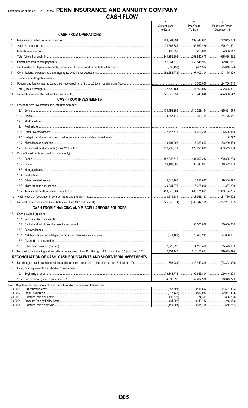|                    |                                                                                                                       | $\mathbf{1}$<br><b>Current Year</b> | $\overline{2}$<br>Prior Year       | $\overline{3}$<br>Prior Year Ended   |
|--------------------|-----------------------------------------------------------------------------------------------------------------------|-------------------------------------|------------------------------------|--------------------------------------|
|                    |                                                                                                                       | to Date                             | To Date                            | December 31                          |
|                    | <b>CASH FROM OPERATIONS</b>                                                                                           |                                     |                                    |                                      |
| $1_{-}$            |                                                                                                                       |                                     |                                    |                                      |
| 2.                 |                                                                                                                       |                                     |                                    |                                      |
| 3.                 |                                                                                                                       |                                     |                                    |                                      |
| 4.                 |                                                                                                                       |                                     |                                    |                                      |
| 5.                 |                                                                                                                       |                                     |                                    |                                      |
| 6.                 |                                                                                                                       |                                     |                                    |                                      |
| 7.                 |                                                                                                                       |                                     |                                    |                                      |
| 8.                 |                                                                                                                       |                                     |                                    |                                      |
| 9.                 |                                                                                                                       |                                     |                                    |                                      |
| 10.                |                                                                                                                       |                                     |                                    |                                      |
| 11.                |                                                                                                                       |                                     |                                    |                                      |
|                    | <b>CASH FROM INVESTMENTS</b>                                                                                          |                                     |                                    |                                      |
| 12.                | Proceeds from investments sold, matured or repaid:                                                                    |                                     |                                    |                                      |
|                    |                                                                                                                       |                                     | 118,529,164 498,821,675            |                                      |
|                    |                                                                                                                       |                                     | 951,754 54,776,951                 |                                      |
|                    |                                                                                                                       |                                     |                                    |                                      |
|                    | 12.4                                                                                                                  |                                     |                                    |                                      |
|                    | 12.5                                                                                                                  |                                     |                                    |                                      |
|                    | 12.6                                                                                                                  |                                     |                                    |                                      |
|                    | 12.7                                                                                                                  |                                     |                                    |                                      |
|                    | 12.8                                                                                                                  |                                     |                                    |                                      |
| 13.                | Cost of investments acquired (long-term only):                                                                        |                                     |                                    |                                      |
|                    |                                                                                                                       |                                     | $\ldots$ 431,292,282 1,230,836,283 |                                      |
|                    |                                                                                                                       |                                     | $\ldots$ 33,340,927                |                                      |
|                    |                                                                                                                       |                                     |                                    |                                      |
|                    | 13.4                                                                                                                  |                                     |                                    |                                      |
|                    | 13.5                                                                                                                  |                                     | $\dots$ 8,812,633 99,318,972       |                                      |
|                    | 13.6                                                                                                                  |                                     | 15,625,969 367,280                 |                                      |
|                    |                                                                                                                       |                                     |                                    |                                      |
| 14.                |                                                                                                                       |                                     |                                    |                                      |
|                    |                                                                                                                       |                                     |                                    |                                      |
|                    | <b>CASH FROM FINANCING AND MISCELLANEOUS SOURCES</b>                                                                  |                                     |                                    |                                      |
|                    |                                                                                                                       |                                     |                                    |                                      |
| 16.                | Cash provided (applied):                                                                                              |                                     |                                    |                                      |
|                    |                                                                                                                       |                                     |                                    |                                      |
|                    |                                                                                                                       |                                     | $\ldots$ 30.000.000                | 30,000.000                           |
|                    |                                                                                                                       |                                     |                                    |                                      |
|                    | 16.4                                                                                                                  |                                     |                                    |                                      |
|                    | 16.5                                                                                                                  |                                     |                                    |                                      |
|                    |                                                                                                                       |                                     | 4,196,410   75,573,169             |                                      |
| 17.                | Net cash from financing and miscellaneous sources (Lines 16.1 through 16.4 minus Line 16.5 plus Line 16.6)  2,454,440 |                                     | 110,158,651                        | 279,629,370                          |
|                    | RECONCILIATION OF CASH, CASH EQUIVALENTS AND SHORT-TERM INVESTMENTS                                                   |                                     |                                    |                                      |
| 18.                |                                                                                                                       |                                     |                                    |                                      |
| 19.                | Cash, cash equivalents and short-term investments:                                                                    |                                     |                                    |                                      |
|                    | 19.1                                                                                                                  |                                     | 99,645,804                         | 99,645,804<br>                       |
|                    |                                                                                                                       |                                     | 57,202,986   76,343,778            |                                      |
|                    | Note: Supplemental disclosures of cash flow information for non-cash transactions:                                    |                                     |                                    |                                      |
| 20.0001<br>20.0002 |                                                                                                                       | (357, 308)<br>.<br>  (217,137)      | (852,037)                          | (1,501,325)<br>.<br>(2,064,338)<br>. |
| 20.0003            |                                                                                                                       | (90,621)                            | (74,319)                           | (836, 738)                           |
| 20.0004            |                                                                                                                       |                                     |                                    | (248, 658)                           |
| 20.0005            |                                                                                                                       |                                     | (141,203)   (134,418)              | (546,244).                           |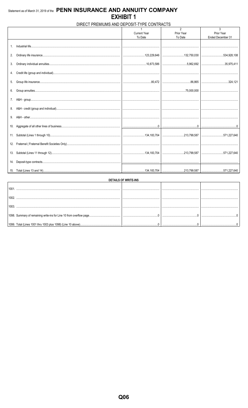### DIRECT PREMIUMS AND DEPOSIT-TYPE CONTRACTS  $\overline{2}$  $\mathbf{3}$ Prior Year<br>To Date Current Year<br>To Date Prior Year Ended December 31 1. Industrial life... 2. Ordinary life insurance. .123,229,646 ..132,750,030 .534,928,108 3. Ordinary individual annuities. ...10,873,586 .5,962,692 .35,975,411 4. Credit life (group and individual).. 5. Group life insurance... .80,472 .86,865  $.324, 121$ 6. Group annuities... .75,000,000 7. A&H - group.... 8. A&H - credit (group and individual)... 9. A&H - other....... 10. Aggregate of all other lines of business.  $\overline{\mathbf{0}}$  $\overline{\mathbf{0}}$  $\overline{\mathbf{0}}$ 11. Subtotal (Lines 1 through 10).. ...134,183,704 ..213,799,587 ..571,227,640 12. Fraternal (Fraternal Benefit Societies Only).. 13. Subtotal (Lines 11 through 12)... ...134,183,704 .213,799,587 ..571,227,640 14. Deposit-type contracts. 15. Total (Lines 13 and 14). 134, 183, 704 .213,799,587 .571,227,640

| DETAILS OF WRITE-INS                                         |   |  |  |  |  |  |  |  |  |  |  |
|--------------------------------------------------------------|---|--|--|--|--|--|--|--|--|--|--|
| 100                                                          |   |  |  |  |  |  |  |  |  |  |  |
| 100                                                          |   |  |  |  |  |  |  |  |  |  |  |
|                                                              |   |  |  |  |  |  |  |  |  |  |  |
|                                                              |   |  |  |  |  |  |  |  |  |  |  |
|                                                              |   |  |  |  |  |  |  |  |  |  |  |
| 1099. Total (Lines 1001 thru 1003 plus 1098) (Line 10 above) | . |  |  |  |  |  |  |  |  |  |  |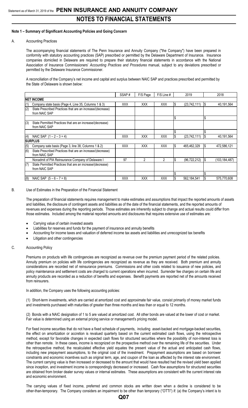### **Note 1 – Summary of Significant Accounting Policies and Going Concern**

### A. Accounting Practices

The accompanying financial statements of The Penn Insurance and Annuity Company ("the Company") have been prepared in conformity with statutory accounting practices (SAP) prescribed or permitted by the Delaware Department of Insurance. Insurance companies domiciled in Delaware are required to prepare their statutory financial statements in accordance with the National Association of Insurance Commissioners' *Accounting Practices and Procedures* manual, subject to any deviations prescribed or permitted by the Delaware Insurance Commissioner.

A reconciliation of the Company's net income and capital and surplus between NAIC SAP and practices prescribed and permitted by the State of Delaware is shown below:

|     |                                                                             | SSAP#      | F/S Page   | $F/S$ Line # |   | 2019           |       | 2018          |
|-----|-----------------------------------------------------------------------------|------------|------------|--------------|---|----------------|-------|---------------|
|     | <b>INET INCOME</b>                                                          |            |            |              |   |                |       |               |
| (1) | Company state basis (Page 4, Line 35, Columns 1 & 3)                        | <b>XXX</b> | <b>XXX</b> | <b>XXX</b>   |   | (23, 742, 111) | - 1\$ | 40,191,564    |
| (2) | State Prescribed Practices that are an increase/(decrease)<br>from NAIC SAP |            |            |              |   |                |       |               |
|     |                                                                             |            |            |              |   |                | l\$   |               |
| (3) | State Permitted Practices that are an increase/(decrease)<br>from NAIC SAP  |            |            |              |   |                |       |               |
|     |                                                                             |            |            |              |   |                |       |               |
| (4) | NAIC SAP $(1 – 2 – 3 = 4)$                                                  | <b>XXX</b> | <b>XXX</b> | <b>XXX</b>   |   | (23,742,111)   | - 1\$ | 40,191,564    |
|     | <b>SURPLUS</b>                                                              |            |            |              |   |                |       |               |
| (5) | Company sate basis (Page 3, line 38, Columns 1 & 2)                         | <b>XXX</b> | <b>XXX</b> | <b>XXX</b>   | S | 465,462,329    | I\$   | 472,586,121   |
| (6) | State Prescribed Practices that are an increase/(decrease)<br>from NAIC SAP |            |            |              |   |                |       |               |
|     | Nonadmit of PIA Reinsurance Company of Delaware I                           | 97         | 2          | 2            |   | (96, 722, 212) | 1\$   | (103,184,487) |
| (7) | State Permitted Practices that are an increase/(decrease)<br>from NAIC SAP  |            |            |              |   |                |       |               |
|     |                                                                             |            |            |              |   |                |       |               |
| (8) | NAIC SAP $(5 - 6 - 7 = 8)$                                                  | <b>XXX</b> | <b>XXX</b> | <b>XXX</b>   |   | 562,184,541    | l\$   | 575,770,608   |

### B. Use of Estimates in the Preparation of the Financial Statement

The preparation of financial statements requires management to make estimates and assumptions that impact the reported amounts of assets and liabilities, the disclosure of contingent assets and liabilities as of the date of the financial statements, and the reported amounts of revenues and expenses during the reporting periods. Those estimates are inherently subject to change and actual results could differ from those estimates. Included among the material reported amounts and disclosures that requires extensive use of estimates are:

- Carrying value of certain invested assets
- Liabilities for reserves and funds for the payment of insurance and annuity benefits
- Accounting for income taxes and valuation of deferred income tax assets and liabilities and unrecognized tax benefits
- Litigation and other contingencies

### C. Accounting Policy

Premiums on products with life contingencies are recognized as revenue over the premium payment period of the related policies. Annuity premium on policies with life contingencies are recognized as revenue as they are received. Both premium and annuity considerations are recorded net of reinsurance premiums. Commissions and other costs related to issuance of new policies, and policy maintenance and settlement costs are charged to current operations when incurred. Surrender fee charges on certain life and annuity products are recorded as a reduction of benefits and expenses. Benefit payments are reported net of the amounts received from reinsurers.

In addition, the Company uses the following accounting policies:

(1) Short-term investments, which are carried at amortized cost and approximate fair value, consist primarily of money market funds and investments purchased with maturities of greater than three months and less than or equal to 12 months.

(2) Bonds with a NAIC designation of 1 to 5 are valued at amortized cost. All other bonds are valued at the lower of cost or market. Fair value is determined using an external pricing service or management's pricing model.

For fixed income securities that do not have a fixed schedule of payments, including asset-backed and mortgage-backed securities, the effect on amortization or accretion is revalued quarterly based on the current estimated cash flows, using the retrospective method, except for favorable changes in expected cash flows for structured securities where the possibility of non-interest loss is other than remote. In these cases, income is recognized on the prospective method over the remaining life of the securities. Under the retrospective method, the recalculated effective yield equates the present value of the actual and anticipated cash flows, including new prepayment assumptions, to the original cost of the investment. Prepayment assumptions are based on borrower constraints and economic incentives such as original term, age, and coupon of the loan as affected by the interest rate environment. The current carrying value is then increased or decreased to the amount that would have resulted had the revised yield been applied since inception, and investment income is correspondingly decreased or increased. Cash flow assumptions for structured securities are obtained from broker dealer survey values or internal estimates. These assumptions are consistent with the current interest rate and economic environment.

The carrying values of fixed income, preferred and common stocks are written down when a decline is considered to be other-than-temporary. The Company considers an impairment to be other than temporary ("OTTI") if: (a) the Company's intent is to

### **Q07**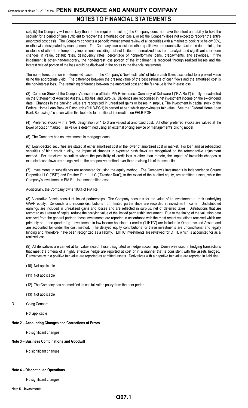sell, (b) the Company will more likely than not be required to sell, (c) the Company does not have the intent and ability to hold the security for a period of time sufficient to recover the amortized cost basis, or (d) the Company does not expect to recover the entire amortized cost basis. The Company conducts a periodic management review of all securities with a market to book ratio below 80%, or otherwise designated by management. The Company also considers other qualitative and quantitative factors in determining the existence of other-than-temporary impairments including, but not limited to, unrealized loss trend analysis and significant short-term changes in value, default rates, delinquency rates, percentage of nonperforming loans, prepayments, and severities. If the impairment is other-than-temporary, the non-interest loss portion of the impairment is recorded through realized losses and the interest related portion of the loss would be disclosed in the notes to the financial statements.

The non-interest portion is determined based on the Company's "best estimate" of future cash flows discounted to a present value using the appropriate yield. The difference between the present value of the best estimate of cash flows and the amortized cost is the non-interest loss. The remaining difference between the amortized cost and the fair value is the interest loss.

(3) Common Stock of the Company's insurance affiliate, PIA Reinsurance Company of Delaware I ("PIA Re I") is fully nonadmitted on the Statement of Admitted Assets, Liabilities, and Surplus. Dividends are recognized in net investment income on the ex-dividend date. Changes in the carrying value are recognized in unrealized gains or losses in surplus. The investment in capital stock of the Federal Home Loan Bank of Pittsburgh (FHLB-PGH) is carried at par, which approximates fair value. See the "Federal Home Loan Bank Borrowings" caption within this footnote for additional information on FHLB-PGH.

(4) Preferred stocks with a NAIC designation of 1 to 3 are valued at amortized cost. All other preferred stocks are valued at the lower of cost or market. Fair value is determined using an external pricing service or management's pricing model

(5) The Company has no investments in mortgage loans.

(6) Loan-backed securities are stated at either amortized cost or the lower of amortized cost or market. For loan and asset-backed securities of high credit quality, the impact of changes in expected cash flows are recognized on the retrospective adjustment method. For structured securities where the possibility of credit loss is other than remote, the impact of favorable changes in expected cash flows are recognized on the prospective method over the remaining life of the securities.

(7) Investments in subsidiaries are accounted for using the equity method. The Company's investments in Independence Square Properties LLC ("ISP") and Dresher Run I, LLC ("Dresher Run"), to the extent of the audited equity, are admitted assets, while the Company's investment in PIA Re I is a nonadmitted asset.

Additionally, the Company owns 100% of PIA Re I.

(8) Alternative Assets consist of limited partnerships. The Company accounts for the value of its investments at their underlying GAAP equity. Dividends and income distributions from limited partnerships are recorded in investment income. Undistributed earnings are included in unrealized gains and losses and are reflected in surplus, net of deferred taxes. Distributions that are recorded as a return of capital reduce the carrying value of the limited partnership investment. Due to the timing of the valuation data received from the general partner, these investments are reported in accordance with the most recent valuations received which are primarily on a one quarter lag. Investments in low income housing tax credits ("LIHTC") are included in Other Invested Assets and are accounted for under the cost method. The delayed equity contributions for these investments are unconditional and legally binding and, therefore, have been recognized as a liability. LIHTC investments are reviewed for OTTI, which is accounted for as a realized loss.

(9) All derivatives are carried at fair value except those designated as hedge accounting. Derivatives used in hedging transactions that meet the criteria of a highly effective hedge are reported at cost or in a manner that is consistent with the assets hedged. Derivatives with a positive fair value are reported as admitted assets. Derivatives with a negative fair value are reported in liabilities**.**

- (10) Not applicable
- (11) Not applicable
- (12) The Company has not modified its capitalization policy from the prior period.
- (13) Not applicable
- D. Going Concern

Not applicable

### **Note 2 – Accounting Changes and Corrections of Errors**

No significant changes

### **Note 3 – Business Combinations and Goodwill**

No significant changes

### **Note 4 – Discontinued Operations**

No significant changes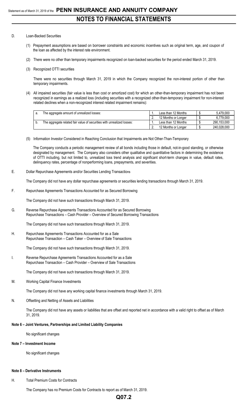### D. Loan-Backed Securities

- (1) Prepayment assumptions are based on borrower constraints and economic incentives such as original term, age, and coupon of the loan as affected by the interest rate environment.
- (2) There were no other than temporary impairments recognized on loan-backed securities for the period ended March 31, 2019.
- (3) Recognized OTTI securities

There were no securities through March 31, 2019 in which the Company recognized the non-interest portion of other than temporary impairments.

(4) All impaired securities (fair value is less than cost or amortized cost) for which an other-than-temporary impairment has not been recognized in earnings as a realized loss (including securities with a recognized other-than-temporary impairment for non-interest related declines when a non-recognized interest related impairment remains):

| The aggregate amount of unrealized losses:                             | Less than 12 Months | 5.479.000   |
|------------------------------------------------------------------------|---------------------|-------------|
|                                                                        | 12 Months or Longer | 6.779.000   |
| The aggregate related fair value of securities with unrealized losses: | Less than 12 Months | 290.153.000 |
|                                                                        | 12 Months or Longer | 240.028.000 |

(5) Information Investor Considered in Reaching Conclusion that Impairments are Not Other-Than-Temporary

The Company conducts a periodic management review of all bonds including those in default, not-in-good standing, or otherwise designated by management. The Company also considers other qualitative and quantitative factors in determining the existence of OTTI including, but not limited to, unrealized loss trend analysis and significant short-term changes in value, default rates, delinquency rates, percentage of nonperforming loans, prepayments, and severities.

E. Dollar Repurchase Agreements and/or Securities Lending Transactions

The Company did not have any dollar repurchase agreements or securities lending transactions through March 31, 2019.

F. Repurchase Agreements Transactions Accounted for as Secured Borrowing

The Company did not have such transactions through March 31, 2019.

G. Reverse Repurchase Agreements Transactions Accounted for as Secured Borrowing Repurchase Transactions – Cash Provider – Overview of Secured Borrowing Transactions

The Company did not have such transactions through March 31, 2019.

H. Repurchase Agreements Transactions Accounted for as a Sale Repurchase Transaction – Cash Taker – Overview of Sale Transactions

The Company did not have such transactions through March 31, 2019.

I. Reverse Repurchase Agreements Transactions Accounted for as a Sale Repurchase Transaction – Cash Provider – Overview of Sale Transactions

The Company did not have such transactions through March 31, 2019.

M. Working Capital Finance Investments

The Company did not have any working capital finance investments through March 31, 2019.

N. Offsetting and Netting of Assets and Liabilities

The Company did not have any assets or liabilities that are offset and reported net in accordance with a valid right to offset as of March 31, 2019.

### **Note 6 – Joint Ventures, Partnerships and Limited Liability Companies**

No significant changes

### **Note 7 – Investment Income**

No significant changes

### **Note 8 – Derivative Instruments**

H. Total Premium Costs for Contracts

The Company has no Premium Costs for Contracts to report as of March 31, 2019.

## **Q07.2**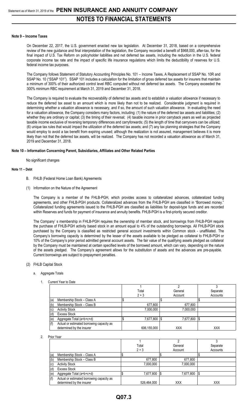## **NOTES TO FINANCIAL STATEMENTS**

### **Note 9 – Income Taxes**

On December 22, 2017, the U.S. government enacted new tax legislation. At December 31, 2018, based on a comprehensive review of the new guidance and final interpretation of the legislation, the Company recorded a benefit of \$968,000, after-tax, for the final impact of U.S. Tax Reform on policyholder liabilities and net deferred tax assets, including the reduction in the U.S. federal corporate income tax rate and the impact of specific life insurance regulations which limits the deductibility of reserves for U.S. federal income tax purposes.

The Company follows Statement of Statutory Accounting Principles No. 101 – Income Taxes, A Replacement of SSAP No. 10R and SSAP No. 10 ("SSAP 101"). SSAP 101 includes a calculation for the limitation of gross deferred tax assets for insurers that maintain a minimum of 300% of their authorized control level RBC computed without net deferred tax assets. The Company exceeded the 300% minimum RBC requirement at March 31, 2019 and December 31, 2018.

The Company is required to evaluate the recoverability of deferred tax assets and to establish a valuation allowance if necessary to reduce the deferred tax asset to an amount which is more likely than not to be realized. Considerable judgment is required in determining whether a valuation allowance is necessary, and if so, the amount of such valuation allowance. In evaluating the need for a valuation allowance, the Company considers many factors, including: (1) the nature of the deferred tax assets and liabilities; (2) whether they are ordinary or capital; (3) the timing of their reversal; (4) taxable income in prior carryback years as well as projected taxable income exclusive of reversing temporary differences and carryforwards; (5) the length of time that carryovers can be utilized; (6) unique tax rules that would impact the utilization of the deferred tax assets; and (7) any tax planning strategies that the Company would employ to avoid a tax benefit from expiring unused; although the realization is not assured, management believes it is more likely than not that the deferred tax assets, will be realized. The Company has not recorded a valuation allowance as of March 31, 2019 and December 31, 2018.

### **Note 10 – Information Concerning Parent, Subsidiaries, Affiliates and Other Related Parties**

No significant changes

### **Note 11 – Debt**

- B. FHLB (Federal Home Loan Bank) Agreements
- (1) Information on the Nature of the Agreement

The Company is a member of the FHLB-PGH, which provides access to collateralized advances, collateralized funding agreements, and other FHLB-PGH products. Collateralized advances from the FHLB-PGH are classified in "Borrowed money." Collateralized funding agreements issued to the FHLB-PGH are classified as liabilities for deposit-type funds and are recorded within Reserves and funds for payment of insurance and annuity benefits. FHLB-PGH is a first-priority secured creditor.

The Company' s membership in FHLB-PGH requires the ownership of member stock, and borrowings from FHLB-PGH require the purchase of FHLB-PGH activity based stock in an amount equal to 4% of the outstanding borrowings. All FHLB-PGH stock purchased by the Company is classified as restricted general account investments within Common stock - unaffiliated. The Company's borrowing capacity is determined by the lesser of the assets available to be pledged as collateral to FHLB-PGH or 10% of the Company's prior period admitted general account assets. The fair value of the qualifying assets pledged as collateral by the Company must be maintained at certain specified levels of the borrowed amount, which can vary, depending on the nature of the assets pledged. The Company's agreement allows for the substitution of assets and the advances are pre-payable. Current borrowings are subject to prepayment penalties.

### (2) FHLB Capital Stock

### a. Aggregate Totals

1. Current Year to Date

|     |                                           | Total        | General |                | Separate   |
|-----|-------------------------------------------|--------------|---------|----------------|------------|
|     |                                           | $2 + 3$      | Account |                | Accounts   |
| (a) | Membership Stock - Class A                |              |         |                |            |
| (b) | Membership Stock - Class B                | 677,800      |         | 677,800        |            |
| (c) | <b>Activity Stock</b>                     | 7,000,000    |         | 7,000,000      |            |
| (d) | Excess Stock                              |              |         |                |            |
| (e) | Aggregate Total (a+b+c+d)                 | 7,677,800 \$ |         | 7,677,800   \$ |            |
| (f) | Actual or estimated borrowing capacity as |              |         |                |            |
|     | determined by the insurer                 | 606,155,000  |         | <b>XXX</b>     | <b>XXX</b> |

### 2. Prior Year

|     |                                                                        |  | Total<br>$2 + 3$ | General<br>Account | Separate<br>Accounts |
|-----|------------------------------------------------------------------------|--|------------------|--------------------|----------------------|
| (a) | Membership Stock - Class A                                             |  |                  |                    |                      |
| (b) | Membership Stock - Class B                                             |  | 677,800          | 677,800            |                      |
| (c) | <b>Activity Stock</b>                                                  |  | 7,000,000        | 7.000.000          |                      |
| (d  | Excess Stock                                                           |  |                  |                    |                      |
| (e) | Aggregate Total (a+b+c+d)                                              |  | 7,677,800 \$     | 7,677,800          |                      |
| (f) | Actual or estimated borrowing capacity as<br>determined by the insurer |  | 526,464,000      | XXX                | <b>XXX</b>           |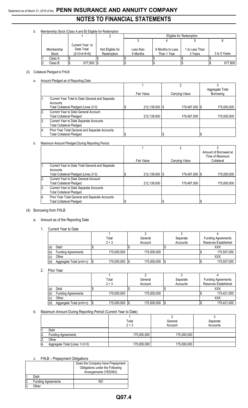## Statement as of March 31, 2019 of the **PENN INSURANCE AND ANNUITY COMPANY NOTES TO FINANCIAL STATEMENTS**

### b. Membership Stock (Class A and B) Eligible for Redemption

|            |                 |                  | Eligible for Redemption |                  |              |              |  |  |
|------------|-----------------|------------------|-------------------------|------------------|--------------|--------------|--|--|
|            |                 |                  |                         |                  |              |              |  |  |
|            | Current Year to |                  |                         |                  |              |              |  |  |
| Membership | Date Total      | Not Eligible for | Less than               | 6 Months to Less | to Less Than |              |  |  |
| Stock      | $(2+3+4+5+6)$   | Redemption       | 6 Months                | Than 1 Year      | 3 Years      | 3 to 5 Years |  |  |
| Class A    |                 |                  |                         |                  |              |              |  |  |
| Class B    | 677,800 \$      |                  |                         |                  |              | 677,800      |  |  |

### (3) Collateral Pledged to FHLB

### a. Amount Pledged as of Reporting Date

|     |                                                                                                     | Fair Value       | Carrying Value | Aggregate Total<br>Borrowing |
|-----|-----------------------------------------------------------------------------------------------------|------------------|----------------|------------------------------|
|     | Current Year Total to Date General and Separate<br>Accounts<br>Total Collateral Pledged (Lines 2+3) | 212,139,000   \$ | 179.497.000 \$ | 175.000.000                  |
|     | Current Year to Date General Account<br>Total Collateral Pledged                                    | 212,139,000      | 179,497,000    | 175,000,000                  |
| ΙЗ. | Current Year to Date Separate Accounts<br><b>Total Collateral Pledged</b>                           |                  |                |                              |
| 14. | Prior Year Total General and Separate Accounts<br>Total Collateral Pledged                          |                  |                |                              |

### b. Maximum Amount Pledged During Reporting Period

|                  |                                                 |            |                | Ω                |                       |
|------------------|-------------------------------------------------|------------|----------------|------------------|-----------------------|
|                  |                                                 |            |                |                  | Amount of Borrowed at |
|                  |                                                 |            |                |                  | Time of Maximum       |
|                  |                                                 | Fair Value |                | Carrying Value   | Collateral            |
|                  | Current Year to Date Total General and Separate |            |                |                  |                       |
|                  | Accounts                                        |            |                |                  |                       |
|                  | Total Collateral Pledged (Lines 2+3)            |            | 212,139,000 \$ | 179,497,000   \$ | 175,000,000           |
| 2.               | Current Year to Date General Account            |            |                |                  |                       |
|                  | <b>Total Collateral Pledged</b>                 |            | 212,139,000    | 179,497,000      | 175,000,000           |
| 13.              | Current Year to Date Separate Accounts          |            |                |                  |                       |
|                  | <b>Total Collateral Pledged</b>                 |            |                |                  |                       |
| $\overline{A}$ . | Prior Year Total General and Separate Accounts  |            |                |                  |                       |
|                  | <b>Total Collateral Pledged</b>                 |            |                |                  |                       |

### (4) Borrowing from FHLB

### a. Amount as of the Reporting Date

### 1. Current Year to Date

|     |                           | Total       | General     | Separate | <b>Funding Agreements</b> |
|-----|---------------------------|-------------|-------------|----------|---------------------------|
|     |                           | $2 + 3$     | Account     | Accounts | Reserves Established      |
| (a  | Debt                      |             |             |          | XXX                       |
| (b) | <b>Funding Agreements</b> | 175,000,000 | 175,000,000 |          | 175,507,000               |
| (c) | Other                     |             |             |          | XXX                       |
| (d) | Aggregate Total (a+b+c)   | 175,000,000 | 175,000,000 |          | 175,507,000               |

### 2. Prior Year

|     |                           | Total             | General            | Separate | <b>Funding Agreements</b> |
|-----|---------------------------|-------------------|--------------------|----------|---------------------------|
|     |                           | $2 + 3$           | Account            | Accounts | Reserves Established      |
| (a) | Debt                      |                   |                    |          | XXX                       |
| (b) | <b>Funding Agreements</b> | 175,000,000       | 175,000,000        |          | 175,421,000               |
| (c) | Other                     |                   |                    |          | XXX                       |
| (d) | Aggregate Total (a+b+c)   | 175,000,000<br>15 | 175,000,000<br>1\$ |          | 175,421,000               |

### b. Maximum Amount During Reporting Period (Current Year to Date)

|                | ີ                             | Total       | General     | Separate |  |  |
|----------------|-------------------------------|-------------|-------------|----------|--|--|
|                |                               | $2 + 3$     | Account     | Accounts |  |  |
|                | Debt                          |             |             |          |  |  |
| $\overline{2}$ | <b>Funding Agreements</b>     | 175,000,000 | 175,000,000 |          |  |  |
| 13.            | Other                         |             |             |          |  |  |
| 14.            | Aggregate Total (Lines 1+2+3) | 175,000,000 | 175,000,000 |          |  |  |

### c. FHLB – Prepayment Obligations

|    | ້.<br>THE TIODAYMORE ODISOLIO |                                                                                              |  |  |  |  |  |  |  |
|----|-------------------------------|----------------------------------------------------------------------------------------------|--|--|--|--|--|--|--|
|    |                               | Does the Company have Prepayment<br>Obligations under the Following<br>Arrangements (YES/NO) |  |  |  |  |  |  |  |
|    | Debt                          |                                                                                              |  |  |  |  |  |  |  |
| 2. | <b>Funding Agreements</b>     | NΟ                                                                                           |  |  |  |  |  |  |  |
| ิว | : Other                       |                                                                                              |  |  |  |  |  |  |  |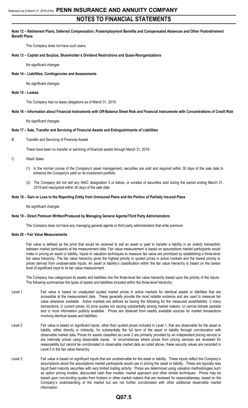## **NOTES TO FINANCIAL STATEMENTS**

### **Note 12 – Retirement Plans, Deferred Compensation, Postemployment Benefits and Compensated Absences and Other Postretirement Benefit Plans**

The Company does not have such plans.

### **Note 13 – Capital and Surplus, Shareholder's Dividend Restrictions and Quasi-Reorganizations**

No significant changes

### **Note 14 – Liabilities, Contingencies and Assessments**

No significant changes

### **Note 15 – Leases**

The Company had no lease obligations as of March 31, 2019.

### **Note 16 – Information about Financial Instruments with Off-Balance Sheet Risk and Financial Instruments with Concentrations of Credit Risk**

No significant changes

### **Note 17 – Sale, Transfer and Servicing of Financial Assets and Extinguishments of Liabilities**

B. Transfer and Servicing of Financial Assets

There have been no transfer or servicing of financial assets through March 31, 2019.

C. Wash Sales

- (1) In the normal course of the Company's asset management, securities are sold and required within 30 days of the sale date to enhance the Company's yield on its investment portfolio.
- (2) The Company did not sell any NAIC designation 3 or below, or unrated of securities sold during the period ending March 31, 2019 and reacquired within 30 days of the sale date.

### **Note 18 – Gain or Loss to the Reporting Entity from Uninsured Plans and the Portion of Partially Insured Plans**

No significant changes

### **Note 19 – Direct Premium Written/Produced by Managing General Agents/Third Party Administrators**

The Company does not have any managing general agents or third party administrators that write premium.

### **Note 20 – Fair Value Measurements**

Fair value is defined as the price that would be received to sell an asset or paid to transfer a liability in an orderly transaction between market participants at the measurement date. Fair value measurement is based on assumptions market participants would make in pricing an asset or liability. Inputs to valuation techniques to measure fair value are prioritized by establishing a three-level fair value hierarchy. The fair value hierarchy gives the highest priority to quoted prices in active markets and the lowest priority to prices derived from unobservable inputs. An asset or liability's classification within the fair value hierarchy is based on the lowest level of significant input to its fair value measurement.

The Company has categorized its assets and liabilities into the three-level fair value hierarchy based upon the priority of the inputs. The following summarizes the types of assets and liabilities included within the three-level hierarchy:

- Level 1 Fair value is based on unadjusted quoted market prices in active markets for identical assets or liabilities that are accessible at the measurement date. These generally provide the most reliable evidence and are used to measure fair value whenever available. Active markets are defined as having the following for the measured asset/liability: i) many transactions, ii) current prices, iii) price quotes not varying substantially among market makers, iv) narrow bid/ask spreads and v) most information publicly available. Prices are obtained from readily available sources for market transactions involving identical assets and liabilities.
- Level 2 Fair value is based on significant inputs, other than quoted prices included in Level 1, that are observable for the asset or liability, either directly or indirectly, for substantially the full term of the asset or liability through corroboration with observable market data. Prices for assets classified as Level 2 are primarily provided by an independent pricing service or are internally priced using observable inputs. In circumstances where prices from pricing services are reviewed for reasonability but cannot be corroborated to observable market data as noted above, these security values are recorded in Level 3 in the fair value hierarchy.
- Level 3 Fair value is based on significant inputs that are unobservable for the asset or liability. These inputs reflect the Company's assumptions about the assumptions market participants would use in pricing the asset or liability. These are typically less liquid fixed maturity securities with very limited trading activity. Prices are determined using valuation methodologies such as option pricing models, discounted cash flow models, market approach and other similar techniques. Prices may be based upon non-binding quotes from brokers or other market makers that are reviewed for reasonableness, based on the Company's understanding of the market but are not further corroborated with other additional observable market information.

### **Q07.5**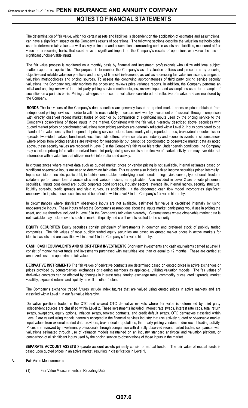The determination of fair value, which for certain assets and liabilities is dependent on the application of estimates and assumptions, can have a significant impact on the Company's results of operations. The following sections describe the valuation methodologies used to determine fair values as well as key estimates and assumptions surrounding certain assets and liabilities, measured at fair value on a recurring basis, that could have a significant impact on the Company's results of operations or involve the use of significant unobservable inputs.

The fair value process is monitored on a monthly basis by financial and investment professionals who utilize additional subject matter experts as applicable. The purpose is to monitor the Company's asset valuation policies and procedures by ensuring objective and reliable valuation practices and pricing of financial instruments, as well as addressing fair valuation issues, changes to valuation methodologies and pricing sources. To assess the continuing appropriateness of third party pricing service security valuations, the Company regularly monitors the prices and reviews price variance reports. In addition, the Company performs an initial and ongoing review of the third party pricing services methodologies, reviews inputs and assumptions used for a sample of securities on a periodic basis. Pricing challenges are raised on valuations considered not reflective of market and are monitored by the Company.

**BONDS** The fair values of the Company's debt securities are generally based on quoted market prices or prices obtained from independent pricing services. In order to validate reasonability, prices are reviewed by investment professionals through comparison with directly observed recent market trades or color or by comparison of significant inputs used by the pricing service to the Company's observations of those inputs in the market. Consistent with the fair value hierarchy described above, securities with quoted market prices or corroborated valuations from pricing services are generally reflected within Level 2. Inputs considered to be standard for valuations by the independent pricing service include: benchmark yields, reported trades, broker/dealer quotes, issuer spreads, two-sided markets, benchmark securities, bids, offers, reference data and industry and economic events. In circumstances where prices from pricing services are reviewed for reasonability but cannot be corroborated to observable market data as noted above, these security values are recorded in Level 3 in the Company's fair value hierarchy. Under certain conditions, the Company may conclude pricing information received from third party pricing services is not reflective of market activity and may over-ride that information with a valuation that utilizes market information and activity.

In circumstances where market data such as quoted market prices or vendor pricing is not available, internal estimates based on significant observable inputs are used to determine fair value. This category also includes fixed income securities priced internally. Inputs considered include: public debt, industrial comparables, underlying assets, credit ratings, yield curves, type of deal structure, collateral performance, loan characteristics and various indices, as applicable. Also included in Level 2 are private placement securities. Inputs considered are: public corporate bond spreads, industry sectors, average life, internal ratings, security structure, liquidity spreads, credit spreads and yield curves, as applicable. If the discounted cash flow model incorporates significant unobservable inputs, these securities would be reflected within Level 3 in the Company's fair value hierarchy.

In circumstances where significant observable inputs are not available, estimated fair value is calculated internally by using unobservable inputs. These inputs reflect the Company's assumptions about the inputs market participants would use in pricing the asset, and are therefore included in Level 3 in the Company's fair value hierarchy. Circumstances where observable market data is not available may include events such as market illiquidity and credit events related to the security.

**EQUITY SECURITIES** Equity securities consist principally of investments in common and preferred stock of publicly traded companies. The fair values of most publicly traded equity securities are based on quoted market prices in active markets for identical assets and are classified within Level 1 in the Company's fair value hierarchy.

**CASH, CASH EQUIVALENTS AND SHORT-TERM INVESTMENTS** Short-term investments and cash equivalents carried at Level 1 consist of money market funds and investments purchased with maturities less than or equal to 12 months. These are carried at amortized cost and approximate fair value.

**DERIVATIVE INSTRUMENTS** The fair values of derivative contracts are determined based on quoted prices in active exchanges or prices provided by counterparties, exchanges or clearing members as applicable, utilizing valuation models. The fair values of derivative contracts can be affected by changes in interest rates, foreign exchange rates, commodity prices, credit spreads, market volatility, expected returns and liquidity as well as other factors.

The Company's exchange traded futures include index futures that are valued using quoted prices in active markets and are classified within Level 1 in our fair value hierarchy.

Derivative positions traded in the OTC and cleared OTC derivative markets where fair value is determined by third party independent sources are classified within Level 2. These investments included: interest rate swaps, interest rate caps, total return swaps, swaptions, equity options, inflation swaps, forward contracts, and credit default swaps. OTC derivatives classified within Level 2 are valued using models generally accepted in the financial services industry that use actively quoted or observable market input values from external market data providers, broker dealer quotations, third-party pricing vendors and/or recent trading activity. Prices are reviewed by investment professionals through comparison with directly observed recent market trades, comparison with valuations estimated through use of valuation models maintained on an industry standard analytical and valuation platform, or comparison of all significant inputs used by the pricing service to observations of those inputs in the market.

**SEPARATE ACCOUNT ASSETS** Separate account assets primarily consist of mutual funds. The fair value of mutual funds is based upon quoted prices in an active market, resulting in classification in Level 1.

### A. Fair Value Measurements

(1) Fair Value Measurements at Reporting Date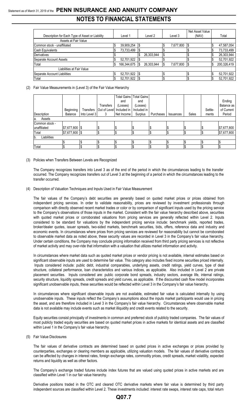## Statement as of March 31, 2019 of the **PENN INSURANCE AND ANNUITY COMPANY NOTES TO FINANCIAL STATEMENTS**

|                                                 |         |             |            |    |           | Net Asset Value |             |
|-------------------------------------------------|---------|-------------|------------|----|-----------|-----------------|-------------|
| Description for Each Type of Asset or Liability | Level 1 |             | Level 2    |    | Level 3   | (NAV)           | Total       |
| Assets at Fair Value                            |         |             |            |    |           |                 |             |
| Common stock - unaffiliated                     |         | 39,909,254  |            |    | 7,677,800 | IS.             | 47,587,054  |
| Cash Equivalents                                |         | 73,733,499  |            |    |           |                 | 73,733,499  |
| Derivatives                                     |         |             | 26,303,944 |    |           |                 | 26,303,944  |
| Separate Account Assets                         |         | 52,701,922  |            |    |           |                 | 52,701,922  |
| Total                                           |         | 166,344,675 | 26.303.944 |    | 7,677,800 | I\$             | 200,326,419 |
| Liabilities at Fair Value                       |         |             |            |    |           |                 |             |
| Separate Account Liabilities                    |         | 52,701,922  |            |    |           |                 | 52,701,922  |
| Total                                           |         | 52,701,922  |            | IJ |           |                 | 52,701,922  |

### (2) Fair Value Measurements in (Level 3) of the Fair Value Hierarchy

|                    |                  |              |                          |            | Total Gains   Total Gains |           |                  |       |         |             |
|--------------------|------------------|--------------|--------------------------|------------|---------------------------|-----------|------------------|-------|---------|-------------|
|                    |                  |              |                          | and        | and                       |           |                  |       |         | Ending      |
|                    |                  |              | Transfers                | (Losses)   | (Losses)                  |           |                  |       |         | Balance as  |
|                    | Beginning        | Transfers    | Out of Level Included in |            | Included in               |           |                  |       | Settle- | of Current  |
| Description        | Balance          | Into Level 3 | 3                        | Net Income | Surplus                   | Purchases | <b>Issuances</b> | Sales | ments   | Period      |
| Assets<br>la.      |                  |              |                          |            |                           |           |                  |       |         |             |
| Common stock -     |                  |              |                          |            |                           |           |                  |       |         |             |
| unaffiliated       | $$7,677,800$ \\$ |              |                          | \$         |                           | l\$       |                  | Φ     |         | \$7,677,800 |
| Total              | $$7,677,800$ \$  |              |                          | \$         |                           | l\$       |                  | S     |         | \$7,677,800 |
| Liabilities<br>lb. |                  |              |                          |            |                           |           |                  |       |         |             |
|                    |                  |              |                          | \$         |                           |           |                  |       |         |             |
| Total              |                  |              |                          | \$         |                           | l S       |                  | D     |         |             |

### (3) Policies when Transfers Between Levels are Recognized

The Company recognizes transfers into Level 3 as of the end of the period in which the circumstances leading to the transfer occurred. The Company recognizes transfers out of Level 3 at the beginning of a period in which the circumstances leading to the transfer occurred.

### (4) Description of Valuation Techniques and Inputs Used in Fair Value Measurement

The fair values of the Company's debt securities are generally based on quoted market prices or prices obtained from independent pricing services. In order to validate reasonability, prices are reviewed by investment professionals through comparison with directly observed recent market trades or color or by comparison of significant inputs used by the pricing service to the Company's observations of those inputs in the market. Consistent with the fair value hierarchy described above, securities with quoted market prices or corroborated valuations from pricing services are generally reflected within Level 2. Inputs considered to be standard for valuations by the independent pricing service include: benchmark yields, reported trades, broker/dealer quotes, issuer spreads, two-sided markets, benchmark securities, bids, offers, reference data and industry and economic events. In circumstances where prices from pricing services are reviewed for reasonability but cannot be corroborated to observable market data as noted above, these security values are recorded in Level 3 in the Company's fair value hierarchy. Under certain conditions, the Company may conclude pricing information received from third party pricing services is not reflective of market activity and may over-ride that information with a valuation that utilizes market information and activity.

In circumstances where market data such as quoted market prices or vendor pricing is not available, internal estimates based on significant observable inputs are used to determine fair value. This category also includes fixed income securities priced internally. Inputs considered include: public debt, industrial comparables, underlying assets, credit ratings, yield curves, type of deal structure, collateral performance, loan characteristics and various indices, as applicable. Also included in Level 2 are private placement securities. Inputs considered are: public corporate bond spreads, industry sectors, average life, internal ratings, security structure, liquidity spreads, credit spreads and yield curves, as applicable. If the discounted cash flow model incorporates significant unobservable inputs, these securities would be reflected within Level 3 in the Company's fair value hierarchy.

In circumstances where significant observable inputs are not available, estimated fair value is calculated internally by using unobservable inputs. These inputs reflect the Company's assumptions about the inputs market participants would use in pricing the asset, and are therefore included in Level 3 in the Company's fair value hierarchy. Circumstances where observable market data is not available may include events such as market illiquidity and credit events related to the security.

Equity securities consist principally of investments in common and preferred stock of publicly traded companies. The fair values of most publicly traded equity securities are based on quoted market prices in active markets for identical assets and are classified within Level 1 in the Company's fair value hierarchy.

(5) Fair Value Disclosures

The fair values of derivative contracts are determined based on quoted prices in active exchanges or prices provided by counterparties, exchanges or clearing members as applicable, utilizing valuation models. The fair values of derivative contracts can be affected by changes in interest rates, foreign exchange rates, commodity prices, credit spreads, market volatility, expected returns and liquidity as well as other factors.

The Company's exchange traded futures include index futures that are valued using quoted prices in active markets and are classified within Level 1 in our fair value hierarchy.

Derivative positions traded in the OTC and cleared OTC derivative markets where fair value is determined by third party independent sources are classified within Level 2. These investments included: interest rate swaps, interest rate caps, total return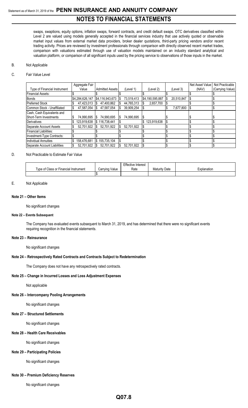## Statement as of March 31, 2019 of the **PENN INSURANCE AND ANNUITY COMPANY NOTES TO FINANCIAL STATEMENTS**

swaps, swaptions, equity options, inflation swaps, forward contracts, and credit default swaps. OTC derivatives classified within Level 2 are valued using models generally accepted in the financial services industry that use actively quoted or observable market input values from external market data providers, broker dealer quotations, third-party pricing vendors and/or recent trading activity. Prices are reviewed by investment professionals through comparison with directly observed recent market trades, comparison with valuations estimated through use of valuation models maintained on an industry standard analytical and valuation platform, or comparison of all significant inputs used by the pricing service to observations of those inputs in the market.

### B. Not Applicable

### C. Fair Value Level

|                               | Aggregate Fair    |                        |     |            |                 |            | Net Asset Value | Not Practicable  |
|-------------------------------|-------------------|------------------------|-----|------------|-----------------|------------|-----------------|------------------|
| Type of Financial Instrument  | Value             | <b>Admitted Assets</b> |     | (Level 1)  | (Level 2)       | (Level 3)  | (NAV)           | (Carrying Value) |
| <b>Financial Assets:</b>      |                   |                        |     |            |                 |            |                 |                  |
| <b>Bonds</b>                  | \$4,284,626,147   | \$4,116,943,673        | l S | 73,519,413 | \$4,190,595,887 | 20.510.847 |                 |                  |
| <b>Preferred Stock</b>        | 47,423,013        | 47,400,862             |     | 44,765,313 | 2,657,700       |            |                 |                  |
| Common Stock - Unaffiliated   | \$<br>47.587.054  | 47.587.054             |     | 39.909.254 |                 | 7.677.800  |                 |                  |
| Cash, Cash Equivalents and    |                   |                        |     |            |                 |            |                 |                  |
| Short-Term Investments        | 74,990,695        | 74,990,695<br>S        | IS. | 74,990,695 |                 |            |                 |                  |
| <b>Derivatives</b>            | 123,919,638       | \$116,738,441          |     |            | 123,919,638     |            |                 |                  |
| Separate Account Assets       | 52,701,922        | 52,701,922             |     | 52.701.922 |                 |            |                 |                  |
| <b>Financial Liabilities:</b> |                   |                        |     |            |                 |            |                 |                  |
| Investment-Type Contracts:    |                   |                        |     |            |                 |            |                 |                  |
| Individual Annuities          | \$<br>158,476,681 | \$155,735,104          |     |            |                 |            |                 |                  |
| Separate Account Liabilities  | 52.701.922        | 52.701.922             |     | 52.701.922 |                 |            |                 |                  |

### D. Not Practicable to Estimate Fair Value

|                                             |                      | <b>Effective Interest</b> |                      |            |
|---------------------------------------------|----------------------|---------------------------|----------------------|------------|
| i vpe of '<br>lass or Financial Instrumentٽ | ' Carrving.<br>Value | Rate                      | <b>Maturity Date</b> | xplanation |
|                                             |                      |                           |                      |            |

### E. Not Applicable

### **Note 21 – Other Items**

No significant changes

### **Note 22 – Events Subsequent**

The Company has evaluated events subsequent to March 31, 2019, and has determined that there were no significant events requiring recognition in the financial statements.

### **Note 23 – Reinsurance**

No significant changes

### **Note 24 – Retrospectively Rated Contracts and Contracts Subject to Redetermination**

The Company does not have any retrospectively rated contracts.

### **Note 25 – Change in Incurred Losses and Loss Adjustment Expenses**

Not applicable

### **Note 26 – Intercompany Pooling Arrangements**

No significant changes

### **Note 27 – Structured Settlements**

No significant changes

### **Note 28 – Health Care Receivables**

No significant changes

### **Note 29 – Participating Policies**

No significant changes

### **Note 30 – Premium Deficiency Reserves**

No significant changes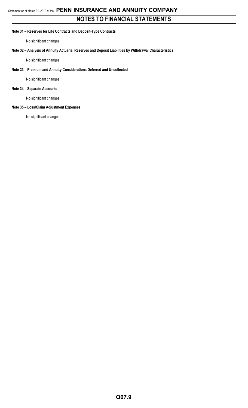### **Note 31 – Reserves for Life Contracts and Deposit-Type Contracts**

No significant changes

### **Note 32 – Analysis of Annuity Actuarial Reserves and Deposit Liabilities by Withdrawal Characteristics**

No significant changes

### **Note 33 – Premium and Annuity Considerations Deferred and Uncollected**

No significant changes

### **Note 34 – Separate Accounts**

No significant changes

### **Note 35 – Loss/Claim Adjustment Expenses**

No significant changes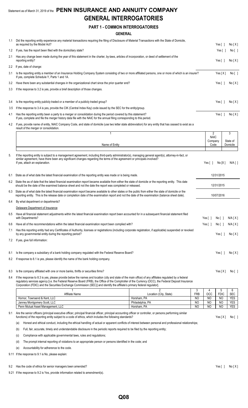## Statement as of March 31, 2019 of the **PENN INSURANCE AND ANNUITY COMPANY GENERAL INTERROGATORIES**

### **PART 1 - COMMON INTERROGATORIES**

### **GENERAL**

| 1.1 | Did the reporting entity experience any material transactions requiring the filing of Disclosure of Material Transactions with the State of Domicile,<br>as required by the Model Act?                                                                                                                             | Yes $\lceil$ 1                           | No[X]         |  |
|-----|--------------------------------------------------------------------------------------------------------------------------------------------------------------------------------------------------------------------------------------------------------------------------------------------------------------------|------------------------------------------|---------------|--|
| 1.2 | If yes, has the report been filed with the domiciliary state?                                                                                                                                                                                                                                                      | Yes $\lceil \; \rceil$                   | No [ ]        |  |
| 2.1 | Has any change been made during the year of this statement in the charter, by-laws, articles of incorporation, or deed of settlement of the<br>reporting entity?                                                                                                                                                   | Yes [ ]                                  | No[X]         |  |
| 2.2 | If yes, date of change:                                                                                                                                                                                                                                                                                            |                                          |               |  |
| 3.1 | Is the reporting entity a member of an Insurance Holding Company System consisting of two or more affiliated persons, one or more of which is an insurer?<br>If yes, complete Schedule Y, Parts 1 and 1A.                                                                                                          | Yes[X]                                   | No [ ]        |  |
| 3.2 | Have there been any substantial changes in the organizational chart since the prior quarter end?                                                                                                                                                                                                                   | Yes $\lceil$ 1                           | No[X]         |  |
| 3.3 | If the response to 3.2 is yes, provide a brief description of those changes.                                                                                                                                                                                                                                       |                                          |               |  |
| 3.4 | Is the reporting entity publicly traded or a member of a publicly traded group?                                                                                                                                                                                                                                    | Yes $\lceil$ 1                           | No[X]         |  |
| 3.5 | If the response to 3.4 is yes, provide the CIK (Central Index Key) code issued by the SEC for the entity/group.                                                                                                                                                                                                    |                                          |               |  |
| 4.1 | Has the reporting entity been a party to a merger or consolidation during the period covered by this statement?<br>If yes, complete and file the merger history data file with the NAIC for the annual filing corresponding to this period.                                                                        | Yes $\lceil$ 1                           | No[X]         |  |
| 4.2 | If yes, provide name of entity, NAIC Company Code, and state of domicile (use two letter state abbreviation) for any entity that has ceased to exist as a<br>result of the merger or consolidation.                                                                                                                |                                          |               |  |
|     | 1                                                                                                                                                                                                                                                                                                                  | $\overline{2}$<br><b>NAIC</b><br>Company | 3<br>State of |  |
|     | Name of Entity                                                                                                                                                                                                                                                                                                     | Code                                     | Domicile      |  |
| 5.  | If the reporting entity is subject to a management agreement, including third-party administrator(s), managing general agent(s), attorney-in-fact, or<br>similar agreement, have there been any significant changes regarding the terms of the agreement or principals involved?<br>If yes, attach an explanation. | No[X]<br>Yes $\lceil \rceil$             | $N/A$ [ ]     |  |
| 6.1 | State as of what date the latest financial examination of the reporting entity was made or is being made.                                                                                                                                                                                                          | 12/31/2015                               |               |  |
|     | 6.2 State the as of date that the latest financial examination report became available from either the state of domicile or the reporting entity. This date<br>should be the date of the examined balance sheet and not the date the report was completed or released.                                             | 12/31/2015                               |               |  |

6.3 State as of what date the latest financial examination report became available to other states or the public from either the state of domicile or the reporting entity. This is the release date or completion date of the examination report and not the date of the examination (balance sheet date). 10/07/2016

6.4 By what department or departments?

Delaware Department of Insurance

6.5 Have all financial statement adjustments within the latest financial examination report been accounted for in a subsequent financial statement filed  $Yes [ ] No [ ] N/A [ X ]$ 

6.6 Have all of the recommendations within the latest financial examination report been complied with? The recomponent of the recomponent of the latest financial examination report been complied with? The recomponent of th 7.1 Has this reporting entity had any Certificates of Authority, licenses or registrations (including corporate registration, if applicable) suspended or revoked by any governmental entity during the reporting period? The Contract of Contract of Contract of Contract of Contract of Contract of Contract of Contract of Contract of Contract of Contract of Contract of Contract of Contra 7.2 If yes, give full information:

8.1 Is the company a subsidiary of a bank holding company regulated with the Federal Reserve Board? The Company regulated with the Federal Reserve Board?

8.2 If response to 8.1 is yes, please identify the name of the bank holding company.

### 8.3 Is the company affiliated with one or more banks, thrifts or securities firms? The Company affiliated with one or more banks, thrifts or securities firms?

8.4 If the response to 8.3 is yes, please provide below the names and location (city and state of the main office) of any affiliates regulated by a federal regulatory services agency [i.e. the Federal Reserve Board (FRB), the Office of the Comptroller of the Currency (OCC), the Federal Deposit Insurance Corporation (FDIC) and the Securities Exchange Commission (SEC)] and identify the affiliate's primary federal regulator].

| Affiliate Name                    | Location (City, State) | <b>FRB</b>     | OCC            | EDIO<br>טוע־   | <b>SEC</b>         |
|-----------------------------------|------------------------|----------------|----------------|----------------|--------------------|
| Hornor, Townsend & Kent, LLC      | Horsham, PA            | <b>NO</b>      | N <sub>O</sub> | N <sub>O</sub> | <b>VES</b><br>∟ບ   |
| Janney Montgomery Scott, LLC      | Philadelphia, PA       | N <sub>O</sub> | N <sub>O</sub> | N <sub>O</sub> | <b>VES</b><br>ن ∟ا |
| Penn Mutual Asset Management, LLC | Horsham, PA            | N <sub>O</sub> | N <sub>O</sub> | N <sub>O</sub> | <b>VES</b><br>∟ບ   |

9.1 Are the senior officers (principal executive officer, principal financial officer, principal accounting officer or controller, or persons performing similar functions) of the reporting entity subject to a code of ethics, which includes the following standards? Yes [ X ] No [ ]

(a) Honest and ethical conduct, including the ethical handling of actual or apparent conflicts of interest between personal and professional relationships;

(b) Full, fair, accurate, timely and understandable disclosure in the periodic reports required to be filed by the reporting entity;

(c) Compliance with applicable governmental laws, rules and regulations;

(d) The prompt internal reporting of violations to an appropriate person or persons identified in the code; and

(e) Accountability for adherence to the code.

9.11 If the response to 9.1 is No, please explain:

### 9.2 Has the code of ethics for senior managers been amended? Yes [ ] No  $[X]$

9.21 If the response to 9.2 is Yes, provide information related to amendment(s).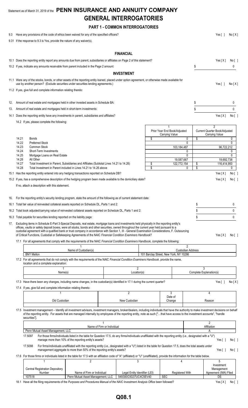## Statement as of March 31, 2019 of the **PENN INSURANCE AND ANNUITY COMPANY GENERAL INTERROGATORIES**

**PART 1 - COMMON INTERROGATORIES**

| 9.3 |                | Have any provisions of the code of ethics been waived for any of the specified officers?<br>9.31 If the response to 9.3 is Yes, provide the nature of any waiver(s).                                                                                                                                                                                                                                              |                                                                                                                                                                                                                                          |                            |                   |                 |                                              |                               | Yes $[ ]$                                       | No[X]             |  |
|-----|----------------|-------------------------------------------------------------------------------------------------------------------------------------------------------------------------------------------------------------------------------------------------------------------------------------------------------------------------------------------------------------------------------------------------------------------|------------------------------------------------------------------------------------------------------------------------------------------------------------------------------------------------------------------------------------------|----------------------------|-------------------|-----------------|----------------------------------------------|-------------------------------|-------------------------------------------------|-------------------|--|
|     |                |                                                                                                                                                                                                                                                                                                                                                                                                                   |                                                                                                                                                                                                                                          |                            |                   |                 |                                              |                               |                                                 |                   |  |
|     |                |                                                                                                                                                                                                                                                                                                                                                                                                                   |                                                                                                                                                                                                                                          |                            | <b>FINANCIAL</b>  |                 |                                              |                               |                                                 |                   |  |
|     |                | 10.1 Does the reporting entity report any amounts due from parent, subsidiaries or affiliates on Page 2 of this statement?                                                                                                                                                                                                                                                                                        |                                                                                                                                                                                                                                          |                            |                   |                 |                                              |                               | Yes[X]                                          | No [ ]            |  |
|     |                | 10.2 If yes, indicate any amounts receivable from parent included in the Page 2 amount:                                                                                                                                                                                                                                                                                                                           |                                                                                                                                                                                                                                          |                            |                   |                 |                                              | \$                            |                                                 | 0                 |  |
|     |                |                                                                                                                                                                                                                                                                                                                                                                                                                   |                                                                                                                                                                                                                                          |                            | <b>INVESTMENT</b> |                 |                                              |                               |                                                 |                   |  |
|     |                | 11.1 Were any of the stocks, bonds, or other assets of the reporting entity loaned, placed under option agreement, or otherwise made available for<br>use by another person? (Exclude securities under securities lending agreements.)<br>11.2 If yes, give full and complete information relating thereto:                                                                                                       |                                                                                                                                                                                                                                          |                            |                   |                 |                                              |                               | Yes $[ ]$                                       | No[X]             |  |
|     |                |                                                                                                                                                                                                                                                                                                                                                                                                                   |                                                                                                                                                                                                                                          |                            |                   |                 |                                              |                               |                                                 |                   |  |
| 12. |                | Amount of real estate and mortgages held in other invested assets in Schedule BA:                                                                                                                                                                                                                                                                                                                                 |                                                                                                                                                                                                                                          |                            |                   |                 |                                              | \$                            |                                                 | 0                 |  |
| 13. |                | Amount of real estate and mortgages held in short-term investments:                                                                                                                                                                                                                                                                                                                                               |                                                                                                                                                                                                                                          |                            |                   |                 |                                              | \$                            |                                                 | 0                 |  |
|     |                | 14.1 Does the reporting entity have any investments in parent, subsidiaries and affiliates?                                                                                                                                                                                                                                                                                                                       |                                                                                                                                                                                                                                          |                            |                   |                 |                                              |                               | Yes[X]                                          | No[               |  |
|     |                | 14.2 If yes, please complete the following:                                                                                                                                                                                                                                                                                                                                                                       |                                                                                                                                                                                                                                          |                            |                   |                 |                                              |                               |                                                 |                   |  |
|     |                |                                                                                                                                                                                                                                                                                                                                                                                                                   |                                                                                                                                                                                                                                          |                            |                   |                 | $\mathbf{1}$<br>Prior Year End Book/Adjusted |                               | $\overline{2}$<br>Current Quarter Book/Adjusted |                   |  |
|     |                |                                                                                                                                                                                                                                                                                                                                                                                                                   |                                                                                                                                                                                                                                          |                            |                   |                 | Carrying Value                               |                               | Carrying Value                                  |                   |  |
|     | 14.21<br>14.22 | <b>Bonds</b><br><b>Preferred Stock</b>                                                                                                                                                                                                                                                                                                                                                                            |                                                                                                                                                                                                                                          |                            |                   | \$              |                                              | \$<br>0<br>0                  |                                                 | 0<br>$\mathbf{0}$ |  |
|     | 14.23          | <b>Common Stock</b>                                                                                                                                                                                                                                                                                                                                                                                               |                                                                                                                                                                                                                                          |                            |                   |                 | 103,184,487                                  |                               | 96,722,212                                      |                   |  |
|     | 14.24          | Short-Term Investments                                                                                                                                                                                                                                                                                                                                                                                            |                                                                                                                                                                                                                                          |                            |                   |                 |                                              | 0                             |                                                 | 0                 |  |
|     | 14.25<br>14.26 | Mortgage Loans on Real Estate<br>All Other                                                                                                                                                                                                                                                                                                                                                                        |                                                                                                                                                                                                                                          |                            |                   |                 |                                              | $\mathbf{0}$                  |                                                 | $\mathbf{0}$      |  |
|     | 14.27          | Total Investment in Parent, Subsidiaries and Affiliates (Subtotal Lines 14.21 to 14.26)                                                                                                                                                                                                                                                                                                                           |                                                                                                                                                                                                                                          |                            |                   | \$              | 19,587,667<br>122,772,154                    | \$                            | 19,692,738<br>116,414,950                       |                   |  |
|     | 14.28          | Total Investment in Parent included in Lines 14.21 to 14.26 above                                                                                                                                                                                                                                                                                                                                                 |                                                                                                                                                                                                                                          |                            |                   | \$              |                                              | \$<br>0                       |                                                 | 0                 |  |
|     |                | 15.1 Has the reporting entity entered into any hedging transactions reported on Schedule DB?                                                                                                                                                                                                                                                                                                                      |                                                                                                                                                                                                                                          |                            |                   |                 |                                              |                               | Yes[X]                                          | No [ ]            |  |
|     |                | 15.2 If yes, has a comprehensive description of the hedging program been made available to the domiciliary state?                                                                                                                                                                                                                                                                                                 |                                                                                                                                                                                                                                          |                            |                   |                 |                                              |                               | Yes[X]                                          | No [ ]            |  |
|     |                | If no, attach a description with this statement.                                                                                                                                                                                                                                                                                                                                                                  |                                                                                                                                                                                                                                          |                            |                   |                 |                                              |                               |                                                 |                   |  |
|     |                | 16. For the reporting entity's security lending program, state the amount of the following as of current statement date:                                                                                                                                                                                                                                                                                          |                                                                                                                                                                                                                                          |                            |                   |                 |                                              |                               |                                                 |                   |  |
|     |                | 16.1 Total fair value of reinvested collateral assets reported on Schedule DL, Parts 1 and 2:                                                                                                                                                                                                                                                                                                                     |                                                                                                                                                                                                                                          |                            |                   |                 |                                              | \$                            |                                                 | 0                 |  |
|     |                | 16.2 Total book adjusted/carrying value of reinvested collateral assets reported on Schedule DL, Parts 1 and 2:                                                                                                                                                                                                                                                                                                   |                                                                                                                                                                                                                                          |                            |                   |                 |                                              | \$                            |                                                 | $\mathbf{0}$      |  |
|     |                | 16.3 Total payable for securities lending reported on the liability page:                                                                                                                                                                                                                                                                                                                                         |                                                                                                                                                                                                                                          |                            |                   |                 |                                              | \$                            |                                                 | 0                 |  |
| 17. |                | Excluding items in Schedule E-Part 3-Special Deposits, real estate, mortgage loans and investments held physically in the reporting entity's                                                                                                                                                                                                                                                                      |                                                                                                                                                                                                                                          |                            |                   |                 |                                              |                               |                                                 |                   |  |
|     |                | offices, vaults or safety deposit boxes, were all stocks, bonds and other securities, owned throughout the current year held pursuant to a<br>custodial agreement with a qualified bank or trust company in accordance with Section 1, III - General Examination Considerations, F. Outsourcing<br>of Critical Functions, Custodial or Safekeeping Agreements of the NAIC Financial Condition Examiners Handbook? |                                                                                                                                                                                                                                          |                            |                   |                 |                                              |                               | Yes[X]                                          | No [ ]            |  |
|     |                | 17.1 For all agreements that comply with the requirements of the NAIC Financial Condition Examiners Handbook, complete the following:                                                                                                                                                                                                                                                                             |                                                                                                                                                                                                                                          |                            |                   |                 |                                              |                               |                                                 |                   |  |
|     |                |                                                                                                                                                                                                                                                                                                                                                                                                                   | Name of Custodian(s)                                                                                                                                                                                                                     |                            |                   |                 |                                              | 2<br><b>Custodian Address</b> |                                                 |                   |  |
|     |                | <b>BNY Mellon</b>                                                                                                                                                                                                                                                                                                                                                                                                 |                                                                                                                                                                                                                                          |                            |                   |                 | 101 Barclay Street, New York, NY 10286       |                               |                                                 |                   |  |
|     |                | 17.2 For all agreements that do not comply with the requirements of the NAIC Financial Condition Examiners Handbook, provide the name,<br>location and a complete explanation:                                                                                                                                                                                                                                    |                                                                                                                                                                                                                                          |                            | 2                 |                 |                                              |                               |                                                 |                   |  |
|     |                | Name(s)                                                                                                                                                                                                                                                                                                                                                                                                           |                                                                                                                                                                                                                                          |                            | Location(s)       |                 |                                              |                               | Complete Explanation(s)                         |                   |  |
|     |                | 17.3 Have there been any changes, including name changes, in the custodian(s) identified in 17.1 during the current quarter?                                                                                                                                                                                                                                                                                      |                                                                                                                                                                                                                                          |                            |                   |                 |                                              |                               | Yes $\lceil \ \rceil$                           | No[X]             |  |
|     |                | 17.4 If yes, give full and complete information relating thereto:                                                                                                                                                                                                                                                                                                                                                 |                                                                                                                                                                                                                                          |                            |                   |                 |                                              |                               |                                                 |                   |  |
|     |                |                                                                                                                                                                                                                                                                                                                                                                                                                   |                                                                                                                                                                                                                                          |                            | $\overline{c}$    |                 | 3<br>Date of                                 |                               | 4                                               |                   |  |
|     |                | Old Custodian                                                                                                                                                                                                                                                                                                                                                                                                     |                                                                                                                                                                                                                                          |                            | New Custodian     |                 | Change                                       |                               | Reason                                          |                   |  |
|     |                | 17.5 Investment management - Identify all investment advisors, investment managers, broker/dealers, including individuals that have the authority to make investment decisions on behalf<br>of the reporting entity. For assets that are managed internally by employees of the reporting entity, note as such ["that have access to the investment accounts", "handle<br>securities"].                           |                                                                                                                                                                                                                                          |                            |                   |                 |                                              |                               |                                                 |                   |  |
|     |                |                                                                                                                                                                                                                                                                                                                                                                                                                   |                                                                                                                                                                                                                                          | Name of Firm or Individual |                   |                 |                                              |                               | $\overline{2}$<br>Affiliation                   |                   |  |
|     |                | Penn Mutual Asset Management, LLC                                                                                                                                                                                                                                                                                                                                                                                 |                                                                                                                                                                                                                                          |                            |                   |                 |                                              |                               | A                                               |                   |  |
|     |                | 17.5097                                                                                                                                                                                                                                                                                                                                                                                                           | For those firms/individuals listed in the table for Question 17.5, do any firms/individuals unaffiliated with the reporting entity (i.e., designated with a "U")<br>manage more than 10% of the reporting entity's assets?               |                            |                   |                 |                                              |                               | Yes $[ \ ]$                                     | No[]              |  |
|     |                | 17.5098                                                                                                                                                                                                                                                                                                                                                                                                           | For firms/individuals unaffiliated with the reporting entity (i.e., designated with a "U") listed in the table for Question 17.5, does the total assets under<br>management aggregate to more than 50% of the reporting entity's assets? |                            |                   |                 |                                              |                               | Yes $\lceil \ \rceil$                           | No[]              |  |
|     |                | 17.6 For those firms or individuals listed in the table for 17.5 with an affiliation code of "A" (affiliated) or "U" (unaffiliated), provide the information for the table below.                                                                                                                                                                                                                                 |                                                                                                                                                                                                                                          |                            |                   |                 |                                              |                               |                                                 |                   |  |
|     |                |                                                                                                                                                                                                                                                                                                                                                                                                                   | $\overline{2}$                                                                                                                                                                                                                           |                            | 3                 |                 |                                              |                               | 5<br>Investment                                 |                   |  |
|     |                | <b>Central Registration Depository</b>                                                                                                                                                                                                                                                                                                                                                                            | Name of Firm or Individual<br>Legal Entity Identifier (LEI)                                                                                                                                                                              |                            |                   | Registered With |                                              | Management                    |                                                 |                   |  |
|     |                | Number<br>107518                                                                                                                                                                                                                                                                                                                                                                                                  | Penn Mutual Asset Management, LLC                                                                                                                                                                                                        | 549300O3G37UC4C5EV40       |                   | <b>SEC</b>      |                                              | Agreement (IMA) Filed<br>DS   |                                                 |                   |  |
|     |                | 18.1 Have all the filing requirements of the Purposes and Procedures Manual of the NAIC Investment Analysis Office been followed?                                                                                                                                                                                                                                                                                 |                                                                                                                                                                                                                                          | Yes[X]                     | No[]              |                 |                                              |                               |                                                 |                   |  |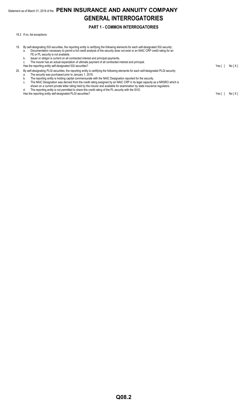## Statement as of March 31, 2019 of the **PENN INSURANCE AND ANNUITY COMPANY GENERAL INTERROGATORIES**

### **PART 1 - COMMON INTERROGATORIES**

18.2 If no, list exceptions:

19. By self-designating 5GI securities, the reporting entity is certifying the following elements for each self-designated 5GI security: a. Documentation necessary to permit a full credit analysis of the security does not exist or an NAIC CRP credit rating for an FE or PL security is not available. b. Issuer or obligor is current on all contracted interest and principal payments. The insurer has an actual expectation of ultimate payment of all contracted interest and principal. Has the reporting entity self-designated 5GI securities? The result of the result of the reporting entity self-designated 5GI securities? 20. By self-designating PLGI securities, the reporting entity is certifying the following elements for each self-designated PLGI security: a. The security was purchased prior to January 1, 2018. b. The reporting entity is holding capital commensurate with the NAIC Designation reported for the security. c. The NAIC Designation was derived from the credit rating assigned by an NAIC CRP in its legal capacity as a NRSRO which is shown on a current private letter rating held by the insurer and available for examination by state insurance regulators. d. The reporting entity is not permitted to share this credit rating of the PL security with the SVO. Has the reporting entity self-designated PLGI securities? Yes [ ] No [ X ]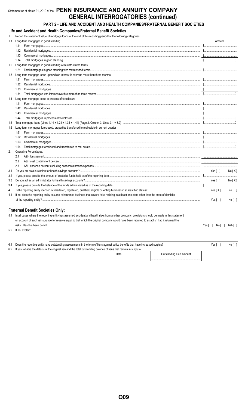## Statement as of March 31, 2019 of the PENN INSURANCE AND ANNUITY COMPANY **GENERAL INTERROGATORIES (continued)**

## PART 2 - LIFE AND ACCIDENT AND HEALTH COMPANIES/FRATERNAL BENEFIT SOCIETIES

### Life and Accident and Health Companies/Fraternal Benefit Societies

|     | Report the statement value of mortgage loans at the end of this reporting period for the following categories:                                                                                                                                                                                                                          |              |         |
|-----|-----------------------------------------------------------------------------------------------------------------------------------------------------------------------------------------------------------------------------------------------------------------------------------------------------------------------------------------|--------------|---------|
| 1.1 | Long-term mortgages in good standing                                                                                                                                                                                                                                                                                                    | Amount       |         |
|     |                                                                                                                                                                                                                                                                                                                                         |              |         |
|     | 1.12                                                                                                                                                                                                                                                                                                                                    |              |         |
|     | 1.13                                                                                                                                                                                                                                                                                                                                    |              |         |
|     | 1.14                                                                                                                                                                                                                                                                                                                                    |              |         |
| 1.2 | Long-term mortgages in good standing with restructured terms                                                                                                                                                                                                                                                                            |              |         |
|     |                                                                                                                                                                                                                                                                                                                                         |              |         |
|     | 1.3 Long-term mortgage loans upon which interest is overdue more than three months                                                                                                                                                                                                                                                      |              |         |
|     | 1.31                                                                                                                                                                                                                                                                                                                                    |              |         |
|     | 1.32                                                                                                                                                                                                                                                                                                                                    |              |         |
|     | 1.33                                                                                                                                                                                                                                                                                                                                    |              |         |
|     | 1.34                                                                                                                                                                                                                                                                                                                                    |              |         |
| 1.4 | Long-term mortgage loans in process of foreclosure                                                                                                                                                                                                                                                                                      |              |         |
|     | 1.41                                                                                                                                                                                                                                                                                                                                    |              |         |
|     | 1.42                                                                                                                                                                                                                                                                                                                                    |              |         |
|     | 1.43                                                                                                                                                                                                                                                                                                                                    |              |         |
|     | 1.44                                                                                                                                                                                                                                                                                                                                    |              |         |
| 1.5 |                                                                                                                                                                                                                                                                                                                                         |              |         |
| 1.6 | Long-term mortgages foreclosed, properties transferred to real estate in current quarter                                                                                                                                                                                                                                                |              |         |
|     | 1.61                                                                                                                                                                                                                                                                                                                                    |              |         |
|     | 1.62                                                                                                                                                                                                                                                                                                                                    |              |         |
|     | 1.63<br>$\textbf{Commercial mortgage} \textbf{s} \text{} \text{} \text{} \text{} \text{} \text{} \text{} \text{} \text{} \text{} \text{} \text{} \text{} \text{} \text{} \text{} \text{} \text{} \text{} \text{} \text{} \text{} \text{} \text{} \text{} \text{} \text{} \text{} \text{} \text{} \text{} \text{} \text{} \text{} \text$ |              |         |
|     | 1.64                                                                                                                                                                                                                                                                                                                                    |              |         |
| 2.  | <b>Operating Percentages:</b>                                                                                                                                                                                                                                                                                                           |              |         |
|     | 2.1                                                                                                                                                                                                                                                                                                                                     |              |         |
|     | 2.2                                                                                                                                                                                                                                                                                                                                     |              |         |
|     | 2.3                                                                                                                                                                                                                                                                                                                                     |              |         |
| 3.1 |                                                                                                                                                                                                                                                                                                                                         | Yes[ ]       | No[X]   |
| 3.2 |                                                                                                                                                                                                                                                                                                                                         |              |         |
| 3.3 |                                                                                                                                                                                                                                                                                                                                         | Yes[]        | No[X]   |
| 3.4 |                                                                                                                                                                                                                                                                                                                                         |              |         |
| 4.  |                                                                                                                                                                                                                                                                                                                                         | Yes[X]       | No [ ]  |
| 4.1 | If no, does the reporting entity assume reinsurance business that covers risks residing in at least one state other than the state of domicile                                                                                                                                                                                          |              |         |
|     |                                                                                                                                                                                                                                                                                                                                         | Yes $[ \ ]$  | No[     |
|     |                                                                                                                                                                                                                                                                                                                                         |              |         |
|     | <b>Fraternal Benefit Societies Only:</b>                                                                                                                                                                                                                                                                                                |              |         |
| 5.1 | In all cases where the reporting entity has assumed accident and health risks from another company, provisions should be made in this statement                                                                                                                                                                                         |              |         |
|     | on account of such reinsurance for reserve equal to that which the original company would have been required to establish had it retained the                                                                                                                                                                                           |              |         |
|     | risks. Has this been done?                                                                                                                                                                                                                                                                                                              | Yes[ ] No[ ] | N/A [ ] |
|     | 5.2 If no, explain:                                                                                                                                                                                                                                                                                                                     |              |         |

| 6.1 Does the reporting entity have outstanding assessments in the form of liens against policy benefits that have increased surplus? | Yes I | No [                    |  |  |
|--------------------------------------------------------------------------------------------------------------------------------------|-------|-------------------------|--|--|
| 6.2 If yes, what is the date(s) of the original lien and the total outstanding balance of liens that remain in surplus?              |       |                         |  |  |
|                                                                                                                                      | Date  | Outstanding Lien Amount |  |  |

| ٠<br>. .<br>M.<br>۰.<br>۰.<br>v<br>г |
|--------------------------------------|
|--------------------------------------|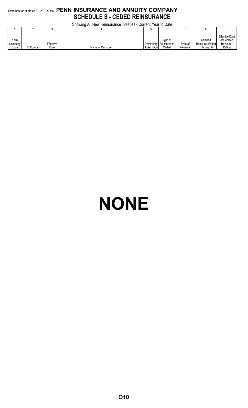## Statement as of March 31, 2019 of the **PENN INSURANCE AND ANNUITY COMPANY SCHEDULE S - CEDED REINSURANCE**

|             | Showing All New Reinsurance Treaties - Current Year to Date |           |                   |              |             |           |                         |                                       |  |  |  |  |
|-------------|-------------------------------------------------------------|-----------|-------------------|--------------|-------------|-----------|-------------------------|---------------------------------------|--|--|--|--|
|             |                                                             |           |                   |              |             |           |                         |                                       |  |  |  |  |
| <b>NAIC</b> |                                                             |           |                   |              | Type of     |           | Certified               | <b>Effective Date</b><br>of Certified |  |  |  |  |
| Company     |                                                             | Effective |                   | Domiciliary  | Reinsurance | Tvpe of   | <b>Reinsurer Rating</b> | Reinsurer                             |  |  |  |  |
| Code        | <b>ID Number</b>                                            | Date      | Name of Reinsurer | Jurisdiction | Ceded       | Reinsurer | 1 through 6)            | Rating                                |  |  |  |  |

# **NONE**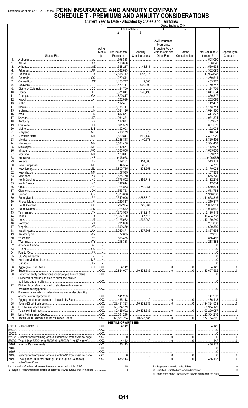## Statement as of March 31, 2019 of the PENN INSURANCE AND ANNUITY COMPANY<br>SCHEDULE T - PREMIUMS AND ANNUITY CONSIDERATIONS

Current Year to Date - Allocated by States and Territories

|        |                                                                         |                                   |               |                             |                                     | Direct Business Only                |                                                                                                                                                                                                                                                                                                                                   |                        |              |
|--------|-------------------------------------------------------------------------|-----------------------------------|---------------|-----------------------------|-------------------------------------|-------------------------------------|-----------------------------------------------------------------------------------------------------------------------------------------------------------------------------------------------------------------------------------------------------------------------------------------------------------------------------------|------------------------|--------------|
|        |                                                                         |                                   |               |                             | Life Contracts                      |                                     | 5                                                                                                                                                                                                                                                                                                                                 | 6                      | 7            |
|        |                                                                         |                                   |               | 2                           | 3                                   |                                     |                                                                                                                                                                                                                                                                                                                                   |                        |              |
|        |                                                                         |                                   |               |                             |                                     |                                     |                                                                                                                                                                                                                                                                                                                                   |                        |              |
|        |                                                                         |                                   |               |                             |                                     | A&H Insurance                       |                                                                                                                                                                                                                                                                                                                                   |                        |              |
|        |                                                                         |                                   |               |                             |                                     | Premiums,                           |                                                                                                                                                                                                                                                                                                                                   |                        |              |
|        |                                                                         |                                   |               |                             |                                     |                                     |                                                                                                                                                                                                                                                                                                                                   |                        |              |
|        |                                                                         |                                   | Active        |                             |                                     | <b>Including Policy</b>             |                                                                                                                                                                                                                                                                                                                                   |                        |              |
|        |                                                                         |                                   | <b>Status</b> | Life Insurance              | Annuity                             | Membership and                      | Other                                                                                                                                                                                                                                                                                                                             | <b>Total Columns 2</b> | Deposit-Type |
|        | States, Etc.                                                            |                                   | (a)           | Premiums                    | Considerations                      | Other Fees                          | Considerations                                                                                                                                                                                                                                                                                                                    | through 5              | Contracts    |
| 1.     | AL                                                                      |                                   |               | 508,050                     |                                     |                                     |                                                                                                                                                                                                                                                                                                                                   | .508,050               |              |
| 2.     | Alaska                                                                  |                                   | L             | 166,626                     | .                                   |                                     |                                                                                                                                                                                                                                                                                                                                   | 166,626                |              |
| 3.     |                                                                         |                                   |               | 1,528,287                   | 1.311                               |                                     |                                                                                                                                                                                                                                                                                                                                   | 1.569.598              |              |
| 4.     |                                                                         |                                   | . L           | .332,693                    |                                     |                                     |                                                                                                                                                                                                                                                                                                                                   | $\ldots$ 332,693       |              |
| 5.     |                                                                         |                                   |               | 12,868,712                  | 1.055.916                           |                                     |                                                                                                                                                                                                                                                                                                                                   | 13,924,628             |              |
| 6.     |                                                                         |                                   |               | 1,270,511                   |                                     |                                     |                                                                                                                                                                                                                                                                                                                                   | 1,270,511              |              |
|        |                                                                         |                                   |               |                             |                                     |                                     |                                                                                                                                                                                                                                                                                                                                   |                        |              |
| 7.     |                                                                         |                                   |               | .4,460,787                  | .2,500<br>.                         |                                     |                                                                                                                                                                                                                                                                                                                                   | 4,463,287              |              |
| 8.     | Delaware.                                                               |                                   | L             | 1,470,747                   | 1,000,000                           |                                     |                                                                                                                                                                                                                                                                                                                                   | .2,470,747             |              |
| 9.     |                                                                         |                                   |               | 64,709                      |                                     |                                     |                                                                                                                                                                                                                                                                                                                                   | 64,709                 |              |
| 10.    | Florida.                                                                |                                   |               | .8,371,041                  | 270,493                             |                                     |                                                                                                                                                                                                                                                                                                                                   | 3,641,534              |              |
| 11.    |                                                                         |                                   |               | 870,817                     |                                     |                                     |                                                                                                                                                                                                                                                                                                                                   | 870,817                |              |
| 12.    |                                                                         |                                   |               | 202,069                     |                                     |                                     |                                                                                                                                                                                                                                                                                                                                   | 202,069                |              |
| 13.    | Idaho                                                                   |                                   |               | 112,497                     |                                     |                                     |                                                                                                                                                                                                                                                                                                                                   | 112,497                |              |
| 14.    |                                                                         |                                   |               |                             |                                     |                                     |                                                                                                                                                                                                                                                                                                                                   | 8,158,744              |              |
|        |                                                                         |                                   |               | .8,158,744                  |                                     |                                     |                                                                                                                                                                                                                                                                                                                                   |                        |              |
| 15.    |                                                                         |                                   |               | 1,024,126                   |                                     |                                     |                                                                                                                                                                                                                                                                                                                                   | 1.024.126              |              |
| 16.    | lowa.                                                                   |                                   |               | 417,877                     |                                     |                                     |                                                                                                                                                                                                                                                                                                                                   | 417,877                |              |
| 17.    |                                                                         |                                   |               | 931,334                     |                                     |                                     |                                                                                                                                                                                                                                                                                                                                   | 931,334                |              |
| 18.    |                                                                         |                                   | . L           | 182,677                     |                                     |                                     |                                                                                                                                                                                                                                                                                                                                   | 182,677                |              |
| 19.    |                                                                         |                                   |               | 801,569                     |                                     |                                     |                                                                                                                                                                                                                                                                                                                                   | 801,569                |              |
| 20.    |                                                                         |                                   |               | 92,003                      |                                     |                                     |                                                                                                                                                                                                                                                                                                                                   | 92.003                 |              |
| 21.    |                                                                         |                                   |               | 718,179                     | 375                                 |                                     |                                                                                                                                                                                                                                                                                                                                   | 718,554                |              |
|        |                                                                         |                                   |               | .1,829,847                  | 662,132                             |                                     |                                                                                                                                                                                                                                                                                                                                   | 2,491,979              |              |
| 22.    |                                                                         |                                   |               |                             |                                     |                                     |                                                                                                                                                                                                                                                                                                                                   |                        |              |
| 23.    |                                                                         |                                   |               | .8,288,818                  | 40.678                              |                                     |                                                                                                                                                                                                                                                                                                                                   | $\dots$ 8,329,496      |              |
| 24.    |                                                                         |                                   | L             | .3,534,458                  |                                     |                                     |                                                                                                                                                                                                                                                                                                                                   | $\ldots$ 3,534,458     |              |
| 25.    |                                                                         |                                   |               | 142,677                     |                                     |                                     |                                                                                                                                                                                                                                                                                                                                   | 142,677                |              |
| 26.    |                                                                         |                                   | L             | 1,635,808                   |                                     |                                     |                                                                                                                                                                                                                                                                                                                                   | 1,635,808              |              |
| 27.    |                                                                         |                                   |               | 129,017                     |                                     |                                     |                                                                                                                                                                                                                                                                                                                                   | 129,017                |              |
| 28.    |                                                                         |                                   |               | (406,068)                   |                                     |                                     |                                                                                                                                                                                                                                                                                                                                   |                        |              |
| 29.    |                                                                         |                                   |               | 429,131                     | 114,000                             |                                     |                                                                                                                                                                                                                                                                                                                                   | 543,131                |              |
|        |                                                                         |                                   |               |                             |                                     |                                     |                                                                                                                                                                                                                                                                                                                                   |                        |              |
| 30.    |                                                                         |                                   | . L           | .44,564                     | .40,218                             |                                     |                                                                                                                                                                                                                                                                                                                                   | 84,782                 |              |
| 31.    |                                                                         |                                   |               | 7,800,765                   | 1,378,258                           |                                     |                                                                                                                                                                                                                                                                                                                                   | 9,179,023              |              |
| 32.    |                                                                         |                                   | L             | 67,989                      |                                     |                                     |                                                                                                                                                                                                                                                                                                                                   | 67,989                 |              |
| 33.    |                                                                         |                                   | N             | .3,655,770                  |                                     |                                     |                                                                                                                                                                                                                                                                                                                                   | 3,655,770              |              |
| 34.    |                                                                         |                                   |               | .2,776,502                  | 355,713                             |                                     |                                                                                                                                                                                                                                                                                                                                   | 3,132,215              |              |
| 35.    |                                                                         |                                   |               | 147,614                     | .                                   |                                     |                                                                                                                                                                                                                                                                                                                                   | 147,614                |              |
| 36.    | Ohio.                                                                   |                                   |               | 1,926,873                   | 742,951                             |                                     |                                                                                                                                                                                                                                                                                                                                   | 2,669,824              |              |
|        |                                                                         |                                   |               |                             |                                     |                                     |                                                                                                                                                                                                                                                                                                                                   |                        |              |
| 37.    |                                                                         |                                   |               | 543,763                     |                                     |                                     |                                                                                                                                                                                                                                                                                                                                   | 543,763                |              |
| 38.    |                                                                         |                                   |               | 1,976,808                   |                                     |                                     |                                                                                                                                                                                                                                                                                                                                   | 1,976,808              |              |
| 39.    |                                                                         |                                   |               | 9,340,006                   | 2,288,310                           |                                     |                                                                                                                                                                                                                                                                                                                                   | 11,628,316             |              |
| 40.    |                                                                         |                                   |               | 249,817                     |                                     |                                     |                                                                                                                                                                                                                                                                                                                                   | .249,817<br>.          |              |
| 41.    | .SC<br>South Carolina.                                                  |                                   |               | 262,984                     | .742,967                            |                                     |                                                                                                                                                                                                                                                                                                                                   | 1,005,951              |              |
| 42.    | .SD                                                                     |                                   |               | .1,028,662                  |                                     |                                     |                                                                                                                                                                                                                                                                                                                                   | 1,028,662              |              |
| 43.    |                                                                         |                                   |               | .1,278,935                  | .919,214                            |                                     |                                                                                                                                                                                                                                                                                                                                   | 2.198.149              |              |
| 44.    |                                                                         | L                                 |               |                             | 47,618                              |                                     |                                                                                                                                                                                                                                                                                                                                   | $\ldots$ 16,404,718    |              |
|        |                                                                         |                                   |               | .16,357,100                 |                                     |                                     |                                                                                                                                                                                                                                                                                                                                   |                        |              |
| 45.    |                                                                         |                                   |               | 10,125,972                  | .363,268                            |                                     |                                                                                                                                                                                                                                                                                                                                   | 10,489,240             |              |
| 46.    |                                                                         | L                                 |               | .201,030                    |                                     |                                     |                                                                                                                                                                                                                                                                                                                                   | $\ldots$ 201,030       |              |
| 47.    |                                                                         |                                   |               | 699,369                     |                                     |                                     |                                                                                                                                                                                                                                                                                                                                   | $\ldots$ 699,369       |              |
| 48.    |                                                                         | L                                 |               | .3,049,871                  | 807,663                             |                                     |                                                                                                                                                                                                                                                                                                                                   | 3,857,534              |              |
| 49.    |                                                                         |                                   |               | 72,885                      |                                     |                                     |                                                                                                                                                                                                                                                                                                                                   | $\cdots$ 72,885        |              |
| 50.    |                                                                         | L                                 |               | .856,455                    |                                     |                                     |                                                                                                                                                                                                                                                                                                                                   | 856,455                |              |
| 51.    |                                                                         |                                   |               | 218,388                     |                                     |                                     |                                                                                                                                                                                                                                                                                                                                   | 218,388                |              |
| 52.    |                                                                         |                                   | N             |                             |                                     |                                     |                                                                                                                                                                                                                                                                                                                                   |                        |              |
|        |                                                                         |                                   |               |                             |                                     |                                     |                                                                                                                                                                                                                                                                                                                                   |                        |              |
| 53.    |                                                                         |                                   | N             |                             |                                     |                                     |                                                                                                                                                                                                                                                                                                                                   |                        |              |
| 54.    |                                                                         |                                   | N             |                             |                                     |                                     |                                                                                                                                                                                                                                                                                                                                   |                        |              |
| 55.    |                                                                         |                                   | N             |                             |                                     |                                     |                                                                                                                                                                                                                                                                                                                                   | $\overline{0}$         |              |
| 56.    |                                                                         |                                   | N             |                             |                                     |                                     |                                                                                                                                                                                                                                                                                                                                   | 0                      |              |
| 57.    |                                                                         |                                   | N             |                             |                                     |                                     | .                                                                                                                                                                                                                                                                                                                                 |                        |              |
| 58.    |                                                                         |                                   |               |                             | $\begin{array}{c} 0 \\ \end{array}$ | 00                                  |                                                                                                                                                                                                                                                                                                                                   | .4,142                 |              |
| 59.    |                                                                         | XXX                               |               | 122,824,007                 | $\ldots$ 10,873,585                 |                                     |                                                                                                                                                                                                                                                                                                                                   | 133,697,592            |              |
| 90.    | Reporting entity contributions for employee benefit plans               | $.$ $XXX$                         |               |                             |                                     |                                     |                                                                                                                                                                                                                                                                                                                                   | 0                      |              |
|        |                                                                         |                                   |               |                             |                                     |                                     |                                                                                                                                                                                                                                                                                                                                   |                        |              |
| 91.    | Dividends or refunds applied to purchase paid-up                        |                                   |               |                             |                                     |                                     |                                                                                                                                                                                                                                                                                                                                   |                        |              |
|        |                                                                         | .XXX.                             |               |                             |                                     |                                     |                                                                                                                                                                                                                                                                                                                                   | - 0                    |              |
| 92.    | Dividends or refunds applied to shorten endowment or                    |                                   |               |                             |                                     |                                     |                                                                                                                                                                                                                                                                                                                                   |                        |              |
|        |                                                                         | .XXX.                             |               |                             |                                     |                                     |                                                                                                                                                                                                                                                                                                                                   | 0                      |              |
| 93.    | Premium or annuity considerations waived under disability               |                                   |               |                             |                                     |                                     |                                                                                                                                                                                                                                                                                                                                   |                        |              |
|        |                                                                         | .XXX.                             |               | 141,203                     |                                     |                                     |                                                                                                                                                                                                                                                                                                                                   | 141,203                |              |
| 94.    |                                                                         | .XXX.                             |               | .486,113                    | $\dots 0$                           | 0                                   | 0                                                                                                                                                                                                                                                                                                                                 | 486,113                |              |
|        |                                                                         |                                   |               |                             |                                     |                                     |                                                                                                                                                                                                                                                                                                                                   |                        |              |
| 95.    |                                                                         | $.$ XXX                           |               | 123,451,323<br>.            | $\frac{10,873,585}{10,873,585}$     |                                     | $\frac{1}{1}$                                                                                                                                                                                                                                                                                                                     | 134,324,908            |              |
| 96.    |                                                                         | $.$ $XXX$                         |               | .58,974,179                 |                                     |                                     |                                                                                                                                                                                                                                                                                                                                   | .58,974,179            |              |
| 97.    |                                                                         | $\overline{.}$ XXX $\overline{.}$ |               | .182,425,502<br>.           | $\frac{1}{2}$ 10.873.585            |                                     | $\overline{0}$                                                                                                                                                                                                                                                                                                                    | 193,299,087            |              |
| 98.    |                                                                         | XXX.                              |               | .20,564,218                 |                                     |                                     |                                                                                                                                                                                                                                                                                                                                   | .20,564,218            |              |
| 99.    | Totals (All Business) less Reinsurance Ceded                            | $\overline{.}$ XXX $\overline{.}$ |               | 161,861,284                 | .10,873,585                         |                                     | $\overline{0}$                                                                                                                                                                                                                                                                                                                    | 172,734,869            |              |
|        |                                                                         |                                   |               | <b>DETAILS OF WRITE-INS</b> |                                     |                                     |                                                                                                                                                                                                                                                                                                                                   |                        |              |
|        |                                                                         |                                   |               |                             |                                     |                                     |                                                                                                                                                                                                                                                                                                                                   |                        |              |
|        |                                                                         |                                   | XXX           | 4.142                       |                                     |                                     | 1                                                                                                                                                                                                                                                                                                                                 | 4.142                  |              |
| 58002. |                                                                         | $.$ $XXX$                         |               |                             |                                     |                                     |                                                                                                                                                                                                                                                                                                                                   |                        |              |
| 58003. |                                                                         | .XXX.                             |               |                             |                                     |                                     |                                                                                                                                                                                                                                                                                                                                   |                        |              |
|        | 58998. Summary of remaining write-ins for line 58 from overflow page    | XXX                               |               |                             |                                     | 0                                   | 0                                                                                                                                                                                                                                                                                                                                 |                        |              |
|        | 58999. Total (Lines 58001 thru 58003 plus 58998) (Line 58 above)        | $.$ $XXX$ .                       |               | 4,142                       |                                     |                                     | $\begin{bmatrix} 0 & 0 & 0 \\ 0 & 0 & 0 \\ 0 & 0 & 0 \\ 0 & 0 & 0 \\ 0 & 0 & 0 \\ 0 & 0 & 0 \\ 0 & 0 & 0 \\ 0 & 0 & 0 \\ 0 & 0 & 0 \\ 0 & 0 & 0 \\ 0 & 0 & 0 \\ 0 & 0 & 0 \\ 0 & 0 & 0 \\ 0 & 0 & 0 & 0 \\ 0 & 0 & 0 & 0 \\ 0 & 0 & 0 & 0 \\ 0 & 0 & 0 & 0 & 0 \\ 0 & 0 & 0 & 0 & 0 \\ 0 & 0 & 0 & 0 & 0 \\ 0 & 0 & 0 & 0 & 0 & $ | $\ldots$ 4.142         | 0            |
| 9401.  |                                                                         |                                   | $.$ $XXX$     | 486.113<br>.                |                                     |                                     |                                                                                                                                                                                                                                                                                                                                   | 486.113<br>.           |              |
|        |                                                                         |                                   |               |                             |                                     |                                     |                                                                                                                                                                                                                                                                                                                                   | $\overline{0}$         |              |
| 9402.  |                                                                         | . XXX.                            |               |                             |                                     |                                     |                                                                                                                                                                                                                                                                                                                                   |                        |              |
| 9403.  |                                                                         |                                   | $.$ $XXX.$    |                             |                                     |                                     |                                                                                                                                                                                                                                                                                                                                   |                        |              |
|        | 9498. Summary of remaining write-ins for line 94 from overflow page     | $.$ $XXX$                         |               |                             |                                     | 0                                   |                                                                                                                                                                                                                                                                                                                                   | $\overline{0}$         | 0            |
|        | 9499. Total (Lines 9401 thru 9403 plus 9498) (Line 94 above)            |                                   | $.$ $XXX$     | 486.113                     | 0                                   |                                     |                                                                                                                                                                                                                                                                                                                                   | 1.13                   |              |
| (a)    | <b>Active Status Count</b>                                              |                                   |               |                             |                                     |                                     |                                                                                                                                                                                                                                                                                                                                   |                        |              |
|        | 1 - Licensed or Chartered - Licensed insurance carrier or domiciled RRG |                                   |               | 50                          |                                     | R - Registered - Non-domiciled RRCs |                                                                                                                                                                                                                                                                                                                                   |                        |              |

 $\frac{30}{0}$ E - Eligible - Reporting entities eligible or approved to write surplus lines in the state .......

R - Registered - Non-domiciled RRGS...................<br>Q - Qualified - Qualified or accredited reinsurer....

 $\begin{array}{c}\n0 \\
7\n\end{array}$ 

N - None of the above - Not allowed to write business in the state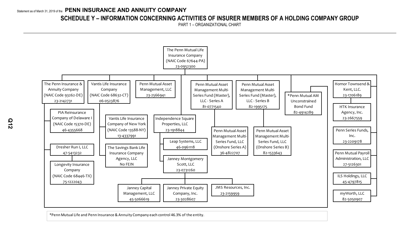## **SCHEDULE Y – INFORMATION CONCERNING ACTIVITIES OF INSURER MEMBERS OF A HOLDING COMPANY GROUP**

PART 1 – ORGANIZATIONAL CHART



\*Penn Mutual Life and Penn Insurance & Annuity Company each control 46.3% of the entity.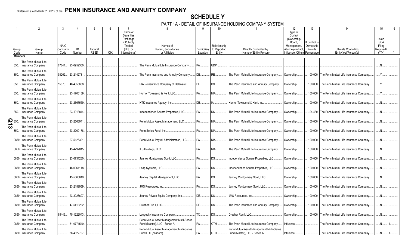## **SCHEDULE Y**

PART 1A - DETAIL OF INSURANCE HOLDING COMPANY SYSTEM

|                    |                |                                                  |                |              |                        |            | Name of                |                                                                            |                         |                        | 11                                                                         | 12<br>Type of                          | 13                        |                                                      | 15                   |  |
|--------------------|----------------|--------------------------------------------------|----------------|--------------|------------------------|------------|------------------------|----------------------------------------------------------------------------|-------------------------|------------------------|----------------------------------------------------------------------------|----------------------------------------|---------------------------|------------------------------------------------------|----------------------|--|
|                    |                |                                                  |                |              |                        |            | Securities<br>Exchange |                                                                            |                         |                        |                                                                            | Control<br>(Ownership)                 |                           |                                                      | Is an                |  |
|                    |                |                                                  | <b>NAIC</b>    |              |                        |            | if Publicly<br>Traded  | Names of                                                                   |                         | Relationship           |                                                                            | Board,<br>Management,                  | f Control is<br>Ownership |                                                      | <b>SCA</b><br>Filing |  |
|                    | Group<br>Code  | Group<br>Name                                    | Compan<br>Code | ID<br>Number | Federal<br><b>RSSD</b> | <b>CIK</b> | $(U.S.$ or             | Parent, Subsidiaries<br>or Affiliates                                      | Domiciliary<br>Location | to Reporting<br>Entity | Directly Controlled by<br>(Name of Entity/Person)                          | Attorney-in-Fact,<br>Influence, Other) | Provide                   | <b>Ultimate Controlling</b><br>Entity(ies)/Person(s) | Required?            |  |
|                    | <b>Members</b> |                                                  |                |              |                        |            | International)         |                                                                            |                         |                        |                                                                            |                                        | Percentage                |                                                      | (Y/N)                |  |
|                    |                | The Penn Mutual Life                             |                |              |                        |            |                        |                                                                            |                         |                        |                                                                            |                                        |                           |                                                      |                      |  |
| 850.               |                | <b>Insurance Company</b>                         | 67644.         | 23-0952300.  |                        |            |                        | The Penn Mutual Life Insurance Company.                                    | PA.                     | UDP.                   |                                                                            |                                        |                           |                                                      |                      |  |
| 850.               |                | The Penn Mutual Life<br>Insurance Company        | 93262.         | 23-2142731   |                        |            |                        | The Penn Insurance and Annuity Company                                     | DE.                     | RE.                    | The Penn Mutual Life Insurance Company.                                    | Ownership.                             | .100.000                  | The Penn Mutual Life Insurance Company               |                      |  |
| 850.               |                | The Penn Mutual Life<br>Insurance Company        | 15370          | 46-4355668.  |                        |            |                        | PIA Reinsurance Company of Delaware I.                                     | DE.                     | <b>DS</b>              | The Penn Insurance and Annuity Company                                     | Ownership.                             | 100.000                   | The Penn Mutual Life Insurance Company.              | $Y_{\cdots}$         |  |
| 850.               |                | The Penn Mutual Life<br><b>Insurance Company</b> |                | 23-1706189.  |                        |            |                        | Hornor Townsend & Kent, LLC.                                               | PA.                     | NIA                    | The Penn Mutual Life Insurance Company.                                    | Ownership.                             | 100.000                   | The Penn Mutual Life Insurance Company               |                      |  |
| 850.               |                | The Penn Mutual Life<br><b>Insurance Company</b> |                | 23-2667559.  |                        |            |                        | HTK Insurance Agency, Inc                                                  | DE.                     |                        | Hornor Townsend & Kent. Inc.,                                              | Ownership.                             | 100.000                   | The Penn Mutual Life Insurance Company               | .N.                  |  |
| 850.               |                | The Penn Mutual Life<br><b>Insurance Company</b> |                | 23-1918844.  |                        |            |                        | Independence Square Properties, LLC.                                       | <b>PA</b>               | DS.                    | The Penn Mutual Life Insurance Company.                                    | Ownership.                             |                           | .94.480 The Penn Mutual Life Insurance Company.      | $N_{\cdot}$          |  |
| $\frac{5}{2}$ 850. |                | The Penn Mutual Life<br>Insurance Company        |                | 23-2566941   |                        |            |                        | Penn Mutual Asset Management, LLC                                          | PA.                     | NIA                    | The Penn Mutual Life Insurance Company.                                    | Ownership.                             | 100.000                   | The Penn Mutual Life Insurance Company               | $N$ .                |  |
| 850.               |                | The Penn Mutual Life<br><b>Insurance Company</b> |                | 23-2209178.  |                        |            |                        | Penn Series Fund, Inc                                                      | PA.                     | NIA                    | The Penn Mutual Life Insurance Company.                                    | Ownership.                             | .100.000                  | The Penn Mutual Life Insurance Company               | $N_{\cdot}$          |  |
|                    | 0850           | The Penn Mutual Life<br>Insurance Company        |                | 27-5126301.  |                        |            |                        | Penn Mutual Pavroll Administration, LLC.                                   | PA.                     | NIA                    | The Penn Mutual Life Insurance Company.                                    | Ownership.                             | 100.000                   | The Penn Mutual Life Insurance Company.              | N <sub>1</sub>       |  |
|                    | 0850           | The Penn Mutual Life<br>Insurance Company        |                | 45-4797815.  |                        |            |                        | ILS Holdings, LLC                                                          | <b>PA</b>               | NIA                    | The Penn Mutual Life Insurance Company.                                    | Ownership.                             | 100.000                   | The Penn Mutual Life Insurance Company               | $N$ .                |  |
|                    | 0850           | The Penn Mutual Life<br>Insurance Company        |                | 23-0731260.  |                        |            |                        | Janney Montgomery Scott, LLC                                               | $PA$                    | <b>DS</b>              | Independence Square Properties, LLC.                                       | Ownership.                             | .100.000                  | The Penn Mutual Life Insurance Company.              | .N.                  |  |
|                    | 0850           | The Penn Mutual Life<br>Insurance Company        |                | 46-0961118.  |                        |            |                        | Leap Systems, LLC                                                          | <b>PA</b>               | DS.                    | Independence Square Properties, LLC.                                       | Ownership.                             | .100.000                  | The Penn Mutual Life Insurance Company.              | N <sub>1</sub>       |  |
|                    | 0850           | The Penn Mutual Life<br>Insurance Company        |                | 45-5066619.  |                        |            |                        | Janney Capital Management, LLC.                                            | <b>PA</b>               | DS                     | Janney Montgomery Scott, LLC.                                              | Ownership.                             | 100.000                   | The Penn Mutual Life Insurance Company               | N.                   |  |
|                    | 0850           | The Penn Mutual Life<br>Insurance Company        |                | 23-2159959.  |                        |            |                        | JMS Resources. Inc                                                         | <b>PA</b>               | <b>DS</b>              | Janney Montgomery Scott, LLC.                                              | Ownership.                             | .100.000                  | The Penn Mutual Life Insurance Company.              | .N.                  |  |
|                    | 0850           | The Penn Mutual Life<br>Insurance Company        |                | 23-3028607.  |                        |            |                        | Janney Private Equity Company, Inc.                                        | DE.                     | DS.                    | JMS Resources, Inc.                                                        | Ownership.                             | 100.000                   | The Penn Mutual Life Insurance Company.              | $N$ .                |  |
|                    | 0850           | The Penn Mutual Life<br>Insurance Company        |                | 47-5413232.  |                        |            |                        | Dresher Run I. LLC                                                         | <b>DE</b>               | DS.                    | The Penn Insurance and Annuity Company.                                    | Ownership.                             | 100.000                   | The Penn Mutual Life Insurance Company               | $N_{\cdot}$          |  |
|                    | 0850           | The Penn Mutual Life<br>Insurance Company        | 68446.         | 75-1222043.  |                        |            |                        | Longevity Insurance Company                                                | <b>TX</b>               | DS.                    | Dresher Run I, LLC                                                         | Ownership.                             | .100.000                  | The Penn Mutual Life Insurance Company               | $N_{\cdot}$          |  |
|                    | 0850           | The Penn Mutual Life<br>Insurance Company        |                | 81-0771540.  |                        |            |                        | Penn Mutual Asset Management Multi-Series<br>Fund (Master). LLC - Series A | PA.                     | OTH                    | The Penn Mutual Life Insurance Company                                     | Influence.                             |                           | The Penn Mutual Life Insurance Company.              | N <sub>1</sub>       |  |
|                    | 0850           | The Penn Mutual Life<br>Insurance Company        |                | 36-4822707.  |                        |            |                        | Penn Mutual Asset Management Multi-Series<br>Fund LLC (onshore)            | PA.                     | OTH.                   | Penn Mutual Asset Management Multi-Series<br>Fund (Master), LLC - Series A | Influence.                             |                           | The Penn Mutual Life Insurance Company               |                      |  |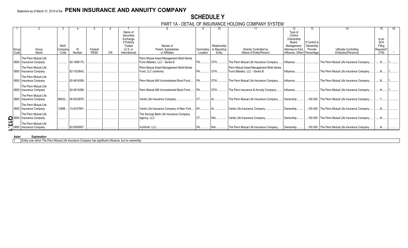## **SCHEDULE Y**

### PART 1A - DETAIL OF INSURANCE HOLDING COMPANY SYSTEM

|               |                                                                        |                                |              |                        |            |                                                                                            |                                                                            |                         | 10                                     |                                                                            |                                                                                                     | 13.                                                 |                                                      | 15                                                  |  |
|---------------|------------------------------------------------------------------------|--------------------------------|--------------|------------------------|------------|--------------------------------------------------------------------------------------------|----------------------------------------------------------------------------|-------------------------|----------------------------------------|----------------------------------------------------------------------------|-----------------------------------------------------------------------------------------------------|-----------------------------------------------------|------------------------------------------------------|-----------------------------------------------------|--|
| Group<br>Code | Group<br>Name                                                          | <b>NAIC</b><br>Company<br>Code | ID<br>Number | Federal<br><b>RSSD</b> | <b>CIK</b> | Name of<br>Securities<br>Exchange<br>if Publicly<br>Traded<br>$(U.S.$ or<br>International) | Names of<br>Parent, Subsidiaries<br>or Affiliates                          | Domiciliary<br>Location | Relationship<br>to Reporting<br>Entity | Directly Controlled by<br>(Name of Entity/Person)                          | Type of<br>Control<br>(Ownership<br>Board.<br>Management,<br>Attorney-in-Fact,<br>Influence, Other) | If Control is<br>Ownership<br>Provide<br>Percentage | <b>Ultimate Controlling</b><br>Entity(ies)/Person(s) | Is an<br><b>SCA</b><br>Filing<br>Required?<br>(Y/N) |  |
|               |                                                                        |                                |              |                        |            |                                                                                            |                                                                            |                         |                                        |                                                                            |                                                                                                     |                                                     |                                                      |                                                     |  |
|               | The Penn Mutual Life<br>0850 Insurance Company                         |                                | 82-1995175.  |                        |            |                                                                                            | Penn Mutual Asset Management Multi-Series<br>Fund (Master), LLC - Series B |                         | OTH.                                   | The Penn Mutual Life Insurance Company.                                    | Influence.                                                                                          |                                                     | The Penn Mutual Life Insurance Company.              | $N_{\cdots}$                                        |  |
|               | The Penn Mutual Life<br>0850 Insurance Company                         |                                | 82-1533643.  |                        |            |                                                                                            | Penn Mutual Asset Management Multi-Series<br>Fund, LLC (onshore)           |                         | OTH                                    | Penn Mutual Asset Management Multi-Series<br>Fund (Master), LLC - Series B | Influence.                                                                                          |                                                     | The Penn Mutual Life Insurance Company.              |                                                     |  |
|               | The Penn Mutual Life<br>0850 Insurance Company                         |                                | 82-4914289.  |                        |            |                                                                                            | Penn Mutual AM Unconstrained Bond Fund.                                    |                         | OTH.                                   | The Penn Mutual Life Insurance Company.                                    | Influence.                                                                                          |                                                     | The Penn Mutual Life Insurance Company.              |                                                     |  |
|               | The Penn Mutual Life<br>0850 Insurance Company                         |                                | 82-4914289.  |                        |            |                                                                                            | Penn Mutual AM Unconstrained Bond Fund.                                    | <b>PA</b>               | OTH.                                   | The Penn Insurance & Annuity Company                                       | Influence.                                                                                          |                                                     | The Penn Mutual Life Insurance Company.              |                                                     |  |
|               | The Penn Mutual Life<br>0850 Insurance Company                         | 68632                          | 06-0523876.  |                        |            |                                                                                            | Vantis Life Insurance Company                                              |                         |                                        | The Penn Mutual Life Insurance Company.                                    | Ownership                                                                                           |                                                     | .100.000 The Penn Mutual Life Insurance Company.     |                                                     |  |
|               | The Penn Mutual Life<br>0850 Insurance Company                         | 13588                          | 13-4337991   |                        |            |                                                                                            | Vantis Life Insurance Company of New York                                  | NY.                     |                                        | Vantis Life Insurance Company                                              | Ownership                                                                                           |                                                     | .100.000 The Penn Mutual Life Insurance Company.     |                                                     |  |
|               | The Penn Mutual Life<br>0850 Insurance Company                         |                                |              |                        |            |                                                                                            | The Savings Bank Life Insurance Company<br>Agency, LLC                     | CT                      | NIA                                    | Vantis Life Insurance Company                                              | Ownership                                                                                           |                                                     | .100.000 The Penn Mutual Life Insurance Company.     |                                                     |  |
|               | The Penn Mutual Life<br>0850 Insurance Company<br>The Penn Mutual Life |                                | 82-5050907   |                        |            |                                                                                            | mvWorth, LLC.                                                              |                         |                                        | The Penn Mutual Life Insurance Company.                                    | Ownership.                                                                                          |                                                     | .100.000 The Penn Mutual Life Insurance Company.     |                                                     |  |

### **Aster Explanation**

1 Entity over which The Penn Mutual Life Insurance Company has significant influence, but no ownership.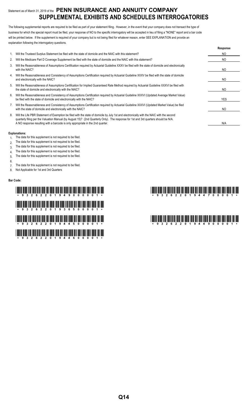## Statement as of March 31, 2019 of the **PENN INSURANCE AND ANNUITY COMPANY SUPPLEMENTAL EXHIBITS AND SCHEDULES INTERROGATORIES**

The following supplemental reports are required to be filed as part of your statement filing. However, in the event that your company does not transact the type of business for which the special report must be filed, your response of NO to the specific interrogatory will be accepted in lieu of filing a "NONE" report and a bar code will be printed below. If the supplement is required of your company but is not being filed for whatever reason, enter SEE EXPLANATION and provide an explanation following the interrogatory questions.

|    |                                                                                                                                                                                                                                                                                                                                                                     | Response   |
|----|---------------------------------------------------------------------------------------------------------------------------------------------------------------------------------------------------------------------------------------------------------------------------------------------------------------------------------------------------------------------|------------|
|    | Will the Trusteed Surplus Statement be filed with the state of domicile and the NAIC with this statement?                                                                                                                                                                                                                                                           | NO.        |
| 2. | Will the Medicare Part D Coverage Supplement be filed with the state of domicile and the NAIC with this statement?                                                                                                                                                                                                                                                  | NO.        |
| 3. | Will the Reasonableness of Assumptions Certification required by Actuarial Guideline XXXV be filed with the state of domicile and electronically<br>with the NAIC?                                                                                                                                                                                                  | NO.        |
| 4. | Will the Reasonableness and Consistency of Assumptions Certification required by Actuarial Guideline XXXV be filed with the state of domicile<br>and electronically with the NAIC?                                                                                                                                                                                  | NO.        |
| 5. | Will the Reasonableness of Assumptions Certification for Implied Guaranteed Rate Method required by Actuarial Guideline XXXVI be filed with<br>the state of domicile and electronically with the NAIC?                                                                                                                                                              | NO.        |
| 6. | Will the Reasonableness and Consistency of Assumptions Certification required by Actuarial Guideline XXXVI (Updated Average Market Value)<br>be filed with the state of domicile and electronically with the NAIC?                                                                                                                                                  | <b>YES</b> |
| 7. | Will the Reasonableness and Consistency of Assumptions Certification required by Actuarial Guideline XXXVI (Updated Market Value) be filed<br>with the state of domicile and electronically with the NAIC?                                                                                                                                                          | NO.        |
| 8. | Will the Life PBR Statement of Exemption be filed with the state of domicile by July 1st and electronically with the NAIC with the second<br>quarterly filing per the Valuation Manual (by August 15)? (2nd Quarterly Only). The response for 1st and 3rd quarters should be N/A.<br>A NO response resulting with a barcode is only appropriate in the 2nd quarter. | N/A        |

### **Explanations:**

- 1. The data for this supplement is not required to be filed.
- 2. The data for this supplement is not required to be filed.
- 3. The data for this supplement is not required to be filed.
- 4. The data for this supplement is not required to be filed.
- 5. The data for this supplement is not required to be filed.
- 6.
- 7. The data for this supplement is not required to be filed.
- 8. Not Applicable for 1st and 3rd Quarters

### **Bar Code:**

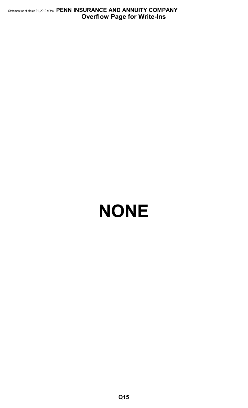Statement as of March 31, 2019 of the **PENN INSURANCE AND ANNUITY COMPANY Overflow Page for Write-Ins**

# **NONE**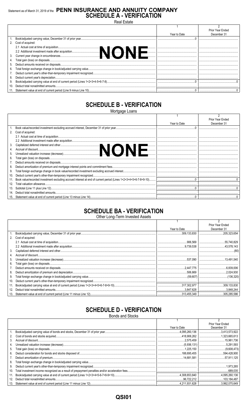## Statement as of March 31, 2019 of the PENN INSURANCE AND ANNUITY COMPANY<br>SCHEDULE A - VERIFICATION

Real Estate

|    |                      |              | Prior Year Ended |
|----|----------------------|--------------|------------------|
|    |                      | Year to Date | December 31      |
|    |                      |              |                  |
|    | 2. Cost of acquired: |              |                  |
|    |                      |              |                  |
|    |                      |              |                  |
|    |                      |              |                  |
|    |                      |              |                  |
|    |                      |              |                  |
| 6. |                      |              |                  |
|    |                      |              |                  |
| 8. |                      |              |                  |
| 9. |                      |              |                  |
|    |                      |              |                  |
|    |                      |              |                  |

## **SCHEDULE B - VERIFICATION**

Mortgage Loans

|     |                                                                                                                                                                                                                                |              | Prior Year Ended |
|-----|--------------------------------------------------------------------------------------------------------------------------------------------------------------------------------------------------------------------------------|--------------|------------------|
|     |                                                                                                                                                                                                                                | Year to Date | December 31      |
|     |                                                                                                                                                                                                                                |              |                  |
| 2.  | Cost of acquired:                                                                                                                                                                                                              |              |                  |
|     |                                                                                                                                                                                                                                |              |                  |
|     |                                                                                                                                                                                                                                |              |                  |
| 3.  |                                                                                                                                                                                                                                |              |                  |
| 4.  | 2.2 Additional investment mace are acquisition and the contract of discount and other and other and the contract of discount and the contract of discount and the contract of decrease of the contract of decrease of the cont |              |                  |
| 5.  |                                                                                                                                                                                                                                |              |                  |
| 6.  |                                                                                                                                                                                                                                |              |                  |
|     |                                                                                                                                                                                                                                |              |                  |
| 8.  |                                                                                                                                                                                                                                |              |                  |
| 9.  |                                                                                                                                                                                                                                |              |                  |
| 10. |                                                                                                                                                                                                                                |              |                  |
| 11. | Book value/recorded investment excluding accrued interest at end of current period (Lines 1+2+3+4+5+6-7-8+9-10)                                                                                                                |              |                  |
| 12. |                                                                                                                                                                                                                                |              |                  |
| 13. |                                                                                                                                                                                                                                |              |                  |
| 14. |                                                                                                                                                                                                                                |              |                  |
| 15. |                                                                                                                                                                                                                                |              |                  |

## **SCHEDULE BA - VERIFICATION**

Other Long-Term Invested Assets

|     |                   |              | Prior Year Ended |
|-----|-------------------|--------------|------------------|
|     |                   | Year to Date | December 31      |
|     |                   |              | 205,323.654      |
| 2.  | Cost of acquired: |              |                  |
|     |                   |              |                  |
|     |                   |              |                  |
| 3.  |                   |              |                  |
| 4.  |                   |              |                  |
| 5.  |                   |              |                  |
| 6.  |                   |              |                  |
|     |                   |              |                  |
| 8.  |                   |              |                  |
| 9.  |                   |              |                  |
| 10. |                   |              |                  |
| 11. |                   |              |                  |
| 12. |                   |              |                  |
| 13. |                   |              |                  |

## **SCHEDULE D - VERIFICATION**

**Bonds and Stocks** 

|     |                                                                     |               | <b>Prior Year Ended</b> |
|-----|---------------------------------------------------------------------|---------------|-------------------------|
|     |                                                                     | Year to Date  | December 31             |
|     |                                                                     |               | 3.413.573.922           |
| 2.  |                                                                     |               |                         |
| 3.  |                                                                     |               |                         |
| 4.  |                                                                     |               |                         |
| 5.  |                                                                     |               | (9.608.473)             |
| 6.  |                                                                     |               |                         |
|     |                                                                     |               |                         |
| 8.  |                                                                     |               |                         |
| 9.  |                                                                     |               | .1.973.265              |
| 10. |                                                                     |               |                         |
| 11. |                                                                     |               |                         |
| 12. |                                                                     |               |                         |
|     | 13 Statement value at end of current period (Line 11 minus Line 12) | 4 211 931 628 | 3 992 075 649           |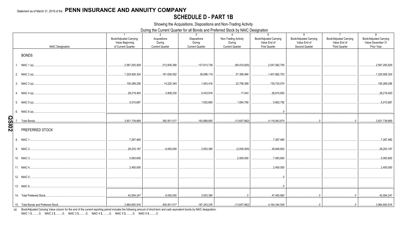## **SCHEDULE D - PART 1B**

Showing the Acquisitions, Dispositions and Non-Trading Activity

During the Current Quarter for all Bonds and Preferred Stock by NAIC Designation

|                         | $\overline{1}$         | 2                      | $3^{\circ}$                               | $\Lambda$              | -5                                                                             | 6                             | $7\overline{ }$        | 8                             |
|-------------------------|------------------------|------------------------|-------------------------------------------|------------------------|--------------------------------------------------------------------------------|-------------------------------|------------------------|-------------------------------|
|                         | Book/Adjusted Carrying | Acquisitions           | <b>Dispositions</b>                       | Non-Trading Activity   | Book/Adjusted Carrying                                                         | <b>Book/Adjusted Carrying</b> | Book/Adjusted Carrying | <b>Book/Adjusted Carrying</b> |
|                         | Value Beginning        | During                 | During                                    | During                 | Value End of                                                                   | Value End of                  | Value End of           | Value December 31             |
| <b>NAIC Designation</b> | of Current Quarter     | <b>Current Quarter</b> | <b>Current Quarter</b>                    | <b>Current Quarter</b> | <b>First Quarter</b>                                                           | Second Quarter                | <b>Third Quarter</b>   | Prior Year                    |
|                         |                        |                        |                                           |                        |                                                                                |                               |                        |                               |
| <b>BONDS</b>            |                        |                        |                                           |                        |                                                                                |                               |                        |                               |
|                         |                        |                        |                                           |                        |                                                                                |                               |                        |                               |
|                         | 2,567,293,929          | 212,836,390            | 137,613,739                               | (95,433,825)           | $\ldots$ 2,547,082,755<br>.                                                    |                               |                        | 2,567,293,929                 |
|                         |                        |                        |                                           |                        |                                                                                |                               |                        |                               |
|                         | 1,220,926,324<br>.     |                        |                                           |                        |                                                                                |                               |                        | 1,220,926,324                 |
|                         |                        |                        |                                           |                        |                                                                                |                               |                        |                               |
|                         | 100,289,256            | $\dots$ 14,220,345     | 1,543,416                                 |                        |                                                                                |                               |                        | 100,289,256                   |
|                         |                        |                        |                                           |                        |                                                                                |                               |                        |                               |
|                         |                        | 3,808,230              | 5,433,916                                 |                        |                                                                                |                               |                        | 28,219,493                    |
|                         |                        |                        |                                           |                        |                                                                                |                               |                        |                               |
|                         |                        |                        |                                           |                        |                                                                                |                               |                        |                               |
|                         |                        |                        |                                           |                        |                                                                                |                               |                        | 5,010,667                     |
|                         |                        |                        |                                           |                        |                                                                                |                               |                        |                               |
|                         |                        |                        |                                           |                        |                                                                                |                               |                        |                               |
|                         |                        |                        |                                           |                        |                                                                                |                               |                        |                               |
|                         |                        |                        |                                           |                        |                                                                                |                               |                        | 3.921.739.669                 |
|                         |                        |                        |                                           |                        |                                                                                |                               |                        |                               |
| PREFERRED STOCK         |                        |                        |                                           |                        |                                                                                |                               |                        |                               |
|                         |                        |                        |                                           |                        |                                                                                |                               |                        |                               |
|                         | 7,267,460              |                        |                                           |                        | , 7, 267, 460                                                                  |                               |                        | 7,267,460                     |
|                         |                        |                        |                                           |                        |                                                                                |                               |                        |                               |
|                         | 28,203,187             |                        | $\dots$ 8,000,000 $\mid$ 3,553,385 $\mid$ | .                      | $\ldots$ (2,000,000) $\vert$ $\ldots$ $\ldots$ $\ldots$ $\ldots$<br>30,649,802 |                               |                        | 28,203,187                    |
|                         |                        |                        |                                           |                        |                                                                                |                               |                        |                               |
|                         | , 5,083,600            |                        |                                           |                        | $\ldots$ 7,083,600                                                             |                               |                        | 5,083,600                     |
|                         |                        |                        |                                           |                        |                                                                                |                               |                        |                               |
|                         | 2,400,000              |                        |                                           |                        | $\dots$ 2,400,000                                                              |                               |                        | 0.2,400,000                   |
|                         |                        |                        |                                           |                        |                                                                                |                               |                        |                               |
|                         |                        |                        |                                           |                        |                                                                                |                               |                        |                               |
|                         |                        |                        |                                           |                        |                                                                                |                               |                        |                               |
|                         |                        |                        |                                           |                        |                                                                                |                               |                        |                               |
|                         |                        |                        |                                           |                        | $\overline{0}$                                                                 |                               |                        |                               |
|                         |                        |                        |                                           |                        |                                                                                |                               |                        |                               |
|                         |                        |                        |                                           |                        |                                                                                |                               |                        |                               |
|                         |                        |                        |                                           |                        |                                                                                |                               |                        |                               |
|                         |                        |                        |                                           |                        |                                                                                |                               |                        |                               |

(a) Book/Adjusted Carrying Value column for the end of the current reporting period includes the following amount of short-term and cash equivalent bonds by NAIC designation: NAIC 1 \$..........0; NAIC 2 \$..........0; NAIC 3 \$..........0; NAIC 4 \$..........0; NAIC 5 \$..........0; NAIC 6 \$..........0.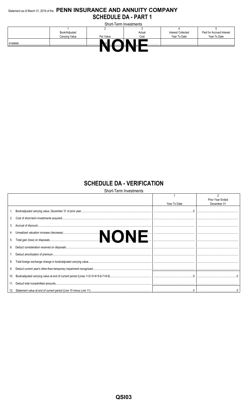## Statement as of March 31, 2019 of the PENN INSURANCE AND ANNUITY COMPANY **SCHEDULE DA - PART 1**

|             |                | Short-Term Investments |        |                           |                           |
|-------------|----------------|------------------------|--------|---------------------------|---------------------------|
|             |                |                        |        |                           |                           |
|             | Book/Adjusted  |                        | Actual | <b>Interest Collected</b> | Paid for Accrued Interest |
|             | Carrying Value | Par Value              | Cost   | Year To Date              | Year To Date              |
| 9199999<br> | <br>           |                        |        |                           |                           |
|             |                |                        |        |                           |                           |

## **SCHEDULE DA - VERIFICATION**

|     | <b>Short-Term Investments</b> |              |                  |
|-----|-------------------------------|--------------|------------------|
|     |                               |              |                  |
|     |                               |              | Prior Year Ended |
|     |                               | Year To Date | December 31      |
|     |                               |              |                  |
|     |                               |              |                  |
| 3.  |                               |              |                  |
|     |                               |              |                  |
| 5.  |                               |              |                  |
| 6.  |                               |              |                  |
|     |                               |              |                  |
| 8.  |                               |              |                  |
| 9.  |                               |              |                  |
| 10. |                               |              |                  |
| 11. |                               |              |                  |
|     |                               |              |                  |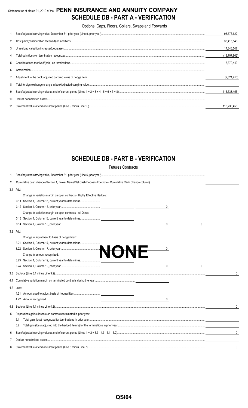## Statement as of March 31, 2019 of the **PENN INSURANCE AND ANNUITY COMPANY SCHEDULE DB - PART A - VERIFICATION**

Options, Caps, Floors, Collars, Swaps and Forwards

|    | 93.576.622   |
|----|--------------|
|    | 33,415,546   |
|    | 17.646.547   |
|    | (18,707,902) |
|    | 6.370.442    |
| 6  |              |
|    | (2,821,915)  |
| 8. |              |
|    | 116,738,456  |
|    |              |
|    | 116.738.456  |

## **SCHEDULE DB - PART B - VERIFICATION**

Futures Contracts

| 2. |           |                                                                         |              |
|----|-----------|-------------------------------------------------------------------------|--------------|
|    | 3.1 Add:  |                                                                         |              |
|    |           | Change in variation margin on open contracts - Highly Effective Hedges: |              |
|    |           |                                                                         |              |
|    |           | 0                                                                       |              |
|    |           | Change in variation margin on open contracts - All Other:               |              |
|    |           |                                                                         |              |
|    |           | 0                                                                       |              |
|    | 3.2 Add:  |                                                                         |              |
|    |           | Change in adjustment to basis of hedged item:                           |              |
|    | 3.21      | Section 1, Column 17, current year to date minus                        |              |
|    |           | 0                                                                       |              |
|    |           |                                                                         |              |
|    |           |                                                                         |              |
|    |           | $\overline{0}$<br>0                                                     |              |
|    |           |                                                                         | $\mathbf{0}$ |
|    |           |                                                                         |              |
|    | 4.2 Less: |                                                                         |              |
|    |           |                                                                         |              |
|    |           |                                                                         |              |
|    |           |                                                                         |              |
| 5. |           | Dispositions gains (losses) on contracts terminated in prior year:      |              |
|    | 5.1       |                                                                         |              |
|    | 5.2       |                                                                         |              |
| 6. |           |                                                                         | 0            |
| 7. |           |                                                                         |              |
| 8. |           |                                                                         | 0            |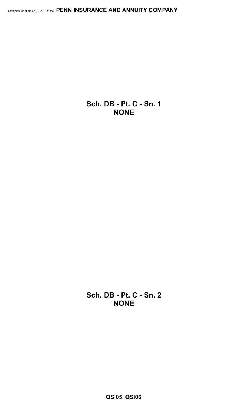**Sch. DB - Pt. C - Sn. 1 NONE**

**Sch. DB - Pt. C - Sn. 2 NONE**

**QSI05, QSI06**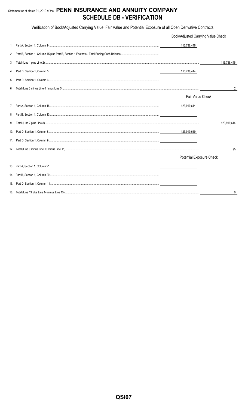## Statement as of March 31, 2019 of the PENN INSURANCE AND ANNUITY COMPANY **SCHEDULE DB - VERIFICATION**

Verification of Book/Adjusted Carrying Value, Fair Value and Potential Exposure of all Open Derivative Contracts

|    | Book/Adjusted Carrying Value Check |             |
|----|------------------------------------|-------------|
|    | 116,738,446                        |             |
| 2. |                                    |             |
| 3. |                                    | 116.738.446 |
| 4. | 116,738,444                        |             |
| 5. |                                    |             |
| 6. |                                    | 2           |
|    | Fair Value Check                   |             |
|    | 123,919,614                        |             |
| 8. |                                    |             |
| 9. |                                    | 123,919,614 |
|    |                                    |             |
|    |                                    |             |
|    |                                    | (5)         |
|    | Potential Exposure Check           |             |
|    |                                    |             |
|    |                                    |             |
|    |                                    |             |
|    |                                    | 0           |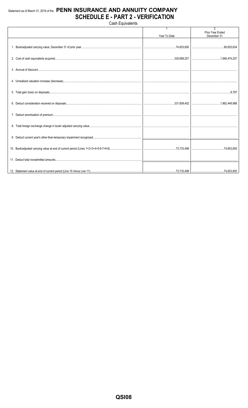## Statement as of March 31, 2019 of the PENN INSURANCE AND ANNUITY COMPANY **SCHEDULE E - PART 2 - VERIFICATION**

**Cash Equivalents** 

|  |              | $\overline{2}$                  |
|--|--------------|---------------------------------|
|  | Year To Date | Prior Year Ended<br>December 31 |
|  |              |                                 |
|  |              |                                 |
|  |              |                                 |
|  |              |                                 |
|  |              |                                 |
|  |              |                                 |
|  |              |                                 |
|  |              |                                 |
|  |              |                                 |
|  |              |                                 |
|  |              |                                 |
|  |              |                                 |
|  |              |                                 |
|  |              |                                 |
|  |              |                                 |
|  |              |                                 |
|  |              |                                 |
|  |              |                                 |
|  |              |                                 |
|  |              |                                 |
|  |              |                                 |
|  |              |                                 |
|  |              |                                 |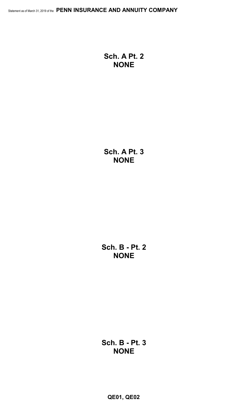**Sch. A Pt. 2 NONE**

**Sch. A Pt. 3 NONE**

**Sch. B - Pt. 2 NONE**

**Sch. B - Pt. 3 NONE**

**QE01, QE02**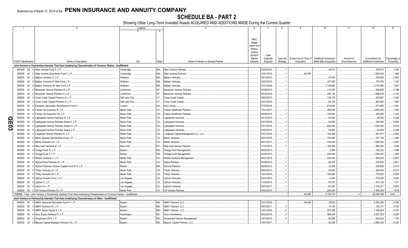## **SCHEDULE BA - PART 2**

Showing Other Long-Term Invested Assets ACQUIRED AND ADDITIONS MADE During the Current Quarter

|             |                             |        | $\mathfrak{D}$                                                                                                               | Location       |              | $\overline{5}$                         | - 6         |             | -8       | -9                                | 10                     | 11           | 12                    | 13            |
|-------------|-----------------------------|--------|------------------------------------------------------------------------------------------------------------------------------|----------------|--------------|----------------------------------------|-------------|-------------|----------|-----------------------------------|------------------------|--------------|-----------------------|---------------|
|             |                             |        |                                                                                                                              |                |              |                                        |             |             |          |                                   |                        |              |                       |               |
|             |                             |        |                                                                                                                              |                |              |                                        |             |             |          |                                   |                        |              |                       |               |
|             |                             |        |                                                                                                                              |                |              |                                        | <b>NAIC</b> |             |          |                                   |                        |              |                       |               |
|             |                             |        |                                                                                                                              |                |              |                                        | Desig-      |             |          |                                   |                        |              |                       |               |
|             |                             |        |                                                                                                                              |                |              |                                        | nation and  |             |          |                                   |                        |              |                       |               |
|             |                             |        |                                                                                                                              |                |              |                                        | Admini-     |             |          |                                   |                        |              |                       |               |
|             |                             |        |                                                                                                                              |                |              |                                        | strative    |             |          |                                   |                        |              |                       |               |
|             |                             |        |                                                                                                                              |                |              |                                        | Symbol/     | Date        |          |                                   |                        |              |                       |               |
|             |                             |        |                                                                                                                              |                |              |                                        | Market      | Originally  |          | Type and   Actual Cost at Time of | Additional Investment  | Amount of    | Commitment for        | Percentage of |
|             | <b>CUSIP</b> Identification |        | Name or Description                                                                                                          | City           | <b>State</b> | Name of Vendor or General Partner      | Indicator   | Acquired    | Strategy | Acquisition                       | Made after Acquisition | Encumbrances | Additional Investment | Ownership     |
|             |                             |        | Joint Venture or Partnership Interests That Have Underlying Characteristics of Common Stocks - Unaffiliated                  |                |              |                                        |             |             |          |                                   |                        |              |                       |               |
|             | 000000                      | $00\,$ | 0 Atlas Venture Fund X, L.P.                                                                                                 | Cambridge      | MA.          | <b>Atlas Venture Partners</b>          |             | 03/20/2015  |          |                                   | .39,572                |              | .164,074              | .1.200        |
|             | 000000                      |        | 00 0 Atlas Venture Opportunity Fund I, L.P.                                                                                  | Cambridge      | MA.          | <b>Atlas Venture Partners</b>          |             | 01/01/2019. |          | .60,565                           |                        |              | 1,939,435             | .1.000        |
|             | 000000                      |        | 00 0 Battery Ventures X, L.P.                                                                                                | Waltham.       | MA.          | <b>Battery Ventures</b>                |             | 06/13/2013  |          |                                   | .27,600                |              | .255,000              | .0.462        |
|             | 000000                      |        | 00 0 Battery Ventures XI Side Fund, L.P.                                                                                     | Waltham.       | MA.          | <b>Battery Ventures.</b>               |             | 02/22/2016  |          |                                   | .227,500               |              | .379,750              | .1.167        |
|             | 000000                      | $00\,$ | 0 Battery Ventures XII Side Fund, L.P.                                                                                       | Waltham.       | MA.          | <b>Battery Ventures.</b>               |             | 01/31/2018. |          |                                   | 1,144,650              |              | .3,723,850            | .1.625        |
|             | 000000                      | $00\,$ | 0 Bessemer Venture Partners IX, L.P.                                                                                         | Larchmont      | NY           | <b>Bessemer Venture Partners</b>       |             | 02/28/2015  |          |                                   | .110,876               |              | .648,856              | .0.188        |
|             | 000000                      | $00\,$ | 0 Bessemer Venture Partners X, L.P.                                                                                          | Larchmont      | NY           | <b>Bessemer Venture Partners</b>       |             | 09/30/2018. |          |                                   | 240,122                |              | 1,669,878             | .0.125        |
|             |                             |        |                                                                                                                              |                |              |                                        |             |             |          |                                   |                        |              |                       |               |
|             | 000000                      |        | 00 0 Cross Creek Capital Partners III, L.P                                                                                   | Salt Lake City | UT.          | Cross Creek Capital                    |             | 08/29/2013  |          |                                   | 128,139                |              | .540,861              | .3.192        |
|             | 000000                      | $00\,$ | 0 Cross Creek Capital Partners IV, L.P.                                                                                      | Salt Lake City | UT.          | Cross Creek Capital.                   |             | 03/31/2016. |          |                                   | .94,100                |              | .846,900              | .1.882        |
|             | 000000                      |        | 00 0 European Secondary Development Fund V.                                                                                  | London         | UK           | Arcis Group.                           |             | 07/22/2016  |          |                                   | 613,440                |              | .673,080              | .1.041        |
|             | 000000                      | $00\,$ | 0 Frazier Life Sciences IX, L.P.                                                                                             | Menlo Park.    | CA.          | Frazier Healthcare Partners            |             | 10/31/2017  |          |                                   | 460,000                |              | .3,630,000            | .1.250        |
|             | 000000                      | $00\,$ | 0 Frazier Life Sciences VIII, L.P.                                                                                           | Menlo Park.    | <b>CA</b>    | <b>Frazier Healthcare Partners</b>     |             | 09/30/2015  |          |                                   | 100,500                |              | .435,000              | .1.333        |
|             | 000000                      | $00\,$ | 0 Lightspeed Venture Partners IX, L.P.                                                                                       | Menlo Park.    | CA           | ightspeed Ventures                     |             | 03/12/2012  |          |                                   | .45,000                |              | .45,000               | .0.438        |
| <u>ဂ</u> ္ဂ | 000000                      | $00\,$ | 0 Lightspeed Venture Partners Select II, L.P.                                                                                | Menlo Park.    | CA.          | ightspeed Ventures.                    |             | 03/10/2016  |          |                                   | 62,500                 |              | .200,000              | .0.500        |
|             | 000000                      |        | 00 0 Lightspeed Venture Partners Select III, L.P                                                                             | Menlo Park     | CA           | Lightspeed Ventures.                   |             | 03/31/2018  |          |                                   | .600,000               |              | 1,000,000             | .0.278        |
| င္လ         | 000000                      |        | 00 0 Lightspeed Venture Partners Select, L.P.                                                                                | Menlo Park     | CA.          | Lightspeed Ventures.                   |             | 03/24/2014  |          |                                   | .30.000                |              | .40,000               | .0.308        |
|             |                             |        |                                                                                                                              |                |              |                                        |             |             |          |                                   |                        |              |                       |               |
|             | 000000                      |        | 00 0 Longitude Venture Partners III, L.P.                                                                                    | Menlo Park     | CA           | Longitude Capital Management Co., LLC. |             | 03/31/2016  |          |                                   | 108,308                |              | .981,971              | .0.381        |
|             | 000000                      |        | 00 0 Menlo Special Opportunities Fund, L.P.                                                                                  | Menlo Park     | CA.          | Menlo Ventures.                        |             | 03/31/2016  |          |                                   | 150,480                |              | .227,108              | .1.000        |
|             | 000000                      | $00\,$ | 0 Menlo Ventures XIV, L.P.                                                                                                   | Menlo Park     | CA.          | Menlo Ventures.                        |             | 05/31/2017  |          |                                   | 150,000                |              | 1,650,000             | .0.667        |
|             | 000000                      | $00\,$ | 0 New Leaf Ventures III, L.P.                                                                                                | New York.      | NY           | New Leaf Venture Partners              |             | 1/30/2014   |          |                                   | 180,000                |              | .990,000              | .1.600        |
|             | 000000                      | $00\,$ | 0 Omega Fund IV, L.P.                                                                                                        | Boston.        | MA           | Omega Fund Management                  |             | 06/20/2013. |          |                                   | .2,984                 |              | .156,232              | .1.089        |
|             | 000000                      | $00\,$ | 0 Omega Fund V, L.P.                                                                                                         | Boston.        | MA.          | Omega Fund Management                  |             | 04/30/2015. |          |                                   | .284,853               |              | 1,538,283             | .1.600        |
|             | 000000                      | $00\,$ | 0 Shasta Ventures V. L.P.                                                                                                    | Menlo Park.    | CA           | Shasta Ventures Management             |             | 06/27/2016  |          |                                   | .200,000               |              | .800,000              | .0.667        |
|             | 000000                      | $00\,$ | 0 Sigma Prime Partners IX, L.P.                                                                                              | Menlo Park.    | CA           | Sigma Partners.                        |             | 05/29/2012  |          |                                   | .88,218                |              | .278,930              | 2.941         |
|             | 000000                      | $00\,$ | 0 Summit Partners Venture Capital Fund III-A, L.P.                                                                           | Boston.        | MA           | Summit Partners.                       |             | 06/28/2012  |          |                                   | 12,000                 |              | .259,588              | .0.473        |
|             |                             |        |                                                                                                                              |                |              |                                        |             |             |          |                                   |                        |              |                       |               |
|             | 000000                      |        | 00 0 Trinity Ventures XI, L.P.                                                                                               | Menlo Park.    | CA.          | <b>Trinity Ventures.</b>               |             | 04/04/2013. |          |                                   | .45,000                |              | .405,000              | .0.914        |
|             | 000000                      | $00\,$ | 0 Trinity Ventures XII, L.P.                                                                                                 | Menlo Park.    | CA           | <b>Trinity Ventures.</b>               |             | 10/31/2015. |          |                                   | 165,000                |              | .750,000              | .0.500        |
|             | 000000                      | $00\,$ | 0 Upfront Growth Fund I, L.P.                                                                                                | Los Angeles    | CA.          | Jpfront Ventures                       |             | 03/31/2015. |          |                                   | .6,844                 |              | .519,200              | .4.000        |
|             | 000000                      | $00\,$ | 0 Upfront V, L.P.                                                                                                            | Los Angeles    | CA.          | <b>Jpfront Ventures</b>                |             | 11/30/2014. |          |                                   | .97,251                |              | .512,132              | .1.071        |
|             | 000000                      |        | 00 0 Upfront VI, L.P.                                                                                                        | Los Angeles    | CA.          | <b>Jpfront Ventures</b>                |             | 05/31/2017. |          |                                   | .87,581                |              | .1,316,271            | .0.000        |
|             | 000000                      |        | 00 0 US Venture Partners XI. L.P.                                                                                            | Menlo Park.    | CA.          | <b>US Venture Partners</b>             |             | 05/20/2015. |          |                                   | .250.000               |              | .1.450.000            | .1.818        |
|             |                             |        | 1599999. Total - Joint Venture or Partnership Interests That Have Underlying Characteristics of Common Stocks - Unaffiliated |                |              |                                        |             |             |          | .60.565                           | 5,752,518              |              | .28,026,399           | .XXX          |
|             |                             |        | Joint Venture or Partnership Interests That Have Underlying Characteristics of Other - Unaffiliated                          |                |              |                                        |             |             |          |                                   |                        |              |                       |               |
|             | 000000                      |        | 00 0 ABRY Advanced Securities Fund IV, L.P.                                                                                  | Boston.        | MA.          | ABRY Partners, LLC.                    |             | 07/31/2018. |          | .69.004                           | .78.633                |              | 4,352,364             | .0.300        |
|             | 000000                      | $00\,$ | 0 ABRY Partners VII, L.P.                                                                                                    | Boston.        | MA.          | ABRY Partners, LLC.                    |             |             |          |                                   | .14,160                |              | .158,741              | .0.184        |
|             |                             |        |                                                                                                                              |                |              |                                        |             | 08/10/2011. |          |                                   |                        |              |                       |               |
|             | 000000                      |        | 00 0 ABRY Senior Equity V, L.P.                                                                                              | Boston.        | MA.          | <b>ABRY Partners, LLC.</b>             |             | 12/01/2016  |          |                                   | 201,938                |              | 1,449,904             | .0.191        |
|             | 000000                      | $00\,$ | 0 Acon Equity Partners IV, L.P.                                                                                              | Washington     | DC.          | Acon Investments.                      |             | 04/22/2016  |          |                                   | 598.444                |              | .2,427,833            | .0.865        |
|             | 000000                      | $00\,$ | 0 Ampersand 2014, L.P.                                                                                                       | Boston.        | MA.          | Ampersand Venture Management           |             | 10/10/2014. |          |                                   | .90.000                |              | .540.000              | .1.124        |
|             | 000000                      |        | 00 0 Beacon Capital Strategic Partners VIII, L.P.                                                                            | Boston         |              | MA Beacon Capital Partners, LLC.       |             | 10/31/2017. |          |                                   | .45,000                |              | .2,880,000            | .0.240        |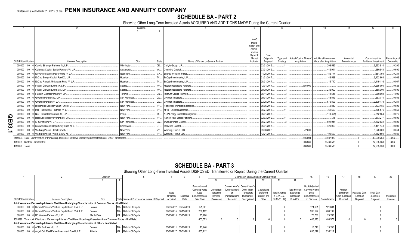## **SCHEDULE BA - PART 2**

Showing Other Long-Term Invested Assets ACQUIRED AND ADDITIONS MADE During the Current Quarter

|     |                             |                                                                                                                       | Location       |           |                                   |                       |             |          |                                                           | 10                     |              | 12                    |               |
|-----|-----------------------------|-----------------------------------------------------------------------------------------------------------------------|----------------|-----------|-----------------------------------|-----------------------|-------------|----------|-----------------------------------------------------------|------------------------|--------------|-----------------------|---------------|
|     |                             |                                                                                                                       |                |           |                                   |                       |             |          |                                                           |                        |              |                       |               |
|     |                             |                                                                                                                       |                |           |                                   |                       |             |          |                                                           |                        |              |                       |               |
|     |                             |                                                                                                                       |                |           |                                   | <b>NAIC</b><br>Desig- |             |          |                                                           |                        |              |                       |               |
|     |                             |                                                                                                                       |                |           |                                   | nation and            |             |          |                                                           |                        |              |                       |               |
|     |                             |                                                                                                                       |                |           |                                   | Admini-               |             |          |                                                           |                        |              |                       |               |
|     |                             |                                                                                                                       |                |           |                                   | strative<br>Symbol/   | Date        |          |                                                           |                        |              |                       |               |
|     |                             |                                                                                                                       |                |           |                                   | Market                | Originally  |          | Type and   Actual Cost at Time of   Additional Investment |                        | Amount of    | Commitment for        | Percentage of |
|     | <b>CUSIP Identification</b> | Name or Description                                                                                                   | City           | State     | Name of Vendor or General Partner | Indicator             | Acquired    | Strategy | Acquisition                                               | Made after Acquisition | Encumbrances | Additional Investment | Ownership     |
|     |                             | 000000 00 0 Carlyle Strategic Partners IV, L.P.                                                                       | Wilmington.    |           | DE Carlyle Group, L.P.            |                       | 03/31/2016. |          |                                                           | .203.582               |              | 3,253,910             | .0.200        |
|     |                             | 000000 00 0 Columbia Capital Equity Partners VI, L.P.                                                                 | Alexandria     |           | VA Columbia Capital               |                       | 07/31/2015. |          |                                                           | .445,911               |              | .680,643              | .0.600        |
|     |                             | 000000 00 0 EIF United States Power Fund IV, L.P.                                                                     | Needham        |           | MA Energy Investors Funds.        |                       | 11/28/2011. |          |                                                           | .186.774               |              | (361, 793)            | .0.234        |
|     |                             | 000000 00 0 EnCap Energy Capital Fund XI, L.P                                                                         | Houston.       |           | TX EnCap Investments, L.P.        |                       | 01/31/2017. |          |                                                           | .148.538               |              | .3.422.608            | .0.062        |
|     |                             | 000000 00 0 EnCap Flatrock Midstream Fund IV, L.P                                                                     | Houston.       |           | TX EnCap Investments, L.P.        |                       | 08/31/2017. |          |                                                           | .15.740                |              | 1,419,116             | .0.067        |
|     |                             | 000000 00 0 Frazier Growth Buyout IX, L.P.                                                                            | Seattle.       |           | WA Frazier Healthcare Partners.   |                       | 12/01/2017. |          | 705.000                                                   |                        |              | .4,295,000            | .0.625        |
|     |                             | 000000 00 0 Frazier Growth Buyout VIII, L.P.                                                                          | Seattle.       |           | WA Frazier Healthcare Partners.   |                       | 09/30/2015. |          |                                                           | 236.000                |              | .888.000              | .0.800        |
|     |                             | 000000 00 0 Fulcrum Capital Partners V, LP.                                                                           | Toronto        |           | ON Fulcrum Capital Partners.      |                       | 06/11/2015. |          |                                                           | 14.548                 |              | .960,693              | .1.000        |
|     |                             | 000000 00 0 Gryphon Partners IV, L.P.                                                                                 | San Francisco. |           | CA Gryphon Investors              |                       | 09/01/2016. |          |                                                           | .48,549                |              | 253,714               | 0.559         |
|     |                             | 000000 00 0 Gryphon Partners V, L.P                                                                                   | San Francisco. |           | CA Gryphon Investors              |                       | 02/28/2018. |          |                                                           | .679,809               |              | .2,339,179            | .0.251        |
|     |                             | 000000 00 0 Highbridge Specialty Loan Fund III LP                                                                     | New York.      | NY.       | Highbridge Principal Strategies.  |                       | 05/06/2013. |          |                                                           | .5.889                 |              | .103,455              | .0.899        |
|     |                             | 000000 00 0 MHR Institutional Partners IV, L.P.                                                                       | New York.      |           | NY MHR Fund Management.           |                       | 06/27/2016. |          |                                                           | .62.500                |              | 2,805,576             | .0.556        |
|     |                             | 000000 00 0 NGP Natural Resources XII, L.P.                                                                           | Irvina.        | <b>TX</b> | NGP Energy Capital Management     |                       | 08/31/2017. |          |                                                           | (113, 451)             |              | 2,812,554             | .0.075        |
| 03D |                             | 000000 00 0 Resolution Recovery Partners, LP                                                                          | New York.      | <b>NY</b> | Ranieri Real Estate Partners.     |                       | 02/03/2012. |          |                                                           |                        |              | .673.277              | .0.500        |
|     |                             | 000000 00 0 SPC Partners VI, L.P.                                                                                     | San Francisco. |           | CA Swander Pace Capital           |                       | 06/27/2016. |          |                                                           | .501.941               |              | .1,802,832            | 0.600         |
| ω   |                             | 000000 00 0 Starwood Global Opportunity Fund XI, L.P                                                                  | Greenwich.     | CT.       | Starwood Capital                  |                       | 05/31/2017. |          |                                                           | .420.000               |              | .5,461,148            | $0.000$ .     |
|     |                             | 000000 00 0 Warburg Pincus Global Growth, L.P.                                                                        | New York.      |           | NY Warburg, Pincus LLC            |                       | 09/30/2018. |          | 72,000                                                    |                        |              | 5,928,000             | .0.044        |
|     |                             | 000000 00 0 Warburg Pincus Private Equity XII, LP                                                                     | New York.      |           | NY Warburg, Pincus LLC            |                       | 12/21/2015. |          |                                                           | .102.500               |              | 1.362.500             | 0.039         |
|     |                             | 2199999. Total - Joint Venture or Partnership Interests That Have Underlying Characteristics of Other - Unaffiliated. |                |           |                                   |                       |             |          | 846.004                                                   | 3.987.020              |              | .49.909.254           | $XXX$         |
|     |                             | 4499999. Subtotal - Unaffiliated.                                                                                     |                |           |                                   |                       |             |          | .906,569                                                  | 9,739,538              |              | 77,935,653            | XXX           |
|     | 4699999. Totals.            |                                                                                                                       |                |           |                                   |                       |             |          | .906.569                                                  | .9,739,538             |              | .77,935,653           | .XXX          |

## **SCHEDULE BA - PART 3**

### Showing Other Long-Term Invested Assets DISPOSED, Transferred or Repaid During the Current Quarter

|                             |                                                                                                                              | Location   |  |                                                          |                       |          |                |            |                | Changes in Book/Adjusted Carrying Value |              |                     |                  |                                |                |                |               | 19                |            |
|-----------------------------|------------------------------------------------------------------------------------------------------------------------------|------------|--|----------------------------------------------------------|-----------------------|----------|----------------|------------|----------------|-----------------------------------------|--------------|---------------------|------------------|--------------------------------|----------------|----------------|---------------|-------------------|------------|
|                             |                                                                                                                              |            |  |                                                          |                       |          |                |            |                |                                         |              |                     |                  |                                |                |                |               |                   |            |
|                             |                                                                                                                              |            |  |                                                          |                       |          |                |            |                |                                         |              |                     |                  |                                |                |                |               |                   |            |
|                             |                                                                                                                              |            |  |                                                          |                       |          | Book/Adjusted  |            |                | Current Year's   Current Year's         |              |                     |                  | Book/Adjusted                  |                |                |               |                   |            |
|                             |                                                                                                                              |            |  |                                                          |                       |          | Carrying Value | Unrealized | (Depreciation) | Other-Than-                             | Capitalized  |                     |                  | Total Foreign   Carrying Value |                | Foreign        |               |                   |            |
|                             |                                                                                                                              |            |  |                                                          | Date                  |          | Less           | Valuation  |                | Temporary                               | Deferred     | <b>Total Change</b> | Exchange         | Less                           |                | Exchange       | Realized Gain | <b>Total Gain</b> |            |
|                             |                                                                                                                              |            |  |                                                          | Original              | Disposal | Encumbrances.  | Increase   | (Amortization) | Impairment                              | Interest and | in B./A.C.V.        | Change in        | Encumbrances                   |                | Gain (Loss) on | (Loss) on     | (Loss) on         | Investment |
| <b>CUSIP</b> Identification | Name or Description                                                                                                          | City       |  | State Name of Purchaser or Nature of Disposal   Acquired |                       | Date     | Prior Year     | (Decrease) | / Accretion    | Recognized                              | Other        | $(9+10-11+12)$      | <b>B./A.C.V.</b> | on Disposal                    | Consideration  | Disposal       | Disposa       | Disposal          | Income     |
|                             | Joint Venture or Partnership Interests That Have Underlying Characteristics of Common Stocks - Unaffiliated                  |            |  |                                                          |                       |          |                |            |                |                                         |              |                     |                  |                                |                |                |               |                   |            |
|                             | 000000 00 0 Summit Partners Venture Capital Fund III-A, L.P                                                                  | Boston     |  | MA. Return Of Capital.                                   | 06/28/2012 03/07/2019 |          | .121.601       |            |                |                                         |              |                     |                  | 121,601                        | .121,601       |                |               |                   |            |
|                             | 000000 00 0 Summit Partners Venture Capital Fund IV-A, L.P                                                                   | Boston     |  | MA. Return Of Capital                                    | 09/30/2015 02/11/2019 |          | .206,192       |            |                |                                         |              |                     |                  | .206,192                       | 206,192        |                |               |                   |            |
|                             | 000000 00 0 US Venture Partners XI, L.P.                                                                                     | Menlo Park |  | CA Return Of Capital                                     | 05/20/2015 03/15/2019 |          | .75,780        |            |                |                                         |              |                     |                  | .75,780                        | 75,780         |                |               |                   |            |
|                             | 1599999. Total - Joint Venture or Partnership Interests That Have Underlying Characteristics of Common Stocks - Unaffiliated |            |  |                                                          |                       |          | .403.573       |            |                |                                         |              |                     |                  | 403.573                        | .403,573       |                |               |                   |            |
|                             | Joint Venture or Partnership Interests That Have Underlying Characteristics of Other - Unaffiliated                          |            |  |                                                          |                       |          |                |            |                |                                         |              |                     |                  |                                |                |                |               |                   |            |
|                             | 000000 00 0 ABRY Partners VII, L.P                                                                                           | Boston.    |  | MA. Return Of Capital                                    | 08/10/2011 03/18/2019 |          | 13.746         |            |                |                                         |              |                     |                  | .13.746                        | $\dots$ 13.746 |                |               |                   |            |
|                             | 000000 00 0 Angel Oak Real Estate Investment Fund I, L.P                                                                     | Atlanta    |  | GA Return Of Capital                                     | 10/31/2017 02/01/2019 |          | .835.212       |            |                |                                         |              |                     |                  | 835,212                        | .835,212       |                |               |                   |            |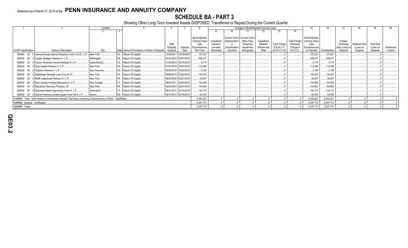SCHEDULE BA - PART 3<br>Showing Other Long-Term Invested Assets DISPOSED, Transferred or Repaid During the Current Quarter

|                                   |                                                                                                                       | Location      |                                               |                                |                       |                                                                        |                                                   |                                                 |                                                                                         | Changes in Book/Adjusted Carrying Value          |                                                       |                                                            | 15                                                                     |               |                                                   |                                        | 19                                         | 20                   |
|-----------------------------------|-----------------------------------------------------------------------------------------------------------------------|---------------|-----------------------------------------------|--------------------------------|-----------------------|------------------------------------------------------------------------|---------------------------------------------------|-------------------------------------------------|-----------------------------------------------------------------------------------------|--------------------------------------------------|-------------------------------------------------------|------------------------------------------------------------|------------------------------------------------------------------------|---------------|---------------------------------------------------|----------------------------------------|--------------------------------------------|----------------------|
|                                   |                                                                                                                       |               |                                               |                                |                       |                                                                        |                                                   |                                                 |                                                                                         |                                                  |                                                       | 14                                                         |                                                                        |               |                                                   |                                        |                                            |                      |
| <b>CUSIP Identification</b>       | Name or Description                                                                                                   | City          | State Name of Purchaser or Nature of Disposal | Date<br>Originally<br>Acauired | Disposal<br>Date      | Book/Adjusted<br>Carrying Value<br>Less<br>Encumbrances.<br>Prior Year | Unrealized<br>Valuation<br>Increase<br>(Decrease) | (Depreciation)<br>(Amortization)<br>/ Accretion | Current Year's   Current Year's<br>Other-Than-<br>Temporary<br>Impairment<br>Recognized | Capitalized<br>Deferred<br>Interest and<br>Other | <b>Total Change</b><br>in B./A.C.V.<br>$(9+10-11+12)$ | <b>Total Foreign</b><br>Exchange<br>Change in<br>B./A.C.V. | Book/Adjusted<br>Carrying Value<br>Less<br>Encumbrances<br>on Disposal | Consideration | Foreign<br>Exchange<br>Gain (Loss) on<br>Disposal | Realized Gain<br>(Loss) on<br>Disposal | <b>Total Gain</b><br>(Loss) on<br>Disposal | Investment<br>Income |
|                                   | 000000 00 0 Avenue Europe Special Situations Fund II (U.S.), L.P.                                                     | New York      | NY Return Of Capital                          | 10/04/2011                     | 03/25/2019            | 127.231                                                                |                                                   |                                                 |                                                                                         |                                                  |                                                       |                                                            | .127,231                                                               | 127,231       |                                                   |                                        |                                            |                      |
| 000000                            | 00 0 Carlyle Strategic Partners IV, L.P                                                                               | Wilminaton.   | DE Return Of Capital.                         |                                | 03/31/2016 03/07/2019 | .349.477                                                               |                                                   |                                                 |                                                                                         |                                                  |                                                       |                                                            | .349,477                                                               | 349,477       |                                                   |                                        |                                            |                      |
| 000000                            | 00 0 Colony American Homes Holdings III, L.P.                                                                         | Santa Monica. | CA Return Of Capital.                         |                                | 01/30/2013 02/15/2019 | .5.715                                                                 |                                                   |                                                 |                                                                                         |                                                  |                                                       |                                                            | .5.715                                                                 | 5.715         |                                                   |                                        |                                            |                      |
| 000000                            | 00 0 Dyal Capital Partners IV, L.P                                                                                    | New York      | NY Return Of Capital.                         |                                | 01/31/2018 03/07/2019 | 112.528                                                                |                                                   |                                                 |                                                                                         |                                                  |                                                       |                                                            | .112,528                                                               | 112,528       |                                                   |                                        |                                            |                      |
| 000000                            | 00 0 Gryphon Partners V, L.P                                                                                          | San Francisco | CA Return Of Capital                          |                                | 02/28/2018 03/22/2019 | .2.184                                                                 |                                                   |                                                 |                                                                                         |                                                  |                                                       |                                                            | .2.184                                                                 | .2.184        |                                                   |                                        |                                            |                      |
| 000000                            | 00 0 Highbridge Specialty Loan Fund III LP                                                                            | New York      | NY Return Of Capital                          |                                | 05/06/2013 03/22/2019 | 124.033                                                                |                                                   |                                                 |                                                                                         |                                                  |                                                       |                                                            | .124,033                                                               | 124,033       |                                                   |                                        |                                            |                      |
|                                   | 000000 00 0 MHR Institutional Partners IV, L.P.                                                                       | New York      | NY Return Of Capital                          |                                | 06/27/2016 02/27/2019 | .29.847                                                                |                                                   |                                                 |                                                                                         |                                                  |                                                       |                                                            | .29,847                                                                | .29.847       |                                                   |                                        |                                            |                      |
| 000000                            | 00 0 New Canaan Funding Mezzanine V, L.P                                                                              | New Canaan    | CT Return Of Capital.                         |                                | 08/05/2011 02/04/2019 | 144.460                                                                |                                                   |                                                 |                                                                                         |                                                  |                                                       |                                                            | .144.460                                                               | .144.460      |                                                   |                                        |                                            |                      |
| 000000                            | 00 0 Resolution Recovery Partners, LP                                                                                 | New York      | NY Return Of Capital                          |                                | 02/03/2012 02/01/2019 | 104.602                                                                |                                                   |                                                 |                                                                                         |                                                  |                                                       |                                                            | .104,602                                                               | .104,602      |                                                   |                                        |                                            |                      |
| 000000                            | 00 0 Starwood Global Opportunity Fund XI, L.P.                                                                        | Greenwich     | CT Return Of Capital                          |                                | 05/31/2017 02/15/2019 | 134,712                                                                |                                                   |                                                 |                                                                                         |                                                  |                                                       |                                                            | .134,712                                                               | 134,712       |                                                   |                                        |                                            |                      |
| 000000                            | 00 0 Summit Partners Growth Equity Fund VIII-A, L.P                                                                   | Boston        | MA. Return Of Capital.                        |                                | 06/14/2012 02/19/2019 | 60.455                                                                 |                                                   |                                                 |                                                                                         |                                                  |                                                       |                                                            | 60,455                                                                 | 60,455        |                                                   |                                        |                                            |                      |
|                                   | 2199999. Total - Joint Venture or Partnership Interests That Have Underlying Characteristics of Other - Unaffiliated. |               |                                               |                                |                       | .2,044,201                                                             |                                                   |                                                 |                                                                                         |                                                  |                                                       |                                                            | .2,044,201                                                             | .2,044,201    |                                                   |                                        |                                            |                      |
| 4499999. Subtotal - Unaffiliated. |                                                                                                                       |               |                                               |                                |                       | .2,447,774                                                             |                                                   |                                                 |                                                                                         |                                                  |                                                       |                                                            | .2,447,774                                                             | .2,447,774    |                                                   |                                        |                                            |                      |
| 4699999. Totals.                  |                                                                                                                       |               |                                               |                                |                       | .2,447,774                                                             |                                                   |                                                 |                                                                                         |                                                  |                                                       |                                                            | .2,447,774                                                             | 2,447,774     |                                                   |                                        |                                            |                      |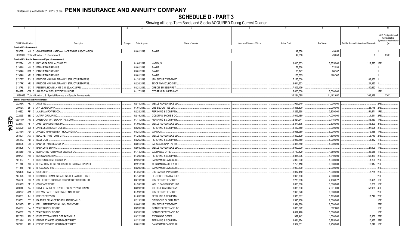## **SCHEDULE D - PART 3**

Showing all Long-Term Bonds and Stocks ACQUIRED During Current Quarter

|      | $\overline{1}$ | $\overline{2}$<br>3                                                    | $\overline{4}$ | $\overline{5}$              | $6^{\circ}$               | $\overline{7}$     | 8           | 9                                       | 10                                     |
|------|----------------|------------------------------------------------------------------------|----------------|-----------------------------|---------------------------|--------------------|-------------|-----------------------------------------|----------------------------------------|
|      |                |                                                                        |                |                             |                           |                    |             |                                         |                                        |
|      |                |                                                                        |                |                             |                           |                    |             |                                         | NAIC Designation and<br>Administrative |
|      |                |                                                                        |                |                             |                           |                    |             |                                         | Symbol/Market Indicator                |
|      |                | CUSIP Identification<br>Description<br>Foreign                         | Date Acquired  | Name of Vendor              | Number of Shares of Stock | <b>Actual Cost</b> | Par Value   | Paid for Accrued Interest and Dividends |                                        |
|      |                | Bonds - U.S. Government                                                |                |                             |                           |                    |             |                                         |                                        |
|      | 38378B         | M6 3 GOVERNMENT NATIONAL MORTGAGE ASSOCIATION                          | 03/01/2019.    | PAYUP.                      |                           | .49.658            | 49.658      |                                         |                                        |
|      |                | 0599999. Total - Bonds - U.S. Government                               |                |                             |                           | .49,658            | .49,658     | 0                                       | XXX.                                   |
|      |                | Bonds - U.S. Special Revenue and Special Assessment                    |                |                             |                           |                    |             |                                         |                                        |
|      | 072024         | NV 0 BAY AREA TOLL AUTHORITY                                           | 01/08/2019     | <b>VARIOUS</b>              |                           | .8,410,333         | .5,855,000  | 112,525                                 | 1FF                                    |
|      | 3136A8         | N5 5 FANNIE MAE REMICS.                                                | 03/01/2019.    | PAYUP.                      |                           | 72,538             | 72,538      |                                         |                                        |
|      | 3136A8         | 3 FANNIE MAE REMICS.<br><b>SM</b>                                      | 03/01/2019.    | PAYUP.                      |                           | .66,747            | .66,747     |                                         |                                        |
|      | 3136A8         | XR 6 FANNIE MAE REMICS.                                                | 03/01/2019.    | PAYUP.                      |                           | .168,365           | .168,365    |                                         |                                        |
|      | 3137BX         | <b>FREDDIE MAC MULTIFAMILY STRUCTURED PASS</b><br>R <sub>3</sub>       | 01/28/2019     | JPM SECURITIES-FIXED        |                           | 7,125,000          |             | .88,852                                 |                                        |
|      | 3137FK         | KR 6   FREDDIE MAC MULTIFAMILY STRUCTURED PASS.                        | 02/20/2019.    | BK OF NY/MIZUHO SECU.       |                           | .3,641,623         |             | .24,330                                 |                                        |
|      | 3137FL         | 7 FEDERAL HOME LN MT 0.01 25JAN32 FRN.<br>6X                           | 03/21/2019.    | <b>CREDIT SUISSE FIRST</b>  |                           | .7,809,479         |             | .80,622                                 |                                        |
|      | 79467B         | CM 5 SALES TAX SECURITIZATION CORP.                                    | 01/17/2019.    | <b>CTGRP GLBL MKTS INC/</b> |                           | .5,000,000         | .5,000,000  |                                         | 1FE.                                   |
|      |                | 3199999. Total - Bonds - U.S. Special Revenue and Special Assessments. |                |                             |                           | .32,294,085        | .11,162,650 | .306,329                                | <b>XXX</b>                             |
|      |                | <b>Bonds - Industrial and Miscellaneous</b>                            |                |                             |                           |                    |             |                                         |                                        |
|      | 00206R         | HK 1 AT&T INC                                                          | 02/14/2019.    | WELLS FARGO SECS LLC        |                           | .957,940           | .1,000,000  |                                         | 2FE.                                   |
|      | 00912X         | <b>BF</b><br>0 AIR LEASE CORP.                                         | 01/07/2019.    | <b>UBS SECURITIES LLC.</b>  |                           | 1,898,800          | .2,000,000  | .28,778                                 | 2FE.                                   |
|      | 010392         | 0 ALABAMA POWER CO.<br>FF.                                             | 02/28/2019     | PERSHING & COMPANY          |                           | 4,223,668          | .3,839,000  | .51,571                                 | 1FE.                                   |
|      | 02209S         | BE 2 ALTRIA GROUP INC.                                                 | 02/19/2019.    | GOLDMAN SACHS & CO.         |                           | 4,049,480          | 4,000,000   | .4,511                                  | 2FE.                                   |
|      | 03040W         | 6 AMERICAN WATER CAPITAL CORP<br>AR                                    | 01/11/2019.    | PERSHING & COMPANY          |                           | .2,821,941         | .3,115,000  | .43,480                                 | 1FE.                                   |
|      | 032177         | 4 AMSTED INDUSTRIES INC<br>AF                                          | 01/09/2019.    | <b>WELLS FARGO SECS LLC</b> |                           | .2,371,875         | .2,500,000  | .43,299                                 | 3FE.                                   |
| QE04 | 035229         | 5 ANHEUSER-BUSCH COS LLC.<br>BQ                                        | 02/20/2019.    | PERSHING & COMPANY.         |                           | .3,422,850         | .3,000,000  | .27,625                                 | 2FE                                    |
|      | 03765H         | 3 APOLLO MANAGEMENT HOLDINGS LP.<br>AD                                 | 03/21/2019.    | VARIOUS.                    |                           | .5,068,980         | .5,000,000  | .19,488                                 | 1FE.                                   |
|      | 05490T         | AG 7 BBCCRE TRUST 2015-GTP.                                            | 01/28/2019.    | WELLS FARGO SECS LLC        |                           | 1,802,809          | .1,890,000  | .5,749                                  | 12FE                                   |
|      | 05531G         | AB 7 BB&T CORP.                                                        | 03/26/2019.    | PERSHING & COMPANY.         |                           | .5,047,150         | .5,000,000  | 5,382                                   | 1FE.                                   |
|      | 060505         | EH 3 BANK OF AMERICA CORP.                                             | 03/01/2019.    | <b>BARCLAYS CAPITAL FIX</b> |                           | .5,318,750         | .5,000,000  |                                         | 2FE.                                   |
|      | 065405         | 1 BANK 2019-BNK16<br>AJ                                                | 02/04/2019.    | <b>WELLS FARGO SECS LLC</b> |                           | .3,000,000         |             | 21,909                                  | 1FE.                                   |
|      | 084659         | AR 2 BERKSHIRE HATHAWAY ENERGY CO.                                     | 01/14/2019.    | <b>EXCHANGE OFFER.</b>      |                           | 1,749,420          | .1,750,000  | .36,558                                 | 1FE.                                   |
|      | 099724         | AH 9 BORGWARNER INC.                                                   | 01/29/2019.    | PERSHING & COMPANY.         |                           | .3,885,205         | .4,310,000  | .65,339                                 | 2FE.                                   |
|      | 101137         | <b>BOSTON SCIENTIFIC CORP.</b><br>AT                                   | 02/26/2019     | <b>BANC/AMERICA SECUR.</b>  |                           | .5,010,200         | .5,000,000  | .1,896                                  | 2FE                                    |
|      | 11134L         | AH 2   BROADCOM CORP / BROADCOM CAYMAN FINANCE                         | 02/21/2019.    | MORGAN STANLEY & CO.        |                           | .2,758,110         | .3,000,000  | .12,917                                 | 2FE.                                   |
|      | 11135F         | <b>BROADCOM INC.</b><br>AB                                             | 03/29/2019     | BANC/AMERICA SECUR.I        |                           | 1,990,500          | .2,000,000  |                                         | 2FE.                                   |
|      | 126408         | GW 7 CSX CORP.                                                         | 01/25/2019.    | U.S. BANCORP INVESTM        |                           | .1,017,450         | .1,000,000  | .7,785                                  | 2FE.                                   |
|      | 161175         | CHARTER COMMUNICATIONS OPERATING LLC / C<br><b>BR</b>                  | 01/14/2019.    | <b>DEUTSCHE BANC/ALEX E</b> |                           | 1,998,700          | .2,000,000  |                                         | 2FE.                                   |
|      | 19458L         | 1 COLLEGIATE FUNDING SERVICES EDUCATION LO<br><b>BD</b>                | 03/19/2019.    | JPM SECURITIES-FIXED        |                           | .2,276,008         | 2,436,677   | .17,491                                 | 1FE.                                   |
|      | 20030N         | BE<br>0 COMCAST CORP.                                                  | 01/24/2019     | <b>WELLS FARGO SECS LLC</b> |                           | .3,066,060         | .3,000,000  | 5,038                                   | 1FE.                                   |
|      | 22304L         | 8 COVEY PARK ENERGY LLC / COVEY PARK FINAN<br>AA                       | 03/29/2019.    | JEFFERIES & COMPANY.        |                           | 1,888,830          | 2,031,000   | .57,968                                 | 4FE                                    |
|      | 22822V         | AM 3 CROWN CASTLE INTERNATIONAL CORP.                                  | 01/29/2019.    | JPM SECURITIES-FIXED.       |                           | .2,996,820         | .3,000,000  |                                         | 2FE.                                   |
|      | 233331         | 6 DTE ENERGY CO.<br>AJ                                                 | 01/09/2019.    | PERSHING & COMPANY.         |                           | 1,376,867          | 1,165,000   | .17.742                                 | 2FE.                                   |
|      | 233851         | DT 8 DAIMLER FINANCE NORTH AMERICA LLC                                 | 02/19/2019     | CITIGROUP GLOBAL MKT        |                           | 1,995,180          | .2,000,000  |                                         | 1FE.                                   |
|      | 24703D         | 4   DELL INTERNATIONAL LLC / EMC CORP.<br>AZ                           | 03/06/2019.    | JPM SECURITIES-FIXED        |                           | 1,994,860          | .2,000,000  |                                         | 2FE.                                   |
|      | 254687         | DA 1 WALT DISNEY CO/THE.                                               | 03/20/2019.    | NON-BROKER TRADE. BO        |                           | 1,078,022          | .832,000    |                                         | 1FE.                                   |
|      | 254687         | EQ 5 WALT DISNEY CO/THE.                                               | 03/20/2019.    | NON-BROKER TRADE, BO        |                           | 4,017,420          | .3,000,000  |                                         | 1FE.                                   |
|      | 29278N         | AN 3 ENERGY TRANSFER OPERATING LP                                      | 03/22/2019     | <b>EXCHANGE OFFER.</b>      |                           | .992,442           | .1,000,000  | 16,958                                  | 2FE.                                   |
|      | 30289H         | 6 FREMF 2016-K55 MORTGAGE TRUST<br>AG                                  | 02/22/2019     | PERSHING & COMPANY.         |                           | .3,631,974         | 3,785,000   | 10,937                                  | 2FE.                                   |
|      | 302971         | AR 7 FREMF 2019-K88 MORTGAGE TRUST                                     | 03/01/2019.    | <b>BANC/AMERICA SECUR.L</b> |                           | 6,354,531          | .6,250,000  | 8,642                                   | 1FE.                                   |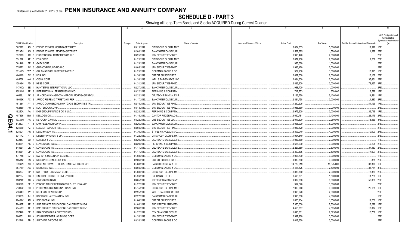SCHEDULE D - PART 3<br>Showing all Long-Term Bonds and Stocks ACQUIRED During Current Quarter

|     |                      |                       |                                                                    | -3      | $\overline{4}$             |                                |                           |                           |                          |                                         | 10                                                               |
|-----|----------------------|-----------------------|--------------------------------------------------------------------|---------|----------------------------|--------------------------------|---------------------------|---------------------------|--------------------------|-----------------------------------------|------------------------------------------------------------------|
|     | CUSIP Identification |                       | Description                                                        |         | Date Acquired              | Name of Vendor                 | Number of Shares of Stock | <b>Actual Cost</b>        | Par Value                | Paid for Accrued Interest and Dividends | NAIC Designation and<br>Administrative<br>Symbol/Market Indicato |
|     |                      |                       | 302972 AS 3 FREMF 2019-K89 MORTGAGE TRUST.                         | Foreign | 03/13/2019.                | CITIGROUP GLOBAL MKT           |                           | .5,054,335                | .5,000,000               | 12,312 1FE.                             |                                                                  |
|     | 30297H               |                       | AG 6   FREMF 2018-K081 MORTGAGE TRUST                              |         | 02/08/2019                 | BANC/AMERICA SECUR.L           |                           | .1,562,825                | .1,570,000               | 1,999 2FE                               |                                                                  |
|     | 33767B               |                       | AC 3   FIRSTENERGY TRANSMISSION LLC                                |         | 03/25/2019.                | JPM SECURITIES-FIXED.          |                           | .1,996,420                | .2,000,000               |                                         | 2FE                                                              |
|     | 35137L               |                       | AE 5 FOX CORP.                                                     |         | 01/25/2019                 | CITIGROUP GLOBAL MKT           |                           | .2,077,900                | .2,000,000               | .1,239 2FE                              |                                                                  |
|     | 361448               |                       | BE 2 GATX CORP.                                                    |         | 01/29/2019.                | <b>BANC/AMERICA SECUR.L</b>    |                           | .998,360                  | .1,000,000               |                                         | 2FE.                                                             |
|     | 378272               | AV                    | <b>GLENCORE FUNDING LLC.</b>                                       |         | 03/05/2019                 | JPM SECURITIES-FIXED           |                           | .1,993,420                | .2,000,000               |                                         | 2FE.                                                             |
|     | 38141G               | WZ 3                  | GOLDMAN SACHS GROUP INC/THE.                                       |         | 01/25/2019                 | <b>GOLDMAN SACHS &amp; CO</b>  |                           | .989,230                  | .1,000,000               | .10,323                                 | 1FE.                                                             |
|     | 404119               | <b>BV</b><br>$\Omega$ | HCA INC.                                                           |         | 01/24/2019                 | <b>CREDIT SUISSE FIRST.</b>    |                           | .2,027,500                | .2,000,000               | .13,139 2FE                             |                                                                  |
|     | 40573L               | AW 6                  | <b>CIGNA CORP.</b>                                                 |         | 01/24/2019.                | <b>WELLS FARGO SECS LLC</b>    |                           | .2,034,600                | .2,000,000               | .35,661                                 | 12FE                                                             |
|     | 42809H               | AD<br><b>q</b>        | <b>HESS CORP.</b>                                                  |         | 01/31/2019.                | JPM SECURITIES-FIXED.          |                           | .2,896,200                | .3,000,000               | .78,867                                 | 3FE                                                              |
|     | 44701Q               | <b>BE</b>             | HUNTSMAN INTERNATIONAL LLC.                                        |         | 02/27/2019                 | <b>BANC/AMERICA SECUR.L</b>    |                           | .988,700                  | 1,000,000                |                                         | 2FE                                                              |
|     | 46051M               | AF<br><b>q</b>        | INTERNATIONAL TRANSMISSION CO.                                     |         | 03/22/2019                 | PERSHING & COMPANY.            |                           | 712,753                   | 670,000                  | .3,529                                  | 1FF                                                              |
|     | 46639J               | AK                    | JP MORGAN CHASE COMMERCIAL MORTGAGE SECU                           |         | 02/22/2019                 | DEUTSCHE BANC/ALEX B           |                           | .5,163,750                |                          | .14,581                                 | 11FE.                                                            |
|     | 46642K               | AC                    | 6 JPMCC RE-REMIC TRUST 2014-FRR1                                   |         | 01/17/2019.                | <b>BANC/AMERICA SECUR.I</b>    |                           | .2,881,758                | .5,100,000<br>.3,000,000 | .4,383 2FE                              |                                                                  |
|     | 48128Y               | AY                    | 7 JPMCC COMMERCIAL MORTGAGE SECURITIES TRU                         |         | 02/15/2019.                | JPM SECURITIES-FIXED           |                           | .4,250,205                |                          | .41.129 1FE                             |                                                                  |
|     | 482480               | AH                    | 3   KLA-TENCOR CORP                                                |         | 03/13/2019.                | JPM SECURITIES-FIXED           |                           | .1,985,560                | .2,000,000               |                                         | 2FE                                                              |
|     | 48250A               | AA                    | KKR GROUP FINANCE CO III LLC.                                      |         |                            | PERSHING & COMPANY.            |                           |                           |                          | .39,719 1FE                             |                                                                  |
|     | 487836               | BW                    | KELLOGG CO                                                         |         | 02/28/2019<br>01/15/2019   | <b>CANTOR FITZGERALD 8</b>     |                           | .2,979,600<br>.3,090,781  | .3,000,000<br>.3,130,000 | .23,179 2FE                             |                                                                  |
| Q   | 49326M               | AA                    | <b>KEYCORP CAPITAL I.</b>                                          |         | 03/22/2019                 | UBS SECURITIES LLC.            |                           | .2,047,500                | .2,250,000               | .18,569 3FE                             |                                                                  |
| Ш   | 512807               | AT<br>- 5             | LAM RESEARCH CORP.                                                 |         | 02/26/2019                 | <b>BANC/AMERICA SECUR.I</b>    |                           | .5,065,900                | .5,000,000               |                                         | 2FE                                                              |
| 04. | 524660               |                       | AZ 0 LEGGETT & PLATT INC                                           |         | 03/04/2019                 | JPM SECURITIES-FIXED           |                           | .1,987,820                | .2,000,000               |                                         | 2FE.                                                             |
|     | 524901               | AR 6                  | <b>LEGG MASON INC.</b>                                             |         | 01/30/2019                 | STIFEL NICHOLAUS & C.          |                           | .3,809,040                | .4,000,000               | .10,000                                 | 2FE                                                              |
|     | 53117C               | AT <sub>9</sub>       | <b>LIBERTY PROPERTY LP.</b>                                        |         | 01/22/2019.                | CITIGROUP GLOBAL MKT           |                           | .1,994,840                | .2,000,000               |                                         | 2FE                                                              |
|     | 532457               |                       | BU 1 ELILILLY & CO                                                 |         | 02/20/2019                 | DEUTSCHE BANC/ALEX B           |                           | .1,987,560                | .2,000,000               |                                         | 1FE.                                                             |
|     | 548661               |                       | AK 3 LOWE'S COS INC A.                                             |         | 03/29/2019.                | PERSHING & COMPANY             |                           | .3,628,290                | .3,000,000               | $.9,208$ 2FE                            |                                                                  |
|     | 548661               |                       | DE 4 LOWE'S COS INC.                                               |         | 01/17/2019.                | DEUTSCHE BANC/ALEX B           |                           | .2,227,550                | .2,500,000               | .37,483 2FE                             |                                                                  |
|     | 548661               |                       | DP 9 LOWE'S COS INC                                                |         | 01/17/2019.                | DEUTSCHE BANC/ALEX B           |                           | .2,309,575                | .2,500,000               | .17,007 2FE                             |                                                                  |
|     | 571748               | BJ.<br>$\Omega$       | MARSH & MCLENNAN COS INC.                                          |         | 01/08/2019.                | GOLDMAN SACHS & CO.            |                           |                           |                          |                                         | 1FE                                                              |
|     |                      | BN                    |                                                                    |         | 02/06/2019                 | CREDIT SUISSE FIRST.           |                           | .2,996,790<br>.3,019,860  | .3,000,000               | .888 2FE                                |                                                                  |
|     | 595112<br>63939N     | AD<br>-5              | MICRON TECHNOLOGY INC.<br>NAVIENT PRIVATE EDUCATION LOAN TRUST 201 |         |                            | BAIRD ROBERT W & CO.           |                           |                           | .3,000,000               | .37,370 1FE                             |                                                                  |
|     | 65473P               | AG<br>റ               | NISOURCE INC.                                                      |         | 01/08/2019                 | <b>GOLDMAN SACHS &amp; CO</b>  |                           | .14,779,219<br>.2,428,125 | .15,375,000              | .31,781 3FE                             |                                                                  |
|     | 666807               | <b>BP</b>             | 6 NORTHROP GRUMMAN CORP.                                           |         | 03/04/2019.<br>01/03/2019. | CITIGROUP GLOBAL MKT           |                           | .1,833,360                | .2,500,000<br>.2,000,000 | .18,359 2FE                             |                                                                  |
|     |                      |                       |                                                                    |         |                            |                                |                           |                           |                          |                                         |                                                                  |
|     | 68233J               | BG 8                  | ONCOR ELECTRIC DELIVERY CO LLC.                                    |         | 01/24/2019                 | <b>EXCHANGE OFFER.</b>         |                           | .1,498,391                | 1,500,000                | .11,788 1FE                             |                                                                  |
|     | 690742               |                       | AB 7 OWENS CORNING                                                 |         | 03/05/2019                 | <b>JEFFERIES &amp; COMPANY</b> |                           | .3,309,060                | .3,000,000               | .56,000 2FE                             |                                                                  |
|     | 709599               | <b>BE</b><br>3        | PENSKE TRUCK LEASING CO LP / PTL FINANCE                           |         | 01/22/2019.                | JPM SECURITIES-FIXED           |                           | .997,320                  | .1,000,000               |                                         | 2FE                                                              |
|     | 718172               | <b>BD</b>             | 0 PHILIP MORRIS INTERNATIONAL INC                                  |         | 01/15/2019                 | CITIGROUP GLOBAL MKT           |                           | .2,909,040                | .3,000,000               | .25,188 1FE.                            |                                                                  |
|     | 75884R               | AY<br><b>q</b>        | <b>REGENCY CENTERS LP.</b>                                         |         | 02/25/2019.                | <b>WELLS FARGO SECS LLC</b>    |                           | .1,993,220                | .2,000,000               |                                         | 2FE.                                                             |
|     | 773903               | AJ                    | ROCKWELL AUTOMATION INC.                                           |         | 02/27/2019                 | BANC/AMERICA SECUR.L           |                           | .3,993,880                | .4,000,000               |                                         | 1FE.                                                             |
|     | 78409V               | AN<br>$\Omega$        | S&P GLOBAL INC                                                     |         | 01/04/2019                 | CREDIT SUISSE FIRST.           |                           | .1,850,204                | .1,850,000               | .12,256                                 | 1FF                                                              |
|     | 78448P               | AE                    | SMB PRIVATE EDUCATION LOAN TRUST 2015-A.                           |         | 01/08/2019                 | RBC CAPITAL MARKETS            |                           | .7,350,000                | .7,500,000               | .18,229 1FE.                            |                                                                  |
|     | 78448R               | AE                    | SMB PRIVATE EDUCATION LOAN TRUST 2015-C                            |         | 02/06/2019.                | JPM SECURITIES-FIXED.          |                           | 4,453,087                 | .4,505,000               | .10,074 1FE.                            |                                                                  |
|     | 797440               | <b>BP</b>             | SAN DIEGO GAS & ELECTRIC CO.                                       |         | 01/22/2019.                | FTN FINANCIAL SECURI.          |                           | 1,896,301                 | .2,075,000               | .15,709                                 | 1FE                                                              |
|     | 806851               | AH                    | <b>SCHLUMBERGER HOLDINGS CORP.</b>                                 |         | 01/28/2019.                | JPM SECURITIES-FIXED           |                           | .2,997,960                | .3,000,000               |                                         | 2FE                                                              |
|     | 832248               |                       | BB 3 SMITHFIELD FOODS INC.                                         |         | 03/28/2019.                | <b>GOLDMAN SACHS &amp; CO.</b> |                           | .3.018.630                | .3.000.000               |                                         | 2FE.                                                             |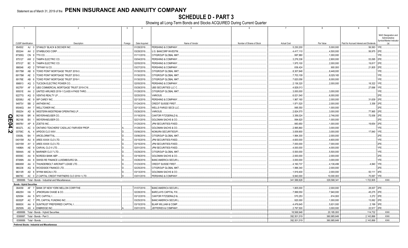SCHEDULE D - PART 3<br>Showing all Long-Term Bonds and Stocks ACQUIRED During Current Quarter

|          |                                  |           | $\overline{2}$                                        | 3       | $\overline{4}$ |                                |                           |                    |              |                                         | 10                                     |
|----------|----------------------------------|-----------|-------------------------------------------------------|---------|----------------|--------------------------------|---------------------------|--------------------|--------------|-----------------------------------------|----------------------------------------|
|          |                                  |           |                                                       |         |                |                                |                           |                    |              |                                         | NAIC Designation and<br>Administrative |
|          | <b>CUSIP</b> Identification      |           | Description                                           | Foreign | Date Acquired  | Name of Vendor                 | Number of Shares of Stock | <b>Actual Cost</b> | Par Value    | Paid for Accrued Interest and Dividends | Symbol/Market Indicator                |
|          | 854502                           |           | AJ 0 STANLEY BLACK & DECKER INC.                      |         | 01/28/2019     | PERSHING & COMPANY.            |                           | 5,230,200          | 5,000,000    | .56,583 1FE.                            |                                        |
|          | 855244                           |           | AH 2 STARBUCKS CORP                                   |         | 03/28/2019     | U.S. BANCORP INVESTM           |                           | .4,417,110         | .4,500,000   | .56,975 2FE                             |                                        |
|          | 87305Q                           |           | CN 9 TTX CO.                                          |         | 01/11/2019     | CITIGROUP GLOBAL MKT           |                           | .997,880           | 1,000,000    |                                         | IFE.                                   |
|          | 875127                           |           | AW 2 TAMPA ELECTRIC CO.                               |         | 03/04/2019     | PERSHING & COMPANY             |                           | .3,276,336         | .2,800,000   | .53,095                                 | 2FE                                    |
|          | 875127                           | BC        | 5 TAMPA ELECTRIC CO.                                  |         | 02/05/2019     | PERSHING & COMPANY.            |                           | 1,975,100          | .2,000,000   | .19,817                                 | 2FE                                    |
|          | 886546                           | AD        | 2 TIFFANY & CO.                                       |         | 03/27/2019     | PERSHING & COMPANY.            |                           | .836,424           | 900,000      | .21,805                                 | 2FE                                    |
|          | 89175M                           | AB        | 9 TOWD POINT MORTGAGE TRUST 2018-3.                   |         | 01/30/2019     | CITIGROUP GLOBAL MKT           |                           | 8,307,848          | 8,448,000    |                                         | IFE.                                   |
|          | 89175M                           | AE        | 3   TOWD POINT MORTGAGE TRUST 2018-3.                 |         | 01/30/2019     | CITIGROUP GLOBAL MKT           |                           | 7,703,109          | 8,029,165    |                                         | 1FE.                                   |
|          | 89176E                           | AB        | 6   TOWD POINT MORTGAGE TRUST 2018-1                  |         | 01/30/2019     | CITIGROUP GLOBAL MKT           |                           | .7,620,056         | .8,000,000   |                                         | 1FE                                    |
|          | 898813                           |           | AQ 3   TUCSON ELECTRIC POWER CO.                      |         | 02/05/2019     | PERSHING & COMPANY.            |                           | .2,136,320         | .2,000,000   | 18,322                                  | 1FE                                    |
|          |                                  | AF        |                                                       |         |                |                                |                           |                    |              |                                         |                                        |
|          | 90276Y                           |           | 0 UBS COMMERCIAL MORTGAGE TRUST 2019-C16.             |         | 03/28/2019.    | UBS SECURITIES LLC C.          |                           | 4,828,013          |              | .27,696                                 |                                        |
|          | 90931E                           | AA 2      | UNITED AIRLINES 2019-1 CLASS A PASS THRO.             |         | 01/28/2019     | CITIGROUP GLOBAL MKT           |                           | .3,000,000         | .3,000,000   |                                         |                                        |
|          | 92277G                           | AQ        | 0 VENTAS REALTY LP.                                   |         | 02/20/2019     | VARIOUS.                       |                           | .6,021,540         | .6,000,000   |                                         | 2FE                                    |
|          | 92936U                           | AE        | 9 WP CAREY INC.                                       |         | 02/13/2019     | PERSHING & COMPANY.            |                           | 1,967,160          | .2,000,000   | .31,639                                 | 2FE                                    |
|          | 94973V                           | BB        | 2 ANTHEM INC.                                         |         | 01/24/2019.    | <b>CREDIT SUISSE FIRST.</b>    |                           | 1,971,520          | .2,000,000   | .3,358                                  |                                        |
|          | 95040Q                           | AH 7      | <b>WELLTOWER INC.</b>                                 |         | 02/13/2019     | <b>WELLS FARGO SECS LLC</b>    |                           | .995,550           | .1,000,000   |                                         | 2FE                                    |
|          | 958254                           | AD        | WESTERN MIDSTREAM OPERATING LP.                       |         | 03/26/2019.    | VARIOUS.                       |                           | .2,824,570         | .3,000,000   | .77,965                                 |                                        |
| <u>c</u> | 962166                           | <b>BR</b> | WEYERHAEUSER CO.                                      |         | 01/18/2019     | CANTOR FITZGERALD &            |                           | .3,356,024         | 2,746,000    | .72,006                                 |                                        |
|          | 962166                           | BX        | WEYERHAEUSER CO.                                      |         | 02/21/2019.    | <b>GOLDMAN SACHS &amp; CO.</b> |                           | .994,620           | .1,000,000   |                                         | 2FE                                    |
|          | 98978V                           | AP        | ZOETIS INC.                                           |         | 01/25/2019     | JPM SECURITIES-FIXED           |                           | .983,650           | .1,000,000   | .19,654                                 | 2FE                                    |
| 24.2     | 68327L                           | AC        | ONTARIO TEACHERS' CADILLAC FAIRVIEW PROP              |         | 01/28/2019.    | <b>GOLDMAN SACHS &amp; CO.</b> |                           | .2,995,860         | .3,000,000   |                                         |                                        |
|          | 03759C                           | AL        | APIDOS CLO XXIV.                                      |         | 03/06/2019.    | NOMURA SECURITIES/FI           |                           | .3,009,900         | .3,000,000   | .17,840                                 | 1FE                                    |
|          | 03938L                           | BA        | ARCELORMITTAL.                                        |         | 03/06/2019.    | CITIGROUP GLOBAL MKT           |                           | 1,994,300          | .2,000,000   |                                         | 2FE                                    |
|          | 04015W                           | AU        | ARES XXXIX CLO LTD.                                   |         | 03/15/2019     | JPM SECURITIES-FIXED           |                           | 4,600,000          | 4,600,000    |                                         | 1FE.                                   |
|          | 04015W                           | AY 0      | ARES XXXIX CLO LTD.                                   |         | 03/15/2019.    | JPM SECURITIES-FIXED           |                           | .7,000,000         | .7,000,000   |                                         | 2FE.                                   |
|          | 14686A                           | AE 9      | CARVAL CLO II LTD.                                    |         | 02/01/2019     | JPM SECURITIES-FIXED.          |                           | 4,000,000          | .4,000,000   |                                         | 1FE.                                   |
|          | 56844A                           |           | AE 9 MARINER CLO 7 LTD.                               |         | 03/29/2019.    | CITIGROUP GLOBAL MKT           |                           | 5,500,000          | .5,500,000   |                                         | 1FE.                                   |
|          | 65559C                           | AA 9      | NORDEA BANK ABP.                                      | D.      | 03/19/2019.    | GOLDMAN SACHS & CO.            |                           | .2,000,000         | .2,000,000   |                                         | 2FE                                    |
|          | 87089N                           | AA        | SWISS RE FINANCE LUXEMBOURG SA                        |         | 03/26/2019.    | <b>BANC/AMERICA SECUR.</b>     |                           | .3,000,000         | .3,000,000   |                                         | 1FE                                    |
|          | 88606W                           | AA        | 0   THUNDERBOLT AIRCRAFT LEASE LTD                    |         | 01/23/2019     | <b>CREDIT SUISSE FIRST</b>     |                           | .4,160,737         | .4,136,499   | .4,840                                  | 1FE                                    |
|          | 980236                           |           | AQ 6 WOODSIDE FINANCE LTD.                            |         | 02/25/2019     | CITIGROUP GLOBAL MKT           |                           | 1,996,340          | .2,000,000   |                                         |                                        |
|          | 98313R                           |           | AD 8 WYNN MACAU LTD.                                  | D.      | 03/13/2019     | <b>GOLDMAN SACHS &amp; CO.</b> |                           | 1,919,400          | .2,000,000   | 50,111                                  | 4FE                                    |
|          | 98878C                           |           | AC 0 Z CAPITAL CREDIT PARTNERS CLO 2018-1 LTD         |         | 03/01/2019.    | PERSHING & COMPANY.            |                           | .9,840,000         | .10,000,000  | .70,067                                 | 1FE                                    |
|          |                                  |           | 3899999. Total - Bonds - Industrial and Miscellaneous |         |                |                                |                           | .341,588,828       | 329,588,341  | 1,722,805                               | .XXX.                                  |
|          | <b>Bonds - Hybrid Securities</b> |           |                                                       |         |                |                                |                           |                    |              |                                         |                                        |
|          | 064058                           |           | AF 7 BANK OF NEW YORK MELLON CORP/THE                 |         | 01/07/2019.    | <b>BANC/AMERICA SECUR.I</b>    |                           | 1,805,000          | .2,000,000   | .28,007 2FE.                            |                                        |
|          | 46625H                           |           | HA 1 JPMORGAN CHASE & CO                              |         | 02/28/2019     | <b>BARCLAYS CAPITAL FIX</b>    |                           | 7,999,550          | 7,940,000    | 45,275 2FE                              |                                        |
|          | 629394                           |           | AA 5 NTC CAPITAL I                                    |         | 03/12/2019.    | <b>CANTOR FITZGERALD &amp;</b> |                           | .570,253           | 614,000      | .3,272 2FE.                             |                                        |
|          | 69352P                           |           | AC 7 PPL CAPITAL FUNDING INC.                         |         | 03/25/2019     | <b>BANC/AMERICA SECUR.I</b>    |                           | .920,000           | 1,000,000    | 13,062                                  | 2FE                                    |
|          | 86800X                           |           | AA 6 SUNTRUST PREFERRED CAPITAL I                     |         | 03/15/2019.    | BLAIR WILLIAM & COMP.          |                           | .4,476,645         | 5,631,000    | .2,199                                  | 3FE                                    |
|          | 29250N                           |           | AS 4 ENBRIDGE INC.                                    |         | 03/01/2019.    | <b>JEFFERIES &amp; COMPANY</b> |                           | .2,797,500         | .3,000,000   | .22,917                                 | 2FE.                                   |
|          |                                  |           | 4899999. Total - Bonds - Hybrid Securities.           |         |                |                                |                           | .18,568,948        | 20,185,000   | 114,732                                 | .XXX.                                  |
|          |                                  |           | 8399997. Total - Bonds - Part 3.                      |         |                |                                |                           | .392,501,519       | .360,985,649 | 2,143,866                               | XXX.                                   |
|          | 8399999. Total - Bonds.          |           |                                                       |         |                |                                |                           | .392,501,519       | .360,985,649 | .2,143,866                              | .XXX.                                  |
|          |                                  |           | Preferred Stocks - Industrial and Miscellaneous       |         |                |                                |                           |                    |              |                                         |                                        |
|          |                                  |           |                                                       |         |                |                                |                           |                    |              |                                         |                                        |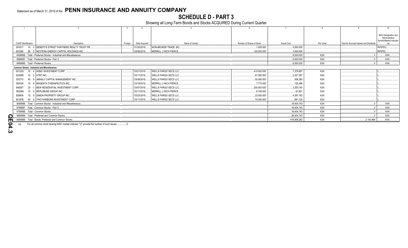## **SCHEDULE D - PART 3**

Showing all Long-Term Bonds and Stocks ACQUIRED During Current Quarter

|                                   |                                                                  |         |               |                              |                           |                    |            |                                         | 10                                     |
|-----------------------------------|------------------------------------------------------------------|---------|---------------|------------------------------|---------------------------|--------------------|------------|-----------------------------------------|----------------------------------------|
|                                   |                                                                  |         |               |                              |                           |                    |            |                                         |                                        |
|                                   |                                                                  |         |               |                              |                           |                    |            |                                         | NAIC Designation and<br>Administrative |
|                                   |                                                                  |         |               |                              |                           |                    |            |                                         | Symbol/Market Indicato                 |
| CUSIP Identification              | Description                                                      | Foreian | Date Acquired | Name of Vendor               | Number of Shares of Stock | <b>Actual Cost</b> | Par Value  | Paid for Accrued Interest and Dividends |                                        |
| 08181T                            | 10 0 BENEFITS STREET PARTNERS REALTY TRUST PR.                   |         | 01/30/2019.   | NON-BROKER TRADE, BO.,       | 1,000.000                 | .5.000.000         |            |                                         | RP2FEU.                                |
| 65339K                            | 86 0 NEXTERA ENERGY CAPITAL HOLDINGS INC.                        |         | 03/06/2019.   | MERRILL LYNCH PIERCE         | 120,000.000               | .3,000,000         |            |                                         | RP2FEL.                                |
|                                   | 8499999. Total - Preferred Stocks - Industrial and Miscellaneous |         |               |                              |                           | 0.8,000,000        | <b>XXX</b> |                                         | XXX.                                   |
|                                   | 8999997. Total - Preferred Stocks - Part 3                       |         |               |                              |                           | .8,000,000         | <b>XXX</b> |                                         | XXX.                                   |
| 8999999. Total - Preferred Stocks |                                                                  |         |               |                              |                           | 0.8,000,000        | <b>XXX</b> |                                         | XXX.                                   |
|                                   | <b>Common Stocks - Industrial and Miscellaneous</b>              |         |               |                              |                           |                    |            |                                         |                                        |
| 00123Q                            | 10 4 AGNC INVESTMENT CORP                                        |         | 03/21/2019.   | <b>WELLS FARGO SECS LLC.</b> | 410,000.000               | 7,279,897          | <b>XXX</b> |                                         |                                        |
| 00206R                            | 10 2 AT&T INC                                                    |         | 03/11/2019.   | <b>WELLS FARGO SECS LLC.</b> | .67,000.000               | .2,027,387         | XXX        |                                         |                                        |
| 035710                            | 40 9 ANNALY CAPITAL MANAGEMENT INC                               |         | 03/08/2019.   | <b>WELLS FARGO SECS LLC.</b> | .50.000.000               | .508.280           | <b>XXX</b> |                                         |                                        |
| 55910K                            | 10 8   MAGENTA THERAPEUTICS INC.                                 |         | 03/19/2019.   | MERRILL LYNCH PIERCE         | .7.770.000                | .125.486           | XXX        |                                         |                                        |
| 64828T                            | 20 1 NEW RESIDENTIAL INVESTMENT CORP                             |         | 03/07/2019.   | <b>WELLS FARGO SECS LLC.</b> | .200,000.000              | .3.293.740         | <b>XXX</b> |                                         |                                        |
| 76029N                            | 10 6 REPLIMUNE GROUP INC.                                        |         | 02/11/2019.   | <b>MERRILL LYNCH PIERCE.</b> | .6,749.000                | .91.651            | XXX        |                                         |                                        |
| 828806                            | 10 9 SIMON PROPERTY GROUP INC                                    |         | 03/22/2019.   | <b>WELLS FARGO SECS LLC</b>  | .23.000.000               | 4.097.182          | <b>XXX</b> |                                         |                                        |
| 90187B                            | 40 8 TWO HARBORS INVESTMENT CORP                                 |         | 03/11/2019    | <b>WELLS FARGO SECS LLC</b>  | .70,000.000               | .981.120           | <b>XXX</b> |                                         |                                        |
|                                   | 9099999. Total - Common Stocks - Industrial and Miscellaneous    |         |               |                              |                           | .18.404.743        | <b>XXX</b> |                                         | $\mathsf{XXX}$                         |
|                                   | 9799997. Total - Common Stocks - Part 3                          |         |               |                              |                           | .18,404,743        | <b>XXX</b> |                                         | .XXX.                                  |
| 9799999. Total - Common Stocks.   |                                                                  |         |               |                              |                           | .18.404.743        | <b>XXX</b> |                                         | $\mathsf{XXX}$                         |
|                                   | 9899999. Total - Preferred and Common Stocks                     |         |               |                              |                           | 26,404,743         | <b>XXX</b> |                                         | $.$ $XXX$                              |
|                                   | 9999999. Total - Bonds, Preferred and Common Stocks              |         |               |                              |                           | .418,906,262       | <b>XXX</b> | .2,143,866                              | $\ldots$ XXX $\ldots$                  |
|                                   |                                                                  |         |               |                              |                           |                    |            |                                         |                                        |

 $(a)$ For all common stock bearing NAIC market indicator "U" provide the number of such issues:....................

QE04.3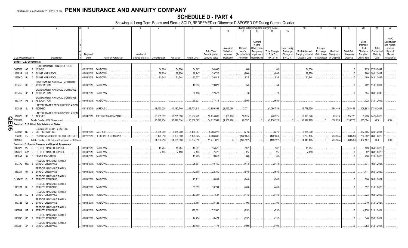## **SCHEDULE D - PART 4**

|           |                             |                                | $\mathcal{P}$                                          |                       | -5                              |                 |               | 8           | q                  | 10                |             |              |            | Change in Book/Adjusted Carrying Value |                      | 16                | 17                     | 18          | 19                | 20          | 21                  | 22            |
|-----------|-----------------------------|--------------------------------|--------------------------------------------------------|-----------------------|---------------------------------|-----------------|---------------|-------------|--------------------|-------------------|-------------|--------------|------------|----------------------------------------|----------------------|-------------------|------------------------|-------------|-------------------|-------------|---------------------|---------------|
|           |                             |                                |                                                        |                       |                                 |                 |               |             |                    |                   | 11          | 12           | 13         | 14                                     | 15                   |                   |                        |             |                   |             |                     |               |
|           |                             |                                |                                                        |                       |                                 |                 |               |             |                    |                   |             |              |            |                                        |                      |                   |                        |             |                   |             |                     |               |
|           |                             |                                |                                                        |                       |                                 |                 |               |             |                    |                   |             |              |            |                                        |                      |                   |                        |             |                   |             |                     | <b>NAIC</b>   |
|           |                             |                                |                                                        |                       |                                 |                 |               |             |                    |                   |             |              |            |                                        |                      |                   |                        |             |                   |             |                     |               |
|           |                             |                                |                                                        |                       |                                 |                 |               |             |                    |                   |             |              | Current    |                                        |                      |                   |                        |             |                   | Bond        |                     | Designation   |
|           |                             |                                |                                                        |                       |                                 |                 |               |             |                    |                   |             |              | Year's     |                                        |                      |                   |                        |             |                   | Interest    |                     | and Admini-   |
|           |                             |                                |                                                        |                       |                                 |                 |               |             |                    |                   | Unrealized  | Current      | Other-Than |                                        | <b>Total Foreign</b> |                   | Foreign                |             |                   | Stock       | Stated              | strative      |
|           |                             |                                |                                                        |                       |                                 |                 |               |             |                    | <b>Prior Year</b> | Valuation   | Year's       | Temporary  | <b>Total Change</b>                    | Exchange             | Book/Adjusted     | Exchange               | Realized    | <b>Total Gain</b> | Dividends   | Contractua          | Symbol/       |
|           |                             |                                |                                                        | Disposal              |                                 | Number of       |               |             |                    | Book/Adjusted     | Increase    | Amortization | Impairment | in B./A.C.V.                           | Change in            | Carrying Value at | Gain (Loss)            | Gain (Loss) | (Loss) on         | Received    | Maturity            | Market        |
|           | <b>CUSIP</b> Identification |                                | Description                                            | Date                  | Name of Purchaser               | Shares of Stock | Consideration | Par Value   | <b>Actual Cost</b> | Carrying Value    | (Decrease)  | / Accretion  | Recognized | $(11+12-13)$                           | <b>B./A.C.V.</b>     | Disposal Date     | on Disposal on Disposa |             | Disposal          | During Year | Date                | Indicator (a) |
|           | Bonds - U.S. Government     |                                |                                                        |                       |                                 |                 |               |             |                    |                   |             |              |            |                                        |                      |                   |                        |             |                   |             |                     |               |
|           |                             |                                |                                                        |                       |                                 |                 |               |             |                    |                   |             |              |            |                                        |                      |                   |                        |             |                   |             |                     |               |
|           |                             |                                | FDIC GUARANTEED NOTES TRUST                            |                       |                                 |                 |               |             |                    |                   |             |              |            |                                        |                      |                   |                        |             |                   |             |                     |               |
|           | 30250W AB 9                 |                                | 2010-S2                                                |                       | 03/29/2019. PAYDOWN.            |                 | .54,806       | .54.806     | .54,867            | .54.865           |             | (60)         |            | (60)                                   |                      | .54.806           |                        |             |                   |             | .275 07/29/2047     |               |
|           | 36183R                      | N6<br>- 6                      | <b>GINNIE MAE I POOL</b>                               | 03/01/2019.           | PAYDOWN.                        |                 | .38,920       | .38.920     | .39,747            | .39,726           |             | (806)        |            | (806)                                  |                      | .38,920           |                        |             |                   | 266         | 09/01/2037          |               |
|           |                             |                                |                                                        |                       |                                 |                 |               |             |                    |                   |             |              |            |                                        |                      |                   |                        |             |                   |             |                     |               |
|           | 36296Q RJ                   |                                | <b>GINNIE MAE I POOL</b>                               | 03/01/2019.           | PAYDOWN.                        |                 | .21,348       | .21.348     | .20,337            | .20,513           |             | .835         |            | .835                                   |                      | .21,348           |                        |             |                   | 169         | 04/01/2039          |               |
|           |                             |                                | <b>GOVERNMENT NATIONAL MORTGAGE</b>                    |                       |                                 |                 |               |             |                    |                   |             |              |            |                                        |                      |                   |                        |             |                   |             |                     |               |
|           |                             |                                | <b>ASSOCIATION</b>                                     |                       |                                 |                 |               |             |                    | .13.827           |             |              |            | (54)                                   |                      |                   |                        |             |                   |             | 282 11/01/2064.     |               |
|           | 38375U SC                   | - 5                            |                                                        |                       | 03/01/2019. PAYDOWN.            |                 |               |             | .18,850            |                   |             | (54)         |            |                                        |                      |                   |                        |             |                   |             |                     |               |
|           |                             |                                | <b>GOVERNMENT NATIONAL MORTGAGE</b>                    |                       |                                 |                 |               |             |                    |                   |             |              |            |                                        |                      |                   |                        |             |                   |             |                     |               |
|           | 38378N XK                   |                                | <b>ASSOCIATION</b>                                     |                       | 03/01/2019. PAYDOWN.            |                 |               |             | .36,168            | .12.577           |             | (73)         |            | (73)                                   |                      |                   |                        |             |                   |             | 584 06/01/2048.     |               |
|           |                             |                                |                                                        |                       |                                 |                 |               |             |                    |                   |             |              |            |                                        |                      |                   |                        |             |                   |             |                     |               |
|           |                             |                                | <b>GOVERNMENT NATIONAL MORTGAGE</b>                    |                       |                                 |                 |               |             |                    |                   |             |              |            |                                        |                      |                   |                        |             |                   |             |                     |               |
|           | 38378X PE                   | - 5                            | <b>ASSOCIATION</b>                                     | 03/01/2019.           | PAYDOWN.                        |                 |               |             | .69,321            | .37.471           |             | (656)        |            | (656)                                  |                      |                   |                        |             | $\sqrt{ }$        |             | .1,722 01/01/2056.  |               |
|           |                             |                                |                                                        |                       |                                 |                 |               |             |                    |                   |             |              |            |                                        |                      |                   |                        |             |                   |             |                     |               |
|           |                             |                                | UNITED STATES TREASURY INFLATION                       |                       |                                 |                 |               |             |                    |                   |             |              |            |                                        |                      |                   |                        |             |                   |             |                     |               |
|           | 912828 2L 3                 |                                | <b>INDEXED</b>                                         | 03/11/2019. VARIOUS.  |                                 |                 | 43,063,028    | .44,180,740 | .42,701,318        | 43,859,368        | (1,093,060) | .12,271      |            | (1,080,789)                            |                      | 42,778,579        |                        | .284,449    | 284,449           | 106,863     | 07/15/2027          |               |
|           |                             |                                | UNITED STATES TREASURY INFLATION                       |                       |                                 |                 |               |             |                    |                   |             |              |            |                                        |                      |                   |                        |             |                   |             |                     |               |
|           | 912828                      | K3                             | 3 INDEXED                                              |                       | 03/04/2019. JEFFERIES & COMPANY |                 | .10,651,852   | .10,731,500 | .10,567,269        | 10,674,602        | (65.400)    | .16,875      |            | (48.525)                               |                      | 10,626,076        |                        | 25,776      | .25,776           |             | 5,233 04/15/2020.   |               |
|           |                             |                                |                                                        |                       |                                 |                 |               |             |                    |                   |             |              |            |                                        |                      |                   |                        |             |                   |             |                     |               |
|           | 1599999.                    |                                | Total - Bonds - U.S. Government.                       |                       |                                 |                 | .53.829.954   | .55.027.314 | .53.507.877        | .54.712.949       | (1.158.460) | .28.332      |            | (1.130.128)                            |                      | .53.519.729       |                        | .310.225    | .310.225          | .115.394    | <b>XXX</b>          | <b>XXX</b>    |
| m         |                             |                                | Bonds - U.S. Political Subdivisions of States          |                       |                                 |                 |               |             |                    |                   |             |              |            |                                        |                      |                   |                        |             |                   |             |                     |               |
| <b>SQ</b> |                             |                                |                                                        |                       |                                 |                 |               |             |                    |                   |             |              |            |                                        |                      |                   |                        |             |                   |             |                     |               |
|           |                             |                                | LEXINGTON COUNTY SCHOOL                                |                       |                                 |                 |               |             |                    |                   |             |              |            |                                        |                      |                   |                        |             | $\sqrt{ }$        |             |                     |               |
|           | 529063                      |                                | NU 9 DISTRICT NO 1/SC                                  | 02/01/2019. CALL 100. |                                 |                 | .5,085,000    | .5,085,000  | .5,138,087         | .5,085,276        |             | (276)        |            | (276)                                  |                      | .5,085,000        |                        |             |                   |             | 167,805 02/01/2034. | 1FE.          |
|           |                             |                                | 702282 LQ 5 PASADENA UNIFIED SCHOOL DISTRICT           |                       | 03/28/2019. PERSHING & COMPANY  |                 | 6,179,910     | .6,100,000  | 7,129,225          | .6,386,346        |             | (122, 851)   |            | (122,851                               |                      | .6,263,495        |                        | (83.585     | (83,585)          |             | 284,382 08/01/2029. | 1FE.          |
|           | 2499999.                    |                                | Total - Bonds - U.S. Political Subdivisions of States  |                       |                                 |                 | 11,264,910    | .11,185,000 | .12,267,312        | 11,471,622        | 0           | (123, 127)   | $\cap$     | (123, 127)                             |                      | 11,348,495        |                        | (83, 585)   | (83, 585)         | .452,187    | XXX                 | XXX           |
|           |                             |                                |                                                        |                       |                                 |                 |               |             |                    |                   |             |              |            |                                        |                      |                   |                        |             |                   |             |                     |               |
|           |                             |                                | Bonds - U.S. Special Revenue and Special Assessment    |                       |                                 |                 |               |             |                    |                   |             |              |            |                                        |                      |                   |                        |             |                   |             |                     |               |
|           | 3128PK                      | WJ                             | FREDDIE MAC GOLD POOL                                  |                       | 03/01/2019. PAYDOWN             |                 | .15,754       | .15,754     | 15,301             | 15,572            |             | .182         |            | 182                                    |                      | .15,754           |                        |             |                   |             | 109 05/01/2023.     |               |
|           | 3128PL                      | AW<br>$\overline{\phantom{a}}$ | FREDDIE MAC GOLD POOL                                  |                       | 03/01/2019. PAYDOWN.            |                 | .7,453        | .7,453      | .7,400             | .7,428            |             | .25          |            | .25                                    |                      | .7,453            |                        |             |                   |             | .62 06/01/2023      |               |
|           |                             |                                |                                                        |                       |                                 |                 |               |             |                    |                   |             |              |            |                                        |                      |                   |                        |             |                   |             |                     |               |
|           | 3136AT X2                   |                                | <b>FANNIE MAE-ACES.</b>                                |                       | 03/01/2019. PAYDOWN             |                 |               |             | 11,289             | .9,817            |             | (80)         |            | (80)                                   |                      |                   |                        |             |                   |             | 236 07/01/2028.     |               |
|           |                             |                                | <b>REDDIE MAC MULTIFAMILY</b>                          |                       |                                 |                 |               |             |                    |                   |             |              |            |                                        |                      |                   |                        |             |                   |             |                     |               |
|           | 3137AJ MG                   |                                | STRUCTURED PASS                                        |                       | 03/01/2019. PAYDOWN.            |                 |               |             | .25,707            | .10,750           |             | (413)        |            | (413)                                  |                      |                   |                        |             |                   |             | 774 10/01/2021      |               |
|           |                             |                                |                                                        |                       |                                 |                 |               |             |                    |                   |             |              |            |                                        |                      |                   |                        |             |                   |             |                     |               |
|           |                             |                                | FREDDIE MAC MULTIFAMILY                                |                       |                                 |                 |               |             |                    |                   |             |              |            |                                        |                      |                   |                        |             |                   |             |                     |               |
|           | 3137AT RX 2                 |                                | <b>STRUCTURED PASS</b>                                 | 03/01/2019.           | PAYDOWN                         |                 |               |             | 42,595             | .22,350           |             | (646)        |            | (646)                                  |                      |                   |                        |             | $\cap$            | .1,411      | 05/01/2022          |               |
|           |                             |                                |                                                        |                       |                                 |                 |               |             |                    |                   |             |              |            |                                        |                      |                   |                        |             |                   |             |                     |               |
|           |                             |                                | FREDDIE MAC MULTIFAMILY                                |                       |                                 |                 |               |             |                    |                   |             |              |            |                                        |                      |                   |                        |             |                   |             |                     |               |
|           | 3137AW QJ                   |                                | <b>STRUCTURED PASS</b>                                 |                       | 03/01/2019. PAYDOWN.            |                 |               |             | 15,711             | .8.899            |             | (240)        |            | (240)                                  |                      |                   |                        |             |                   | 500         | 08/01/2022          |               |
|           |                             |                                | FREDDIE MAC MULTIFAMILY                                |                       |                                 |                 |               |             |                    |                   |             |              |            |                                        |                      |                   |                        |             |                   |             |                     |               |
|           | 3137B1 UH                   | -3                             | <b>STRUCTURED PASS</b>                                 |                       | 03/01/2019. PAYDOWN.            |                 |               |             | .33,352            | .16,731           |             | (403)        |            | (403)                                  |                      |                   |                        |             |                   |             | 857 01/01/2023.     |               |
|           |                             |                                |                                                        |                       |                                 |                 |               |             |                    |                   |             |              |            |                                        |                      |                   |                        |             |                   |             |                     |               |
|           |                             |                                | FREDDIE MAC MULTIFAMILY                                |                       |                                 |                 |               |             |                    |                   |             |              |            |                                        |                      |                   |                        |             |                   |             |                     |               |
|           | 3137B7 N2                   |                                | <b>STRUCTURED PASS</b>                                 |                       | 03/01/2019. PAYDOWN.            |                 |               |             | 13,769             | .7.547            |             | (145)        |            | (145)                                  |                      |                   |                        |             |                   | 323         | 10/01/2023          |               |
|           |                             |                                |                                                        |                       |                                 |                 |               |             |                    |                   |             |              |            |                                        |                      |                   |                        |             |                   |             |                     |               |
|           |                             |                                | FREDDIE MAC MULTIFAMILY                                |                       |                                 |                 |               |             |                    |                   |             |              |            |                                        |                      |                   |                        |             |                   |             |                     |               |
|           | 3137B8 G5                   |                                | <b>STRUCTURED PASS</b>                                 | 03/01/2019. PAYDOWN   |                                 |                 |               |             | 9,168              | .5,126            |             | (96)         |            | (96)                                   |                      |                   |                        |             |                   |             | .219 01/01/2024.    |               |
|           |                             |                                | FREDDIE MAC MULTIFAMILY                                |                       |                                 |                 |               |             |                    |                   |             |              |            |                                        |                      |                   |                        |             |                   |             |                     |               |
|           |                             |                                |                                                        |                       |                                 |                 |               |             | 172,621            |                   |             | (752)        |            | (752)                                  |                      |                   |                        |             |                   |             |                     |               |
|           |                             |                                |                                                        |                       |                                 |                 |               |             |                    |                   |             |              |            |                                        |                      |                   |                        |             |                   |             |                     |               |
|           | 3137BA HB                   |                                | <b>STRUCTURED PASS</b>                                 | 03/01/2019. PAYDOWN.  |                                 |                 |               |             |                    | .72,580           |             |              |            |                                        |                      |                   |                        |             | $\Omega$          |             | .4,978 01/01/2021.  |               |
|           |                             |                                | FREDDIE MAC MULTIFAMILY                                |                       |                                 |                 |               |             |                    |                   |             |              |            |                                        |                      |                   |                        |             |                   |             |                     |               |
|           | 3137BB BE                   |                                | STRUCTURED PASS                                        | 03/01/2019. PAYDOWN   |                                 |                 |               |             |                    | .8,471            |             |              |            |                                        |                      |                   |                        |             |                   |             | 346 03/01/2024      |               |
|           |                             |                                |                                                        |                       |                                 |                 |               |             | 14,754             |                   |             | (152)        |            | (152)                                  |                      |                   |                        |             |                   |             |                     |               |
|           |                             |                                | FREDDIE MAC MULTIFAMILY<br>3137RH XK 8 STRUCTURED PASS |                       | 03/01/2019 PAYDOWN              |                 |               |             | 10 400             | 7475              |             | (109)        |            | (109)                                  |                      |                   |                        |             | $\Omega$          |             | 253 01/01/2025      |               |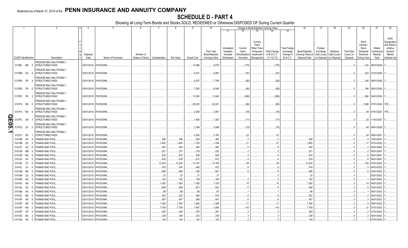## **SCHEDULE D - PART 4**

|                      |                 |                             | 2                                                       | 3<br>4                     | 5                                | -6        | -7                              | 8             | 9                  | 10                          |                       |                         | Change in Book/Adjusted Carrying Value |                                     |                       | 16                                       | 17                      | 18                     | 19                             | 20                           | 21                       | 22                         |
|----------------------|-----------------|-----------------------------|---------------------------------------------------------|----------------------------|----------------------------------|-----------|---------------------------------|---------------|--------------------|-----------------------------|-----------------------|-------------------------|----------------------------------------|-------------------------------------|-----------------------|------------------------------------------|-------------------------|------------------------|--------------------------------|------------------------------|--------------------------|----------------------------|
|                      |                 |                             |                                                         |                            |                                  |           |                                 |               |                    |                             | 11                    |                         | 13                                     | 14                                  | 15                    |                                          |                         |                        |                                |                              |                          |                            |
|                      |                 |                             |                                                         |                            |                                  |           |                                 |               |                    |                             |                       |                         |                                        |                                     |                       |                                          |                         |                        |                                |                              |                          |                            |
|                      |                 |                             |                                                         |                            |                                  |           |                                 |               |                    |                             |                       |                         | Current                                |                                     |                       |                                          |                         |                        |                                | Bond                         |                          | <b>NAIC</b><br>Designation |
|                      |                 |                             |                                                         |                            |                                  |           |                                 |               |                    |                             |                       |                         | Year's                                 |                                     |                       |                                          |                         |                        |                                | Interest                     |                          | and Admini-                |
|                      |                 |                             |                                                         |                            |                                  |           |                                 |               |                    |                             | Unrealized            | Current                 | Other-Than <sub>'</sub>                |                                     | Total Foreign         |                                          | Foreign                 |                        |                                | Stock                        | Stated                   | strative                   |
|                      |                 |                             |                                                         | Disposal                   |                                  | Number of |                                 |               |                    | Prior Year<br>Book/Adjusted | Valuation<br>Increase | Year's<br>Amortization) | Temporary<br>Impairment                | <b>Total Change</b><br>in B./A.C.V. | Exchange<br>Change in | Book/Adjusted<br>Carrying Value at       | Exchange<br>Gain (Loss) | Realized<br>Gain (Loss | <b>Total Gain</b><br>(Loss) on | <b>Dividends</b><br>Received | Contractua<br>Maturity   | Symbol/<br>Market          |
|                      |                 | <b>CUSIP</b> Identification | Description                                             | Date                       | Name of Purchaser                |           | Shares of Stock   Consideration | Par Value     | <b>Actual Cost</b> | <b>Carrying Value</b>       | (Decrease)            | Accretion               | Recognized                             | $(11+12-13)$                        | <b>B./A.C.V.</b>      | Disposal Date   on Disposal   on Disposa |                         |                        | Disposal                       | During Year                  | Date                     | Indicator (a)              |
|                      |                 |                             | FREDDIE MAC MULTIFAMILY                                 |                            |                                  |           |                                 |               |                    |                             |                       |                         |                                        |                                     |                       |                                          |                         |                        |                                |                              |                          |                            |
|                      |                 | 3137BL ME 5                 | STRUCTURED PASS                                         |                            | 03/01/2019. PAYDOWN.             |           |                                 |               | 13,086             | .9,478                      |                       | (175)                   |                                        | (175)                               |                       |                                          |                         |                        |                                |                              | 416 08/01/2025.          |                            |
|                      |                 |                             | <b>REDDIE MAC MULTIFAMILY</b>                           |                            |                                  |           |                                 |               |                    |                             |                       |                         |                                        |                                     |                       |                                          |                         |                        |                                |                              |                          |                            |
| 3137BN GU            |                 |                             | STRUCTURED PASS                                         |                            | 03/01/2019. PAYDOWN.             |           |                                 |               | 9,431              | .6,981                      |                       | .(91                    |                                        | (91)                                |                       |                                          |                         |                        |                                |                              | 223 01/01/2026.          |                            |
|                      |                 |                             | <b>FREDDIE MAC MULTIFAMILY</b>                          |                            |                                  |           |                                 |               |                    |                             |                       |                         |                                        |                                     |                       |                                          |                         |                        |                                |                              |                          |                            |
| 3137BS 5P            |                 |                             | STRUCTURED PASS                                         |                            | 03/01/2019. PAYDOWN.             |           |                                 |               | 9,237              | .7,785                      |                       | (92)                    |                                        | (92)                                |                       |                                          |                         |                        |                                |                              | .240 08/01/2026.         |                            |
| 3137BS P9            |                 | - 8                         | <b>REDDIE MAC MULTIFAMILY</b><br><b>STRUCTURED PASS</b> |                            | 03/01/2019. PAYDOWN.             |           |                                 |               | 7,593              | .6,045                      |                       | (65)                    |                                        | (65)                                |                       |                                          |                         |                        |                                |                              | 166 08/01/2026.          |                            |
|                      |                 |                             | <b>FREDDIE MAC MULTIFAMILY</b>                          |                            |                                  |           |                                 |               |                    |                             |                       |                         |                                        |                                     |                       |                                          |                         |                        |                                |                              |                          |                            |
| 3137BY PS            |                 | - 3                         | STRUCTURED PASS                                         |                            | 03/01/2019. PAYDOWN.             |           |                                 |               | 15,363             | .11,642                     |                       | (356)                   |                                        | (356)                               |                       |                                          |                         |                        |                                | .694                         | 04/01/2024.              |                            |
|                      |                 |                             | <b>REDDIE MAC MULTIFAMILY</b>                           |                            |                                  |           |                                 |               |                    |                             |                       |                         |                                        |                                     |                       |                                          |                         |                        |                                |                              |                          |                            |
|                      | 3137FA RG       | -5                          | <b>STRUCTURED PASS</b>                                  |                            | 03/01/2019. PAYDOWN.             |           |                                 |               | .65,523            | .52,031                     |                       | (60)                    |                                        | (60)                                |                       |                                          |                         |                        |                                |                              | 1,968 07/01/2024. 1FE    |                            |
|                      |                 |                             | <b>REDDIE MAC MULTIFAMILY</b>                           |                            |                                  |           |                                 |               |                    |                             |                       |                         |                                        |                                     |                       |                                          |                         |                        |                                |                              |                          |                            |
|                      |                 | 3137FA WU 8                 | STRUCTURED PASS                                         |                            | 03/01/2019. PAYDOWN.             |           |                                 |               | .2,358             | .2,061                      |                       | (18)                    |                                        | (18)                                |                       |                                          |                         |                        |                                |                              | .48 07/01/2027.          | 1FE                        |
| Ο<br>Π               |                 |                             | <b>REDDIE MAC MULTIFAMILY</b>                           |                            |                                  |           |                                 |               |                    |                             |                       |                         |                                        |                                     |                       |                                          |                         |                        |                                |                              |                          |                            |
| 3137FC               |                 | JM                          | STRUCTURED PASS                                         |                            | 03/01/2019. PAYDOWN.             |           |                                 |               | .1,495             | .1,353                      |                       | (11)                    |                                        | (11)                                |                       |                                          |                         |                        |                                |                              | .29 11/01/2027.          |                            |
| 0<br>cл<br>3137FG ZV |                 | - 0                         | <b>REDDIE MAC MULTIFAMILY</b><br>STRUCTURED PASS        |                            | 03/01/2019. PAYDOWN.             |           |                                 |               | .3,189             | .3,088                      |                       | (15)                    |                                        | (15)                                |                       |                                          |                         |                        |                                |                              | .48 06/01/2028.          |                            |
|                      |                 |                             | <b>REDDIE MAC MULTIFAMILY</b>                           |                            |                                  |           |                                 |               |                    |                             |                       |                         |                                        |                                     |                       |                                          |                         |                        |                                |                              |                          |                            |
| 3137FJ               | EK              |                             | <b>STRUCTURED PASS</b>                                  |                            | 03/01/2019. PAYDOWN.             |           |                                 |               | .2,250             | .2,163                      |                       | .22                     |                                        | .22                                 |                       |                                          |                         |                        |                                | .28                          | 09/01/2051               |                            |
| 31412B               | DS              |                             | FANNIE MAE POOL                                         | 03/01/2019.                | PAYDOWN.                         |           | .385                            | .385          | .383               | 383                         |                       |                         |                                        |                                     |                       | 385                                      |                         |                        |                                |                              | 10/01/2047               |                            |
| 31412M               | 2X              | -5                          | <b>FANNIE MAE POOL</b>                                  |                            | 03/01/2019. PAYDOWN.             |           | 1,805                           | 1,805         | .1,755             | 1,784                       |                       | 21                      |                                        | .21                                 |                       | .1,805                                   |                         |                        |                                |                              | 07/01/2023               |                            |
| 31412T AZ            |                 |                             | <b>FANNIE MAE POOL</b>                                  | 03/01/2019.                | PAYDOWN.                         |           | .405                            | .405          | .394               | .400                        |                       |                         |                                        |                                     |                       | .405                                     |                         |                        |                                |                              | 05/01/2023               |                            |
| 31412W WB            |                 |                             | <b>FANNIE MAE POOL</b>                                  |                            | 03/01/2019. PAYDOWN.             |           | .221                            | .221          | 219                | .220                        |                       |                         |                                        |                                     |                       | .221                                     |                         |                        |                                |                              | 05/01/2047               |                            |
| 31412W WC            |                 |                             | <b>FANNIE MAE POOL</b>                                  |                            | 03/01/2019. PAYDOWN.             |           | .533                            | .533          | .528               | .529                        |                       |                         |                                        |                                     |                       | .533                                     |                         |                        |                                |                              | 05/01/2047               |                            |
| 31412X K4            |                 | -5                          | <b>FANNIE MAE POOL</b>                                  |                            | 03/01/2019. PAYDOWN.             |           | .618                            | .618          | .612               | 613                         |                       |                         |                                        |                                     |                       | 618                                      |                         |                        |                                |                              | 06/01/2047               |                            |
| 31414E               | 2V              |                             | <b>FANNIE MAE POOL</b>                                  | 03/01/2019.                | PAYDOWN.                         |           | 13,234                          | 13,234        | 13,157             | 13,195                      |                       | .39                     |                                        | .39                                 |                       | 13,234                                   |                         |                        |                                | 109                          | 07/01/2023               |                            |
| 31414L               | C4              |                             | <b>ANNIE MAE POOL</b>                                   | 03/01/2019.                | PAYDOWN.                         |           | .478                            | .478          | .465               | .472                        |                       |                         |                                        |                                     |                       | 478                                      |                         |                        |                                |                              | 04/01/2023               |                            |
|                      | 31414M BH       |                             | <b>FANNIE MAE POOL</b>                                  | 03/01/2019.                | PAYDOWN.                         |           | .808                            | .808          | 786                | .801                        |                       |                         |                                        | 8                                   |                       | .808                                     |                         |                        |                                |                              | 03/01/2023.              |                            |
| 31414R LG            |                 |                             | <b>FANNIE MAE POOL</b>                                  | 03/01/2019.                | PAYDOWN.                         |           | 32                              | .32           | 31                 | 31                          |                       |                         |                                        |                                     |                       | 32                                       |                         |                        |                                |                              | 03/01/2023               |                            |
|                      | 31414R NV       |                             | <b>FANNIE MAE POOL</b>                                  | 03/01/2019.                | PAYDOWN.                         |           | .152                            | .152          | .148               | .150                        |                       |                         |                                        |                                     |                       | .152                                     |                         |                        |                                |                              | 04/01/2023               |                            |
| 31414U               | 31414S AA<br>G3 |                             | FANNIE MAE POOL<br>FANNIE MAE POOL                      | 03/01/2019.<br>03/01/2019. | PAYDOWN.<br>PAYDOWN.             |           | 1,393<br>.649                   | 1,393<br>.649 | .1,355<br>.631     | 1,378<br>.643               |                       | 15                      |                                        | .15                                 |                       | .1,393<br>649                            |                         |                        |                                |                              | 04/01/2023<br>03/01/2023 |                            |
|                      |                 |                             | <b>FANNIE MAE POOL</b>                                  | 03/01/2019.                |                                  |           |                                 | .88           |                    | 87                          |                       |                         |                                        |                                     |                       | .88                                      |                         |                        |                                |                              | 06/01/2023               |                            |
| 31415B<br>31415C     | AE              | ND                          | <b>FANNIE MAE POOL</b>                                  |                            | PAYDOWN.<br>03/01/2019. PAYDOWN. |           | .88<br>522                      | .522          | 86<br>.508         | .516                        |                       |                         |                                        |                                     |                       | .522                                     |                         |                        |                                |                              | 05/01/2023               |                            |
| 31415P               | AE              |                             | <b>FANNIE MAE POOL</b>                                  |                            | 03/01/2019. PAYDOWN.             |           | .407                            | .407          | .395               | 401                         |                       |                         |                                        |                                     |                       | 407                                      |                         |                        |                                |                              | 06/01/2023               |                            |
| 31415P               | AR              |                             | <b>FANNIE MAE POOL</b>                                  | 03/01/2019.                | PAYDOWN.                         |           | .1,300                          | 1,300         | .1,264             | 1,289                       |                       | .11                     |                                        | .11                                 |                       | .1,300                                   |                         |                        |                                |                              | 06/01/2023               |                            |
| 31415P               | WA              |                             | <b>FANNIE MAE POOL</b>                                  | 03/01/2019.                | PAYDOWN.                         |           | 7,709                           | .7,709        | 7,497              | .7,594                      |                       | .116                    |                                        | .116                                |                       | .7,709                                   |                         |                        |                                | 31                           | 07/01/2023               |                            |
| 31415P               | XP              |                             | <b>ANNIE MAE POOL</b>                                   | 03/01/2019.                | PAYDOWN.                         |           | .283                            | .283          | 275                | .281                        |                       |                         |                                        |                                     |                       | .283                                     |                         |                        |                                |                              | 07/01/2023               |                            |
| 31415Q               | <b>BX</b>       |                             | <b>FANNIE MAE POOL</b>                                  | 03/01/2019.                | PAYDOWN.                         |           | .239                            | .239          | .233               | .236                        |                       |                         |                                        | . 3                                 |                       | .239                                     |                         |                        |                                |                              | 06/01/2023.              |                            |
|                      | 31415Q E8       | $\sqrt{5}$                  | <b>FANNIE MAE POOL</b>                                  |                            | 03/01/2019. PAYDOWN.             |           | 144                             | 144           | 140                | 142                         |                       |                         |                                        |                                     |                       | 144                                      |                         |                        |                                |                              | 07/01/2023               |                            |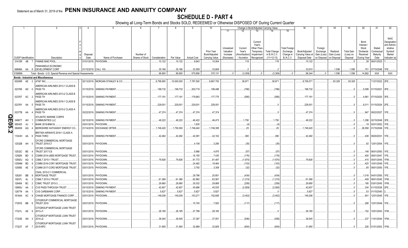## **SCHEDULE D - PART 4**

|        |                             |           |                |                                                               |             | -5                              |                 |               | 8           | <sub>9</sub>       | 10             |            |              |                      | Change in Book/Adjusted Carrying Value |                      | 16                | 17          | 18          | 19                | 20                | 21                       | 22                      |
|--------|-----------------------------|-----------|----------------|---------------------------------------------------------------|-------------|---------------------------------|-----------------|---------------|-------------|--------------------|----------------|------------|--------------|----------------------|----------------------------------------|----------------------|-------------------|-------------|-------------|-------------------|-------------------|--------------------------|-------------------------|
|        |                             |           |                |                                                               |             |                                 |                 |               |             |                    |                | 11         | 12           | 13                   | 14                                     | 15                   |                   |             |             |                   |                   |                          |                         |
|        |                             |           |                |                                                               |             |                                 |                 |               |             |                    |                |            |              |                      |                                        |                      |                   |             |             |                   |                   |                          |                         |
|        |                             |           |                |                                                               |             |                                 |                 |               |             |                    |                |            |              |                      |                                        |                      |                   |             |             |                   |                   |                          | <b>NAIC</b>             |
|        |                             |           |                |                                                               |             |                                 |                 |               |             |                    |                |            |              | Current              |                                        |                      |                   |             |             |                   | Bond              |                          | Designation             |
|        |                             |           |                |                                                               |             |                                 |                 |               |             |                    |                | Unrealized | Current      | Year's<br>Other-Than |                                        | <b>Total Foreign</b> |                   | Foreign     |             |                   | Interest<br>Stock | Stated                   | and Admini-<br>strative |
|        |                             |           |                |                                                               |             |                                 |                 |               |             |                    | Prior Year     | Valuation  | Year's       | Temporan             | <b>Total Change</b>                    | Exchange             | Book/Adjusted     | Exchange    | Realized    | <b>Total Gain</b> | Dividends         | Contractua               | Symbol/                 |
|        |                             |           |                |                                                               | Disposal    |                                 | Number of       |               |             |                    | Book/Adjusted  | Increase   | Amortization | Impairment           | in B./A.C.V.                           | Change in            | Carrying Value at | Gain (Loss) | Gain (Loss) | (Loss) on         | Received          | Maturity                 | Market                  |
|        | <b>CUSIP</b> Identification |           |                | Description                                                   | Date        | Name of Purchaser               | Shares of Stock | Consideration | Par Value   | <b>Actual Cost</b> | Carrying Value | (Decrease) | / Accretion  | Recognized           | $(11+12-13)$                           | <b>B./A.C.V.</b>     | Disposal Date     | on Disposal | on Disposa  | Disposal          | During Year       | Date                     | Indicator (a)           |
|        | 31415R 4B                   |           | $\overline{7}$ | <b>FANNIE MAE POOL</b>                                        |             | 01/01/2019. PAYDOWN.            |                 | .10,122       | 10.122      | .9.843             | .10,004        |            | .118         |                      | .118                                   |                      | 10.122            |             |             |                   | .38               | 06/01/2023.              |                         |
|        |                             |           |                | PANHANDLE ECONOMIC                                            |             |                                 |                 |               |             |                    |                |            |              |                      |                                        |                      |                   |             |             |                   |                   |                          |                         |
|        |                             |           |                | 69848A AA 6 DEVELOPMENT CORP                                  |             | 01/15/2019. CALL 100            |                 | .35,166       | .35,166     | .33,559            | .33,609        |            |              |                      |                                        |                      | .33,610           |             | .1,556      | .1,556            |                   | 701 07/15/2048. 1FE      |                         |
|        | 3199999.                    |           |                | Total - Bonds - U.S. Special Revenue and Special Assessments. |             |                                 |                 | .99,900       | .99,900     | .575,856           | .370,131       | $\Omega$   | (3,309)      |                      | (3,309)                                |                      | .98,344           | $\Omega$    | .1,556      | .1,556            | .14,892           | XXX                      | <b>XXX</b>              |
|        |                             |           |                | <b>Bonds - Industrial and Miscellaneous</b>                   |             |                                 |                 |               |             |                    |                |            |              |                      |                                        |                      |                   |             |             |                   |                   |                          |                         |
|        | 00206R AE                   |           | $\overline{2}$ | AT&T INC                                                      |             | 02/13/2019. MORGAN STANLEY & CO |                 | 8,799,900     | .10,000,000 | 7,787,500          | 8,667,700      |            | .38,871      |                      | .38,871                                |                      | 8,706,571         |             | .93,329     | 93,329            |                   | 11/27/2022. 2FE.         |                         |
|        |                             |           |                | AMERICAN AIRLINES 2013-1 CLASS B                              |             |                                 |                 |               |             |                    |                |            |              |                      |                                        |                      |                   |             |             |                   |                   |                          |                         |
|        | 023766 AD 0                 |           |                | PASS TH                                                       |             | 01/15/2019. SINKING PAYMENT     |                 | .198,732      | .198,732    | .200,719           | .199,498       |            | (766)        |                      | (766)                                  |                      | .198,732          |             |             |                   |                   | .5,589 01/15/2021. 3FE.  |                         |
|        |                             |           |                | AMERICAN AIRLINES 2013-2 CLASS B                              |             |                                 |                 |               |             |                    |                |            |              |                      |                                        |                      |                   |             |             |                   |                   |                          |                         |
|        | 02376T AC                   |           | $\overline{2}$ | PASS TH                                                       |             | 01/15/2019. SINKING PAYMENT     |                 | .177,191      | .177,191    | .178,963           | .177,775       |            | (585)        |                      | (585)                                  |                      | 177,191           |             |             |                   | .4,961            | 07/15/2020. 3FE.         |                         |
|        |                             |           |                | AMERICAN AIRLINES 2016-1 CLASS B                              |             |                                 |                 |               |             |                    |                |            |              |                      |                                        |                      |                   |             |             |                   |                   |                          |                         |
|        | 02376Y AA 5                 |           |                | PASS TH                                                       |             | 01/15/2019. SINKING PAYMENT     |                 | .229,001      | .229,001    | .229,001           | .229,001       |            |              |                      |                                        |                      | .229,001          |             |             |                   |                   | .6,011 01/15/2024. 2FE.  |                         |
|        |                             |           |                | <b>IMERICAN AIRLINES 2015-2 CLASS A</b>                       |             |                                 |                 |               |             |                    |                |            |              |                      |                                        |                      |                   |             |             |                   |                   |                          |                         |
|        | 02377B AA                   |           |                | PASS TH                                                       |             | 03/22/2019. SINKING PAYMENT     |                 | .47,374       | .47,374     | .47,374            | .47,374        |            |              |                      |                                        |                      | .47,374           |             |             |                   |                   | .947 09/22/2027. 1FE.    |                         |
|        |                             |           |                | <b>ATLANTIC MARINE CORPS</b>                                  |             |                                 |                 |               |             |                    |                |            |              |                      |                                        |                      |                   |             |             |                   |                   |                          |                         |
|        | 048677                      | AH        |                | <b>COMMUNITIES LLC</b>                                        | 02/15/2019. | SINKING PAYMENT                 |                 | .48,222       | .48,222     | .46,422            | .46,473        |            | .1,750       |                      | .1,750                                 |                      | 48,222            |             |             |                   |                   | .1,298 02/15/2048. 3FE.  |                         |
| QE05.2 | 065405                      | AJ        |                | <b>BANK 2019-BNK16.</b>                                       | 03/01/2019. | PAYDOWN.                        |                 |               |             | .1,635             |                |            |              |                      | (4)                                    |                      |                   |             |             |                   | .18               | 02/01/2052.              | 1FE.                    |
|        | 084659                      | AQ        |                | BERKSHIRE HATHAWAY ENERGY CO                                  | 01/14/2019. | <b>EXCHANGE OFFER</b>           |                 | 1,749,420     | .1,750,000  | 1,749,440          | 1,749,395      |            | .25          |                      | .25                                    |                      | 1,749,420         |             |             |                   | .36,558           | 01/15/2049. 1FE.         |                         |
|        |                             |           |                | BRITISH AIRWAYS 2018-1 CLASS A                                |             |                                 |                 |               |             |                    |                |            |              |                      |                                        |                      |                   |             |             |                   |                   |                          |                         |
|        | 11043H AA                   |           | - 6            | PASS THRO                                                     |             | 03/20/2019. SINKING PAYMENT     |                 | .42,482       | .42,482     | .42,091            | .42,102        |            | .380         |                      | .380                                   |                      | 42,482            |             |             |                   |                   | 438 09/20/2031.          | 1FE.                    |
|        |                             |           |                | CFCRE COMMERCIAL MORTGAGE                                     |             |                                 |                 |               |             |                    |                |            |              |                      |                                        |                      |                   |             |             |                   |                   |                          |                         |
|        | 12532B AH                   |           |                | <b>TRUST 2016-C7</b>                                          |             | 03/01/2019. PAYDOWN.            |                 |               |             | .4,108             | .3,290         |            | (35)         |                      | (35)                                   |                      |                   |             |             |                   |                   | 92 12/01/2054. 1FE.      |                         |
|        |                             |           |                | CFCRE COMMERCIAL MORTGAGE                                     |             |                                 |                 |               |             |                    |                |            |              |                      |                                        |                      |                   |             |             |                   |                   |                          |                         |
|        | 12532C BE                   |           |                | <b>TRUST 2017-C8</b>                                          | 03/01/2019. | PAYDOWN.                        |                 |               |             | .5,966             | .4,975         |            | (57)         |                      | (57)                                   |                      |                   |             |             |                   |                   | 148 06/01/2050.          | 1FE.                    |
|        | 12592K                      | <b>BD</b> | - 5            | COMM 2014-UBS5 MORTGAGE TRUST                                 | 03/01/2019. | PAYDOWN.                        |                 |               |             | .16,155            | .7,430         |            | (176)        |                      | (176)                                  |                      |                   |             |             |                   |                   | 400 09/01/2047           |                         |
|        | 12592U                      | AQ        |                | CSMLT 2015-1 TRUST.                                           | 03/01/2019. | PAYDOWN.                        |                 | .79.826       | .79.826     | .81,772            | 81,497         |            | (1,670)      |                      | (1,670)                                |                      | .79.826           |             |             |                   | .415              | 05/01/2045.              | 1FM.                    |
|        | 12594M                      | BD        |                | COMM 2016-COR1 MORTGAGE TRUST                                 | 03/01/2019. | PAYDOWN.                        |                 |               |             | .24,482            | 18,464         |            | (103)        |                      | (103)                                  |                      |                   |             |             |                   |                   | 425 10/01/2049.          | 1FE.                    |
|        | 12595E AE                   |           | - 5            | COMM 2017-COR2 MORTGAGE TRUST                                 |             | 03/01/2019. PAYDOWN.            |                 |               |             | .3,792             | .3,308         |            | (32)         |                      | (32)                                   |                      |                   |             |             |                   | .85               | 09/01/2050. 1FE.         |                         |
|        |                             |           |                | CSAIL 2015-C1 COMMERCIAL                                      |             |                                 |                 |               |             |                    |                |            |              |                      |                                        |                      |                   |             |             |                   |                   |                          |                         |
|        | 126281                      | BB        |                | MORTGAGE TRUST                                                |             | 03/01/2019. PAYDOWN.            |                 |               |             | .29,796            | 20,651         |            | (434)        |                      | (434)                                  |                      |                   |             |             |                   |                   | .1,018 04/01/2050.       | 1FE.                    |
|        | 12637L                      | AL        |                | CSMLT 2015-2 TRUST                                            | 03/01/2019. | PAYDOWN.                        |                 | .61,366       | .61,366     | .62,862            | .62,581        |            | (1,215)      |                      | (1,215)                                |                      | .61,366           |             |             |                   | .409              | 08/01/2045.              | 1FM                     |
|        | 12649X                      | BC        |                | CSMC TRUST 2015-3.                                            | 03/01/2019. | PAYDOWN.                        |                 | .29,680       | .29,680     | .30,032            | 29,889         |            | (209)        |                      | (209)                                  |                      | .29,680           |             |             |                   | 195               | 03/01/2045.              | 1FM.                    |
|        | 12665U                      | AA        | - 2            | <b>CVS PASS-THROUGH TRUST</b>                                 | 03/10/2019. | <b>SINKING PAYMENT</b>          |                 | .42,607       | .42,607     | .45,686            | .45,535        |            | (2,928)      |                      | (2,928)                                |                      | .42,607           |             |             |                   | .334              | 01/10/2036.              |                         |
|        | 12677# AA                   |           |                | CVS CAREMARK CORP.                                            | 03/15/2019  | SINKING PAYMENT                 |                 | .5,827        | .5,827      | .5,827             | .5,827         |            |              |                      |                                        |                      | .5,827            |             |             |                   | 53                | 01/15/2040.              |                         |
|        | 16164A AC                   |           | - Q            | CHASE MORTGAGE FINANCE CORP.                                  |             | 03/01/2019. PAYDOWN.            |                 | 149,206       | 149,206     | 153,271            | 152,608        |            | (3,402)      |                      | (3,402)                                |                      | .149,206          |             |             |                   | .941              | 12/01/2045. 1FE          |                         |
|        |                             |           |                | CITIGROUP COMMERCIAL MORTGAGE                                 |             |                                 |                 |               |             |                    |                |            |              |                      |                                        |                      |                   |             |             |                   |                   |                          |                         |
|        | 17291E BB                   |           |                | TRUST 2016                                                    |             | 03/01/2019. PAYDOWN.            |                 |               |             | 10,745             | .7,920         |            | (117)        |                      | (117)                                  |                      |                   |             |             |                   | .288              | 12/01/2049. 1FE.         |                         |
|        |                             |           |                | CITIGROUP MORTGAGE LOAN TRUST                                 |             |                                 |                 |               |             |                    |                |            |              |                      |                                        |                      |                   |             |             |                   |                   |                          |                         |
|        | 17321L AE 9                 |           |                | 2013-J1                                                       |             | 03/01/2019. PAYDOWN.            |                 | 28,185        | .28,185     | .27,798            | .28,185        |            |              |                      |                                        |                      | .28,185           |             |             |                   |                   | 152 10/01/2043. 1FM.     |                         |
|        |                             |           |                | CITIGROUP MORTGAGE LOAN TRUST                                 |             |                                 |                 |               |             |                    |                |            |              |                      |                                        |                      |                   |             |             |                   |                   |                          |                         |
|        | 17323E AN 3                 |           |                | 2014-J2                                                       |             | 03/01/2019. PAYDOWN.            |                 | .36.545       | .36.545     | .37,367            | .37,051        |            | (506)        |                      | (506)                                  |                      | .36,545           |             |             |                   |                   | .237 11/01/2044. 1FM.    |                         |
|        |                             |           |                | CITIGROUP MORTGAGE LOAN TRUST                                 |             |                                 |                 |               |             |                    |                |            |              |                      |                                        |                      |                   |             |             |                   |                   |                          |                         |
|        | 17323T AF 7                 |           |                | 2015-RP2                                                      |             | 03/01/2019. PAYDOWN.            |                 | .31,955       | .31,955     | .32,889            | .32,609        |            | (654)        |                      | (654)                                  |                      | .31,955           |             |             |                   |                   | 226   01/01/2053.   1FM. |                         |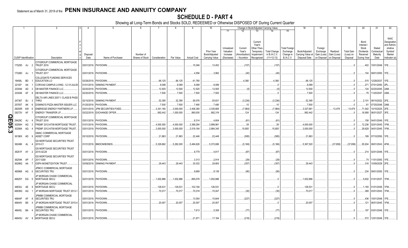## **SCHEDULE D - PART 4**

|                  |                             |                  |                                                           |                      | 5                           |           |                                 | 8          |                    | 10                |                         |                   |                                 | Change in Book/Adjusted Carrying Value |                       | 16                | 17                      | 18          | 19                | 20                        | 21                        | 22                                                               |
|------------------|-----------------------------|------------------|-----------------------------------------------------------|----------------------|-----------------------------|-----------|---------------------------------|------------|--------------------|-------------------|-------------------------|-------------------|---------------------------------|----------------------------------------|-----------------------|-------------------|-------------------------|-------------|-------------------|---------------------------|---------------------------|------------------------------------------------------------------|
|                  |                             |                  |                                                           |                      |                             |           |                                 |            |                    |                   | 11                      | 12                | 13                              | 14                                     | 15                    |                   |                         |             |                   |                           |                           |                                                                  |
|                  |                             |                  |                                                           |                      |                             |           |                                 |            |                    | <b>Prior Year</b> | Unrealized<br>Valuation | Current<br>Year's | Current<br>Year's<br>Other-Than | <b>Total Change</b>                    | <b>Total Foreign</b>  | Book/Adjusted     | Foreign                 | Realized    | <b>Total Gain</b> | Bond<br>Interest<br>Stock | Stated<br>Contractua      | <b>NAIC</b><br>Designation<br>and Admini-<br>strative<br>Symbol/ |
|                  |                             |                  |                                                           | Disposal             |                             | Number of |                                 |            |                    | Book/Adjusted     | Increase                | Amortization)     | Temporary<br>Impairment         | in B./A.C.V.                           | Exchange<br>Change in | Carrying Value at | Exchange<br>Gain (Loss) | Gain (Loss) | (Loss) on         | Dividends<br>Received     | Maturity                  | Market                                                           |
|                  | <b>CUSIP</b> Identification |                  | Description                                               | Date                 | Name of Purchaser           |           | Shares of Stock   Consideration | Par Value  | <b>Actual Cost</b> | Carrving Value    | (Decrease)              | / Accretion       | Recognized                      | $(11+12-13)$                           | <b>B./A.C.V.</b>      | Disposal Date     | on Disposal on Disposal |             | Disposal          | During Year               | Date                      | Indicator (a)                                                    |
|                  |                             |                  | CITIGROUP COMMERCIAL MORTGAGE                             |                      |                             |           |                                 |            |                    |                   |                         |                   |                                 |                                        |                       |                   |                         |             |                   |                           |                           |                                                                  |
|                  | 17325D AJ 2                 |                  | <b>TRUST 2016</b>                                         | 03/01/2019. PAYDOWN. |                             |           |                                 |            | 15,046             | .12,452           |                         | (157)             |                                 | (157                                   |                       |                   |                         |             |                   |                           | .402   10/01/2049.   1FE  |                                                                  |
|                  | 17326D AJ                   |                  | CITIGROUP COMMERCIAL MORTGAGE<br><b>TRUST 2017</b>        | 03/01/2019. PAYDOWN. |                             |           |                                 |            | .4,556             | .3,962            |                         | (40)              |                                 | (40)                                   |                       |                   |                         |             |                   |                           | 104 09/01/2050. 1FE.      |                                                                  |
|                  | 19458L BD                   |                  | <b>COLLEGIATE FUNDING SERVICES</b><br><b>EDUCATION LO</b> | 03/28/2019. PAYDOWN. |                             |           | .66,125                         | .66,125    | .61,765            |                   |                         | .4,360            |                                 | .4,360                                 |                       | .66,125           |                         |             |                   |                           | .515   12/28/2037.   1FE. |                                                                  |
|                  | 22100*                      | AA               | CORVIAS CAMPUS LIVING - 5.3 01JUL50                       |                      | 01/01/2019. SINKING PAYMENT |           | .8,089                          | .8,089     | .8,089             | .8,089            |                         |                   |                                 | . 0                                    |                       | .8,089            |                         |             |                   | .271                      | 07/01/2050. 2PL           |                                                                  |
|                  | 233046                      | AD               | DB MASTER FINANCE LLC.                                    | 02/20/2019.          | PAYDOWN.                    |           | 12,500                          | 12,500     | 12,520             | .12,505           |                         | (5)               |                                 | (5)                                    |                       | .12,500           |                         |             |                   | .124                      | 02/20/2045. 2AM.          |                                                                  |
|                  | 233046                      | AF               | DB MASTER FINANCE LLC.                                    | 02/20/2019. PAYDOWN. |                             |           | .7,500                          | .7,500     | .7,500             | .7,500            |                         |                   |                                 | $\Omega$                               |                       | .7,500            |                         |             |                   |                           | 76 11/20/2047. 2AM.       |                                                                  |
|                  |                             |                  | DELTA AIR LINES 2007-1 CLASS B PASS                       |                      |                             |           |                                 |            |                    |                   |                         |                   |                                 |                                        |                       |                   |                         |             |                   |                           |                           |                                                                  |
|                  | 247367                      | <b>BJ</b><br>- 3 | <b>THRO</b>                                               |                      | 02/10/2019. SINKING PAYMENT |           | .52,395                         | .52,395    | .59,076            | .55,631           |                         | (3,236)           |                                 | (3,236)                                |                       | .52,395           |                         |             | $\ldots$ 0        | .2.101                    | 08/10/2022. 2FE.          |                                                                  |
|                  | 25755T                      | AK               | DOMINO'S PIZZA MASTER ISSUER LLC                          | 01/25/2019.          | PAYDOWN.                    |           | .7,500                          | .7,500     | .7,490             | .7,490            |                         | .10               |                                 | 10                                     |                       | .7,500            |                         |             |                   | $.8^{\circ}$              | 07/25/2048. 2AM.          |                                                                  |
|                  | 29250R AW                   | -6               | <b>ENBRIDGE ENERGY PARTNERS LP.</b>                       | 03/01/2019.          | <b>JPM SECURITIES-FIXED</b> |           | 3,341,160                       | .3,000,000 | .3,406,380         | 3,335,665         |                         | (7,984)           |                                 | (7,984)                                |                       | 3,327,681         |                         | .13.479     | 13,479            | .71,542                   | 10/15/2025. 2FE.          |                                                                  |
|                  | 29273V                      | AF               | ENERGY TRANSFER LP.                                       | 03/22/2019.          | <b>EXCHANGE OFFER.</b>      |           | .992,442                        | .1,000,000 | .990,000           | .992,319          |                         | 124               |                                 | .124                                   |                       | .992,442          |                         |             |                   | .16,958                   | 06/01/2027. 3FE.          |                                                                  |
| Q                |                             |                  | CITIGROUP COMMERCIAL MORTGAGE                             |                      |                             |           |                                 |            |                    |                   |                         |                   |                                 |                                        |                       |                   |                         |             |                   |                           |                           |                                                                  |
| <b>TT</b> 29429C |                             | AJ               | <b>TRUST 2016</b>                                         | 03/01/2019. PAYDOWN. |                             |           |                                 |            | .6,314             | .4,604            |                         | (61)              |                                 | (61)                                   |                       |                   |                         |             |                   |                           | .158 04/01/2049. 1FE.     |                                                                  |
| 05.3             | 30290H                      | AG               | FREMF 2012-K708 MORTGAGE TRUST                            | 01/01/2019. PAYDOWN. |                             |           | .4,000,000                      | .4,000,000 | .3,369,284         | .3,999,961        |                         | 39                |                                 | .39                                    |                       | 4,000,000         |                         |             |                   | .12,236                   | 02/01/2045.               | 1FM.                                                             |
|                  | 30290K                      | AQ               | FREMF 2012-K709 MORTGAGE TRUST                            | 03/01/2019. PAYDOWN. |                             |           | .3,000,000                      | .3,000,000 | .2,519,184         | .2,984,345        |                         | 15,655            |                                 | .15,655                                |                       | .3,000,000        |                         |             |                   |                           | .29,629 04/01/2045. 1FM.  |                                                                  |
|                  | 36186X AD                   | - 9              | GMAC COMMERCIAL MORTGAGE<br>ASSET CORP                    | 03/10/2019. PAYDOWN. |                             |           | 21,863                          | .21.863    | .22,446            | .22,448           |                         | (585)             |                                 | (585)                                  |                       | .21,863           |                         |             |                   |                           | 189 07/10/2050. 1FE.      |                                                                  |
|                  | 36249K AL                   |                  | <b>GS MORTGAGE SECURITIES TRUST</b><br>2010-C1            |                      | 01/31/2019. BMOCM/BONDS     |           | .5.329.662                      | .5,282,000 | .5,484,626         | 5,372,686         |                         | (5, 166)          |                                 | (5, 166)                               |                       | 5,367,520         |                         | (37,858)    | (37, 858)         | .55.934                   | 08/01/2043. 4FM.          |                                                                  |
|                  |                             |                  | <b>GS MORTGAGE SECURITIES TRUST</b>                       |                      |                             |           |                                 |            |                    |                   |                         |                   |                                 |                                        |                       |                   |                         |             |                   |                           |                           |                                                                  |
|                  | 36251F AY                   | $\overline{2}$   | 2015-GC28                                                 | 03/01/2019. PAYDOWN. |                             |           |                                 |            | .8,779             | .4,817            |                         | (87)              |                                 | (87)                                   |                       |                   |                         |             |                   |                           | .214 02/01/2048. 1FE.     |                                                                  |
|                  |                             |                  | <b>GS MORTGAGE SECURITIES TRUST</b>                       |                      |                             |           |                                 |            |                    |                   |                         |                   |                                 |                                        |                       |                   |                         |             |                   |                           |                           |                                                                  |
|                  | 36254K AP                   |                  | 2017-GS8                                                  | 03/01/2019. PAYDOWN. |                             |           |                                 |            | .3,313             | .2,914            |                         | (29)              |                                 | (29)                                   |                       |                   |                         |             |                   |                           | 75 11/01/2050. 1FE.       |                                                                  |
|                  | 36298G AA 7                 |                  | <b>GSPA MONETIZATION TRUST.</b>                           |                      | 03/09/2019. SINKING PAYMENT |           | .29.443                         | .29.443    | .30,032            | .29,800           |                         | (357)             |                                 | (357)                                  |                       | .29.443           |                         |             |                   |                           | .316   10/09/2029.   2FE. |                                                                  |
|                  | 465968 AG 0                 |                  | JPMCC COMMERCIAL MORTGAGE<br><b>SECURITIES TRU</b>        | 03/01/2019. PAYDOWN. |                             |           |                                 |            | .9,669             | .8,139            |                         | (90)              |                                 | (90)                                   |                       |                   |                         |             |                   | .234                      | 09/01/2050. 1FE.          |                                                                  |
|                  | 46625Y DG 5                 |                  | JP MORGAN CHASE COMMERCIAL<br>MORTGAGE SECU               | 02/01/2019. PAYDOWN. |                             |           | 1,002,886                       | .1,002,886 | 895,076            | 1,002,886         |                         |                   |                                 |                                        |                       | 1,002,886         |                         |             |                   |                           | .5,602 01/01/2037. 1FM.   |                                                                  |
|                  | 46630J AE                   | - 9              | JP MORGAN CHASE COMMERCIAL<br>MORTGAGE SECU               | 03/01/2019. PAYDOWN. |                             |           | .126.53'                        | 126,531    | 102,194            | 126,531           |                         |                   |                                 | - 0                                    |                       | .126,531          |                         |             |                   |                           | .1,183 01/01/2049. 1FM.   |                                                                  |
|                  |                             |                  |                                                           |                      |                             |           |                                 |            |                    |                   |                         |                   |                                 |                                        |                       |                   |                         |             |                   |                           |                           |                                                                  |
|                  | 46639G AG                   |                  | JP MORGAN MORTGAGE TRUST 2013-1                           | 03/01/2019. PAYDOWN. |                             |           | .70,017                         | 70,017     | 70,019             | .70,047           |                         | (30)              |                                 | (30)                                   |                       | .70,017           |                         |             |                   |                           | .389 03/01/2043. 1FM.     |                                                                  |
|                  | 46644F AF                   |                  | JPMBB COMMERCIAL MORTGAGE<br>SECURITIES TRU               | 03/01/2019.          | PAYDOWN.                    |           |                                 |            | .13,054            | .10,644           |                         | (227)             |                                 | (227)                                  |                       |                   |                         |             |                   | .436                      | 10/01/2048. 1FE.          |                                                                  |
|                  | 46644V BS                   |                  | JP MORGAN MORTGAGE TRUST 2015-4                           | 03/01/2019.          | PAYDOWN.                    |           | .20,007                         | .20,007    | .20,007            | .20,007           |                         |                   |                                 |                                        |                       | .20,007           |                         |             |                   | .121                      | 06/01/2045. 1FM.          |                                                                  |
|                  | 46645L BA                   |                  | JPMBB COMMERCIAL MORTGAGE<br>SECURITIES TRU               | 03/01/2019. PAYDOWN. |                             |           |                                 |            | .7,613             | .5,309            |                         | (77)              |                                 | (77)                                   |                       |                   |                         |             |                   |                           | .197 03/01/2049. 1FE.     |                                                                  |
|                  |                             |                  | JP MORGAN CHASE COMMERCIAL                                |                      |                             |           |                                 |            |                    |                   |                         |                   |                                 |                                        |                       |                   |                         |             |                   |                           |                           |                                                                  |
|                  | 46645U AV 9                 |                  | <b>MORTGAGE SECU</b>                                      | 03/01/2019. PAYDOWN. |                             |           |                                 |            | .21.671            | .17.184           |                         | (218)             |                                 | (218)                                  |                       |                   |                         |             | $\Omega$          |                           | .572 12/01/2049. 1FE.     |                                                                  |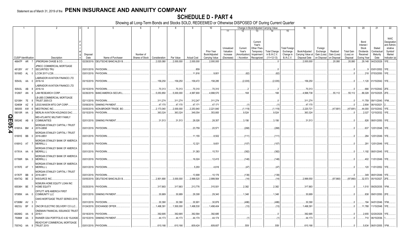## **SCHEDULE D - PART 4**

|        |                             |    |                | 2                                                         | $\overline{4}$ | -5                                                 | 6               | $\overline{7}$ | 8          | -9                 | 10                |            |              |                       | Change in Book/Adjusted Carrying Value |                      | 16                | 17          | 18          | 19                | 20                | 21                           | 22                                 |
|--------|-----------------------------|----|----------------|-----------------------------------------------------------|----------------|----------------------------------------------------|-----------------|----------------|------------|--------------------|-------------------|------------|--------------|-----------------------|----------------------------------------|----------------------|-------------------|-------------|-------------|-------------------|-------------------|------------------------------|------------------------------------|
|        |                             |    |                |                                                           |                |                                                    |                 |                |            |                    |                   | 11         | 12           | 13                    | 14                                     | 15                   |                   |             |             |                   |                   |                              |                                    |
|        |                             |    |                |                                                           |                |                                                    |                 |                |            |                    |                   |            |              | Current               |                                        |                      |                   |             |             |                   | Bond              |                              | <b>NAIC</b><br>Designation         |
|        |                             |    |                |                                                           |                |                                                    |                 |                |            |                    |                   | Unrealized | Current      | Year's<br>Other-Than- |                                        | <b>Total Foreign</b> |                   | Foreign     |             |                   | Interest<br>Stock | Stated                       | and Admini <sub></sub><br>strative |
|        |                             |    |                |                                                           |                |                                                    |                 |                |            |                    | <b>Prior Year</b> | Valuation  | Year's       | Temporary             | <b>Total Change</b>                    | Exchange             | Book/Adjusted     | Exchange    | Realized    | <b>Total Gain</b> | Dividends         | Contractua                   | Symbol/                            |
|        |                             |    |                |                                                           | Disposal       |                                                    | Number of       |                |            |                    | Book/Adjusted     | Increase   | Amortization | Impairment            | in B./A.C.V.                           | Change in            | Carrying Value at | Gain (Loss) | Gain (Loss) | (Loss) on         | Received          | Maturity                     | Market                             |
|        | <b>CUSIP</b> Identification |    |                | Description                                               | Date           | Name of Purchaser                                  | Shares of Stock | Consideration  | Par Value  | <b>Actual Cost</b> | Carrying Value    | (Decrease) | / Accretion  | Recognized            | $(11+12-13)$                           | B./A.C.V.            | Disposal Date     | on Disposal | on Disposa  | Disposal          | During Year       | Date                         | Indicator (a)                      |
|        | 46647P AR 7                 |    |                | JPMORGAN CHASE & CO.                                      |                | 02/28/2019. DEUTSCHE BANC/ALEX B                   |                 | .2,020,080     | .2,000,000 | .2,000,000         | .2,000,000        |            |              |                       |                                        |                      | .2,000,000        |             | .20,080     | 20,080            |                   | 29,148 04/23/2029.           | 1FE.                               |
|        |                             |    |                | JPMCC COMMERCIAL MORTGAGE                                 |                |                                                    |                 |                |            |                    |                   |            |              |                       |                                        |                      |                   |             |             |                   |                   |                              |                                    |
|        | 48128Y AY                   |    |                | <b>SECURITIES TRU</b>                                     |                | 03/01/2019. PAYDOWN.                               |                 |                |            | 859                |                   |            |              |                       |                                        |                      |                   |             |             |                   |                   | 03/01/2052. 1FE.             |                                    |
|        | 50190D AL                   |    | $\cap$         | LCCM 2017-LC26.                                           |                | 03/01/2019. PAYDOWN.                               |                 |                |            | .11,816            | .9,801            |            | (62)         |                       | (62)                                   |                      |                   |             |             |                   |                   | .218 07/03/2050. 1FE.        |                                    |
|        | 50543L AA                   |    | $\overline{0}$ | ABRADOR AVIATION FINANCE LTD<br>2016-1A                   |                | 03/15/2019. PAYDOWN.                               |                 | .156,250       | 156,250    | 158,472            | 158,285           |            | (2,035)      |                       | (2,035)                                |                      | .156,250          |             |             |                   |                   | .1,120 01/15/2042. 1FE.      |                                    |
|        |                             |    |                | LABRADOR AVIATION FINANCE LTD                             |                |                                                    |                 |                |            |                    |                   |            |              |                       |                                        |                      |                   |             |             |                   |                   |                              |                                    |
|        | 50543L AB                   |    | - 8            | 2016-1A                                                   |                | 03/15/2019. PAYDOWN.                               |                 | .70,313        | 70,313     | 70,310             | 70,310            |            |              |                       |                                        |                      | 70,313            |             |             |                   | 666               | 01/15/2042. 2FE.             |                                    |
|        | 512807                      | AN | - 8            | LAM RESEARCH CORP                                         |                | 02/26/2019. BANC/AMERICA SECUR.                    |                 | .5,053,850     | .5,000,000 | 4,997,900          | 4,998,570         |            | .168         |                       | .168                                   |                      | 4,998,738         |             | .55,112     | .55,112           | .86,028           | 03/15/2025. 2FE.             |                                    |
|        | 52108H 7E                   |    | - 8            | <b>B-UBS COMMERCIAL MORTGAGE</b><br><b>TRUST 2005-C5</b>  |                | 02/11/2019. PAYDOWN.                               |                 | 311,274        | .311,274   | .312,247           | 311,274           |            |              |                       |                                        |                      | .311,274          |             |             |                   |                   | .11,759   09/11/2040.   1FM. |                                    |
|        | 52465# AZ                   |    |                | LEGG MASON MTG CAP CORP                                   | 03/08/2019.    | <b>SINKING PAYMENT</b>                             |                 | .47,170        | .47,170    | .47,171            | .47,171           |            |              |                       |                                        |                      | .47,170           |             |             |                   | .2,804            | 06/10/2021                   |                                    |
|        | 585055                      | AW | - 6            | MEDTRONIC INC                                             | 03/05/2019.    | NON-BROKER TRADE, BO.                              |                 | 2,173,040      | .2,000,000 | .2,253,940         | 2,221,840         |            | (1, 119)     |                       | (1, 119)                               |                      | .2,220,721        |             | (47,681)    | (47,681)          | .44,000           | 03/15/2042.                  | 1FF                                |
|        | 59010R AA                   |    |                | MERLIN AVIATION HOLDINGS DAC.                             |                | 03/15/2019. PAYDOWN.                               |                 | .363,324       | .363,324   | .349,354           | .353,800          |            | .9,524       |                       | .9,524                                 |                      | .363,324          |             |             |                   | .2,027            | 12/15/2032. 1FE.             |                                    |
| QE05.4 | 59524E AB                   |    | - 8            | <b>MID-ATLANTIC MILITARY FAMILY</b><br><b>COMMUNITIES</b> |                | 02/01/2019. SINKING PAYMENT                        |                 | .31,513        | .31,513    | .28,026            | 28,357            |            | .3,156       |                       | .3,156                                 |                      | .31,513           |             |             |                   |                   | .826   08/01/2050. 1FE.      |                                    |
|        | 61691A BM                   |    |                | <b>MORGAN STANLEY CAPITAL I TRUST</b><br>2015-UBS8        |                | 03/01/2019. PAYDOWN.                               |                 |                |            | .23,759            | .20,571           |            | (268)        |                       | (268)                                  |                      |                   |             |             |                   |                   | .637   12/01/2048.   1FE.    |                                    |
|        | 61691E BB                   |    |                | MORGAN STANLEY CAPITAL I TRUST<br>2016-UBS1               |                | 03/01/2019. PAYDOWN.                               |                 |                |            | .11,155            | .8,502            |            | (111)        |                       | .(111                                  |                      |                   |             |             |                   |                   | .284   12/01/2049.   1FE.    |                                    |
|        | 61691G AT                   |    |                | MORGAN STANLEY BANK OF AMERICA<br><b>MERRILL L</b>        |                | 03/01/2019. PAYDOWN.                               |                 |                |            | 12,321             | .9,651            |            | (107)        |                       | (107)                                  |                      |                   |             |             |                   | .291              | 12/01/2049. 1FE.             |                                    |
|        | 61761A AA 6                 |    |                | MORGAN STANLEY BANK OF AMERICA<br><b>MERRILL L</b>        |                | 03/01/2019. PAYDOWN.                               |                 |                |            | .31,383            | .15,701           |            | (382)        |                       | (382)                                  |                      |                   |             |             |                   |                   | .1,192   08/01/2045.   1FE.  |                                    |
|        | 61766R BA                   |    | - 3            | <b>MORGAN STANLEY BANK OF AMERICA</b><br><b>MERRILL L</b> |                | 03/01/2019. PAYDOWN.                               |                 |                |            | 16,024             | .12,415           |            | (148)        |                       | (148)                                  |                      |                   |             |             |                   |                   | .402 11/01/2049. 1FE.        |                                    |
|        | 61767E AF                   |    |                | <b>MORGAN STANLEY BANK OF AMERICA</b><br><b>MERRILL L</b> |                | 03/01/2019. PAYDOWN.                               |                 |                |            | .5,293             | .4,616            |            | (47)         |                       | (47)                                   |                      |                   |             |             |                   |                   | 120 11/01/2052. 1FE.         |                                    |
|        |                             |    |                | MORGAN STANLEY CAPITAL I TRUST                            |                |                                                    |                 |                |            |                    |                   |            |              |                       |                                        |                      |                   |             |             |                   |                   |                              |                                    |
|        | 61767F BB                   |    |                | 2016-UB11                                                 |                | 03/01/2019. PAYDOWN.                               |                 |                |            | 13,908             | .10,176           |            | (139)        |                       | (139)                                  |                      |                   |             |             |                   | 349               | 08/01/2049. 1FE.             |                                    |
|        | 65473Q BE                   |    | - 2            | NISOURCE INC.                                             |                | 03/05/2019. DEUTSCHE BANC/ALEX B.                  |                 | 2,901,690      | .3,000,000 | .2,999,520         | .2,999,564        |            | (14)         |                       | (14)                                   |                      | .2,999,550        |             | (97,860)    | (97,860)          |                   | .32,573 05/15/2027. 2FE.     |                                    |
|        | 65536H BE                   |    |                | <b>NOMURA HOME EQUITY LOAN INC</b><br><b>HOME EQUITY</b>  |                | 03/25/2019. PAYDOWN.                               |                 | 317,883        | .317,883   | .213,776           | .315,501          |            | .2,382       |                       | .2,382                                 |                      | .317,883          |             |             |                   |                   | .1,510 09/25/2035. 1FM.      |                                    |
|        | 67085K AA                   |    | - 0            | OFFUTT AFB AMERICA FIRST<br><b>COMMUNITY LLC</b>          |                | 03/01/2019. SINKING PAYMENT                        |                 | .30,689        | .30,689    | .29,308            | 29,340            |            | .1,348       |                       | .1,348                                 |                      | .30,689           |             |             |                   |                   | .838 09/01/2050. 2FE         |                                    |
|        | 67389M AV                   |    | $\mathbf{3}$   | <b>DAKS MORTGAGE TRUST SERIES 2015-</b>                   |                |                                                    |                 | .30,390        | .30,390    | .30,901            | .30,876           |            | (486)        |                       |                                        |                      | 30,390            |             |             |                   | 194               | 04/01/2046. 1FM.             |                                    |
|        | 68233J BF                   |    | $\overline{0}$ | ONCOR ELECTRIC DELIVERY CO LLC.                           |                | 03/01/2019. PAYDOWN.<br>01/24/2019. EXCHANGE OFFER |                 | 1,498,391      | 1,500,000  | 1,498,530          | 1,498,404         |            | (13)         |                       | (486)                                  |                      | 1,498,391         |             |             |                   |                   | .11,788   11/15/2048.   1FE. |                                    |
|        |                             |    |                |                                                           |                |                                                    |                 |                |            |                    |                   |            |              |                       | (13)                                   |                      |                   |             |             |                   |                   |                              |                                    |
|        | 68268G AA                   |    | - 6            | ONEMAIN FINANCIAL ISSUANCE TRUST<br>2016-1                |                | 03/18/2019. PAYDOWN.                               |                 | .392,685       | .392,685   | 392,584            | .392,685          |            |              |                       |                                        |                      | .392,685          |             |             |                   | .2,655            | 02/20/2029.                  |                                    |
|        | 75086# AA                   |    |                | RAINIER GSA PORTFOLIO 4.82 15JUN36                        | 03/15/2019.    | <b>SINKING PAYMENT</b>                             |                 | .44,173        | .44,173    | .44,174            | .44,174           |            |              |                       |                                        |                      | 44,173            |             |             |                   |                   | .710 06/15/2036.             |                                    |
|        |                             |    |                | READYCAP COMMERCIAL MORTGAGE                              |                |                                                    |                 |                |            |                    |                   |            |              |                       |                                        |                      |                   |             |             |                   |                   |                              |                                    |
|        | 75574Q AA 8                 |    |                | <b>TRUST 2015-</b>                                        |                | 03/01/2019. PAYDOWN.                               |                 | .610,166       | .610,166   | .609.424           | .609.607          |            | .559         |                       | .559                                   |                      | .610.166          |             |             | $\Omega$          |                   | .5,634   06/01/2055.   1FM.  |                                    |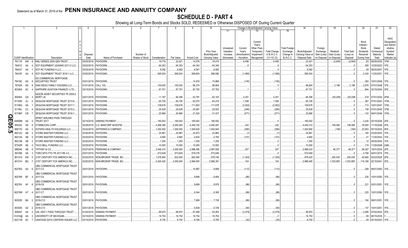## **SCHEDULE D - PART 4**

|          |                             |           |                | 2                                    | $\overline{4}$ | -5                          | 6               | 7             | 8          | -9                 | 10             |            |              |                                  | Change in Book/Adjusted Carrying Value |                      | 16                | 17                      | 18          | 19                | 20                        | 21                        | 22                                                               |
|----------|-----------------------------|-----------|----------------|--------------------------------------|----------------|-----------------------------|-----------------|---------------|------------|--------------------|----------------|------------|--------------|----------------------------------|----------------------------------------|----------------------|-------------------|-------------------------|-------------|-------------------|---------------------------|---------------------------|------------------------------------------------------------------|
|          |                             |           |                |                                      |                |                             |                 |               |            |                    |                | 11         | 12           | 13                               | 14                                     | 15                   |                   |                         |             |                   |                           |                           |                                                                  |
|          |                             |           |                |                                      |                |                             |                 |               |            |                    |                | Unrealized | Current      | Current<br>Year's<br>Other-Than- |                                        | <b>Total Foreign</b> |                   | Foreign                 |             |                   | Bond<br>Interest<br>Stock | Stated                    | <b>NAIC</b><br>Designation<br>and Admini <sub></sub><br>strative |
|          |                             |           |                |                                      |                |                             |                 |               |            |                    | Prior Year     | Valuation  | Year's       | Temporary                        | <b>Total Change</b>                    | Exchange             | Book/Adjusted     | Exchange                | Realized    | <b>Total Gain</b> | <b>Dividends</b>          | Contractua                | Symbol/                                                          |
|          |                             |           |                |                                      | Disposal       |                             | Number of       |               |            |                    | Book/Adjusted  | Increase   | Amortization | Impairment                       | in B./A.C.V.                           | Change in            | Carrying Value at | Gain (Loss)             | Gain (Loss) | (Loss) on         | Received                  | Maturity                  | Market                                                           |
|          | <b>CUSIP</b> Identification |           |                | Description                          | Date           | Name of Purchaser           | Shares of Stock | Consideration | Par Value  | <b>Actual Cost</b> | Carrying Value | (Decrease) | / Accretion  | Recognized                       | $(11+12-13)$                           | B./A.C.V.            | Disposal Date     | on Disposal on Disposal |             | Disposal          | During Year               | Date                      | Indicator (a)                                                    |
|          | 761118 AW                   |           | -8             | RALI SERIES 2005-QS9 TRUST           |                | 03/25/2019. PAYDOWN.        |                 | .19,776       | .22,421    | .14,576            | .16,015        |            | .6,406       |                                  | .6,406                                 |                      | .22,421           |                         | (2,645)     | (2,645)           | 93                        | 06/25/2035.               | 1FM.                                                             |
|          | 784012 AA                   |           |                | SCF EQUIPMENT LEASING 2017-2 LLC     |                | 03/20/2019. PAYDOWN.        |                 | .64,353       | .64,353    | .64,343            | .64,346        |            |              |                                  |                                        |                      | .64,353           |                         |             |                   | .365                      | 12/20/2023.               | 1FE.                                                             |
|          | 784037                      | AA        |                | SCF RC FUNDING II LLC.               |                | 03/25/2019. PAYDOWN.        |                 | .8,582        | .8,582     | .8,581             | .8,582         |            |              |                                  |                                        |                      | .8,582            |                         |             |                   | .59                       | 06/25/2047.               |                                                                  |
|          | 78410F AA                   |           |                | SCF EQUIPMENT TRUST 2016-1 LLC.      |                | 03/20/2019. PAYDOWN.        |                 | .585,504      | 585,504    | 589,804            | .586,590       |            | (1,086)      |                                  | (1,086)                                |                      | .585,504          |                         |             |                   | .3,324                    | 11/20/2021.               | 1FF                                                              |
|          |                             |           |                | <b>SG COMMERCIAL MORTGAGE</b>        |                |                             |                 |               |            |                    |                |            |              |                                  |                                        |                      |                   |                         |             |                   |                           |                           |                                                                  |
|          | 78419C AG                   |           |                | SECURITIES TRUST                     |                | 03/01/2019. PAYDOWN.        |                 |               |            | .14,916            | .10,868        |            | (145)        |                                  | (145)                                  |                      |                   |                         |             |                   |                           | .383   10/01/2048.   1FE. |                                                                  |
|          | 797426                      | AG        |                | SAN DIEGO FAMILY HOUSING LLC.        |                | 01/01/2019. CALL 100        |                 | .100,000      | 100,000    | .96,374            | .96,804        |            |              |                                  | 0                                      |                      | .96,804           |                         | .3,196      | .3,196            |                           | .2,970 07/01/2048. 1FE.   |                                                                  |
|          | 80306A AC                   |           |                | SAPPHIRE AVIATION FINANCE I LTD.     | 03/15/2019.    | PAYDOWN.                    |                 | .87,701       | .87,701    | .87,700            | .87,700        |            |              |                                  |                                        |                      | .87,701           |                         |             |                   | .864                      | 03/15/2040. 3FE           |                                                                  |
|          |                             |           |                | SAXON ASSET SECURITIES TR 2000-2     |                |                             |                 |               |            |                    |                |            |              |                                  |                                        |                      |                   |                         |             |                   |                           |                           |                                                                  |
|          | 805564                      | GA 3      |                | <b>MORT LN</b>                       |                | 02/01/2019. PAYDOWN.        |                 | .11,187       | .66,396    | .53,781            | .62,145        |            | .4,251       |                                  | .4,251                                 |                      | .66,396           |                         | (55,208)    | (55, 208)         |                           | .418 07/01/2030. 4FM.     |                                                                  |
|          | 81745D                      | AJ        |                | SEQUOIA MORTGAGE TRUST 2013-9.       | 03/01/2019.    | PAYDOWN.                    |                 | .65,726       | .65,726    | .63,570            | .64,218        |            | .1,508       |                                  | .1,508                                 |                      | .65,726           |                         |             |                   | .367                      | 07/01/2043. 1FM.          |                                                                  |
|          | 81746G AA                   |           |                | SEQUOIA MORTGAGE TRUST 2017-7        | 03/01/2019.    | PAYDOWN.                    |                 | 109,676       | 109,676    | .111,853           | .111,678       |            | (2,002)      |                                  | (2,002)                                |                      | .109,676          |                         |             |                   | .713                      | 10/01/2047.               | 1FM.                                                             |
|          | 81746L                      | <b>CC</b> |                | SEQUOIA MORTGAGE TRUST 2015-3.       | 03/01/2019.    | PAYDOWN.                    |                 | .25,639       | .25,639    | .25,991            | .25,933        |            | (294)        |                                  | (294)                                  |                      | .25,639           |                         |             |                   | 159                       | 07/01/2045.               | 1FM.                                                             |
|          | 81746P                      | CB        |                | SEQUOIA MORTGAGE TRUST 2016-1        |                | 03/01/2019. PAYDOWN.        |                 | .20,866       | .20,866    | .21,524            | .21,437        |            | (571)        |                                  | (571)                                  |                      | .20,866           |                         |             |                   |                           | .133 06/01/2046. 1FM.     |                                                                  |
| Q        |                             |           |                | SPIRIT AIRLINES PASS THROUGH         |                |                             |                 |               |            |                    |                |            |              |                                  |                                        |                      |                   |                         |             |                   |                           |                           |                                                                  |
| Ш        | 84859M                      | AA        |                | <b>TRUST 2017-</b>                   | 02/15/2019.    | <b>SINKING PAYMENT</b>      |                 | .180,552      | .180,552   | .180,552           | 180,552        |            |              |                                  |                                        |                      | .180,552          |                         |             |                   | 3,430                     | 02/15/2026. 2FE.          |                                                                  |
| OS.      | 855244                      | AS        |                | STARBUCKS CORP.                      | 03/28/2019.    | <b>U.S. BANCORP INVESTM</b> |                 | 4,596,390     | 4,500,000  | 4,440,150          | 4,440,067      |            | .242         |                                  | .242                                   |                      | 4,440,310         |                         | .156,080    | 156,080           | .76,500                   | 11/15/2048. 2FE.          |                                                                  |
|          | 85917D                      | AA        |                | SOTERA HEALTH HOLDINGS LLC           | 03/22/2019     | JEFFERIES & COMPANY         |                 | 1,002,500     | 1,000,000  | 1,005,625          | 1,002,940      |            | (280)        |                                  | (280)                                  |                      | .1,002,660        |                         | (160)       | (160)             | .23,653                   | 05/15/2023. 5FE.          |                                                                  |
| <u>ပ</u> | 86212U                      | AB        |                | STORE MASTER FUNDING LLC.            | 03/20/2019.    | PAYDOWN.                    |                 | 24,881        | .24,881    | .24,873            | .24,882        |            | (1           |                                  |                                        |                      | 24,881            |                         |             |                   | 193                       | 03/20/2043.               | 1FE.                                                             |
|          | 86213A                      | AB        |                | STORE MASTER FUNDING LLC.            | 03/20/2019.    | PAYDOWN.                    |                 | .4,665        | .4,665     | .4,834             | .4,765         |            | (101)        |                                  | (101)                                  |                      | .4,665            |                         |             |                   |                           | 11/20/2043.               |                                                                  |
|          | 86213B                      | AB        |                | STORE MASTER FUNDING LLC             |                | 03/20/2019. PAYDOWN.        |                 | .1,250        | .1,250     | .1,249             | .1,250         |            |              |                                  |                                        |                      | .1,250            |                         |             |                   |                           | .10 04/20/2044.           |                                                                  |
|          | 87342R                      | AE        |                | TACO BELL FUNDING LLC.               | 02/25/2019.    | PAYDOWN.                    |                 | .10,000       | .10,000    | .10,000            | .10,000        |            |              |                                  |                                        |                      | .10,000           |                         |             |                   | .119                      | 11/25/2048. 2AM.          |                                                                  |
|          | 886546                      | AB        |                | <b>IFFANY &amp; CO</b>               | 03/27/2019.    | PERSHING & COMPANY          |                 | .3,046,410    | 3,000,000  | .2,996,490         | 2,997,826      |            | 207          |                                  | .207                                   |                      | .2,998,033        |                         | .48,377     | 48,377            |                           | .56,367 10/01/2024. 2FE.  |                                                                  |
|          | 891098                      | AA        |                | TORO MTG FTG TR 2017-RE 4.0.         | 03/01/2019.    | PAYDOWN.                    |                 | .572,649      | .572,649   | .578,376           | .572,649       |            |              |                                  |                                        |                      | .572,649          |                         |             |                   | .3,769                    | 04/01/2074. 1FE.          |                                                                  |
|          | 90131H                      | AW        |                | 21ST CENTURY FOX AMERICA INC         | 03/20/2019     | NON-BROKER TRADE, BO.       |                 | 1,078,854     | .832,000   | .945,360           | .879,745       |            | (1,320)      |                                  | (1,320)                                |                      | .878,425          |                         | .200,430    | 200,430           | .40,664                   | 02/23/2025.               |                                                                  |
|          | 90131H                      | BQ        |                | 21ST CENTURY FOX AMERICA INC         | 03/20/2019.    | NON-BROKER TRADE, BO        |                 | .4,020,420    | .3,000,000 | .2,984,550         | 2,986,361      |            | .104         |                                  | 104                                    |                      | .2,986,465        |                         | 1,033,955   | .1,033,955        | .110,188                  | 02/15/2041. 2FE.          |                                                                  |
|          |                             |           |                | <b>JBS COMMERCIAL MORTGAGE TRUST</b> |                |                             |                 |               |            |                    |                |            |              |                                  |                                        |                      |                   |                         |             |                   |                           |                           |                                                                  |
|          | 90276G AU                   |           | - 6            | 2017-C3                              |                | 03/01/2019. PAYDOWN.        |                 |               |            | 10,987             | .9,689         |            | (112)        |                                  | (112)                                  |                      |                   |                         |             |                   |                           | .268 08/01/2050. 1FE.     |                                                                  |
|          |                             |           |                | UBS COMMERCIAL MORTGAGE TRUST        |                |                             |                 |               |            |                    |                |            |              |                                  |                                        |                      |                   |                         |             |                   |                           |                           |                                                                  |
|          | 90276R BF                   |           |                | 2017-C4                              |                | 03/01/2019. PAYDOWN.        |                 |               |            | .9,688             | .8,484         |            | (86)         |                                  | (86)                                   |                      |                   |                         |             |                   |                           | .226   10/01/2050.   1FE. |                                                                  |
|          |                             |           |                | <b>JBS COMMERCIAL MORTGAGE TRUST</b> |                |                             |                 |               |            |                    |                |            |              |                                  |                                        |                      |                   |                         |             |                   |                           |                           |                                                                  |
|          | 90276V AF                   |           | - 6            | 2018-C8                              |                | 03/01/2019. PAYDOWN.        |                 |               |            | .9,669             | .8,978         |            | (86)         |                                  | (86)                                   |                      |                   |                         |             |                   |                           | .221 02/01/2051.          | 1FF                                                              |
|          |                             |           |                | <b>JBS COMMERCIAL MORTGAGE TRUST</b> |                |                             |                 |               |            |                    |                |            |              |                                  |                                        |                      |                   |                         |             |                   |                           |                           |                                                                  |
|          | 90276W AT                   |           |                | 2017-C7                              |                | 03/01/2019. PAYDOWN.        |                 |               |            | .9,344             | .8,385         |            | (88)         |                                  | (88)                                   |                      |                   |                         |             |                   |                           | .225   12/01/2050.   1FE. |                                                                  |
|          |                             |           |                | <b>JBS COMMERCIAL MORTGAGE TRUST</b> |                |                             |                 |               |            |                    |                |            |              |                                  |                                        |                      |                   |                         |             |                   |                           |                           |                                                                  |
|          | 90353D BA                   |           | $\overline{2}$ | 2018-C12                             |                | 03/01/2019. PAYDOWN.        |                 |               |            | .7,969             | .7,726         |            | (66)         |                                  | (66)                                   |                      |                   |                         |             |                   |                           | 184 08/01/2051. 1FE.      |                                                                  |
|          |                             |           |                | <b>JBS COMMERCIAL MORTGAGE TRUST</b> |                |                             |                 |               |            |                    |                |            |              |                                  |                                        |                      |                   |                         |             |                   |                           |                           |                                                                  |
|          | 90353K AZ                   |           | - 2            | 2018-C13                             |                | 03/01/2019. PAYDOWN.        |                 |               |            | .5,839             | .5,749         |            | (50)         |                                  | (. (50)                                |                      |                   |                         |             |                   |                           | 137 10/01/2051.           |                                                                  |
|          | 909287                      | AA        | - 2            | JAL 2007-1 PASS THROUGH TRUST        | 01/02/2019.    | SINKING PAYMENT             |                 | .89,970       | .89,970    | .97,488            | .93,450        |            | (3,479)      |                                  | (3,479)                                |                      | .89,970           |                         |             |                   | .2,985                    | 07/02/2022.               |                                                                  |
|          | 91474@                      | AA        | $\overline{2}$ | UNIVERSITY OF MICHIGAN.              | 03/15/2019.    | <b>SINKING PAYMENT</b>      |                 | 16,754        | 16,754     | 16,754             | 16,754         |            |              |                                  |                                        |                      | .16,754           |                         |             |                   | .99                       | 06/15/2039.               |                                                                  |
|          | 92211M AC                   |           |                | VANTAGE DATA CENTERS ISSUER LLC      |                | 03/15/2019. PAYDOWN.        |                 | .8,750        | .8,750     | .8,789             | .8,785         |            | (35)         |                                  | (35)                                   |                      | .8,750            |                         |             |                   | .59                       | 02/16/2043.               |                                                                  |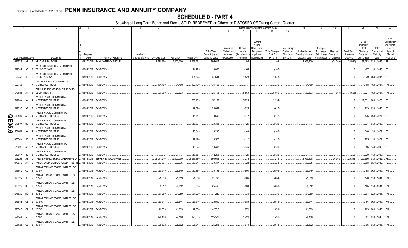## **SCHEDULE D - PART 4**

|              |                             |    |                |                                                                  |             | -5                               |                 |               |            |                    | 10                          |                       |                        | Change in Book/Adjusted Carrying Value                         |                       | 16                                 | 17                      | 18                      | 19                             | 20                          | 21                          | 22                                                    |
|--------------|-----------------------------|----|----------------|------------------------------------------------------------------|-------------|----------------------------------|-----------------|---------------|------------|--------------------|-----------------------------|-----------------------|------------------------|----------------------------------------------------------------|-----------------------|------------------------------------|-------------------------|-------------------------|--------------------------------|-----------------------------|-----------------------------|-------------------------------------------------------|
|              |                             |    |                |                                                                  |             |                                  |                 |               |            |                    |                             | 11                    | 12                     | 13<br>14                                                       | 15                    |                                    |                         |                         |                                |                             |                             |                                                       |
|              |                             |    |                |                                                                  |             |                                  |                 |               |            |                    |                             | Unrealized            | Current                | Current<br>Year's<br>Other-Than-                               | <b>Total Foreigr</b>  |                                    | Foreign                 |                         |                                | Bond<br>Interest /<br>Stock | Stated                      | <b>NAIC</b><br>Designation<br>and Admini-<br>strative |
|              |                             |    |                |                                                                  | Disposal    |                                  | Number of       |               |            |                    | Prior Year<br>Book/Adjusted | Valuation<br>Increase | Year's<br>Amortization | Temporary<br><b>Total Change</b><br>in B./A.C.V.<br>Impairment | Exchange<br>Change in | Book/Adjusted<br>Carrying Value at | Exchange<br>Gain (Loss) | Realized<br>Gain (Loss) | <b>Total Gain</b><br>(Loss) on | Dividends<br>Received       | Contractua<br>Maturity      | Symbol/<br>Market                                     |
|              | <b>CUSIP</b> Identification |    |                | Description                                                      | Date        | Name of Purchaser                | Shares of Stock | Consideration | Par Value  | <b>Actual Cost</b> | Carrying Value              | (Decrease)            | / Accretion            | $(11+12-13)$<br>Recognized                                     | <b>B./A.C.V.</b>      | Disposal Date                      | on Disposal             | on Disposa              | Disposal                       | During Year                 | Date                        | Indicator (a)                                         |
|              | 92277G AE 7                 |    |                | VENTAS REALTY LP                                                 |             | 02/20/2019. BANC/AMERICA SECUR.L |                 | 1,971,660     | .2,000,000 | .1,993,261         | 1,995,617                   |                       | 102                    |                                                                | .102                  | .1,995,720                         |                         | (24,060)                | (24,060)                       | .39,083                     | 02/01/2025.                 | 2FE.                                                  |
|              |                             |    |                |                                                                  |             |                                  |                 |               |            |                    |                             |                       |                        |                                                                |                       |                                    |                         |                         |                                |                             |                             |                                                       |
|              | 92930R AF                   |    | - q            | <b><i>NFRBS COMMERCIAL MORTGAGE</i></b><br>TRUST 2012-C9         |             | 03/01/2019. PAYDOWN.             |                 |               |            | .14,225            | .8,060                      |                       | (165)                  |                                                                | (165)                 |                                    |                         |                         |                                | .497                        | 11/01/2045. 1FE.            |                                                       |
|              | 92936T AF                   |    | - 9            | <b><i>NFRBS COMMERCIAL MORTGAGE</i></b><br><b>TRUST 2012-C7</b>  |             | 03/01/2019. PAYDOWN.             |                 |               |            | 124,823            | .61,691                     |                       | (1,528)                |                                                                | (1,528)               |                                    |                         |                         | - 0                            |                             | .3,939   06/01/2045.   1FE. |                                                       |
|              | 929766 7N                   |    |                | <b>NACHOVIA BANK COMMERCIAL</b><br><b>MORTGAGE TRUST</b>         |             | 03/01/2019. PAYDOWN              |                 | .134,469      | 134.469    | 127,409            | .134,469                    |                       |                        |                                                                |                       | .134.469                           |                         |                         |                                | .1,198                      | 10/01/2044. 1FM.            |                                                       |
|              | 949834 AA 3                 |    |                | <b><i>NELLS FARGO MORTGAGE BACKED</i></b><br><b>SECURITIES 2</b> |             | 03/01/2019. PAYDOWN.             |                 | .27,960       | .32,623    | .29,975            | .26,763                     |                       | .5,860                 |                                                                | .5,860                | .32,623                            |                         | (4,663)                 | (4,663)                        | .327                        | 10/01/2037.                 | 1FM.                                                  |
|              | 94988X AX                   |    |                | WELLS FARGO COMMERCIAL<br>MORTGAGE TRUST 20                      |             | 03/01/2019. PAYDOWN              |                 |               |            | .238,169           | .152,168                    |                       | (5,924)                |                                                                | (5,924)               |                                    |                         |                         | - 0                            | .12,531                     | 08/01/2050.                 |                                                       |
|              | 94989D AZ                   |    | $\overline{2}$ | <b><i>NELLS FARGO COMMERCIAL</i></b><br>MORTGAGE TRUST 20        |             | 03/01/2019. PAYDOWN              |                 |               |            | .42,396            | .26,851                     |                       | (625)                  |                                                                |                       |                                    |                         |                         |                                | 1,223                       | 02/01/2048. 1FE.            |                                                       |
|              |                             |    |                | <b><i>NELLS FARGO COMMERCIAL</i></b>                             |             |                                  |                 |               |            |                    |                             |                       |                        |                                                                | (625)                 |                                    |                         |                         |                                |                             |                             |                                                       |
| O            | 94989V                      | AG |                | MORTGAGE TRUST 20                                                |             | 03/01/2019. PAYDOWN              |                 |               |            | .16,157            | .9,609                      |                       | (172)                  |                                                                | (172)                 |                                    |                         |                         |                                | .435                        | 09/01/2057. 1FE.            |                                                       |
| <b>E05.6</b> | 94989Y                      | BC |                | <b><i>NELLS FARGO COMMERCIAL</i></b><br>MORTGAGE TRUST 20        |             | 03/01/2019. PAYDOWN.             |                 |               |            | .13,397            | .9,305                      |                       | (126)                  |                                                                | (126)                 |                                    |                         |                         |                                | .331                        | 01/01/2059. 1FE.            |                                                       |
|              | 95000J                      | AY |                | WELLS FARGO COMMERCIAL<br>MORTGAGE TRUST 20                      |             | 03/01/2019. PAYDOWN              |                 |               |            | .13,343            | .10,286                     |                       | (140)                  |                                                                | (140)                 |                                    |                         |                         |                                | .340                        | 12/01/2059. 1FE.            |                                                       |
|              | 95000M BS                   |    | - q            | <b>WELLS FARGO COMMERCIAL</b><br>MORTGAGE TRUST 20               |             | 03/01/2019. PAYDOWN.             |                 |               |            | 12,126             | .9,528                      |                       | (112)                  |                                                                | (112)                 |                                    |                         |                         |                                | .295                        | 11/01/2059.                 | 1FE.                                                  |
|              | 95000P AH                   |    |                | WELLS FARGO COMMERCIAL<br>MORTGAGE TRUST 20                      |             | 03/01/2019. PAYDOWN.             |                 |               |            | .13,924            | .10,346                     |                       | (146)                  |                                                                | (146)                 |                                    |                         |                         |                                | .386                        | 12/01/2049. 1FE.            |                                                       |
|              | 95001A BE                   |    | -5             | <b>WELLS FARGO COMMERCIAL</b><br>MORTGAGE TRUST 20               |             | 03/01/2019. PAYDOWN.             |                 |               |            | .13,688            | .12,266                     |                       | (125)                  |                                                                | (125)                 |                                    |                         |                         | - 0                            | .320                        | 11/01/2050. 1FE             |                                                       |
|              | 958254                      | AB |                | WESTERN MIDSTREAM OPERATING LP                                   | 03/18/2019. | JEFFERIES & COMPANY              |                 | .2,014,240    | .2,000,000 | 1,983,880          | 1,993,603                   |                       | .275                   |                                                                | .275                  | .1,993,878                         |                         | 20,362                  | 20,362                         | .57,556                     | 07/01/2022. 2FE             |                                                       |
|              | 97063Q AA                   |    | - 0            | WILLIS ENGINE STRUCTURED TRUST III                               |             | 03/15/2019. PAYDOWN.             |                 | .39,375       | .39,375    | .39,341            | .39,347                     |                       | .28                    |                                                                | .28                   | .39,375                            |                         |                         |                                | .308                        | 08/15/2042. 1FE             |                                                       |
|              | 97651L CD                   |    |                | WINWATER MORTGAGE LOAN TRUST<br>2015-4                           |             | 03/01/2019. PAYDOWN.             |                 | .29,949       | .29,949    | .30,885            | .30,753                     |                       | (804)                  |                                                                | (804)                 | .29,949                            |                         |                         |                                |                             | 188 06/01/2045. 1FM.        |                                                       |
|              |                             |    |                | WINWATER MORTGAGE LOAN TRUST                                     |             |                                  |                 |               |            |                    |                             |                       |                        |                                                                |                       |                                    |                         |                         |                                |                             |                             |                                                       |
|              | 97652R BB                   |    |                | 2014-3                                                           |             | 03/01/2019. PAYDOWN.             |                 | .21,059       | .21,059    | .21,856            | .21,743                     |                       | (684)                  |                                                                | (684)                 | .21,059                            |                         |                         |                                |                             | .140   11/01/2044. 1FM.     |                                                       |
|              | 97652R BC                   |    |                | WINWATER MORTGAGE LOAN TRUST<br>2014-3                           |             | 03/01/2019. PAYDOWN.             |                 | .24,912       | .24,912    | .25,555            | .25,442                     |                       | (530)                  |                                                                | (530)                 | .24,912                            |                         |                         |                                |                             | 165 11/01/2044. 1FM.        |                                                       |
|              | 97652U BG                   |    |                | WINWATER MORTGAGE LOAN TRUST<br>2015-2                           |             | 03/01/2019. PAYDOWN.             |                 | .31,259       | .31,259    | .31,220            | .31,220                     |                       | .39                    |                                                                | .39                   | .31,259                            |                         |                         |                                | .204                        | 02/01/2045. 1FM.            |                                                       |
|              | 97653B CB                   |    | -5             | WINWATER MORTGAGE LOAN TRUST<br>2015-A                           |             | 03/01/2019. PAYDOWN.             |                 | .25,944       | .25,944    | .26,646            | .26,530                     |                       | (585)                  |                                                                | (585)                 | .25,944                            |                         |                         |                                | 164                         | 06/01/2045. 1FM.            |                                                       |
|              | 97654D CA                   |    | 2              | WINWATER MORTGAGE LOAN TRUST<br>2015-5                           |             | 03/01/2019. PAYDOWN              |                 | .41,639       | .41,639    | .42,888            | .42,710                     |                       | (1,071)                |                                                                | (1,071)               | .41,639                            |                         |                         |                                |                             | .263 08/01/2045. 1FM.       |                                                       |
|              | 97655J AH                   |    | - 5            | WINWATER MORTGAGE LOAN TRUST<br>2016-1                           |             | 03/01/2019. PAYDOWN              |                 | .124,100      | 124,100    | 126,505            | .125,526                    |                       | (1,426)                |                                                                | (1,426)               | .124,100                           |                         |                         |                                | .861                        | 01/01/2046. 1FM.            |                                                       |
|              | 97655J CB                   |    | - 6            | WINWATER MORTGAGE LOAN TRUST<br>2016-1                           |             | 03/01/2019. PAYDOWN.             |                 | .25.602       | .25.602    | .26.341            | .26.245                     |                       | (643)                  |                                                                | (643)                 | .25.602                            |                         |                         | $\Omega$                       |                             | .165 01/01/2046. 1FM.       |                                                       |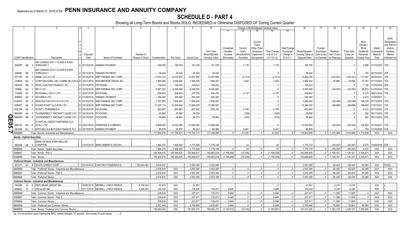## **SCHEDULE D - PART 4**

Showing all Long-Term Bonds and Stocks SOLD, REDEEMED or Otherwise DISPOSED OF During Current Quarter

|   |           |                                  |                                                          | - 6           |                                   | 8                               | -9          | 10          |                    |                | Change in Book/Adjusted Carrying Value |              |                   | 16                  | 17                   | 18                | 19          | 20          | 21                | 22                 |                           |                            |
|---|-----------|----------------------------------|----------------------------------------------------------|---------------|-----------------------------------|---------------------------------|-------------|-------------|--------------------|----------------|----------------------------------------|--------------|-------------------|---------------------|----------------------|-------------------|-------------|-------------|-------------------|--------------------|---------------------------|----------------------------|
|   |           |                                  |                                                          |               |                                   |                                 |             |             |                    |                | 11                                     |              | 13                |                     |                      |                   |             |             |                   |                    |                           |                            |
|   |           |                                  |                                                          |               |                                   |                                 |             |             |                    |                |                                        |              |                   |                     |                      |                   |             |             |                   |                    |                           |                            |
|   |           |                                  |                                                          |               |                                   |                                 |             |             |                    |                |                                        |              |                   |                     |                      |                   |             |             |                   |                    |                           | <b>NAIC</b>                |
|   |           |                                  |                                                          |               |                                   |                                 |             |             |                    |                |                                        |              | Current<br>Year's |                     |                      |                   |             |             |                   | Bond<br>Interest / |                           | Designation<br>and Admini- |
|   |           |                                  |                                                          |               |                                   |                                 |             |             |                    |                | Unrealized                             | Current      | Other-Than        |                     | <b>Total Foreigr</b> |                   | Foreign     |             |                   | Stock              | Stated                    | strative                   |
|   |           |                                  |                                                          |               |                                   |                                 |             |             |                    | Prior Year     | Valuation                              | Year's       | Temporary         | <b>Total Change</b> | Exchange             | Book/Adjusted     | Exchange    | Realized    | <b>Total Gain</b> | Dividends          | Contractua                | Symbol/                    |
|   |           |                                  |                                                          | Disposal      |                                   | Number of                       |             |             |                    | Book/Adjusted  | Increase                               | Amortizatior | Impairment        | in B./A.C.V.        | Change in            | Carrying Value at | Gain (Loss) | Gain (Loss) | (Loss) on         | Received           | Maturity                  | Market                     |
|   |           | <b>CUSIP</b> Identification      | Description                                              | Date          | Name of Purchaser                 | Shares of Stock   Consideration |             | Par Value   | <b>Actual Cost</b> | Carrying Value | Decrease                               | / Accretion  | Recognized        | $(11+12-13)$        | B.A.C.V.             | Disposal Date     | on Disposal | on Disposa  | Disposal          | During Year        | Date                      | Indicator (a)              |
|   |           |                                  | AIR CANADA 2017-1 CLASS A PASS                           |               |                                   |                                 |             |             |                    |                |                                        |              |                   |                     |                      |                   |             |             |                   |                    |                           |                            |
|   | 00908P AB | - 3                              | <b>THROUGH T</b>                                         |               | A   01/15/2019.   SINKING PAYMENT |                                 | 168,755     | .168,755    | 161,338            | .161,579       |                                        | .7,176       |                   | .7,176              |                      | 168,755           |             |             |                   |                    | .2,995   01/15/2030. 1FE. |                            |
|   |           |                                  | AIR CANADA 2015-1 CLASS B PASS                           |               |                                   |                                 |             |             |                    |                |                                        |              |                   |                     |                      |                   |             |             |                   |                    |                           |                            |
|   | 009090    | AB                               | <b>THROUGH T</b>                                         | A 03/15/2019. | <b>SINKING PAYMENT</b>            |                                 | .38.434     | 38,434      | .38.434            | .38,434        |                                        |              |                   |                     |                      | .38.434           |             |             |                   |                    | .745 03/15/2023.          | 2FE.                       |
|   | 00176A    | AX                               | AMMC CLO XI LTD.                                         | D 03/19/2019. | <b>BNP PARIBAS SEC CORP</b>       |                                 | .11,910,314 | 12,070,000  | 12,057,930         | 12,057,669     |                                        | (2,313)      |                   | (2, 313)            |                      | 12,055,355        |             | (145, 041)  | (145, 041)        | 171,937            | 04/30/2031.               |                            |
|   | 21987B    | AQ                               | CORP NACIONAL DEL COBRE DE CHILE D 02/01/2019.           |               | NON-BROKER TRADE. BO.             |                                 | 1,980,260   | .2,000,000  | 1,905,180          | 1,959,361      |                                        | .1.043       |                   | .1,043              |                      | 1,960,404         |             | .19.856     | .19,856           | .33,167            | 07/17/2022. 1FE           |                            |
|   | 48244X    | AB<br>-8                         | <b>KDAC AVIATION FINANCE LTD</b>                         | D 03/15/2019. | PAYDOWN.                          |                                 | 109,423     | .109,423    | 109,423            | .109,423       |                                        |              |                   |                     |                      | .109,423          |             |             |                   | .1,126             | 12/15/2042. 2FE           |                            |
|   | 74988L    | AA                               | RR 3 LTD.                                                | D 03/19/2019. | <b>BNP PARIBAS SEC CORP</b>       |                                 | .5,957,220  | 6.000.000   | .6.000.000         | .6,000,000     |                                        |              |                   |                     |                      | .6.000.000        |             | (42.780)    | (42,780)          | .96.074            | 01/15/2030. 1FE.          |                            |
|   | 77426N    | AC                               | ROCKWALL CDO II LTD.                                     | C 02/01/2019  | <b>PAYDOWN</b>                    |                                 | 508,842     | .508,842    | .477,755           | 504,705        |                                        | .4.137       |                   | .4,137              |                      | .508,842          |             |             |                   | 4,214              | 08/01/2024.               |                            |
|   | 805649    | AA                               | <b>SAYARRA LTD</b>                                       | D 01/29/2019. | <b>SINKING PAYMENT</b>            |                                 | .294,360    | .294,360    | .294,360           | .294,360       |                                        |              |                   |                     |                      | .294,360          |             |             |                   | .2,041             | 10/29/2021                |                            |
|   | 81881Q    | AS                               | SHACKLETON 2013-III CLO LTD.                             | D 03/19/2019  | BNP PARIBAS SEC CORP              |                                 | 7,797,955   | 7,850,000   | .7,850,000         | .7,850,000     |                                        |              |                   |                     |                      | .7,850,000        |             | (52.046)    | (52,046)          | 126,724            | 07/15/2030.               |                            |
|   | 83609T    | AA                               | SOUND POINT CLO XVIII LTD                                | D 03/19/2019. | <b>BNP PARIBAS SEC CORP</b>       |                                 | 12,205,114  | 12,294,000  | 12,294,000         | 12,294,000     |                                        |              |                   |                     |                      | 12,294,000        |             | . (88.886)  | (88, 886)         | 189,630            | 01/21/2031.               |                            |
|   | 85572R    | AA                               | START LTD/BERMUDA.                                       | D 03/15/2019. | <b>PAYDOWN</b>                    |                                 | .663,987    | .663.987    | .657.852           | 658,192        |                                        | .5.795       |                   | .5.795              |                      | 663.987           |             |             |                   | 4.512              | 05/15/2043.               |                            |
|   | 88606W    | AA                               | THUNDERBOLT AIRCRAFT LEASE LTD.                          | D 03/15/2019. | <b>PAYDOWN</b>                    |                                 | .55,899     | .55,899     | .56,226            |                |                                        | (328)        |                   | (328)               |                      | .55,899           |             |             |                   | .294               | 05/17/2032.               |                            |
| ∩ | 88606W    | AB                               | THUNDERBOLT AIRCRAFT LEASE LTD.                          | D 03/15/2019. | PAYDOWN                           |                                 | .58.694     | .58.694     | .59.273            | .59.264        |                                        | (570)        |                   | (570)               |                      | 58.694            |             |             |                   | 562                | 05/17/2032. 2FE           |                            |
|   |           |                                  | Z CAPITAL CREDIT PARTNERS CLO                            |               |                                   |                                 |             |             |                    |                |                                        |              |                   |                     |                      |                   |             |             |                   |                    |                           |                            |
| 0 | 98877E AG |                                  | 8 2015-1 LTD                                             | D 03/01/2019. | <b>PERSHING &amp; COMPANY</b>     |                                 | 9,950,000   | 10.000.000  | 10.000.000         | 10,000,000     |                                        |              |                   |                     |                      | 10.000.000        |             | (50,000)    | (50,000)          | 136,262            | 07/16/2027.               | 1FE.                       |
|   |           |                                  | G6160K AC 5 MITCHELLS & BUTLERS FINANCE PLC.             |               | D 03/15/2019. SINKING PAYMENT     |                                 | .95,876     | .95,876     | .80,242            | 86,386         |                                        | .9,491       |                   | 9,491               |                      | .95,876           |             |             |                   | 759                | 12/15/2030.               | 1FE                        |
|   | 3899999.  |                                  | Total - Bonds - Industrial and Miscellaneous             |               |                                   |                                 | 117.958.876 | 117,708,421 | 115,725,173        | 117,349,068    |                                        | .61.030      |                   | 61.030              |                      | 116,943,509       |             | 1.015.368   | 1,015,368         | 1,719,826          | <b>XXX</b>                | <b>XXX</b>                 |
|   |           | <b>Bonds - Hybrid Securities</b> |                                                          |               |                                   |                                 |             |             |                    |                |                                        |              |                   |                     |                      |                   |             |             |                   |                    |                           |                            |
|   |           |                                  | <b>BANK OF NEW YORK MELLON</b>                           |               |                                   |                                 |             |             |                    |                |                                        |              |                   |                     |                      |                   |             |             |                   |                    |                           |                            |
|   |           |                                  | 064058 AB 6 CORP/THE                                     |               | 01/07/2019. BANC/AMERICA SECUR.L  |                                 | .1.684.375  | .1.925.000  | 1.773.599          | .1,779,748     |                                        | .25          |                   | .25                 |                      | .1,779,772        |             | (95.397)    | (95, 397)         | .4,572             | 12/29/2049.               | 2FE                        |
|   | 4899999   |                                  | Total - Bonds - Hybrid Securities                        |               |                                   |                                 | 1,684,375   | .1,925,000  | 1,773,599          | .1,779,748     | $\Omega$                               | .25          | 0                 | .25                 | - 0                  | .1,779,772        | $0$ .       | (95, 397)   | (95, 397)         | 4,572              | <b>XXX</b>                | XXX                        |
|   | 8399997   |                                  | Total - Bonds - Part 4                                   |               |                                   |                                 | 184.838.015 | 185.945.635 | 183.849.817        | 185.683.518    | (1.158.460)                            | (37,049)     | 0                 | (1.195.509)         |                      | 183.689.849       |             | 1.148.167   | 1,148,167         | .2,306,871         | <b>XXX</b>                | XXX                        |
|   | 8399999.  |                                  | Total - Bonds.                                           |               |                                   |                                 | 184.838.015 | 185,945,635 | 183.849.817        | 185.683.518    | (1, 158, 460)                          | (37.049)     | $\Omega$          | (1.195.509)         |                      | 183.689.849       | $0-1$       | .1,148,167  | 1,148,167         | 2,306,871          | <b>XXX</b>                | XXX                        |
|   |           |                                  | Preferred Stocks - Industrial and Miscellaneous          |               |                                   |                                 |             |             |                    |                |                                        |              |                   |                     |                      |                   |             |             |                   |                    |                           |                            |
|   |           |                                  | 857477 60 8 STATE STREET CORP                            |               | 03/15/2019. CANTOR FITZGERALD &   | 135,843.000                     | 3,618,810   |             | .3,553,385         | .3,553,385     |                                        |              |                   |                     |                      | .3,553,385        |             | .65,425     | .65,425           | .50,085            | <b>XXX</b>                | P2FEL                      |
|   | 8499999   |                                  | Total - Preferred Stocks - Industrial and Miscellaneous. |               |                                   |                                 | .3,618,810  | XXX         | .3,553,385         | 3,553,385      |                                        |              |                   |                     |                      | .3,553,385        |             | .65.425     | .65,425           | .50,085            | XXX                       | XXX                        |
|   | 8999997   |                                  | Total - Preferred Stocks - Part 4                        |               |                                   |                                 | 3,618,810   | XXX         | .3,553,385         | .3,553,385     |                                        |              |                   |                     |                      | .3,553,385        |             | .65,425     | 65,425            | .50,085            | <b>XXX</b>                | XXX                        |
|   | 8999999   |                                  | <b>Total - Preferred Stocks</b>                          |               |                                   |                                 | 3,618,810   | XXX         | .3,553,385         | .3.553.385     |                                        |              |                   |                     |                      | .3.553.385        |             | 65.425      | .65,425           | .50,085            | XXX                       | <b>XXX</b>                 |
|   |           |                                  | <b>Common Stocks - Industrial and Miscellaneous</b>      |               |                                   |                                 |             |             |                    |                |                                        |              |                   |                     |                      |                   |             |             |                   |                    |                           |                            |
|   | 76029N    | 10<br>- 6                        | <b>REPLIMUNE GROUP INC</b>                               | 03/06/2019.   | MERRILL LYNCH PIERCE              | .6,749.000                      | .93,870     | <b>XXX</b>  | .91,651            |                |                                        |              |                   |                     |                      | 91,651            |             | .2,219      | .2,219            |                    | <b>XXX</b>                |                            |
|   | 98980G    |                                  | 10 2 ZSCALER INC                                         |               | 01/11/2019. MERRILL LYNCH PIERCE. | .3.200.000                      | 144,760     | <b>XXX</b>  | .135.420           | .125,472       | .9.948                                 |              |                   | 9.948               |                      | 135.420           |             | .9.339      | .9.339            |                    | <b>XXX</b>                |                            |
|   | 9099999   |                                  | Total - Common Stocks - Industrial and Miscellaneous.    |               |                                   |                                 | .238,630    | XXX         | .227,071           | .125,472       | .9.948                                 | $\Omega$     | $\cdot$ .0        | 9.948               | $\Omega$             | 227,071           | $\Omega$ .  | 11.558      | 11,558            | $\Omega$           | <b>XXX</b>                | XXX                        |
|   | 9799997   |                                  | Total - Common Stocks - Part 4                           |               |                                   |                                 | 238,630     | XXX         | .227,071           | .125,472       | 9,948                                  | 0            | 0                 | .9,948              | 0                    | 227,071           | 0           | .11,558     | 11,558            | .0                 | <b>XXX</b>                | XXX                        |
|   | 9799999.  |                                  | Total - Common Stocks.                                   |               |                                   |                                 | .238,630    | <b>XXX</b>  | .227,071           | .125,472       | .9.948                                 | $\Omega$     | 0                 | 9.948               | $\Omega$             | 227,071           | $0$ .       | 11.558      | .11,558           |                    | <b>XXX</b>                | <b>XXX</b>                 |
|   | 899999.   |                                  | Total - Preferred and Common Stocks                      |               |                                   |                                 | .3,857,440  | XXX         | .3,780,456         | 3,678,857      | .9.948                                 |              |                   | 9.948               |                      | 3,780,456         |             | .76.983     | 76,983            | .50,085            | <b>XXX</b>                | XXX                        |
|   | 9999999   |                                  | Total - Bonds, Preferred and Common Stocks.              |               |                                   |                                 | 188,695,455 | <b>XXX</b>  | 187,630,273        | 189,362,375    | (1, 148, 512)                          | (37.049)     | $\Omega$          | (1, 185, 561)       |                      | 187,470,305       |             | 1,225,150   | 1,225,150         | .2.356.956         | <b>XXX</b>                | <b>XXX</b>                 |
|   |           |                                  |                                                          |               |                                   |                                 |             |             |                    |                |                                        |              |                   |                     |                      |                   |             |             |                   |                    |                           |                            |

(a) For all common stock bearing the NAIC market indicator "U" provide: the number of such issues: ..........0.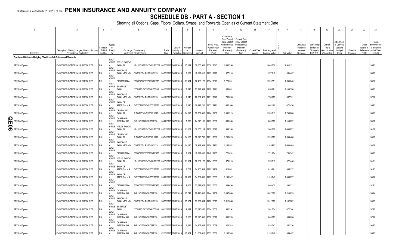## Statement as of March 31, 2019 of the **PENN INSURANCE AND ANNUITY COMPANY SCHEDULE DB - PART A - SECTION 1**

|        |                                                                   | $\overline{2}$                                                             | $\overline{\mathbf{3}}$                     | $\overline{4}$                                                                         | 5                                                        | -6            |                                                  | 8             | 9                       | 10 <sup>°</sup>                                      | 11                                                                                              | 12                                                                               | 13     | 14                                                    | 16         | 17                                                | 18                                                         | 19                                               | 20                                                       | 21                    | 22                                          | 23                                                                |
|--------|-------------------------------------------------------------------|----------------------------------------------------------------------------|---------------------------------------------|----------------------------------------------------------------------------------------|----------------------------------------------------------|---------------|--------------------------------------------------|---------------|-------------------------|------------------------------------------------------|-------------------------------------------------------------------------------------------------|----------------------------------------------------------------------------------|--------|-------------------------------------------------------|------------|---------------------------------------------------|------------------------------------------------------------|--------------------------------------------------|----------------------------------------------------------|-----------------------|---------------------------------------------|-------------------------------------------------------------------|
|        | Description                                                       | Description of Item(s) Hedged, Used for Income<br>Generation or Replicated | Schedule<br>/ Exhibit Risk(s)<br>Identifier | Type(s)<br>of<br>(a)                                                                   | Exchange, Counterparty<br>or Central Clearinghouse       | Trade<br>Date | Date of<br>Maturity or<br>Expiration   Contracts | Number<br>of  | Notional<br>Amount      | Strike Price,<br>Rate of Index<br>Received<br>(Paid) | Cumulative<br>Prior Year(s)<br>Initial Cost of<br>Undiscounted<br>Premium<br>(Received)<br>Paid | Current Year<br>Initial Cost of<br>Jndiscounted<br>Premium<br>(Received)<br>Paid | Income | Current Year   Book/Adjusted<br>Carrying Value<br>e l | Fair Value | Unrealized<br>Valuation<br>Increase<br>(Decrease) | <b>Total Foreign</b><br>Exchange<br>Change in<br>B./A.C.V. | Current<br>Year's<br>Amortization<br>/ Accretion | Adjustment<br>to Carrying<br>Value of<br>Hedged<br>Items | Potential<br>Exposure | Credit<br>Quality of<br>Reference<br>Entity | Hedge<br>Effectiveness<br>at Inception<br>and at Year-<br>end (b) |
|        | Purchased Options - Hedging Effective - Call Options and Warrants |                                                                            |                                             |                                                                                        |                                                          |               |                                                  |               |                         |                                                      |                                                                                                 |                                                                                  |        |                                                       |            |                                                   |                                                            |                                                  |                                                          |                       |                                             |                                                                   |
|        | SPX Call Spread.                                                  | EMBEDDED OPTION IN IUL PRODUCTS.                                           | N/A                                         | <b>EQUIT</b><br>Y/INDE WELLS FARGO<br>BANK, N.<br><b>EQUIT</b><br>Y/INDE BARCLAYS      | KB1H1DSPRFMYMCUFXT09 04/05/2018 04/01/2019               |               |                                                  | 15,014        | .39,606,932             | 2638 / 2845.                                         | 1,646,736                                                                                       |                                                                                  |        | 1,646,736                                             | .2,844,121 |                                                   |                                                            |                                                  |                                                          |                       |                                             | 95/95.                                                            |
|        | SPX Call Spread.                                                  | EMBEDDED OPTION IN IUL PRODUCTS                                            | N/A                                         | <b>BANK NEW YO</b><br><b>EQUIT</b><br>Y/INDE                                           | G5GSEF7VJP5I7OUK5573                                     |               | 04/06/2018 04/04/2019                            | 6,802         |                         | .18,399,410   2705 / 2917.                           | 577,218                                                                                         |                                                                                  |        | 577,218                                               | 884,407    |                                                   |                                                            |                                                  |                                                          |                       |                                             | 96/97                                                             |
|        | SPX Call Spread.                                                  | EMBEDDED OPTION IN IUL PRODUCTS                                            | N/A                                         | EQUIT                                                                                  | CITIBANK N.A E57ODZWZ7FF32TWEFA76.                       |               | 04/13/2018 04/08/2019 11,434                     |               |                         | 30,460,176 2664 / 2873.                              | 1,220,351                                                                                       |                                                                                  |        | 1,220,351                                             | .1,895,640 |                                                   |                                                            |                                                  |                                                          |                       |                                             | 96/96                                                             |
|        | SPX Call Spread.                                                  | EMBEDDED OPTION IN IUL PRODUCTS                                            | N/A                                         | Y/INDE<br><b>SUNTRUST</b><br><b>BANK</b><br><b>EQUIT</b>                               | IYDOJBGJWY9T8XKCSX06                                     |               | 04/16/2018 04/12/2019                            | 8,548         | 23,147,984              | 2708 / 2921.                                         | 856,681                                                                                         |                                                                                  |        | .856,681                                              | .1,103,396 |                                                   |                                                            |                                                  |                                                          |                       |                                             | 96/95.                                                            |
|        | SPX Call Spread.                                                  | EMBEDDED OPTION IN IUL PRODUCTS                                            | N/A                                         | <b>BARCLAYS</b><br>Y/INDE<br><b>EQUIT</b>                                              | BANK NEW YO G5GSEF7VJP5I7OUK5573                         |               | 04/17/2018 04/15/2019                            | 7,346         |                         | 20,061,926 2731 / 2946.                              | 758,695                                                                                         |                                                                                  |        | 758,695                                               | 807,331    |                                                   |                                                            |                                                  |                                                          |                       |                                             | 97/96                                                             |
|        | SPX Call Spread.                                                  | EMBEDDED OPTION IN IUL PRODUCTS                                            | N/A                                         | Y/INDE<br><b>BANK OF</b><br>AMERICA, N.A.<br><b>EQUIT</b><br>Y/INDE<br><b>DEUTSCHE</b> | B4TYDEB6GKMZO031MB27.                                    |               | 04/20/2018 04/18/2019                            | 7,440         |                         | .20,497,200 2755 / 2971.                             | .662,160                                                                                        |                                                                                  |        | .662,160                                              | 672,476    |                                                   |                                                            |                                                  |                                                          |                       |                                             | 95/93                                                             |
|        | SPX Call Spread.                                                  | EMBEDDED OPTION IN IUL PRODUCTS.                                           | N/A                                         | <b>BANK SA</b><br>EQUIT<br>Y/INDE<br>CANADIAN                                          | 7LTWFZYICNSX8D621K86                                     |               | 04/24/2018 04/22/2019  14,593                    |               |                         | 39,751,332 2724 / 2937.                              | 1,390,713                                                                                       |                                                                                  |        | 1,390,713                                             | 1,739,800  |                                                   |                                                            |                                                  |                                                          |                       |                                             | 96/95                                                             |
| т<br>∍ | SPX Call Spread.                                                  | EMBEDDED OPTION IN IUL PRODUCTS                                            | N/A                                         | <b>IMPERIAL BA</b><br>EQUIT<br>Y/INDE   WELLS FARGO                                    | 2IGI19DL77OX0HC3ZE78                                     |               | 04/27/2018 04/25/2019                            | 8,895         | 24,043,185 2703 / 2888. |                                                      | 800,550                                                                                         |                                                                                  |        | .800,550                                              | 1,148,722  |                                                   |                                                            |                                                  |                                                          |                       |                                             | 93/88                                                             |
|        | SPX Call Spread.                                                  | EMBEDDED OPTION IN IUL PRODUCTS                                            | N/A                                         | BANK, N.<br>EQUIT<br>Y/INDE DEUTSCHE                                                   | KB1H1DSPRFMYMCUFXT09 05/01/2018 04/29/2019  11,102       |               |                                                  |               |                         | 30,053,114 2707 / 2892                               | 904,258                                                                                         |                                                                                  |        | .904,258                                              | 1,406,672  |                                                   |                                                            |                                                  |                                                          |                       |                                             | 94/89                                                             |
|        | SPX Call Spread.                                                  | EMBEDDED OPTION IN IUL PRODUCTS                                            | N/A                                         | <b>BANK SA</b><br><b>EQUIT</b><br>Y/INDE<br><b>BARCLAYS</b>                            | 7LTWFZYICNSX8D621K86                                     |               | 05/04/2018 05/01/2019  14, 158                   |               |                         | .38,240,758 2701 / 2886.                             | 1,238,825                                                                                       |                                                                                  |        | 1,238,825                                             | .1,838,466 |                                                   |                                                            |                                                  |                                                          |                       |                                             | 95/89                                                             |
|        | SPX Call Spread.                                                  | EMBEDDED OPTION IN IUL PRODUCTS                                            | N/A<br>Χ                                    | <b>BANK NEW YO</b><br><b>EQUIT</b><br>Y/INDE                                           | G5GSEF7VJP5I7OUK5573                                     |               | 05/08/2018 05/06/2019                            | 14,296        | .38,942,304             | 2724 / 2911.                                         | 1,165,982                                                                                       |                                                                                  |        | 1,165,982                                             | .1,688,409 |                                                   |                                                            |                                                  |                                                          |                       |                                             | 93/89                                                             |
|        | SPX Call Spread.                                                  | EMBEDDED OPTION IN IUL PRODUCTS                                            | N/A<br>x                                    | EQUIT<br>Y/INDE WELLS FARGO                                                            | CITIBANK N.A E57ODZWZ7FF32TWEFA76. 05/11/2018 05/09/2019 |               |                                                  | 7,054         |                         | .19,391,446 2749 / 2965.                             | 721,624                                                                                         |                                                                                  |        | 721,624                                               | 754,342    |                                                   |                                                            |                                                  |                                                          |                       |                                             | 96/93                                                             |
|        | SPX Call Spread.                                                  | EMBEDDED OPTION IN IUL PRODUCTS                                            | N/A                                         | BANK, N.<br>EQUIT<br>Y/INDE<br><b>BANK OF</b>                                          | KB1H1DSPRFMYMCUFXT09 05/15/2018 05/13/2019  11,064       |               |                                                  |               |                         | 30,802,176 2784 / 3003.                              | 975,513                                                                                         |                                                                                  |        | .975,513                                              | .922,446   |                                                   |                                                            |                                                  |                                                          |                       |                                             | 94/91                                                             |
|        | SPX Call Spread.                                                  | EMBEDDED OPTION IN IUL PRODUCTS.                                           | $N/A$                                       | AMERICA, N.A<br><b>EQUIT</b><br>Y/INDE<br><b>BANK OF</b>                               | B4TYDEB6GKMZO031MB27. 05/18/2018 05/16/2019              |               |                                                  | 8,752         | 24,260,544              | 2772 / 2989.                                         | 815,861                                                                                         |                                                                                  |        | .815,861                                              | 806,557    |                                                   |                                                            |                                                  |                                                          |                       |                                             | 94/93                                                             |
|        | SPX Call Spread.                                                  | EMBEDDED OPTION IN IUL PRODUCTS                                            | N/A.                                        | AMERICA, N.A<br><b>EQUIT</b><br>Y/INDE                                                 | B4TYDEB6GKMZO031MB27. 05/22/2018 05/20/2019              |               |                                                  | 12,489        | 34,781,865 2785 / 3003. |                                                      | 1,195,947                                                                                       |                                                                                  |        | 1,195,947                                             | .1,066,877 |                                                   |                                                            |                                                  |                                                          |                       |                                             | 96/96.                                                            |
|        | SPX Call Spread.                                                  | EMBEDDED OPTION IN IUL PRODUCTS                                            | N/A                                         | EQUIT<br>Y/INDE<br>CANADIAN                                                            | CITIBANK N.A E57ODZWZ7FF32TWEFA76. 05/29/2018 05/24/2019 |               |                                                  | 9,307         | .25,892,074             | 2782 / 3000.                                         | 809,430                                                                                         |                                                                                  |        | .809,430                                              | 834,712    |                                                   |                                                            |                                                  |                                                          |                       |                                             | 92/91                                                             |
|        | SPX Call Spread.                                                  | EMBEDDED OPTION IN IUL PRODUCTS.                                           | N/A.                                        | <b>IMPERIAL BA</b><br><b>EQUIT</b><br>Y/INDE<br><b>BARCLAYS</b>                        | 2IGI19DL77OX0HC3ZE78                                     |               | 05/30/2018 05/28/2019  10,742                    |               |                         | 29,476,048 2744 / 2959                               | 1,097,080                                                                                       |                                                                                  |        | 1,097,080                                             | .1,243,833 |                                                   |                                                            |                                                  |                                                          |                       |                                             | 95/94                                                             |
|        | SPX Call Spread.                                                  | EMBEDDED OPTION IN IUL PRODUCTS                                            | N/A                                         | BANK NEW YO<br>EQUIT<br>Y/INDE SUNTRUST                                                | G5GSEF7VJP5I7OUK5573                                     |               | 06/05/2018 06/03/2019 13,574                     |               | 37,952,904              | 2796 / 3015.                                         | 1,312,606                                                                                       |                                                                                  |        | 1,312,606                                             | 1,162,282  |                                                   |                                                            |                                                  |                                                          |                       |                                             | 95/93                                                             |
|        | SPX Call Spread.                                                  | EMBEDDED OPTION IN IUL PRODUCTS                                            | N/A                                         | <b>BANK</b><br><b>EQUIT</b><br>Y/INDE<br>CANADIAN                                      | IYDOJBGJWY9T8XKCSX06                                     |               | 06/11/2018 06/07/2019                            | 9,594         |                         | 27,093,456 2824 / 3056.                              | 981,754                                                                                         |                                                                                  |        | .981,754                                              | 672,364    |                                                   |                                                            |                                                  |                                                          |                       |                                             | 97/97                                                             |
|        | SPX Call Spread.                                                  | EMBEDDED OPTION IN IUL PRODUCTS                                            | N/A                                         | <b>IMPERIAL BA</b><br>EQUIT<br>Y/INDE<br>CANADIAN                                      | 2IGI19DL77OX0HC3ZE78                                     |               | 06/12/2018 06/10/2019                            | $\dots$ 8,050 | .22,845,900             | 2838 / 3072.                                         | 803,793                                                                                         |                                                                                  |        | .803,793                                              | 509,086    |                                                   |                                                            |                                                  |                                                          |                       |                                             | 97/90                                                             |
|        | SPX Call Spread.                                                  | EMBEDDED OPTION IN IUL PRODUCTS                                            | N/A                                         | <b>IMPERIAL BA</b><br>EQUIT<br>Y/INDE CANADIAN                                         | 2IGI19DL77OX0HC3ZE78                                     |               | 06/15/2018 06/12/2019                            | 8,618         | 24,457,884              | 2838 / 3069.                                         | 824,743                                                                                         |                                                                                  |        | .824,743                                              | .552,236   |                                                   |                                                            |                                                  |                                                          |                       |                                             | 98/95                                                             |
|        | SPX Call Spread.                                                  | EMBEDDED OPTION IN IUL PRODUCTS                                            |                                             | <b>IMPERIAL BA</b>                                                                     | 2IGI19DL77OX0HC3ZE78                                     |               | 07/10/2018 07/08/2019                            | 10,964        | 31,061,012 2833 / 3056. |                                                      | 1,136,748                                                                                       |                                                                                  |        | .1,136,748                                            | .869,487   |                                                   |                                                            |                                                  |                                                          |                       |                                             | 95/95                                                             |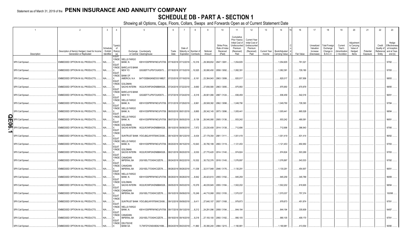## **SCHEDULE DB - PART A - SECTION 1**

|        |                                      | $\overline{2}$                                                             | $\mathbf{3}$           | $\overline{4}$                           | 5                                                                                         | -6            |                                                | 8                                | 9                         | 10 <sup>10</sup>                                     | 11                                                                                              | 12                                                                                      | 13                     | 14                              | 16                   | 17                                                | 18                                                                | 19                                                  | 20                                                      | 21                    | 22                                          | 23                                                                |
|--------|--------------------------------------|----------------------------------------------------------------------------|------------------------|------------------------------------------|-------------------------------------------------------------------------------------------|---------------|------------------------------------------------|----------------------------------|---------------------------|------------------------------------------------------|-------------------------------------------------------------------------------------------------|-----------------------------------------------------------------------------------------|------------------------|---------------------------------|----------------------|---------------------------------------------------|-------------------------------------------------------------------|-----------------------------------------------------|---------------------------------------------------------|-----------------------|---------------------------------------------|-------------------------------------------------------------------|
|        | Description                          | Description of Item(s) Hedged, Used for Income<br>Generation or Replicated | Schedule<br>Identifier | Type(s<br>of<br>/ Exhibit Risk(s)<br>(a) | Exchange, Counterparty<br>or Central Clearinghouse                                        | Trade<br>Date | Date o<br>Maturity or                          | Number o<br>Expiration Contracts | Notional<br>Amount        | Strike Price.<br>Rate of Index<br>Received<br>(Paid) | Cumulative<br>Prior Year(s)<br>Initial Cost of<br>Undiscounted<br>Premium<br>(Received)<br>Paid | <b>Current Year</b><br>Initial Cost of<br>Jndiscounted<br>Premium<br>(Received)<br>Paid | Current Year<br>Income | Book/Adjusted<br>Carrying Value | Fair Value           | Unrealized<br>Valuation<br>Increase<br>(Decrease) | <b>Total Foreigr</b><br>Exchange<br>Change in<br><b>B./A.C.V.</b> | Current<br>Year's<br>(Amortizatior<br>) / Accretion | Adjustmen<br>to Carrying<br>Value of<br>Hedged<br>Items | Potential<br>Exposure | Credit<br>Quality of<br>Reference<br>Entity | Hedge<br>Effectiveness<br>at Inception<br>and at Year-<br>end (b) |
|        | SPX Call Spread.                     | EMBEDDED OPTION IN IUL PRODUCTS.                                           | N/A                    | <b>EQUIT</b><br>Y/INDE<br><b>EQUIT</b>   | <b>WELLS FARGO</b><br>KB1H1DSPRFMYMCUFXT09. 07/16/2018 07/12/2019<br>BANK, N.             |               |                                                | 10,316                           | .29,369,652               | 2847 / 3081.                                         | 1,054,605                                                                                       |                                                                                         |                        | 1,054,605                       | 761,021              |                                                   |                                                                   |                                                     |                                                         |                       |                                             | 97/92.                                                            |
|        | SPX Call Spread.                     | EMBEDDED OPTION IN IUL PRODUCTS.                                           | N/A                    | Y/INDE<br><b>EQUIT</b>                   | <b>BARCLAYS BANK</b><br>NEW YO<br>G5GSEF7VJP5I7OUK5573                                    |               | 07/18/2018 07/15/2019                          | .10,525                          | .30,080,450               | 2858 / 3092.                                         | 1,082,391                                                                                       |                                                                                         |                        | .1,082,39'                      | 729,180              |                                                   |                                                                   |                                                     |                                                         |                       |                                             | 97/93.                                                            |
|        | SPX Call Spread.                     | EMBEDDED OPTION IN IUL PRODUCTS.                                           | N/A                    | Y/INDE<br><b>EQUIT</b>                   | <b>BANK OF</b><br>MERICA, N.A.<br>B4TYDEB6GKMZO031MB27                                    |               | 07/23/2018 07/19/2019                          | 8,161                            | .23,364,943               | 2863 / 3099.                                         | .820,017                                                                                        |                                                                                         |                        | .820,017                        | .557,856             |                                                   |                                                                   |                                                     |                                                         |                       |                                             | 98/93                                                             |
|        | SPX Call Spread.                     | EMBEDDED OPTION IN IUL PRODUCTS.                                           | N/A                    | Y/INDE<br><b>EQUIT</b>                   | GOLDMAN<br><b>SACHS INTERN</b><br>W22LROWP2IHZNBB6K528                                    |               | 07/24/2018 07/22/2019                          | 9,660                            | .27,656,580               | 2863 / 3095.                                         | .975,950                                                                                        |                                                                                         |                        | .975,950                        | 670,879              |                                                   |                                                                   |                                                     |                                                         |                       |                                             | 98/95.                                                            |
|        | SPX Call Spread                      | EMBEDDED OPTION IN IUL PRODUCTS                                            | N/A                    | Y/INDE<br>EQUIT<br>Y/INDE                | <b>BARCLAYS BANK</b><br>NEW YO<br>G5GSEF7VJP5I7OUK5573<br><b>WELLS FARGO</b>              |               | 07/27/2018 07/24/2019                          | 9,318                            | .26,901,066               | 2887 / 3124.                                         | .936,459                                                                                        |                                                                                         |                        | .936,459                        | .542,016             |                                                   |                                                                   |                                                     |                                                         |                       |                                             | 96/91                                                             |
|        | SPX Call Spread                      | EMBEDDED OPTION IN IUL PRODUCTS.                                           | N/A                    | <b>EQUIT</b><br>Y/INDE                   | Bank, N<br>KB1H1DSPRFMYMCUFXT09. 07/31/2018 07/29/2019<br><b>WELLS FARGO</b>              |               |                                                | 9,961                            | 28,508,382                | 2862 / 3098.                                         | 1,049,790                                                                                       |                                                                                         |                        | 1,049,790                       | 728,393              |                                                   |                                                                   |                                                     |                                                         |                       |                                             | 97/94                                                             |
|        | SPX Call Spread.                     | EMBEDDED OPTION IN IUL PRODUCTS.                                           | N/A                    | <b>EQUIT</b><br>Y/INDE                   | BANK, N<br>KB1H1DSPRFMYMCUFXT09. 08/03/2018 08/01/2019<br><b>WELLS FARGO</b>              |               |                                                | 9,865                            | 28,342,145 2873 / 3096.   |                                                      | 1,005,441                                                                                       |                                                                                         |                        | .1,005,441                      | .665,528             |                                                   |                                                                   |                                                     |                                                         |                       |                                             | 98/94                                                             |
| T<br>0 | <b>SPX Call Spread</b>               | EMBEDDED OPTION IN IUL PRODUCTS.                                           | N/A                    | <b>EQUIT</b><br>Y/INDE                   | BANK, N<br>KB1H1DSPRFMYMCUFXT09. 08/07/2018 08/05/2019<br><b>GOLDMAN</b>                  |               |                                                | 9,136                            | .26,540,080               | 2905 / 3136.                                         | 933,242                                                                                         |                                                                                         |                        | .933,242                        | .490,091             |                                                   |                                                                   |                                                     |                                                         |                       |                                             | 96/91                                                             |
|        | SPX Call Spread.                     | EMBEDDED OPTION IN IUL PRODUCTS.                                           | N/A<br>N/A             | <b>EQUIT</b><br>Y/INDE                   | <b>SACHS INTERN</b><br>W22LROWP2IHZNBB6K528<br>SUNTRUST BANK IYDOJBGJWY9T8XKCSX06         |               | 08/10/2018 08/08/2019                          | 7,972                            | 23,230,408 2914 / 3138.   |                                                      | 712,696<br>1,001,419                                                                            |                                                                                         |                        | .712,696                        | .396,943             |                                                   |                                                                   |                                                     |                                                         |                       |                                             | 97/95.                                                            |
|        | SPX Call Spread.<br>SPX Call Spread. | EMBEDDED OPTION IN IUL PRODUCTS.<br>EMBEDDED OPTION IN IUL PRODUCTS.       | N/A                    | <b>EQUIT</b><br>Y/INDE                   | <b>WELLS FARGO</b><br>BANK, N.<br>KB1H1DSPRFMYMCUFXT09.                                   |               | 08/14/2018 08/12/2019<br>08/20/2018 08/15/2019 | 9,434<br>.10,643                 | 27,179,354<br>30,790,199  | 2881 / 3111.<br>2893 / 3119.                         | .1,121,453                                                                                      |                                                                                         |                        | 1,001,419<br>1,121,453          | .631,414<br>.650,950 |                                                   |                                                                   |                                                     |                                                         |                       |                                             | 96/92.<br>97/93.                                                  |
|        | SPX Call Spread.                     | EMBEDDED OPTION IN IUL PRODUCTS.                                           | N/A                    | <b>EQUIT</b><br>Y/INDE                   | <b>GOLDMAN</b><br><b>SACHS INTERN</b><br>W22LROWP2IHZNBB6K528                             |               | 08/21/2018 08/20/2019                          | 9,530                            | 27,770,420                | 2914 / 3140.                                         | 974,824                                                                                         |                                                                                         |                        | .974,824                        | .503,269             |                                                   |                                                                   |                                                     |                                                         |                       |                                             | 97/93.                                                            |
|        | SPX Call Spread                      | EMBEDDED OPTION IN IUL PRODUCTS.                                           | N/A                    | <b>EQUIT</b><br>Y/INDE                   | CANADIAN<br><b>IMPERIAL BA</b><br>2IGI19DL77OX0HC3ZE78.                                   |               | 08/24/2018 08/22/2019                          | .10,532                          | .30,732,376               | 2918 / 3145.                                         | 1,076,897                                                                                       |                                                                                         |                        | 1,076,897                       | 543,533              |                                                   |                                                                   |                                                     |                                                         |                       |                                             | 97/92.                                                            |
|        | SPX Call Spread.                     | EMBEDDED OPTION IN IUL PRODUCTS.                                           | N/A                    | <b>EQUIT</b><br>Y/INDE<br><b>EQUIT</b>   | CANADIAN<br><b>IMPERIAL BA</b><br>2IGI19DL77OX0HC3ZE78.                                   |               | 08/28/2018 08/26/2019                          | 11,038                           | .32,517,948               | 2946 / 3176.                                         | 1,130,291                                                                                       |                                                                                         |                        | 1,130,291                       | .454,907             |                                                   |                                                                   |                                                     |                                                         |                       |                                             | 96/91                                                             |
|        | SPX Call Spread.                     | EMBEDDED OPTION IN IUL PRODUCTS.                                           | $N/A$                  | Y/INDE<br><b>EQUIT</b>                   | <b>WELLS FARGO</b><br>Bank, N.<br>KB1H1DSPRFMYMCUFXT09.                                   |               | 08/29/2018 08/28/2019                          | 8,942                            | 26,423,610                | 2955 / 3192.                                         | .945,259                                                                                        |                                                                                         |                        | .945,259                        | .345,789             |                                                   |                                                                   |                                                     |                                                         |                       |                                             | 96/89.                                                            |
|        | SPX Call Spread.                     | EMBEDDED OPTION IN IUL PRODUCTS.                                           | N/A                    | Y/INDE<br><b>EQUIT</b>                   | GOLDMAN<br><b>SACHS INTERN</b><br>W22LROWP2IHZNBB6K528                                    |               | 09/05/2018 09/03/2019                          | 15,579                           | .46,035,945               | 2955 / 3184.                                         | 1,502,202                                                                                       |                                                                                         |                        | .1,502,202                      | .619,905             |                                                   |                                                                   |                                                     |                                                         |                       |                                             | 98/94                                                             |
|        | SPX Call Spread.                     | EMBEDDED OPTION IN IUL PRODUCTS.                                           | N/A                    | Y/INDE<br><b>EQUIT</b>                   | CANADIAN<br><b>IMPERIAL BA</b><br>2IGI19DL77OX0HC3ZE78.                                   |               | 09/10/2018 09/09/2019                          | 15,249                           | .44,710,068               | 2932 / 3155.                                         | 1,570,037                                                                                       |                                                                                         |                        | 1,570,037                       | 757,374              |                                                   |                                                                   |                                                     |                                                         |                       |                                             | 100/98.                                                           |
|        | SPX Call Spread.                     | EMBEDDED OPTION IN IUL PRODUCTS.                                           | N/A.                   | Y/INDE<br><b>EQUIT</b>                   | SUNTRUST BANK IYDOJBGJWY9T8XKCSX06                                                        |               | 09/12/2018 09/09/2019                          | 9,411                            | 27,640,107                | 2937 / 3168.                                         | 979,873                                                                                         |                                                                                         |                        | .979,873                        | .451,874             |                                                   |                                                                   |                                                     |                                                         |                       |                                             | 97/91                                                             |
|        | SPX Call Spread.                     | EMBEDDED OPTION IN IUL PRODUCTS.                                           | N/A                    | Y/INDE<br><b>EQUIT</b><br>Y/INDE         | <b>WELLS FARGO</b><br>BANK, N.<br>KB1H1DSPRFMYMCUFXT09. 09/17/2018 09/13/2019<br>CANADIAN |               |                                                | 8,212                            | 24,291,096                | 2958 / 3194                                          | .844,194                                                                                        |                                                                                         |                        | .844,194                        | .335,609             |                                                   |                                                                   |                                                     |                                                         |                       |                                             | 94/87                                                             |
|        | SPX Call Spread.                     | EMBEDDED OPTION IN IUL PRODUCTS.                                           | N/A                    | <b>EQUIT</b><br>Y/INDE                   | <b>IMPERIAL BA</b><br>2IGI19DL77OX0HC3ZE78.<br><b>DEUTSCHE</b>                            |               | 09/19/2018 09/16/2019                          | 9,218                            | 27, 193, 100 2950 / 3182. |                                                      | 990,105                                                                                         |                                                                                         |                        | .990,105                        | .409,170             |                                                   |                                                                   |                                                     |                                                         |                       |                                             | 97/91                                                             |
|        | SPX Call Spread                      | EMBEDDED OPTION IN IUL PRODUCTS.                                           | VA.                    |                                          | <b>BANK SA</b><br>7LTWFZYICNSX8D621K86                                                    |               | 09/24/2018 09/23/2019                          | 11.860                           | 35,390,240                | 2984 / 3215                                          | 1.190.981                                                                                       |                                                                                         |                        | 1.190.981                       | 413.554              |                                                   |                                                                   |                                                     |                                                         |                       |                                             | 95/90                                                             |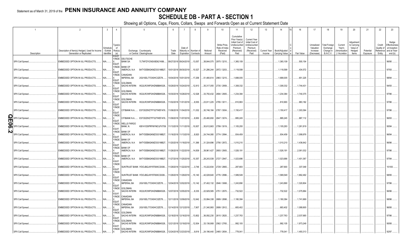## Statement as of March 31, 2019 of the **PENN INSURANCE AND ANNUITY COMPANY SCHEDULE DB - PART A - SECTION 1**

|   |                        | $\overline{2}$                                                             | $\mathbf{3}$                                | $\mathbf{A}$              | 5                                                             | 6             |                                 | 8                    |                         | 10 <sup>10</sup>                                     | 11                                                                                              | 12                                                                                      | 13                     | 14                                | 16         | 17                                                | 18                                                                | 19                                                  | 20                                                       | 21                    | 22                             | 23                                                                          |
|---|------------------------|----------------------------------------------------------------------------|---------------------------------------------|---------------------------|---------------------------------------------------------------|---------------|---------------------------------|----------------------|-------------------------|------------------------------------------------------|-------------------------------------------------------------------------------------------------|-----------------------------------------------------------------------------------------|------------------------|-----------------------------------|------------|---------------------------------------------------|-------------------------------------------------------------------|-----------------------------------------------------|----------------------------------------------------------|-----------------------|--------------------------------|-----------------------------------------------------------------------------|
|   | Description            | Description of Item(s) Hedged, Used for Income<br>Generation or Replicated | Schedule<br>/ Exhibit Risk(s)<br>Identifier | Type(s<br>of<br>(a)       | Exchange, Counterparty<br>or Central Clearinghouse            | Trade<br>Date | Date of<br>Maturity or Number o | Expiration Contracts | Notional<br>Amount      | Strike Price,<br>Rate of Index<br>Received<br>(Paid) | Cumulative<br>Prior Year(s)<br>Initial Cost of<br>Undiscounted<br>Premium<br>(Received)<br>Paid | <b>Current Year</b><br>Initial Cost of<br>Undiscounted<br>Premium<br>(Received)<br>Paid | Current Year<br>Income | Book/Adjusted<br>Carrying Value e | Fair Value | Unrealized<br>Valuation<br>Increase<br>(Decrease) | <b>Total Foreign</b><br>Exchange<br>Change in<br><b>B./A.C.V.</b> | Current<br>Year's<br>(Amortization<br>) / Accretion | Adjustment<br>to Carrying<br>Value of<br>Hedged<br>Items | Potential<br>Exposure | Credit<br>Quality of<br>Entity | Hedge<br>Effectiveness<br>at Inception<br>Reference and at Year-<br>end (b) |
|   |                        |                                                                            |                                             | <b>EQUIT</b><br>Y/INDE    | <b>DEUTSCHE</b>                                               |               |                                 |                      |                         |                                                      |                                                                                                 |                                                                                         |                        |                                   |            |                                                   |                                                                   |                                                     |                                                          |                       |                                |                                                                             |
|   | SPX Call Spread        | EMBEDDED OPTION IN IUL PRODUCTS.                                           | N/A                                         | <b>EQUIT</b><br>Y/INDE    | <b>BANK SA</b><br>7LTWFZYICNSX8D621K86<br><b>BANK OF</b>      |               | 09/27/2018 09/24/2019 .         | 13,057               | .38,844,575             | 2975 / 3210.                                         | 1,365,109                                                                                       |                                                                                         |                        | 1,365,109                         | .500,154   |                                                   |                                                                   |                                                     |                                                          |                       |                                | 96/90.                                                                      |
|   | SPX Call Spread.       | EMBEDDED OPTION IN IUL PRODUCTS.                                           | N/A                                         | <b>EQUIT</b>              | AMERICA, N.A<br>B4TYDEB6GKMZO031MB27.                         |               | 10/01/2018 09/30/2019           | 10,527               | .31,286,244             | 2972 / 3203.                                         | 1,118,599                                                                                       |                                                                                         |                        | 1,118,599                         | .434,572   |                                                   |                                                                   |                                                     |                                                          |                       |                                | 97/93                                                                       |
|   | SPX Call Spread.       | EMBEDDED OPTION IN IUL PRODUCTS                                            | N/A                                         | Y/INDE<br><b>EQUIT</b>    | CANADIAN<br><b>IMPERIAL BA</b><br>2IGI19DL77OX0HC3ZE78.       |               | 10/04/2018 10/01/2019 17,258    |                      | .51,480,614             | 2983 / 3215.                                         | 1,688,005                                                                                       |                                                                                         |                        | 1,688,005                         | 651,225    |                                                   |                                                                   |                                                     |                                                          |                       |                                | 98/94                                                                       |
|   | SPX Call Spread        | EMBEDDED OPTION IN IUL PRODUCTS                                            | N/A                                         | Y/INDE<br>EQUIT<br>Y/INDE | <b>GOLDMAN</b><br>SACHS INTERN W22LROWP2IHZNBB6K528           |               | 10/29/2018 10/24/2019 12,913    |                      |                         | 35,317,055 2735 / 2959.                              | 1,308,332                                                                                       |                                                                                         |                        | 1,308,332                         | .1,744,431 |                                                   |                                                                   |                                                     |                                                          |                       |                                | 94/93                                                                       |
|   | SPX Call Spread        | EMBEDDED OPTION IN IUL PRODUCTS                                            | N/A                                         | EQUIT                     | GOLDMAN<br>SACHS INTERN W22LROWP2IHZNBB6K528                  |               | 10/30/2018 10/28/2019 12,528    |                      | .33,750,432             | 2694 / 2905.                                         | 1,234,384                                                                                       |                                                                                         |                        | 1,234,384                         | 1,740,375  |                                                   |                                                                   |                                                     |                                                          |                       |                                | 97/96.                                                                      |
|   | SPX Call Spread.       | EMBEDDED OPTION IN IUL PRODUCTS.                                           | N/A                                         | Y/INDE<br>EQUIT           | GOLDMAN<br>SACHS INTERN W22LROWP2IHZNBB6K528                  |               | 11/02/2018 11/01/2019           | 8,555                | 23,911,225 2795 / 3011. |                                                      | 810,993                                                                                         |                                                                                         |                        | 810,993                           | 983,182    |                                                   |                                                                   |                                                     |                                                          |                       |                                | 97/96                                                                       |
|   | SPX Call Spread.       | EMBEDDED OPTION IN IUL PRODUCTS.                                           | N/A                                         | Y/INDE<br><b>EQUIT</b>    | CITIBANK N.A E57ODZWZ7FF32TWEFA76                             |               | 11/06/2018 11/04/2019 11,032    |                      | 30,746,184              | 2787 / 3004.                                         | .1,150,417                                                                                      |                                                                                         |                        | 1,150,417                         | .1,303,364 |                                                   |                                                                   |                                                     |                                                          |                       |                                | 97/96                                                                       |
| m | <b>SPX Call Spread</b> | EMBEDDED OPTION IN IUL PRODUCTS.                                           | N/A.                                        | Y/INDE<br><b>EQUIT</b>    | CITIBANK N.A E57ODZWZ7FF32TWEFA76 11/09/2018 11/07/2019       |               |                                 | 8,950                |                         | 25,480,650 2847 / 3074.                              | .885,245                                                                                        |                                                                                         |                        | .885,245                          | 887,112    |                                                   |                                                                   |                                                     |                                                          |                       |                                | 96/93                                                                       |
| 0 | SPX Call Spread.       | EMBEDDED OPTION IN IUL PRODUCTS.                                           | N/A                                         | Y/INDE<br><b>EQUIT</b>    | <b>WELLS FARGO</b><br>bank, n.<br>KB1H1DSPRFMYMCUFXT09.       |               | 11/13/2018 11/11/2019           | 10,937               | 30,612,663              | 2799 / 3019.                                         | 1,105,293                                                                                       |                                                                                         |                        | 1,105,293                         | .1,261,819 |                                                   |                                                                   |                                                     |                                                          |                       |                                | 95/94                                                                       |
|   | SPX Call Spread.       | EMBEDDED OPTION IN IUL PRODUCTS.                                           | N/A                                         | Y/INDE<br><b>EQUIT</b>    | <b>BANK OF</b><br>AMERICA, N.A.<br>B4TYDEB6GKMZO031MB27       |               | 11/16/2018 11/13/2019           | 8,920                | 24,744,080 2774 / 2994. |                                                      | 934,459                                                                                         |                                                                                         |                        | .934,459                          | .1,099,976 |                                                   |                                                                   |                                                     |                                                          |                       |                                | 96/94                                                                       |
|   | SPX Call Spread.       | EMBEDDED OPTION IN IUL PRODUCTS.                                           | N/A.                                        | Y/INDE<br><b>EQUIT</b>    | <b>BANK OF</b><br>AMERICA, N.A<br>B4TYDEB6GKMZO031MB27        |               | 11/20/2018 11/18/2019           | 11,366               |                         | 31,324,696 2756 / 2972.                              | 1,010,210                                                                                       |                                                                                         |                        | 1,010,210                         | .1,436,642 |                                                   |                                                                   |                                                     |                                                          |                       |                                | 96/96                                                                       |
|   | SPX Call Spread        | EMBEDDED OPTION IN IUL PRODUCTS.                                           | N/A.                                        | Y/INDE<br><b>EQUIT</b>    | <b>BANK OF</b><br><b>MERICA, N.A.</b><br>B4TYDEB6GKMZO031MB27 |               | 11/26/2018 11/22/2019  14,839   |                      | .39,961,427             | 2693 / 2905.                                         | 1,526,191                                                                                       |                                                                                         |                        | 1,526,191                         | .2,061,032 |                                                   |                                                                   |                                                     |                                                          |                       |                                | 97/96                                                                       |
|   | SPX Call Spread        | EMBEDDED OPTION IN IUL PRODUCTS.                                           | N/A.                                        | Y/INDE<br><b>EQUIT</b>    | <b>BANK OF</b><br>AMERICA, N.A<br>B4TYDEB6GKMZO031MB27.       |               | 11/27/2018 11/25/2019           | 10,357               | .28,243,539             | 2727 / 2947.                                         | 1,023,686                                                                                       |                                                                                         |                        | 1,023,686                         | 1,401,367  |                                                   |                                                                   |                                                     |                                                          |                       |                                | 97/94                                                                       |
|   | SPX Call Spread.       | EMBEDDED OPTION IN IUL PRODUCTS                                            | N/A                                         | Y/INDE<br><b>EQUIT</b>    | SUNTRUST BANK IYDOJBGJWY9T8XKCSX06                            |               | 11/29/2018 11/22/2019           | $\dots$ 3,746        | .10,222,834             | 2729 / 2865.                                         | 287,693                                                                                         |                                                                                         |                        | 287,693                           | 337,049    |                                                   |                                                                   |                                                     |                                                          |                       |                                | 101/83.                                                                     |
|   | SPX Call Spread.       | EMBEDDED OPTION IN IUL PRODUCTS.                                           | N/A.                                        | Y/INDE<br><b>EQUIT</b>    | SUNTRUST BANK IYDOJBGJWY9T8XKCSX06                            |               | 11/29/2018 11/29/2019           | 15,140               |                         | .42,028,640 2776 / 2996.                             | 1,589,549                                                                                       |                                                                                         |                        | 1,589,549                         | .1,862,492 |                                                   |                                                                   |                                                     |                                                          |                       |                                | 98/95                                                                       |
|   | SPX Call Spread        | EMBEDDED OPTION IN IUL PRODUCTS.                                           | N/A.                                        | Y/INDE<br><b>EQUIT</b>    | CANADIAN<br><b>IMPERIAL BA</b><br>2IGI19DL77OX0HC3ZE78.       |               | 12/04/2018 12/02/2019 13,142    |                      |                         | 37,402,132 2846 / 3068.                              | 1,243,890                                                                                       |                                                                                         |                        | 1,243,890                         | 1,320,804  |                                                   |                                                                   |                                                     |                                                          |                       |                                | 97/96                                                                       |
|   | SPX Call Spread        | EMBEDDED OPTION IN IUL PRODUCTS.                                           | N/A                                         | Y/INDE<br>EQUIT           | <b>GOLDMAN</b><br>SACHS INTERN<br>W22LROWP2IHZNBB6K528        |               | 12/07/2018 12/05/2019           | 8,335                |                         | .22,929,585 2751 / 2970.                             | 732,522                                                                                         |                                                                                         |                        | 732,522                           | 1,075,964  |                                                   |                                                                   |                                                     |                                                          |                       |                                | 96/96                                                                       |
|   | SPX Call Spread.       | EMBEDDED OPTION IN IUL PRODUCTS.                                           | N/A                                         | Y/INDE<br><b>EQUIT</b>    | CANADIAN<br><b>IMPERIAL BA</b><br>2IGI19DL77OX0HC3ZE78.       |               | 12/11/2018 12/09/2019           | 12,642               | .33,994,338             | 2689 / 2898.                                         | 1,180,384                                                                                       |                                                                                         |                        | 1,180,384                         | .1,741,669 |                                                   |                                                                   |                                                     |                                                          |                       |                                | 98/96                                                                       |
|   | SPX Call Spread.       | EMBEDDED OPTION IN IUL PRODUCTS                                            | N/A                                         | Y/INDE<br>EQUIT           | CANADIAN<br><b>IMPERIAL BA</b><br>2IGI19DL77OX0HC3ZE78.       |               | 12/14/2018 12/12/2019           | 7,907                | 21,340,993              | 2699 / 2912.                                         | .683,402                                                                                        |                                                                                         |                        | .683,402                          | .1,089,905 |                                                   |                                                                   |                                                     |                                                          |                       |                                | 96/95                                                                       |
|   | SPX Call Spread        | EMBEDDED OPTION IN IUL PRODUCTS                                            | N/A                                         | Y/INDE<br><b>EQUIT</b>    | GOLDMAN<br>SACHS INTERN W22LROWP2IHZNBB6K528                  |               | 12/18/2018 12/16/2019  13,802   |                      |                         | 36,092,230 2615 / 2820.                              | 1,237,763                                                                                       |                                                                                         |                        | 1,237,763                         | 2,037,685  |                                                   |                                                                   |                                                     |                                                          |                       |                                | 97/96                                                                       |
|   | SPX Call Spread        | EMBEDDED OPTION IN IUL PRODUCTS                                            | N/A                                         | Y/INDE<br><b>EQUIT</b>    | <b>GOLDMAN</b><br><b>SACHS INTERN</b><br>W22LROWP2IHZNBB6K528 |               | 12/21/2018 12/19/2019 12,934    |                      |                         | 33,136,908 2562 / 2765                               | .992,105                                                                                        |                                                                                         |                        | .992,105                          | 1,973,248  |                                                   |                                                                   |                                                     |                                                          |                       |                                | 95/95                                                                       |
|   | SPX Call Spread        | EMBEDDED OPTION IN IUL PRODUCTS                                            | N/A.                                        | Y/INDE                    | <b>GOLDMAN</b><br><b>SACHS INTERN</b><br>W22LROWP2IHZNBB6K528 |               | 12/24/2018 12/23/2019           | 9,816                | 24,196,440 2465 / 2654. |                                                      | .778,041                                                                                        |                                                                                         |                        | .778,041                          | .1,493,313 |                                                   |                                                                   |                                                     |                                                          |                       |                                | 92/97                                                                       |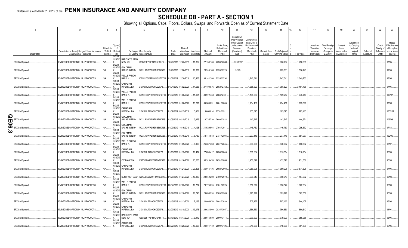## **SCHEDULE DB - PART A - SECTION 1**

|         |                                       | $\overline{2}$                                                             | $\mathbf{3}$           |                                          | 5                                                                                    | -6            |                                              | 8         | 9                        | 10 <sup>10</sup>                                     | 11                                                                                              | 12                                                                                      | 13                     | 14                              | 16         | 17                                                | 18                                                                | 19                                                | 20                                                      | 21                    | 22                                          | 23                                                                |
|---------|---------------------------------------|----------------------------------------------------------------------------|------------------------|------------------------------------------|--------------------------------------------------------------------------------------|---------------|----------------------------------------------|-----------|--------------------------|------------------------------------------------------|-------------------------------------------------------------------------------------------------|-----------------------------------------------------------------------------------------|------------------------|---------------------------------|------------|---------------------------------------------------|-------------------------------------------------------------------|---------------------------------------------------|---------------------------------------------------------|-----------------------|---------------------------------------------|-------------------------------------------------------------------|
|         | Description                           | Description of Item(s) Hedged, Used for Income<br>Generation or Replicated | Schedule<br>Identifier | Type(s<br>of<br>/ Exhibit Risk(s)<br>(a) | Exchange, Counterparty<br>or Central Clearinghouse                                   | Trade<br>Date | Date o<br>Maturity or Number o<br>Expiration | Contracts | Notional<br>Amount       | Strike Price.<br>Rate of Index<br>Received<br>(Paid) | Cumulative<br>Prior Year(s)<br>Initial Cost of<br>Undiscounted<br>Premium<br>(Received)<br>Paid | Current Year<br>Initial Cost of<br><b>Indiscounted</b><br>Premium<br>(Received)<br>Paid | Current Year<br>Income | Book/Adjusted<br>Carrying Value | Fair Value | Unrealized<br>Valuation<br>Increase<br>(Decrease) | <b>Total Foreigr</b><br>Exchange<br>Change in<br><b>B./A.C.V.</b> | Current<br>Year's<br>(Amortizatior<br>/ Accretion | Adjustmen<br>to Carrying<br>Value of<br>Hedged<br>Items | Potential<br>Exposure | Credit<br>Quality of<br>Reference<br>Entity | Hedge<br>Effectiveness<br>at Inception<br>and at Year-<br>end (b) |
|         |                                       |                                                                            |                        | <b>EQUIT</b><br>Y/INDE                   | <b>BARCLAYS BANK</b>                                                                 |               |                                              |           |                          |                                                      |                                                                                                 |                                                                                         |                        |                                 |            |                                                   |                                                                   |                                                   |                                                         |                       |                                             |                                                                   |
|         | SPX Call Spread                       | EMBEDDED OPTION IN IUL PRODUCTS.                                           | N/A                    | <b>EQUIT</b>                             | NEW YO<br>G5GSEF7VJP5I7OUK5573                                                       |               | 12/26/2018 12/23/2019                        | 11,322    | .27,150,156              | 2398 / 2588                                          | .1,068,797                                                                                      |                                                                                         |                        | 1,068,797                       | 1,790,365  |                                                   |                                                                   |                                                   |                                                         |                       |                                             | 97/95.                                                            |
|         | SPX Call Spread.                      | EMBEDDED OPTION IN IUL PRODUCTS.                                           | $N/A$ .                | Y/INDE<br><b>EQUIT</b>                   | GOLDMAN<br>SACHS INTERN<br>W22LROWP2IHZNBB6K528                                      |               | 12/28/2018 12/26/2019                        | .10,381   | 26,243,168               | 2528 / 2725.                                         | .925,311                                                                                        |                                                                                         |                        | .925,311                        | 1,576,743  |                                                   |                                                                   |                                                   |                                                         |                       |                                             | 99/95.                                                            |
|         | SPX Call Spread.                      | EMBEDDED OPTION IN IUL PRODUCTS.                                           | N/A                    | Y/INDE<br><b>EQUIT</b>                   | <b>WELLS FARGO</b><br>BANK, N.<br>KB1H1DSPRFMYMCUFXT09. 01/02/2019 12/30/2019        |               |                                              | 13,468    | 34,141,380               | 2535 / 2734                                          |                                                                                                 | 1,247,541                                                                               |                        | 1,247,541                       | .2,049,755 |                                                   |                                                                   |                                                   |                                                         |                       |                                             | 97/96.                                                            |
|         | SPX Call Spread                       | EMBEDDED OPTION IN IUL PRODUCTS                                            | N/A                    | Y/INDE<br><b>EQUIT</b>                   | CANADIAN<br><b>IMPERIAL BA</b><br>2IGI19DL77OX0HC3ZE78                               |               | 01/04/2019 01/02/2020                        | 14,538    | .37,100,976              | 2552 / 2752                                          |                                                                                                 | 1,355,523                                                                               |                        | 1,355,523                       | .2,191,168 |                                                   |                                                                   |                                                   |                                                         |                       |                                             | 97/95                                                             |
|         | SPX Call Spread                       | EMBEDDED OPTION IN IUL PRODUCTS                                            | N/A                    | Y/INDE<br><b>EQUIT</b>                   | <b>WELLS FARGO</b><br>BANK, N.<br>KB1H1DSPRFMYMCUFXT09. 01/07/2019 01/06/2020 11,991 |               |                                              |           | 30,972,753               | 2583 / 2781.                                         |                                                                                                 | 1,109,287                                                                               |                        | 1,109,287                       | 1,745,744  |                                                   |                                                                   |                                                   |                                                         |                       |                                             | 100/97                                                            |
|         | SPX Call Spread                       | EMBEDDED OPTION IN IUL PRODUCTS                                            | N/A                    | Y/INDE<br><b>EQUIT</b>                   | <b>WELLS FARGO</b><br>Bank, N.<br>KB1H1DSPRFMYMCUFXT09. 01/08/2019 01/06/2020        |               |                                              | 13,291    | 34,569,891               | 2601 / 2805.                                         |                                                                                                 | 1,234,468                                                                               |                        | .1,234,468                      | 1,959,896  |                                                   |                                                                   |                                                   |                                                         |                       |                                             | 97/96.                                                            |
|         | SPX Call Spread.                      | EMBEDDED OPTION IN IUL PRODUCTS.                                           | N/A                    | Y/INDE<br><b>EQUIT</b>                   | CANADIAN<br><b>IMPERIAL BA</b><br>2IGI19DL77OX0HC3ZE78.                              |               | 01/09/2019 06/17/2019                        | 3,461     | .9,600,814               | 2774 / 2911.                                         |                                                                                                 | .105,595                                                                                |                        | 105,595                         | .283,415   |                                                   |                                                                   |                                                   |                                                         |                       |                                             | 100/101                                                           |
| Шł<br>0 | SPX Call Spread.                      | EMBEDDED OPTION IN IUL PRODUCTS                                            | N/A                    | Y/INDE<br><b>EQUIT</b>                   | GOLDMAN<br><b>SACHS INTERN</b><br>W22LROWP2IHZNBB6K528                               |               | 01/09/2019 04/15/2019                        | 3,629     | 9,725,720                | 2680 / 2822.                                         |                                                                                                 | .142,547                                                                                |                        | 142,547                         | .444,521   |                                                   |                                                                   |                                                   |                                                         |                       |                                             | 106/99.                                                           |
|         | $\overline{\bullet}$ SPX Call Spread. | EMBEDDED OPTION IN IUL PRODUCTS.                                           | N/A                    | Y/INDE<br><b>EQUIT</b>                   | <b>GOLDMAN</b><br><b>SACHS INTERN</b><br>W22LROWP2IHZNBB6K528                        |               | 01/09/2019 10/15/2019                        | 4,128     | .11,529,504              | 2793 / 2911.                                         |                                                                                                 | .145,760                                                                                |                        | 145,760                         | .295,572   |                                                   |                                                                   |                                                   |                                                         |                       |                                             | 97/83.                                                            |
|         | SPX Call Spread.                      | EMBEDDED OPTION IN IUL PRODUCTS.                                           | N/A                    | Y/INDE<br><b>EQUIT</b>                   | <b>GOLDMAN</b><br>SACHS INTERN<br>W22LROWP2IHZNBB6K528                               |               | 01/09/2019 05/15/2019                        | 6,739     | .18,444,643              | 2737 / 2894.                                         |                                                                                                 | 237,146                                                                                 |                        | .237,146                        | 684,067    |                                                   |                                                                   |                                                   |                                                         |                       |                                             | 102/96.                                                           |
|         | SPX Call Spread.                      | EMBEDDED OPTION IN IUL PRODUCTS.                                           | N/A                    | Y/INDE<br><b>EQUIT</b>                   | <b>WELLS FARGO</b><br>BANK, N.<br>KB1H1DSPRFMYMCUFXT09. 01/11/2019 01/09/2020        |               |                                              | 9,999     | .26,367,363              | 2637 / 2845.                                         |                                                                                                 | 930,907                                                                                 |                        | .930,907                        | 1,450,862  |                                                   |                                                                   |                                                   |                                                         |                       |                                             | 98/97                                                             |
|         | SPX Call Spread                       | EMBEDDED OPTION IN IUL PRODUCTS                                            | N/A                    | Y/INDE<br><b>EQUIT</b>                   | CANADIAN<br><b>IMPERIAL BA</b><br>2IGI19DL77OX0HC3ZE78                               |               | 01/15/2019 01/13/2020                        | 10,474    | .27,630,412              | 2638 / 2845.                                         |                                                                                                 | 1,015,664                                                                               |                        | 1,015,664                       | 1,510,954  |                                                   |                                                                   |                                                   |                                                         |                       |                                             | 96/95.                                                            |
|         | SPX Call Spread                       | EMBEDDED OPTION IN IUL PRODUCTS.                                           | N/A                    | Y/INDE<br><b>EQUIT</b>                   | CITIBANK N.A.<br>E57ODZWZ7FF32TWEFA76                                                |               | 01/18/2019 01/16/2020                        | 13,655    | .36,513,470 2674 / 2888. |                                                      |                                                                                                 | .1,452,892                                                                              |                        | .1,452,892                      | .1,951,086 |                                                   |                                                                   |                                                   |                                                         |                       |                                             | 95/93.                                                            |
|         | SPX Call Spread.                      | EMBEDDED OPTION IN IUL PRODUCTS.                                           | N/A                    | Y/INDE<br><b>EQUIT</b>                   | CANADIAN<br><b>IMPERIAL BA</b><br>2IGI19DL77OX0HC3ZE78.                              |               | 01/23/2019 01/21/2020                        | 20,808    | 56,015,136               | 2692 / 2903.                                         |                                                                                                 | 1,959,906                                                                               |                        | 1,959,906                       | .2,874,628 |                                                   |                                                                   |                                                   |                                                         |                       |                                             | 97/96                                                             |
|         | SPX Call Spread.                      | EMBEDDED OPTION IN IUL PRODUCTS.                                           | N/A.                   | Y/INDE<br><b>EQUIT</b>                   | SUNTRUST BANK IYDOJBGJWY9T8XKCSX06                                                   |               | 01/28/2019 01/24/2020                        | 10,386    | .28,042,200              | 2700 / 2919.                                         |                                                                                                 | .990,513                                                                                |                        | .990,513                        | 1,464,662  |                                                   |                                                                   |                                                   |                                                         |                       |                                             | 95/93.                                                            |
|         | SPX Call Spread                       | EMBEDDED OPTION IN IUL PRODUCTS.                                           | N/A                    | Y/INDE<br><b>EQUIT</b>                   | <b>WELLS FARGO</b><br>BANK, N.<br>KB1H1DSPRFMYMCUFXT09. 02/04/2019 02/03/2020        |               |                                              | 10,784    | .29,774,624              | 2761 / 2975.                                         |                                                                                                 | 1,050,577                                                                               |                        | 1,050,577                       | 1,362,684  |                                                   |                                                                   |                                                   |                                                         |                       |                                             | 96/96.                                                            |
|         | SPX Call Spread                       | EMBEDDED OPTION IN IUL PRODUCTS.                                           | N/A                    | Y/INDE<br><b>EQUIT</b>                   | GOLDMAN<br>SACHS INTERN<br>W22LROWP2IHZNBB6K528                                      |               | 02/12/2019 02/10/2020                        | .10,748   | 29,696,724               | 2763 / 2983.                                         |                                                                                                 | 1,125,772                                                                               |                        | 1,125,772                       | .1,382,552 |                                                   |                                                                   |                                                   |                                                         |                       |                                             | 95/95.                                                            |
|         | SPX Call Spread.                      | EMBEDDED OPTION IN IUL PRODUCTS.                                           | N/A                    | Y/INDE<br><b>EQUIT</b>                   | CANADIAN<br><b>IMPERIAL BA</b><br>2IGI19DL77OX0HC3ZE78                               |               | 02/15/2019 02/13/2020                        | 7,138     | .20,000,676              | 2802 / 3020.                                         |                                                                                                 | 707,162                                                                                 |                        | .707,162                        | .844,107   |                                                   |                                                                   |                                                   |                                                         |                       |                                             | 96/96.                                                            |
|         | SPX Call Spread                       | EMBEDDED OPTION IN IUL PRODUCTS.                                           | N/A                    | Y/INDE<br><b>EQUIT</b>                   | CANADIAN<br><b>IMPERIAL BA</b><br>2IGI19DL77OX0HC3ZE78                               |               | 02/20/2019 02/18/2020                        | 13,976    | .39,621,960              | 2835 / 3057.                                         |                                                                                                 | 1,356,650                                                                               |                        | 1,356,650                       | 1,550,512  |                                                   |                                                                   |                                                   |                                                         |                       |                                             | 94/94                                                             |
|         | SPX Call Spread                       | EMBEDDED OPTION IN IUL PRODUCTS                                            | N/A                    | Y/INDE<br><b>EQUIT</b>                   | <b>BARCLAYS BANK</b><br>NEW YO<br>G5GSEF7VJP5I7OUK5573                               |               | 03/19/2019 03/17/2020                        | 9,912     | .28,645,680              | 2890 / 3114.                                         |                                                                                                 | 979,900                                                                                 |                        | .979,900                        | .958,956   |                                                   |                                                                   |                                                   |                                                         |                       |                                             | 96/96.                                                            |
|         | SPX Call Spread                       | EMBEDDED OPTION IN IUL PRODUCTS.                                           | N/A.                   | Y/INDE                                   | CANADIAN<br><b>IMPERIAL BA</b><br>2IGI19DL77OX0HC3ZE78                               |               | 03/22/2019 03/20/2020                        | 10,028    | 29,071,172 2899 / 3126.  |                                                      |                                                                                                 | .918.966                                                                                |                        | .918.966                        | .951.708   |                                                   |                                                                   |                                                   |                                                         |                       |                                             | 96/96                                                             |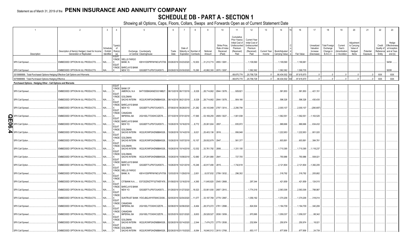## **SCHEDULE DB - PART A - SECTION 1**

|    | $\overline{1}$                                                                  | $\overline{2}$                                                             | $\mathbf{3}$                                | $\mathbf{A}$                     | $\overline{5}$                                                                       | - 6           |                                      | 8                     | 9                        | 10 <sup>°</sup>                                      | 11                                                                                              | 12                                                                                      | 13                            | 14                              | 16          | 17                                                | 18                                                         | 19                                                  | 20                                                      | 21                    | 22                                         | 23                                                                |
|----|---------------------------------------------------------------------------------|----------------------------------------------------------------------------|---------------------------------------------|----------------------------------|--------------------------------------------------------------------------------------|---------------|--------------------------------------|-----------------------|--------------------------|------------------------------------------------------|-------------------------------------------------------------------------------------------------|-----------------------------------------------------------------------------------------|-------------------------------|---------------------------------|-------------|---------------------------------------------------|------------------------------------------------------------|-----------------------------------------------------|---------------------------------------------------------|-----------------------|--------------------------------------------|-------------------------------------------------------------------|
|    | Description                                                                     | Description of Item(s) Hedged, Used for Income<br>Generation or Replicated | Schedule<br>/ Exhibit Risk(s)<br>Identifier | Type(s<br>nf<br>(a)              | Exchange, Counterparty<br>or Central Clearinghouse                                   | Trade<br>Date | Date of<br>Maturity or<br>Expiration | Number o<br>Contracts | Notional<br>Amount       | Strike Price,<br>Rate of Index<br>Received<br>(Paid) | Cumulative<br>Prior Year(s)<br>Initial Cost of<br>Undiscounted<br>Premium<br>(Received)<br>Paid | Current Year<br>Initial Cost of<br><b>Jndiscounted</b><br>Premium<br>(Received)<br>Paid | <b>Current Year</b><br>Income | Book/Adjusted<br>Carrying Value | Fair Value  | Unrealized<br>Valuation<br>Increase<br>(Decrease) | <b>Total Foreign</b><br>Exchange<br>Change in<br>B./A.C.V. | Current<br>Year's<br>(Amortization<br>) / Accretion | Adjustmen<br>to Carrying<br>Value of<br>Hedged<br>Items | Potential<br>Exposure | Credit<br>Quality o<br>Reference<br>Entity | Hedge<br>Effectiveness<br>at Inception<br>and at Year-<br>end (b) |
|    |                                                                                 |                                                                            |                                             | <b>EQUIT</b><br>Y/INDE           | <b>WELLS FARGO</b>                                                                   |               |                                      |                       |                          |                                                      |                                                                                                 |                                                                                         |                               |                                 |             |                                                   |                                                            |                                                     |                                                         |                       |                                            |                                                                   |
|    | SPX Call Spread.                                                                | EMBEDDED OPTION IN IUL PRODUCTS.                                           | N/A.                                        | <b>EQUIT</b>                     | BANK, N.<br>KB1H1DSPRFMYMCUFXT09. 03/26/2019 03/23/2020                              |               |                                      | .10,933               | 31,213,715 2855 / 3081.  |                                                      |                                                                                                 | 1,109,590                                                                               |                               | 1,109,590                       | 1,180,681   |                                                   |                                                            |                                                     |                                                         |                       |                                            | 94/94.                                                            |
|    | SPX Call Spread.                                                                | <b>EMBEDDED OPTION IN IUL PRODUCTS</b>                                     | VA.                                         | Y/INDE                           | <b>BARCLAYS BANK</b><br>NEW YO<br>G5GSEF7VJP5I7OUK5573.                              |               | 03/29/2019 03/30/2020                | 15,290                | .43,882,300 2870 / 3097. |                                                      |                                                                                                 | .1,582,362                                                                              |                               | 1,582,362                       | 1,590,735   |                                                   |                                                            |                                                     |                                                         |                       |                                            | 95/95.                                                            |
|    | 0019999999. Total-Purchased Options-Hedging Effective-Call Options and Warrants |                                                                            |                                             |                                  |                                                                                      |               |                                      |                       |                          |                                                      | .69.675.774                                                                                     | 20,758,728                                                                              |                               | .90,434,502                     | .97,615,670 | $\Omega$                                          |                                                            |                                                     |                                                         |                       | <b>XXX</b>                                 | <b>XXX</b>                                                        |
|    | 0079999999. Total-Purchased Options-Hedging Effective                           |                                                                            |                                             |                                  |                                                                                      |               |                                      |                       |                          |                                                      | .69,675,774                                                                                     | 20,758,728                                                                              |                               | .90,434,502                     | .97,615,670 | $\sqrt{ }$                                        |                                                            |                                                     |                                                         |                       | <b>XXX</b>                                 | <b>XXX</b>                                                        |
|    | Purchased Options - Hedging Other - Call Options and Warrants                   |                                                                            |                                             |                                  |                                                                                      |               |                                      |                       |                          |                                                      |                                                                                                 |                                                                                         |                               |                                 |             |                                                   |                                                            |                                                     |                                                         |                       |                                            |                                                                   |
|    | SPX Call Spread                                                                 | EMBEDDED OPTION IN IUL PRODUCTS                                            | N/A                                         | EQUIT<br>Y/INDE<br><b>EQUIT</b>  | <b>BANK OF</b><br>AMERICA, N.A<br>B4TYDEB6GKMZO031MB27                               |               | 06/13/2018 06/17/2019                | 9,329                 | .28,714,662              | 2844 / 3078.                                         | .929,821                                                                                        |                                                                                         |                               | .581,853                        | .581,853    | 421,151                                           |                                                            |                                                     |                                                         |                       |                                            |                                                                   |
|    | SPX Call Spread                                                                 | EMBEDDED OPTION IN IUL PRODUCTS                                            | N/A                                         | Y/INDE<br><b>EQUIT</b>           | <b>GOLDMAN</b><br>SACHS INTERN W22LROWP2IHZNBB6K528                                  |               | 06/14/2018 06/21/2019                | 9,329                 | .28,714,662              | 2844 / 3078.                                         | .904,166                                                                                        |                                                                                         |                               | .596,326                        | .596,326    | 430,435                                           |                                                            |                                                     |                                                         |                       |                                            |                                                                   |
|    | SPX Call Spread                                                                 | EMBEDDED OPTION IN IUL PRODUCTS                                            | N/A                                         | Y/INDE<br>EQUIT                  | <b>BARCLAYS BANK</b><br>NEW YO<br>G5GSEF7VJP5I7OUK5573                               |               | 07/09/2018 06/28/2019 21,282         |                       | .64,143,948              | 2797 / 3014.                                         | 2,290,794                                                                                       |                                                                                         |                               | 2,000,107                       | 0.2,000,107 | (290,687)                                         |                                                            |                                                     |                                                         |                       |                                            |                                                                   |
| m  | SPX Call Spread.                                                                | EMBEDDED OPTION IN IUL PRODUCTS                                            | N/A                                         | Y/INDE<br><b>EQUIT</b>           | CANADIAN<br><b>IMPERIAL BA</b><br>2IGI19DL77OX0HC3ZE78.                              |               | 07/10/2018 07/01/2019                | 17,565                | 53,169,255               | 2809 / 3027                                          | 1,901,938                                                                                       |                                                                                         |                               | 1,562,55                        | 1,562,551   | 1,163,525                                         |                                                            |                                                     |                                                         |                       |                                            |                                                                   |
| တ၊ | SPX Call Option                                                                 | EMBEDDED OPTION IN IUL PRODUCTS                                            | N/A                                         | Y/INDE<br><b>EQUIT</b>           | <b>BARCLAYS BANK</b><br>NEW YO<br>G5GSEF7VJP5I7OUK5573                               |               | 10/26/2018 10/16/2019                | 8,772                 | 25,061,604               | 2857.                                                | .835,972                                                                                        |                                                                                         |                               | .969,666                        | .969,666    | 634,432                                           |                                                            |                                                     |                                                         |                       |                                            |                                                                   |
|    | SPX Call Option.                                                                | EMBEDDED OPTION IN IUL PRODUCTS.                                           | N/A                                         | Y/INDE<br><b>EQUIT</b><br>Y/INDE | 30LDMAN<br><b>SACHS INTERN</b><br>W22LROWP2IHZNBB6K528                               |               | 10/26/2018 10/14/2019                | 9,021                 | 25,403,136               | 2816.                                                | .956,948                                                                                        |                                                                                         |                               | .1,222,953                      | 1,222,953   | 801,020                                           |                                                            |                                                     |                                                         |                       |                                            |                                                                   |
|    | SPX Call Option                                                                 | EMBEDDED OPTION IN IUL PRODUCTS                                            | N/A                                         | EQUIT<br>Y/INDE                  | GOLDMAN<br><b>SACHS INTERN</b><br>W22LROWP2IHZNBB6K528<br>GOLDMAN                    |               | 10/26/2018 10/07/2019                | $\dots$ 10,157        | 29,932,679               | 2947.                                                | .561,377                                                                                        |                                                                                         |                               | .603,891                        | .603,891    | 384,781                                           |                                                            |                                                     |                                                         |                       |                                            |                                                                   |
|    | SPX Call Option                                                                 | EMBEDDED OPTION IN IUL PRODUCTS.                                           | N/A                                         | <b>EQUIT</b><br>Y/INDE           | SACHS INTERN<br>W22LROWP2IHZNBB6K528<br>GOLDMAN                                      |               | 10/26/2018 10/14/2019                | .12,032               | .33,761,792              | 2806                                                 | .1,331,100                                                                                      |                                                                                         |                               | 1,710,395                       | 1,710,395   | 1,118,237                                         |                                                            |                                                     |                                                         |                       |                                            |                                                                   |
|    | SPX Call Option                                                                 | EMBEDDED OPTION IN IUL PRODUCTS.                                           | N/A                                         | <b>EQUIT</b><br>Y/INDE           | SACHS INTERN<br>W22LROWP2IHZNBB6K528<br><b>BARCLAYS BANK</b>                         |               | 10/26/2018 10/08/2019                | 12,680                | .37,291,880 2941.        |                                                      | 727,705                                                                                         |                                                                                         |                               | .793,986                        | .793,986    | 508,021                                           |                                                            |                                                     |                                                         |                       |                                            |                                                                   |
|    | SPX Call Option                                                                 | EMBEDDED OPTION IN IUL PRODUCTS.                                           | N/A                                         | <b>EQUIT</b><br>Y/INDE           | NEW YO<br>G5GSEF7VJP5I7OUK5573<br><b>WELLS FARGO</b>                                 |               | 10/26/2018 10/21/2019                | 15,246                | 42,917,490               | 2815.                                                | .1,742,618                                                                                      |                                                                                         |                               | 2,121,804                       | .2,121,804  | 1,382,205                                         |                                                            |                                                     |                                                         |                       |                                            |                                                                   |
|    | SPX Call Spread.                                                                | EMBEDDED OPTION IN IUL PRODUCTS.                                           | N/A                                         | <b>EQUIT</b><br>Y/INDE           | BANK, N.<br>KB1H1DSPRFMYMCUFXT09. 12/03/2018 11/29/2019                              |               |                                      | 2,651                 | 0.8,037,832              | 2799 / 3032.                                         | .296,302                                                                                        |                                                                                         |                               | 318,792                         | .318,792    | 205,682                                           |                                                            |                                                     |                                                         |                       |                                            |                                                                   |
|    | SPX Call Spread.                                                                | EMBEDDED OPTION IN IUL PRODUCTS.                                           | N/A                                         | <b>EQUIT</b><br>Y/INDE           | CITIBANK N.A E57ODZWZ7FF32TWEFA76 01/09/2019 12/16/2019<br><b>BARCLAYS BANK</b>      |               |                                      | 4,365                 | .11,645,820              | 2545 / 2668.                                         |                                                                                                 | 297,344                                                                                 |                               | .421,859                        | .421,859    | .124,515                                          |                                                            |                                                     |                                                         |                       |                                            |                                                                   |
|    | SPX Call Spread.                                                                | EMBEDDED OPTION IN IUL PRODUCTS.                                           | N/A                                         | <b>EQUIT</b><br>Y/INDE           | NEW YO<br>G5GSEF7VJP5I7OUK5573                                                       |               | 01/29/2019 01/27/2020                | 18,523                | .53,901,930              | 2697 / 2910.                                         |                                                                                                 | 1,774,318                                                                               |                               | 2,563,306                       | 2,563,306   | 788,987                                           |                                                            |                                                     |                                                         |                       |                                            |                                                                   |
|    | SPX Call Spread.                                                                | EMBEDDED OPTION IN IUL PRODUCTS.                                           | N/A                                         | <b>EQUIT</b><br>Y/INDE           | SUNTRUST BANK IYDOJBGJWY9T8XKCSX06<br>CANADIAN                                       |               | 02/05/2019 02/04/2020                | 11,077                | 33,197,769               | 2779 / 2997.                                         |                                                                                                 | .1,056,192                                                                              |                               | 1,374,206                       | 1,374,206   | 318,014                                           |                                                            |                                                     |                                                         |                       |                                            |                                                                   |
|    | SPX Call Spread.                                                                | EMBEDDED OPTION IN IUL PRODUCTS.                                           | N/A                                         | <b>EQUIT</b><br>Y/INDE           | <b>IMPERIAL BA</b><br>2IGI19DL77OX0HC3ZE78<br>CANADIAN                               |               | 02/08/2019 02/06/2020                | 9,464                 | 28,373,072 2781 / 2998.  |                                                      |                                                                                                 | 824.504                                                                                 |                               | 1,164,709                       | 1,164,709   | 340,206                                           |                                                            |                                                     |                                                         |                       |                                            |                                                                   |
|    | SPX Call Spread                                                                 | EMBEDDED OPTION IN IUL PRODUCTS.                                           | N/A.                                        | <b>EQUIT</b><br>Y/INDE           | <b>IMPERIAL BA</b><br>2IGI19DL77OX0HC3ZE78<br>GOLDMAN                                |               | 02/25/2019 02/21/2020                | 9,653                 | 29,528,527               | 2838 / 3059.                                         |                                                                                                 | 970,995                                                                                 |                               | 1,059,337                       | .1,059,337  | .88,342                                           |                                                            |                                                     |                                                         |                       |                                            |                                                                   |
|    | SPX Call Spread.                                                                | EMBEDDED OPTION IN IUL PRODUCTS.                                           | N/A                                         | <b>EQUIT</b><br>Y/INDE<br>l X    | <b>SACHS INTERN</b><br>W22LROWP2IHZNBB6K528<br><b>GOLDMAN</b><br><b>SACHS INTERN</b> |               | 02/26/2019 02/14/2020                | 2,544                 | 7,474,272 2775 / 2938.   | .16,840,512 2615 / 2768.                             |                                                                                                 | 232,954<br>.653,117                                                                     |                               | .250,974<br>.677,856            | .250,974    | .18,021<br>24,739                                 |                                                            |                                                     |                                                         |                       |                                            |                                                                   |
|    | SPX Call Spread                                                                 | EMBEDDED OPTION IN IUL PRODUCTS.                                           |                                             |                                  | W22LROWP2IHZNBB6K528                                                                 |               | 02/26/2019 01/15/2020                | 6,084                 |                          |                                                      |                                                                                                 |                                                                                         |                               |                                 | .677,856    |                                                   |                                                            |                                                     |                                                         |                       |                                            |                                                                   |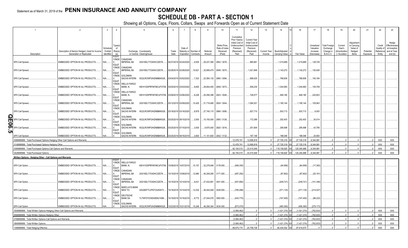## **SCHEDULE DB - PART A - SECTION 1**

|        | $\overline{1}$                                                              | $\overline{2}$                                                             | $\mathbf{3}$                                | $\overline{4}$                         | 5 <sup>5</sup>                                                                                      | -6            |                                                | 8                     | 9                                      | 10 <sup>10</sup>                                     | 11                                                                                              | 12                                                                                      | 13                            | 14                              | 16                   | 17                                                | 18                                                         | 19                                                | 20                                                      | 21                    | 22                                          | 23                                                                |
|--------|-----------------------------------------------------------------------------|----------------------------------------------------------------------------|---------------------------------------------|----------------------------------------|-----------------------------------------------------------------------------------------------------|---------------|------------------------------------------------|-----------------------|----------------------------------------|------------------------------------------------------|-------------------------------------------------------------------------------------------------|-----------------------------------------------------------------------------------------|-------------------------------|---------------------------------|----------------------|---------------------------------------------------|------------------------------------------------------------|---------------------------------------------------|---------------------------------------------------------|-----------------------|---------------------------------------------|-------------------------------------------------------------------|
|        | Description                                                                 | Description of Item(s) Hedged, Used for Income<br>Generation or Replicated | Schedule<br>/ Exhibit Risk(s)<br>Identifier | Type(s<br>of<br>(a)                    | Exchange, Counterparty<br>or Central Clearinghouse                                                  | Trade<br>Date | Date of<br>Maturity or<br>Expiration           | Number o<br>Contracts | Notional<br>Amount                     | Strike Price.<br>Rate of Index<br>Received<br>(Paid) | Cumulative<br>Prior Year(s)<br>Initial Cost of<br>Undiscounted<br>Premium<br>(Received)<br>Paid | <b>Current Year</b><br>Initial Cost of<br>Jndiscounted<br>Premium<br>(Received)<br>Paid | <b>Current Year</b><br>Income | Book/Adjusted<br>Carrying Value | Fair Value           | Unrealized<br>Valuation<br>Increase<br>(Decrease) | Total Foreigr<br>Exchange<br>Change in<br><b>B./A.C.V.</b> | Current<br>Year's<br>(Amortization<br>/ Accretion | Adjustmen<br>to Carrying<br>Value of<br>Hedged<br>Items | Potential<br>Exposure | Credit<br>Quality of<br>Reference<br>Entity | Hedge<br>Effectiveness<br>at Inception<br>and at Year-<br>end (b) |
|        | SPX Call Spread                                                             | EMBEDDED OPTION IN IUL PRODUCTS                                            | N/A                                         | <b>EQUIT</b><br>Y/INDE<br><b>EQUIT</b> | CANADIAN<br><b>IMPERIAL BA</b><br>2IGI19DL77OX0HC3ZE78                                              |               | 02/27/2019 02/24/2020                          | 9,505                 | 29,237,380                             | 2852 / 3076.                                         |                                                                                                 | .885,961                                                                                |                               | 1,015,689                       | 1,015,689            | 129,728                                           |                                                            |                                                   |                                                         |                       |                                             |                                                                   |
|        | SPX Call Spread                                                             | EMBEDDED OPTION IN IUL PRODUCTS.                                           | N/A                                         | Y/INDE<br><b>EQUIT</b>                 | CANADIAN<br><b>IMPERIAL BA</b><br>2IGI19DL77OX0HC3ZE78.                                             |               | 02/28/2019 02/28/2020                          | 10,621                | .32,606,470 2848 / 3070.               |                                                      |                                                                                                 | .1,021,846                                                                              |                               | 1,142,272                       | 1,142,272            | .120,426                                          |                                                            |                                                   |                                                         |                       |                                             |                                                                   |
|        | SPX Call Spread.                                                            | EMBEDDED OPTION IN IUL PRODUCTS                                            | N/A                                         | Y/INDE<br><b>EQUIT</b>                 | GOLDMAN<br><b>SACHS INTERN</b><br>W22LROWP2IHZNBB6K528                                              |               | 03/04/2019 03/02/2020                          | 7,323                 | .22,584,132                            | 2860 / 3084                                          |                                                                                                 | .668,425                                                                                |                               | .768,609                        | .768,609             | .100,184                                          |                                                            |                                                   |                                                         |                       |                                             |                                                                   |
|        | SPX Call Spread.                                                            | EMBEDDED OPTION IN IUL PRODUCTS.                                           | N/A                                         | Y/INDE<br><b>EQUIT</b><br>Y/INDE       | <b>WELLS FARGO</b><br>Bank, N.<br>KB1H1DSPRFMYMCUFXT09. 03/05/2019 03/03/2020<br><b>WELLS FARGO</b> |               |                                                | 9,650                 | 29,654,450 2849 / 3073.                |                                                      |                                                                                                 | .939,235                                                                                |                               | .1,044,993                      | 1,044,993            | .105,759                                          |                                                            |                                                   |                                                         |                       |                                             |                                                                   |
|        | SPX Call Spread.                                                            | EMBEDDED OPTION IN IUL PRODUCTS.                                           | N/A                                         | <b>EQUIT</b><br>Y/INDE                 | BANK, N.<br>KB1H1DSPRFMYMCUFXT09. 03/08/2019 03/06/2020<br>CANADIAN                                 |               |                                                | 8,226                 | .25,056,396                            | 2823 / 3046                                          |                                                                                                 | 728,577                                                                                 |                               | .949,180                        | .949,180             | .220,603                                          |                                                            |                                                   |                                                         |                       |                                             |                                                                   |
|        | SPX Call Spread.                                                            | EMBEDDED OPTION IN IUL PRODUCTS.                                           | N/A                                         | <b>EQUIT</b><br>Y/INDE                 | <b>IMPERIAL BA</b><br>2IGI19DL77OX0HC3ZE78<br>GOLDMAN                                               |               | 03/12/2019 03/09/2020                          | .10,420               | 31,718,480 2824 / 3044.                |                                                      |                                                                                                 | 1,084,201                                                                               |                               | 1,190,144                       | 1,190,144            | 105,943                                           |                                                            |                                                   |                                                         |                       |                                             |                                                                   |
| O      | SPX Call Spread.<br><b>SPX Call Spread</b>                                  | EMBEDDED OPTION IN IUL PRODUCTS.<br>EMBEDDED OPTION IN IUL PRODUCTS.       | N/A<br>N/A                                  | <b>EQUIT</b><br>Y/INDE                 | SACHS INTERN<br>W22LROWP2IHZNBB6K528<br>GOLDMAN<br>SACHS INTERN<br>W22LROWP2IHZNBB6K528             |               | 03/18/2019 03/16/2020<br>03/25/2019 08/15/2019 | 8,979<br>3,500        | 27,745,110 2866 / 3090.<br>.10,150,000 | 2900 / 3126.                                         |                                                                                                 | 927,710<br>172,389                                                                      |                               | .933,713<br>202,403             | .933,713<br>.202,403 | .6,003<br>.30,014                                 |                                                            |                                                   |                                                         |                       |                                             |                                                                   |
| m<br>0 | SPX Call Spread.                                                            | EMBEDDED OPTION IN IUL PRODUCTS.                                           | N/A                                         | <b>EQUIT</b><br>Y/INDE                 | GOLDMAN<br>SACHS INTERN<br>W22LROWP2IHZNBB6K528                                                     |               | 03/25/2019 07/15/2019                          | 3,500                 | 0.9,870,000                            | 2820 / 3016.                                         |                                                                                                 | 251,904                                                                                 |                               | 295,698                         | .295,698             | 43,795                                            |                                                            |                                                   |                                                         |                       |                                             |                                                                   |
| ת      | SPX Call Spread                                                             | <b>IMBEDDED OPTION IN IUL PRODUCTS.</b>                                    |                                             | <b>EQUIT</b><br>Y/INDE                 | <b>GOLDMAN</b><br>SACHS INTERN<br>W22LROWP2IHZNBB6K528.                                             |               | 03/25/2019 09/16/201                           | .3.800                | 11,141,600                             | 2932 / 3132                                          |                                                                                                 | .167,146                                                                                |                               | 188,046                         | 188,046              | .20.900                                           |                                                            |                                                   |                                                         |                       |                                             |                                                                   |
|        | 0089999999. Total-Purchased Options-Hedging Other-Call Options and Warrants |                                                                            |                                             |                                        |                                                                                                     |               |                                                |                       |                                        |                                                      | .12,478,741                                                                                     | 12,656,818                                                                              |                               | .27,725,318                     | 27,725,318           | .9.344.981                                        |                                                            |                                                   |                                                         |                       | <b>XXX</b>                                  | <b>XXX</b>                                                        |
|        | 0149999999. Total-Purchased Options-Hedging Other                           |                                                                            |                                             |                                        |                                                                                                     |               |                                                |                       |                                        |                                                      | .12,478,741                                                                                     | 12,656,818                                                                              |                               | .27,725,318                     | 27,725,318           | 9.344.981                                         |                                                            |                                                   |                                                         |                       | <b>XXX</b>                                  | XXX                                                               |
|        | 0369999999. Total-Purchased Options-Call Options and Warrants.              |                                                                            |                                             |                                        |                                                                                                     |               |                                                |                       |                                        |                                                      | .82,154,515                                                                                     | .33.415.546                                                                             |                               | 118.159.820                     | 125.340.988          | 9.344.981                                         |                                                            |                                                   |                                                         |                       | <b>XXX</b>                                  | <b>XXX</b>                                                        |
|        | 0429999999. Total-Purchased Options                                         |                                                                            |                                             |                                        |                                                                                                     |               |                                                |                       |                                        |                                                      | 82.154.515                                                                                      | .33,415,546                                                                             |                               | 118.159.820                     | 125.340.988          | 9.344.981                                         |                                                            |                                                   |                                                         |                       | <b>XXX</b>                                  | <b>XXX</b>                                                        |
|        | Written Options - Hedging Other - Call Options and Warrants                 |                                                                            |                                             | <b>EQUIT</b>                           |                                                                                                     |               |                                                |                       |                                        |                                                      |                                                                                                 |                                                                                         |                               |                                 |                      |                                                   |                                                            |                                                   |                                                         |                       |                                             |                                                                   |
|        | SPX Call Option                                                             | EMBEDDED OPTION IN IUL PRODUCTS.                                           | N/A                                         | Y/INDE<br><b>EQUIT</b>                 | <b>WELLS FARGO</b><br>BANK, N.<br>KB1H1DSPRFMYMCUFXT09. 10/08/2018 10/07/2019                       |               |                                                | 10,157                | 32,278,946 3178.000                    |                                                      | .(469,355)                                                                                      |                                                                                         |                               | (64, 958)                       | (64, 958)            | (17,383)                                          |                                                            |                                                   |                                                         |                       |                                             |                                                                   |
|        | SPX Call Option                                                             | EMBEDDED OPTION IN IUL PRODUCTS.                                           | N/A                                         | Y/INDE<br><b>EQUIT</b><br>Y/INDE       | CANADIAN<br><b>IMPERIAL BA</b><br>2IGI19DL77OX0HC3ZE78.                                             |               | 10/10/2018 10/08/2019                          | 12,680                | .40,208,280                            | 3171.000.                                            | .(487,292                                                                                       |                                                                                         |                               | (87, 802)                       | (87, 802)            | (25, 181)                                         |                                                            |                                                   |                                                         |                       |                                             |                                                                   |
|        | SPX Call Option                                                             | EMBEDDED OPTION IN IUL PRODUCTS                                            | N/A                                         | <b>EQUIT</b><br>Y/INDE                 | CANADIAN<br><b>IMPERIAL BA</b><br>2IGI19DL77OX0HC3ZE78.<br><b>BARCLAYS BANK</b>                     |               | 10/15/2018 10/14/2019                          | 9,021                 | 27,432,861                             | 3041.000.                                            | .(507,882                                                                                       |                                                                                         |                               | (249, 721)                      | (249, 721)           | (141,346)                                         |                                                            |                                                   |                                                         |                       |                                             |                                                                   |
|        | SPX Call Option                                                             | EMBEDDED OPTION IN IUL PRODUCTS.                                           | N/A                                         | <b>EQUIT</b><br>Y/INDE                 | NEW YO<br>G5GSEF7VJP5I7OUK5573<br>DEUTSCHE                                                          |               | 10/16/2018 10/14/2019                          | 12,032                | .36,444,928                            | 3029.000.                                            | (785,088).                                                                                      |                                                                                         |                               | (371, 133)                      | (371, 133)           | (214,527                                          |                                                            |                                                   |                                                         |                       |                                             |                                                                   |
|        | SPX Call Option                                                             | EMBEDDED OPTION IN IUL PRODUCTS.                                           | N/A                                         | <b>EQUIT</b><br>Y/INDE                 | BANK SA<br>7LTWFZYICNSX8D621K86<br>GOLDMAN                                                          |               | 10/19/2018 10/16/2019                          | 8,772                 | 27,044,076                             | 3083.000.                                            | .(443,775                                                                                       |                                                                                         |                               | (167,400)                       | (167, 400)           | (86, 223)                                         |                                                            |                                                   |                                                         |                       |                                             |                                                                   |
|        | <b>SPX Call Option</b>                                                      | EMBEDDED OPTION IN IUL PRODUCTS.                                           |                                             |                                        | SACHS INTERN W22LROWP2IHZNBB6K528                                                                   |               | 10/23/2018 10/21/2019                          | .15.246               | 46.256.364                             | 3034.000                                             | (873,070                                                                                        |                                                                                         |                               | (480.360)                       | (480,360)            | (278.173)                                         |                                                            |                                                   |                                                         |                       |                                             |                                                                   |
|        | 0509999999. Total-Written Options-Hedging Other-Call Options and Warrants   |                                                                            |                                             |                                        |                                                                                                     |               |                                                |                       |                                        |                                                      | (3,566,462)                                                                                     |                                                                                         |                               | (1,421,374)                     | (1,421,374)          | (762, 833)                                        |                                                            |                                                   |                                                         |                       | <b>XXX</b>                                  | XXX                                                               |
|        | 0569999999. Total-Written Options-Hedging Other.                            |                                                                            |                                             |                                        |                                                                                                     |               |                                                |                       |                                        |                                                      | (3,566,462)                                                                                     | $\sqrt{ }$                                                                              |                               | (1,421,374)                     | (1,421,374)          | (762,833).                                        |                                                            |                                                   |                                                         |                       | XXX                                         | XXX                                                               |
|        | 0789999999. Total-Written Options-Call Options and Warrants                 |                                                                            |                                             |                                        |                                                                                                     |               |                                                |                       |                                        |                                                      | (3,566,462)                                                                                     | $\sqrt{ }$                                                                              |                               | (1,421,374)                     | (1,421,374)          | (762,833)                                         |                                                            |                                                   |                                                         |                       | XXX                                         | XXX                                                               |
|        | 0849999999. Total-Written Options                                           |                                                                            |                                             |                                        |                                                                                                     |               |                                                |                       |                                        |                                                      | (3,566,462)                                                                                     |                                                                                         |                               | (1,421,374                      | (1,421,374           | (762,833)                                         |                                                            |                                                   |                                                         |                       | <b>XXX</b>                                  | XXX                                                               |
|        | 1399999999. Total-Hedging Effective                                         |                                                                            |                                             |                                        |                                                                                                     |               |                                                |                       |                                        |                                                      | .69,675,774                                                                                     | 20.758.728                                                                              |                               | .90.434.502                     | .97,615,670          |                                                   |                                                            |                                                   |                                                         |                       | <b>XXX</b>                                  | <b>XXX</b>                                                        |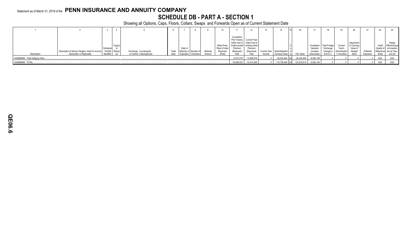## **SCHEDULE DB - PART A - SECTION 1**

|                                 |                                                                    |            |     |                          |       |                               |          |                                            |                                                                  |                                                                                        |        |                            |             |                                     | 18                                     |                                    | 20                                             |           | 22         |                                                                                    |
|---------------------------------|--------------------------------------------------------------------|------------|-----|--------------------------|-------|-------------------------------|----------|--------------------------------------------|------------------------------------------------------------------|----------------------------------------------------------------------------------------|--------|----------------------------|-------------|-------------------------------------|----------------------------------------|------------------------------------|------------------------------------------------|-----------|------------|------------------------------------------------------------------------------------|
|                                 | Description of Item(s) Hedged, Used for Income / Exhibit   Risk(s) | Schedule   |     | Exchange, Counterparty   | Trade | Date of<br>Maturity or Number | Notional | Strike Price,<br>Rate of Index<br>Receiver | Cumulative<br>Undiscounted Undiscounted<br>Premium<br>(Received) | Prior Year(s) Current Year<br>Initial Cost of Initial Cost of<br>Premium<br>(Received) |        | Current Year Book/Adiusted |             | Unrealized<br>Valuation<br>Increase | Total Foreig.<br>Exchange<br>Change in | Curren'<br>Year's<br>(Amortization | Adjustmen<br>to Carrying<br>Value of<br>Hedged | Potential |            | Hedge<br>Credit Effectiveness<br>Quality of at Inception<br>Reference and at Year- |
| Description                     | Generation or Replicated                                           | Identifier | (a) | or Central Clearinghouse | Date  | Expiration Contracts          | Amount   | (Paid)                                     |                                                                  | Paid                                                                                   | Income | Carrying Value             | Fair Value  | (Decrease                           | <b>B./A.C.V.</b>                       | ) / Accretion                      | Items                                          | Exposure  | Entity     | end (b)                                                                            |
| 1409999999. Total-Hedging Other |                                                                    |            |     |                          |       |                               |          |                                            | 8,912,279                                                        | .12,656,818                                                                            |        | 26,303,944 XX              | 26,303,944  | 8,582,148                           |                                        |                                    |                                                |           | XXX        | XXX                                                                                |
| 1449999999. TOTAL.              |                                                                    |            |     |                          |       |                               |          |                                            | 78,588,053                                                       | 33,415,546                                                                             |        | 116,738,446 XX             | 123,919,614 | 8,582,148                           |                                        |                                    |                                                |           | <b>XXX</b> | <b>XXX</b>                                                                         |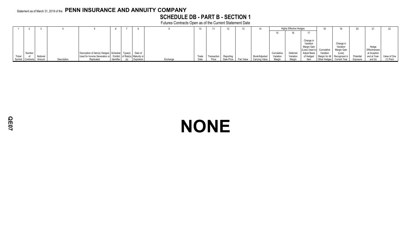## **SCHEDULE DB - PART B - SECTION 1**

Futures Contracts Open as of the Current Statement Date

|        |                  |          |             |                                                                      |                   |            |          | 10    |             |            |            | 14             |           | <b>Highly Effective Hedges</b> |                           |                              |             |           |               |              |
|--------|------------------|----------|-------------|----------------------------------------------------------------------|-------------------|------------|----------|-------|-------------|------------|------------|----------------|-----------|--------------------------------|---------------------------|------------------------------|-------------|-----------|---------------|--------------|
|        |                  |          |             |                                                                      |                   |            |          |       |             |            |            |                |           | 16                             |                           |                              |             |           |               |              |
|        |                  |          |             |                                                                      |                   |            |          |       |             |            |            |                |           |                                |                           |                              |             |           |               |              |
|        |                  |          |             |                                                                      |                   |            |          |       |             |            |            |                |           |                                | Change in                 |                              |             |           |               |              |
|        |                  |          |             |                                                                      |                   |            |          |       |             |            |            |                |           |                                | Variation                 |                              | Change in   |           |               |              |
|        |                  |          |             |                                                                      |                   |            |          |       |             |            |            |                |           |                                | Margin Gain               |                              | Variation   |           | Hedge         |              |
|        |                  |          |             |                                                                      |                   |            |          |       |             |            |            |                |           |                                | (Loss) Used to Cumulative |                              | Margin Gain |           | Effectiveness |              |
|        | Number           |          |             | Description of Item(s) Hedged, Schedule   Type(s)                    |                   | Date of    |          |       |             |            |            |                |           | Deferred                       | Adjust Basis              | Variation                    | (Loss)      |           | at Inception  |              |
| Ticker | of               | Notional |             | Used for Income Generation or   / Exhibit   of Risk(s)   Maturity or |                   |            |          | Trade | Transaction | Reporting  |            | Book/Adjusted  | Variation | Variation                      | of Hedged                 | Margin for All Recognized in |             | Potential | and at Year-  | Value of One |
|        | Symbol Contracts | Amount   | Description | Replicated                                                           | <b>Identifier</b> | Expiration | Exchange | Date  | Price       | Date Price | Fair Value | Carrying Value | Margin    | Margin                         | Item                      | Other Hedges Current Year    |             | Exposure  | end (b)       |              |

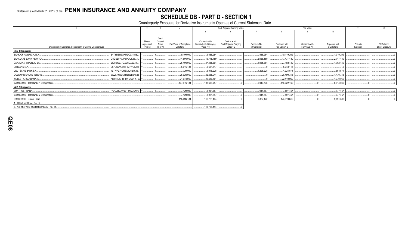## SCHEDULE DB - PART D - SECTION 1<br>Counterparty Exposure for Derivative Instruments Open as of Current Statement Date

|                                                                |                       |                   |                                        |                                       | Book Adjusted Carrying Value          |                               |                                  | Fair Value                       |                               | 11        | 12             |
|----------------------------------------------------------------|-----------------------|-------------------|----------------------------------------|---------------------------------------|---------------------------------------|-------------------------------|----------------------------------|----------------------------------|-------------------------------|-----------|----------------|
|                                                                |                       |                   |                                        |                                       |                                       |                               |                                  |                                  | 10                            |           |                |
|                                                                |                       |                   |                                        |                                       |                                       |                               |                                  |                                  |                               |           |                |
|                                                                |                       | Credit            |                                        |                                       |                                       |                               |                                  |                                  |                               |           |                |
|                                                                | Master                | Support           |                                        | Contracts with                        | Contracts with                        |                               |                                  |                                  |                               | Potential | Off-Balance    |
| Description of Exchange, Counterparty or Central Clearinghouse | Agreement<br>(Y or N) | Annex<br>(Y or N) | Fair Value of Acceptable<br>Collateral | Book/Adjusted Carrying<br>Value $> 0$ | Book/Adjusted Carrying<br>Value $< 0$ | Exposure Net<br>of Collateral | Contracts with<br>Fair Value > 0 | Contracts with<br>Fair Value < 0 | Exposure Net<br>of Collateral | Exposure  | Sheet Exposure |
| <b>NAIC 1 Designation</b>                                      |                       |                   |                                        |                                       |                                       |                               |                                  |                                  |                               |           |                |
| BANK OF AMERICA, N.A.<br>B4TYDEB6GKMZO031MB27 Y                |                       |                   | .9,100,000                             | 9,688,984                             |                                       | .588,984                      | .10,119,209                      |                                  | .1,019,209                    |           |                |
| G5GSEF7VJP5I7OUK5573<br><b>BARCLAYS BANK NEW YO.</b>           |                       |                   | .14.690.000                            | .16,748,159                           |                                       | .2,058,159                    | 17,437,430                       |                                  | .2,747,430                    |           |                |
| CANADIAN IMPERIAL BA.<br>2IGI19DL77OX0HC3ZE78                  |                       |                   | .25,490,000                            | .27,455,364                           |                                       | 1,965,364                     | .27,192,449                      |                                  | 1,702,449                     |           |                |
| CITIBANK N.A<br>E57ODZWZ7FF32TWEFA76                           |                       |                   | 8,916,184                              | 6,661,817                             |                                       |                               | .8,048,113                       |                                  |                               |           |                |
| <b>DEUTSCHE BANK SA.</b><br>7LTWFZYICNSX8D621K86               |                       |                   | .3,720,000                             | 5,018,228                             |                                       | 1,298,228                     | .4,324,574                       |                                  | .604.574                      |           |                |
| <b>GOLDMAN SACHS INTERN.</b><br>W22LROWP2IHZNBB6K528           |                       |                   | 25,020,000                             | .22,588,044                           |                                       |                               | .26,490,318                      |                                  | 1,470,318                     |           |                |
| KB1H1DSPRFMYMCUFXT09 Y.<br><b>WELLS FARGO BANK, N.</b>         |                       |                   | 21,040,000                             | 20,516,161                            |                                       |                               | .22,410,069                      |                                  | 1,370,069                     |           |                |
| 0299999999. Total NAIC 1 Designation.                          |                       |                   | 107,976,184                            | 108,676,757                           |                                       | 5,910,735                     | 116,022,162                      |                                  | .8,914,049                    |           |                |
| <b>NAIC 2 Designation</b>                                      |                       |                   |                                        |                                       |                                       |                               |                                  |                                  |                               |           |                |
| IYDOJBGJWY9T8XKCSX06. Y<br>SUNTRUST BANK.                      |                       |                   | .7,120,000                             | 8,061,687                             |                                       | .941,687                      | .7,897,457                       |                                  | .777,457                      |           |                |
| 0399999999. Total NAIC 2 Designation.                          |                       |                   | 7,120,000                              | 8,061,687                             |                                       | .941,687                      | .7,897,457                       |                                  | .777,457                      |           |                |
| 0999999999. Gross Totals                                       |                       |                   | 115,096,184                            | 116,738,444                           |                                       | .6,852,422                    | 123,919,619                      |                                  | .9,691,506                    |           |                |
| 1. Offset per SSAP No. 64.                                     |                       |                   |                                        |                                       |                                       |                               |                                  |                                  |                               |           |                |
| 2. Net after right of offset per SSAP No. 64.                  |                       |                   |                                        | 116,738,444                           |                                       |                               |                                  |                                  |                               |           |                |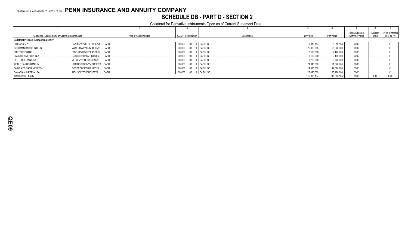## Statement as of March 31, 2019 of the PENN INSURANCE AND ANNUITY COMPANY **SCHEDULE DB - PART D - SECTION 2**

### Collateral for Derivative Instruments Open as of Current Statement Date

|                                                 |                             |                       |                             |               |              |              | Book/Adjusted  | Maturity   | Type of Margin          |
|-------------------------------------------------|-----------------------------|-----------------------|-----------------------------|---------------|--------------|--------------|----------------|------------|-------------------------|
| Exchange, Counterparty or Central Clearinghouse |                             | Type of Asset Pledged | <b>CUSIP</b> Identification | Description   | Fair Value   | Par Value    | Carrving Value | Date       | $(I, V \text{ or } IV)$ |
| <b>Collateral Pledged to Reporting Entity</b>   |                             |                       |                             |               |              |              |                |            |                         |
| CITIBANK N.A.                                   | E57ODZWZ7FF32TWEFA76 CASH.  |                       | 000000<br>00 0 CASHUSD.     |               | .8.916.184   | .8.916.184   | <b>XXX</b>     |            |                         |
| <b>GOLDMAN SACHS INTERN</b>                     | W22LROWP2IHZNBB6K528 CASH.  |                       | 000000                      | 00 0 CASHUSD  | .25,020,000  | 25,020,000   | <b>XXX</b>     |            |                         |
| <b>SUNTRUST BANK.</b>                           | IYDOJBGJWY9T8XKCSX06 CASH.  |                       | 000000                      | 00 0 CASHUSD  | 7.120.000    | 7,120,000    | <b>XXX</b>     |            |                         |
| BANK OF AMERICA, N.A.,                          | B4TYDEB6GKMZO031MB27 CASH.  |                       | 000000                      | 00 0 CASHUSD. | .9,100,000   | .9,100,000   | XXX            |            |                         |
| <b>DEUTSCHE BANK SA</b>                         | 7LTWFZYICNSX8D621K86 CASH.  |                       | 000000                      | 00 0 CASHUSD. | .3,720,000   | .3,720,000   | <b>XXX</b>     |            |                         |
| <b>WELLS FARGO BANK. N.,</b>                    | KB1H1DSPRFMYMCUFXT09. CASH. |                       | 000000                      | 00 0 CASHUSD  | .21,040,000  | 21.040.000   | <b>XXX</b>     |            |                         |
| <b>BARCLAYS BANK NEW YO</b>                     | G5GSEF7VJP5I7OUK5573 CASH.  |                       | 00 0 CASHUSD<br>000000      |               | .14,690,000  | .14,690,000  | <b>XXX</b>     |            |                         |
| CANADIAN IMPERIAL BA                            | 2IGI19DL77OX0HC3ZE78 CASH   |                       | 00 0 CASHUSD<br>000000      |               | 25,490,000   | 25,490,000   | XXX            |            |                         |
| 0299999999. Totals                              |                             |                       |                             |               | .115,096,184 | .115,096,184 | <b>XXX</b>     | <b>XXX</b> | XXX                     |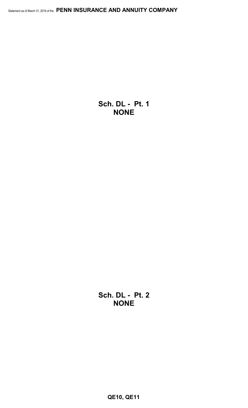**Sch. DL - Pt. 1 NONE**

**Sch. DL - Pt. 2 NONE**

**QE10, QE11**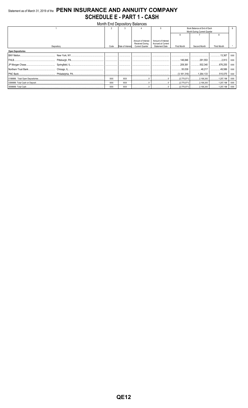## Statement as of March 31, 2019 of the PENN INSURANCE AND ANNUITY COMPANY **SCHEDULE E - PART 1 - CASH**

|                          |            |            |                  | <b>Month End Depository Balances</b>  |                                          |             |                              |             |            |
|--------------------------|------------|------------|------------------|---------------------------------------|------------------------------------------|-------------|------------------------------|-------------|------------|
|                          |            | $\Omega$   |                  |                                       |                                          |             | Book Balance at End of Each  |             |            |
|                          |            |            |                  |                                       |                                          |             | Month During Current Quarter |             |            |
|                          |            |            |                  |                                       |                                          | ĥ           |                              |             |            |
|                          |            |            |                  | Amount of Interest<br>Received During | Amount of Interest<br>Accrued at Current |             |                              |             |            |
|                          | Depository | Code       | Rate of Interest | <b>Current Quarter</b>                | <b>Statement Date</b>                    | First Month | Second Month                 | Third Month |            |
| <b>Open Depositories</b> |            |            |                  |                                       |                                          |             |                              |             |            |
|                          |            |            |                  |                                       |                                          |             |                              | .13.367     | <b>XXX</b> |
|                          |            |            |                  |                                       |                                          |             |                              |             | <b>XXX</b> |
|                          |            |            |                  |                                       |                                          |             |                              |             | <b>XXX</b> |
|                          |            |            |                  |                                       |                                          |             |                              |             | <b>XXX</b> |
|                          |            |            |                  |                                       |                                          |             |                              |             | <b>XXX</b> |
|                          |            | <b>XXX</b> | XXX              |                                       |                                          |             |                              |             | XXX        |
|                          |            | <b>XXX</b> | <b>XXX</b>       |                                       |                                          |             |                              |             | XXX        |
|                          |            | <b>XXX</b> | XXX              |                                       |                                          |             |                              |             | XXX        |